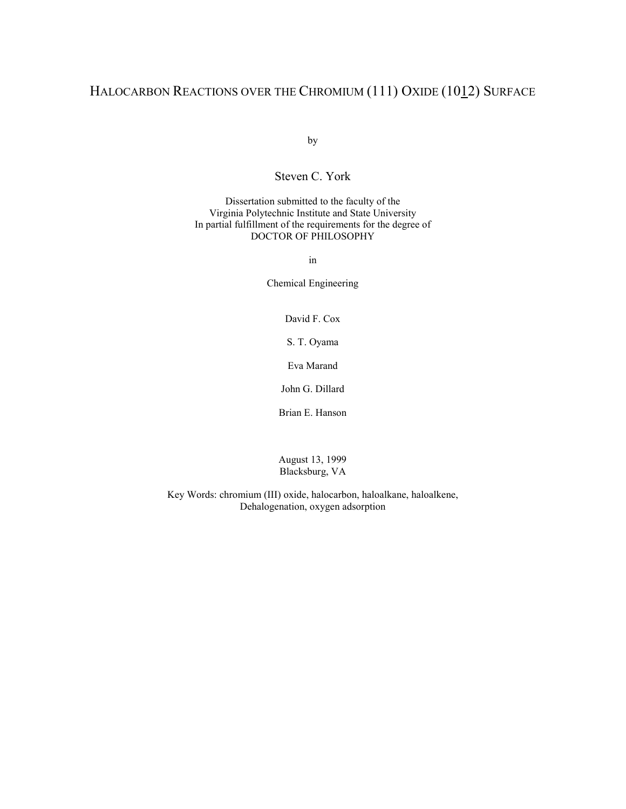### HALOCARBON REACTIONS OVER THE CHROMIUM (111) OXIDE (1012) SURFACE

by

Steven C. York

Dissertation submitted to the faculty of the Virginia Polytechnic Institute and State University In partial fulfillment of the requirements for the degree of DOCTOR OF PHILOSOPHY

in

Chemical Engineering

David F. Cox

S. T. Oyama

Eva Marand

John G. Dillard

Brian E. Hanson

August 13, 1999 Blacksburg, VA

Key Words: chromium (III) oxide, halocarbon, haloalkane, haloalkene, Dehalogenation, oxygen adsorption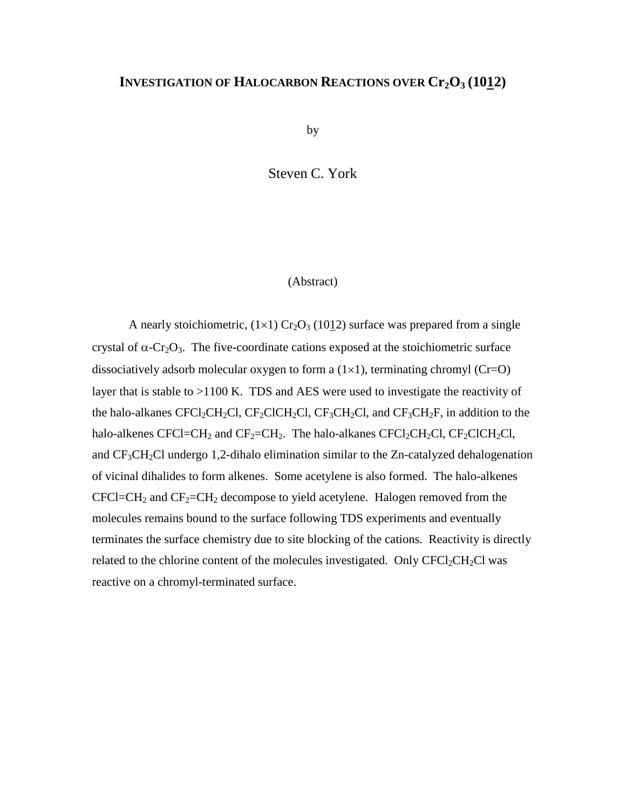### **INVESTIGATION OF HALOCARBON REACTIONS OVER Cr2O3 (1012)**

by

Steven C. York

#### (Abstract)

A nearly stoichiometric,  $(1\times1)$  Cr<sub>2</sub>O<sub>3</sub> (10<u>1</u>2) surface was prepared from a single crystal of  $\alpha$ -Cr<sub>2</sub>O<sub>3</sub>. The five-coordinate cations exposed at the stoichiometric surface dissociatively adsorb molecular oxygen to form a  $(1\times1)$ , terminating chromyl (Cr=O) layer that is stable to >1100 K. TDS and AES were used to investigate the reactivity of the halo-alkanes CFCl<sub>2</sub>CH<sub>2</sub>Cl, CF<sub>2</sub>ClCH<sub>2</sub>Cl, CF<sub>3</sub>CH<sub>2</sub>Cl, and CF<sub>3</sub>CH<sub>2</sub>F, in addition to the halo-alkenes CFCl=CH<sub>2</sub> and CF<sub>2</sub>=CH<sub>2</sub>. The halo-alkanes CFCl<sub>2</sub>CH<sub>2</sub>Cl, CF<sub>2</sub>ClCH<sub>2</sub>Cl, and CF3CH2Cl undergo 1,2-dihalo elimination similar to the Zn-catalyzed dehalogenation of vicinal dihalides to form alkenes. Some acetylene is also formed. The halo-alkenes  $CFCI=CH<sub>2</sub>$  and  $CF<sub>2</sub>=CH<sub>2</sub>$  decompose to yield acetylene. Halogen removed from the molecules remains bound to the surface following TDS experiments and eventually terminates the surface chemistry due to site blocking of the cations. Reactivity is directly related to the chlorine content of the molecules investigated. Only  $CFCl_2CH_2Cl$  was reactive on a chromyl-terminated surface.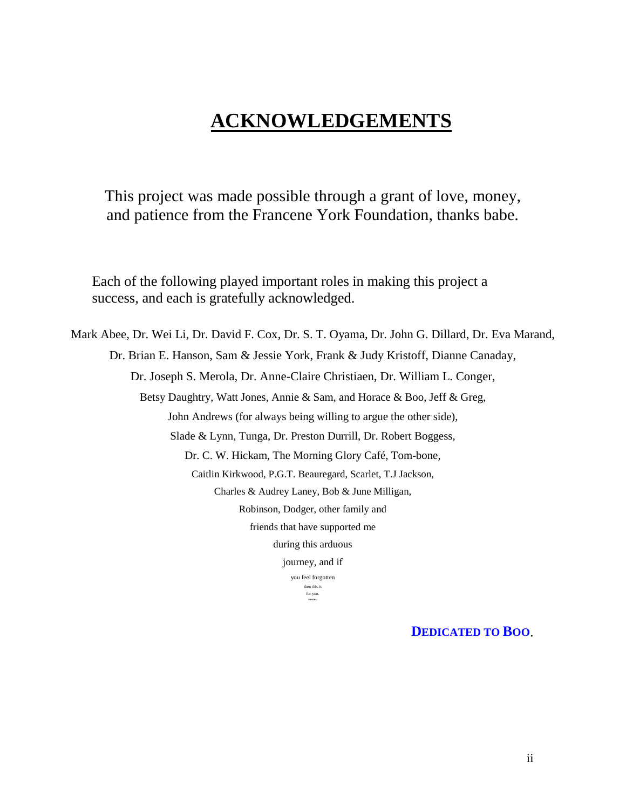## **ACKNOWLEDGEMENTS**

This project was made possible through a grant of love, money, and patience from the Francene York Foundation, thanks babe.

Each of the following played important roles in making this project a success, and each is gratefully acknowledged.

Mark Abee, Dr. Wei Li, Dr. David F. Cox, Dr. S. T. Oyama, Dr. John G. Dillard, Dr. Eva Marand, Dr. Brian E. Hanson, Sam & Jessie York, Frank & Judy Kristoff, Dianne Canaday, Dr. Joseph S. Merola, Dr. Anne-Claire Christiaen, Dr. William L. Conger, Betsy Daughtry, Watt Jones, Annie & Sam, and Horace & Boo, Jeff & Greg, John Andrews (for always being willing to argue the other side), Slade & Lynn, Tunga, Dr. Preston Durrill, Dr. Robert Boggess, Dr. C. W. Hickam, The Morning Glory Café, Tom-bone, Caitlin Kirkwood, P.G.T. Beauregard, Scarlet, T.J Jackson, Charles & Audrey Laney, Bob & June Milligan, Robinson, Dodger, other family and friends that have supported me during this arduous journey, and if you feel forgotten then this is for you. **THANKS!**

**DEDICATED TO BOO**.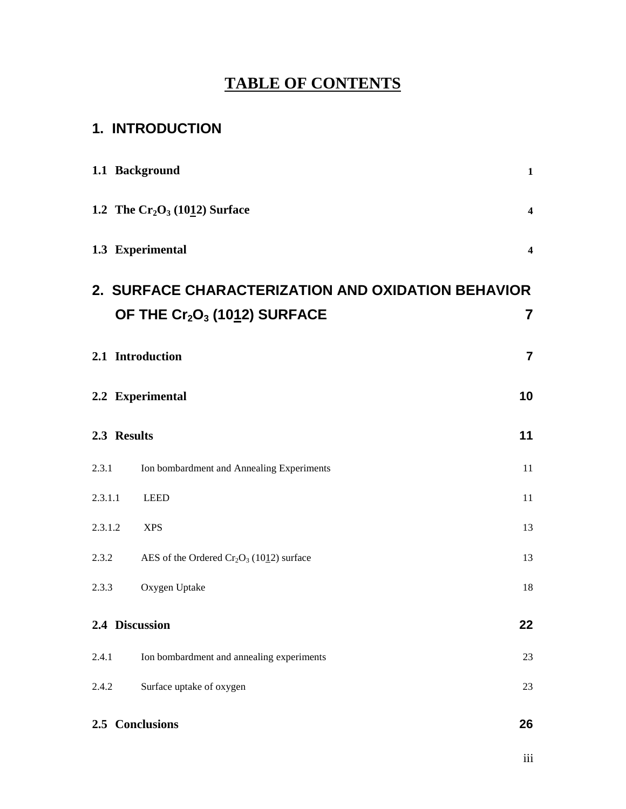## **TABLE OF CONTENTS**

## **1. INTRODUCTION**

|         | 1.1 Background                                                                                             | $\mathbf 1$             |
|---------|------------------------------------------------------------------------------------------------------------|-------------------------|
|         | 1.2 The $Cr_2O_3$ (1012) Surface                                                                           | $\overline{\mathbf{4}}$ |
|         | 1.3 Experimental                                                                                           | $\overline{\mathbf{4}}$ |
|         | 2. SURFACE CHARACTERIZATION AND OXIDATION BEHAVIOR<br>OF THE Cr <sub>2</sub> O <sub>3</sub> (1012) SURFACE | 7                       |
|         | 2.1 Introduction                                                                                           | $\overline{7}$          |
|         | 2.2 Experimental                                                                                           | 10                      |
|         | 2.3 Results                                                                                                | 11                      |
| 2.3.1   | Ion bombardment and Annealing Experiments                                                                  | $11\,$                  |
| 2.3.1.1 | <b>LEED</b>                                                                                                | 11                      |
| 2.3.1.2 | <b>XPS</b>                                                                                                 | 13                      |
| 2.3.2   | AES of the Ordered $Cr_2O_3$ (1012) surface                                                                | 13                      |
| 2.3.3   | Oxygen Uptake                                                                                              | 18                      |
|         | 2.4 Discussion                                                                                             | 22                      |
| 2.4.1   | Ion bombardment and annealing experiments                                                                  | 23                      |
| 2.4.2   | Surface uptake of oxygen                                                                                   | 23                      |
|         | 2.5 Conclusions                                                                                            | 26                      |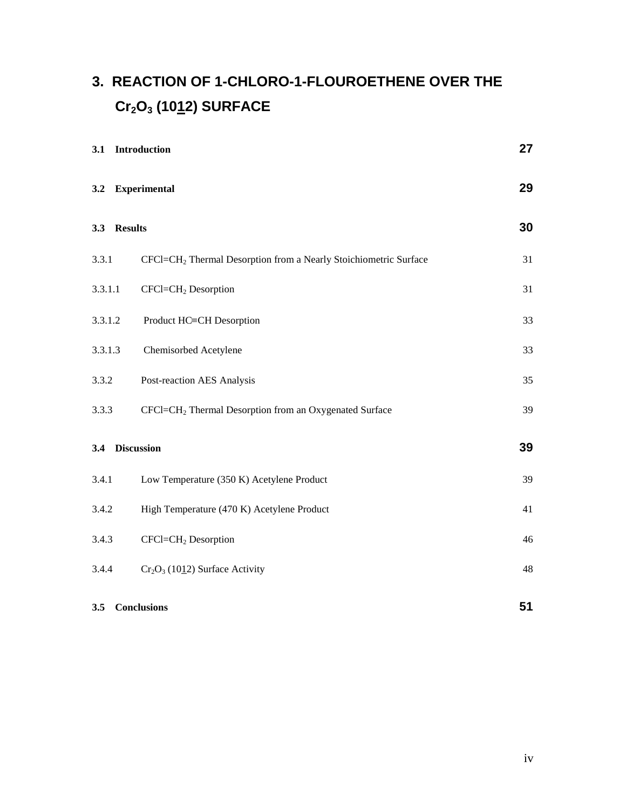# **3. REACTION OF 1-CHLORO-1-FLOUROETHENE OVER THE Cr2O3 (1012) SURFACE**

| 3.1     | Introduction                                                                 | 27 |
|---------|------------------------------------------------------------------------------|----|
| 3.2     | <b>Experimental</b>                                                          | 29 |
| 3.3     | <b>Results</b>                                                               | 30 |
| 3.3.1   | CFCl=CH <sub>2</sub> Thermal Desorption from a Nearly Stoichiometric Surface | 31 |
| 3.3.1.1 | CFCl=CH <sub>2</sub> Desorption                                              | 31 |
| 3.3.1.2 | Product HC=CH Desorption                                                     | 33 |
| 3.3.1.3 | Chemisorbed Acetylene                                                        | 33 |
| 3.3.2   | Post-reaction AES Analysis                                                   | 35 |
| 3.3.3   | CFCl=CH <sub>2</sub> Thermal Desorption from an Oxygenated Surface           | 39 |
| 3.4     | <b>Discussion</b>                                                            | 39 |
| 3.4.1   | Low Temperature (350 K) Acetylene Product                                    | 39 |
| 3.4.2   | High Temperature (470 K) Acetylene Product                                   | 41 |
| 3.4.3   | CFCl=CH <sub>2</sub> Desorption                                              | 46 |
| 3.4.4   | $Cr_2O_3$ (1012) Surface Activity                                            | 48 |
| 3.5     | <b>Conclusions</b>                                                           | 51 |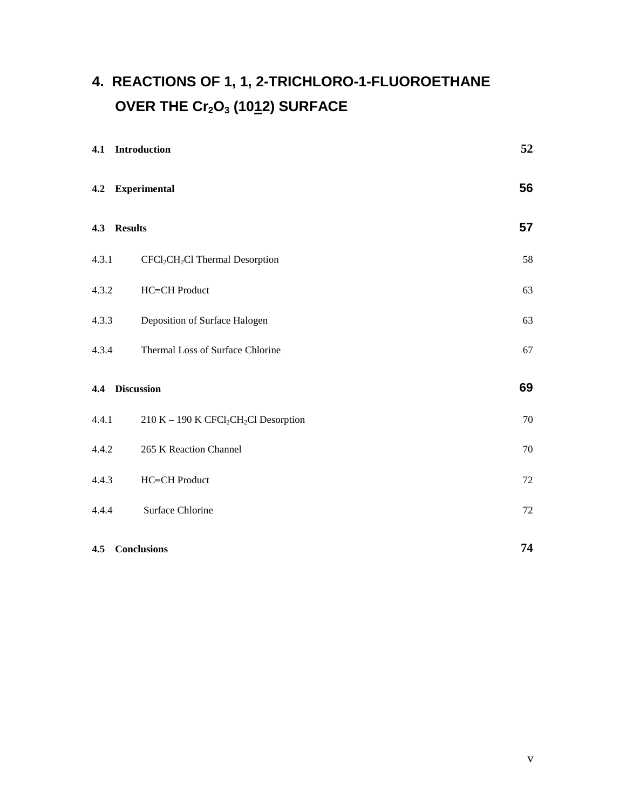# **4. REACTIONS OF 1, 1, 2-TRICHLORO-1-FLUOROETHANE** OVER THE Cr<sub>2</sub>O<sub>3</sub> (1012) SURFACE

|       | 4.1 Introduction                                              | 52     |
|-------|---------------------------------------------------------------|--------|
|       | 4.2 Experimental                                              | 56     |
|       | 4.3 Results                                                   | 57     |
| 4.3.1 | CFCl <sub>2</sub> CH <sub>2</sub> Cl Thermal Desorption       | 58     |
| 4.3.2 | HC≡CH Product                                                 | 63     |
| 4.3.3 | Deposition of Surface Halogen                                 | 63     |
| 4.3.4 | Thermal Loss of Surface Chlorine                              | 67     |
|       | 4.4 Discussion                                                | 69     |
| 4.4.1 | 210 K - 190 K CFCl <sub>2</sub> CH <sub>2</sub> Cl Desorption | $70\,$ |
| 4.4.2 | 265 K Reaction Channel                                        | 70     |
| 4.4.3 | HC≡CH Product                                                 | $72\,$ |
| 4.4.4 | Surface Chlorine                                              | $72\,$ |
|       | 4.5 Conclusions                                               | 74     |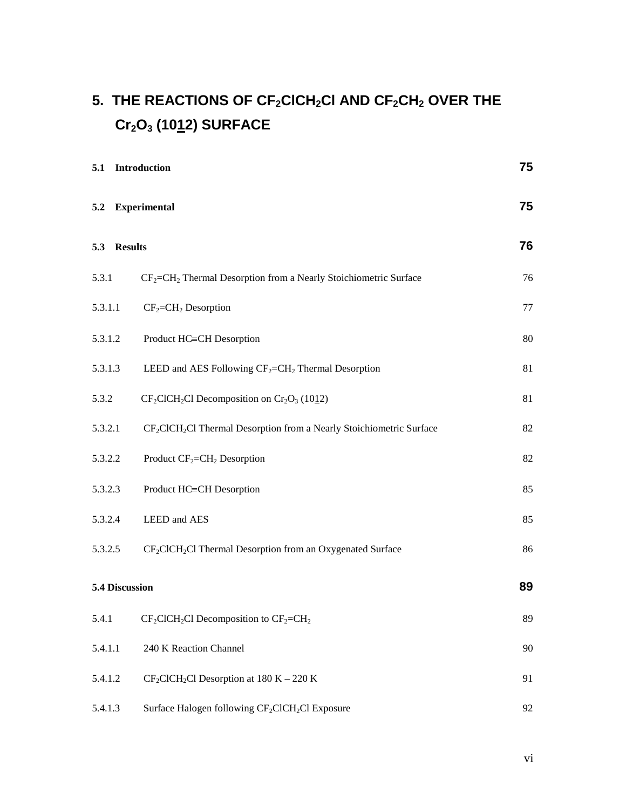# 5. THE REACTIONS OF CF<sub>2</sub>CICH<sub>2</sub>CI AND CF<sub>2</sub>CH<sub>2</sub> OVER THE **Cr2O3 (1012) SURFACE**

| 5.1 Introduction |                                                                                              | 75 |
|------------------|----------------------------------------------------------------------------------------------|----|
|                  | 5.2 Experimental                                                                             | 75 |
| 5.3 Results      |                                                                                              | 76 |
| 5.3.1            | CF <sub>2</sub> =CH <sub>2</sub> Thermal Desorption from a Nearly Stoichiometric Surface     | 76 |
| 5.3.1.1          | $CF_2=CH_2$ Desorption                                                                       | 77 |
| 5.3.1.2          | Product HC=CH Desorption                                                                     | 80 |
| 5.3.1.3          | LEED and AES Following $CF_2=CH_2$ Thermal Desorption                                        | 81 |
| 5.3.2            | $CF_2ClCH_2Cl$ Decomposition on $Cr_2O_3$ (1012)                                             | 81 |
| 5.3.2.1          | CF <sub>2</sub> ClCH <sub>2</sub> Cl Thermal Desorption from a Nearly Stoichiometric Surface | 82 |
| 5.3.2.2          | Product $CF_2=CH_2$ Desorption                                                               | 82 |
| 5.3.2.3          | Product HC≡CH Desorption                                                                     | 85 |
| 5.3.2.4          | LEED and AES                                                                                 | 85 |
| 5.3.2.5          | CF <sub>2</sub> ClCH <sub>2</sub> Cl Thermal Desorption from an Oxygenated Surface           | 86 |
| 5.4 Discussion   |                                                                                              | 89 |
| 5.4.1            | $CF_2CICH_2Cl$ Decomposition to $CF_2=CH_2$                                                  | 89 |
| 5.4.1.1          | 240 K Reaction Channel                                                                       | 90 |
| 5.4.1.2          | $CF_2ClCH_2Cl$ Desorption at 180 K – 220 K                                                   | 91 |
| 5.4.1.3          | Surface Halogen following CF <sub>2</sub> ClCH <sub>2</sub> Cl Exposure                      | 92 |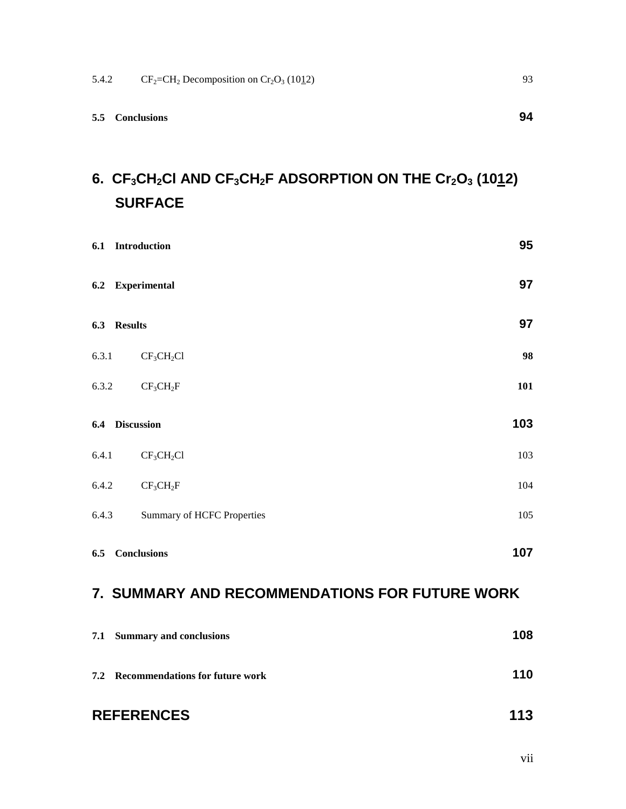## 6. CF<sub>3</sub>CH<sub>2</sub>CI AND CF<sub>3</sub>CH<sub>2</sub>F ADSORPTION ON THE Cr<sub>2</sub>O<sub>3</sub> (1012) **SURFACE**

|       | 6.1 Introduction                               | 95  |
|-------|------------------------------------------------|-----|
|       | 6.2 Experimental                               | 97  |
|       | 6.3 Results                                    | 97  |
| 6.3.1 | CF <sub>3</sub> CH <sub>2</sub> Cl             | 98  |
| 6.3.2 | CF <sub>3</sub> CH <sub>2</sub> F              | 101 |
|       | 6.4 Discussion                                 | 103 |
| 6.4.1 | CF <sub>3</sub> CH <sub>2</sub> Cl             | 103 |
| 6.4.2 | CF <sub>3</sub> CH <sub>2</sub> F              | 104 |
| 6.4.3 | <b>Summary of HCFC Properties</b>              | 105 |
|       | 6.5 Conclusions                                | 107 |
|       | 7. SUMMARY AND RECOMMENDATIONS FOR FUTURE WORK |     |

| 7.1 Summary and conclusions         | 108 |
|-------------------------------------|-----|
| 7.2 Recommendations for future work | 110 |
|                                     |     |

### REFERENCES 113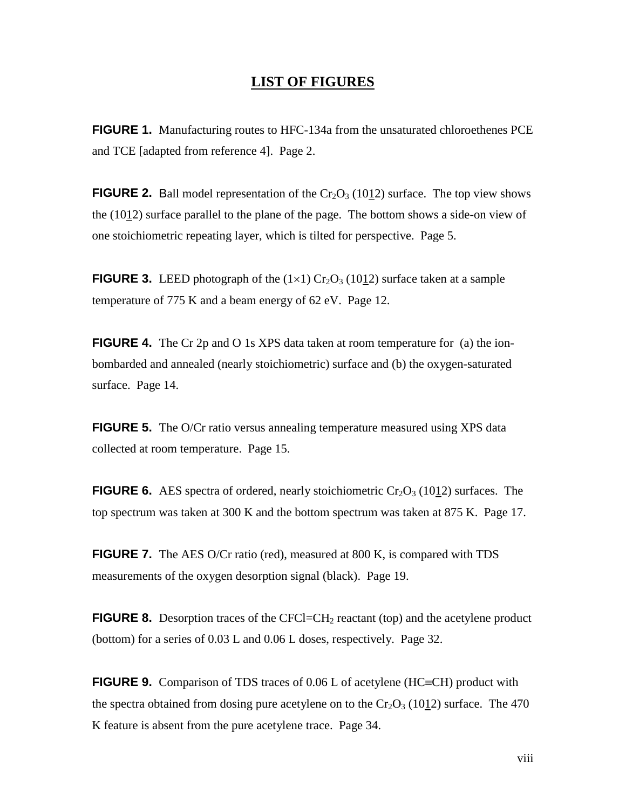#### **LIST OF FIGURES**

**FIGURE 1.** Manufacturing routes to HFC-134a from the unsaturated chloroethenes PCE and TCE [adapted from reference 4]. Page 2.

**FIGURE 2.** Ball model representation of the  $Cr_2O_3$  (1012) surface. The top view shows the (1012) surface parallel to the plane of the page. The bottom shows a side-on view of one stoichiometric repeating layer, which is tilted for perspective. Page 5.

**FIGURE 3.** LEED photograph of the  $(1\times1)$  Cr<sub>2</sub>O<sub>3</sub> (1012) surface taken at a sample temperature of 775 K and a beam energy of 62 eV. Page 12.

**FIGURE 4.** The Cr 2p and O 1s XPS data taken at room temperature for (a) the ionbombarded and annealed (nearly stoichiometric) surface and (b) the oxygen-saturated surface. Page 14.

**FIGURE 5.** The O/Cr ratio versus annealing temperature measured using XPS data collected at room temperature. Page 15.

**FIGURE 6.** AES spectra of ordered, nearly stoichiometric  $Cr_2O_3$  (1012) surfaces. The top spectrum was taken at 300 K and the bottom spectrum was taken at 875 K. Page 17.

**FIGURE 7.** The AES O/Cr ratio (red), measured at 800 K, is compared with TDS measurements of the oxygen desorption signal (black). Page 19.

**FIGURE 8.** Desorption traces of the CFCl=CH<sub>2</sub> reactant (top) and the acetylene product (bottom) for a series of 0.03 L and 0.06 L doses, respectively. Page 32.

**FIGURE 9.** Comparison of TDS traces of 0.06 L of acetylene (HC=CH) product with the spectra obtained from dosing pure acetylene on to the  $Cr_2O_3$  (1012) surface. The 470 K feature is absent from the pure acetylene trace. Page 34.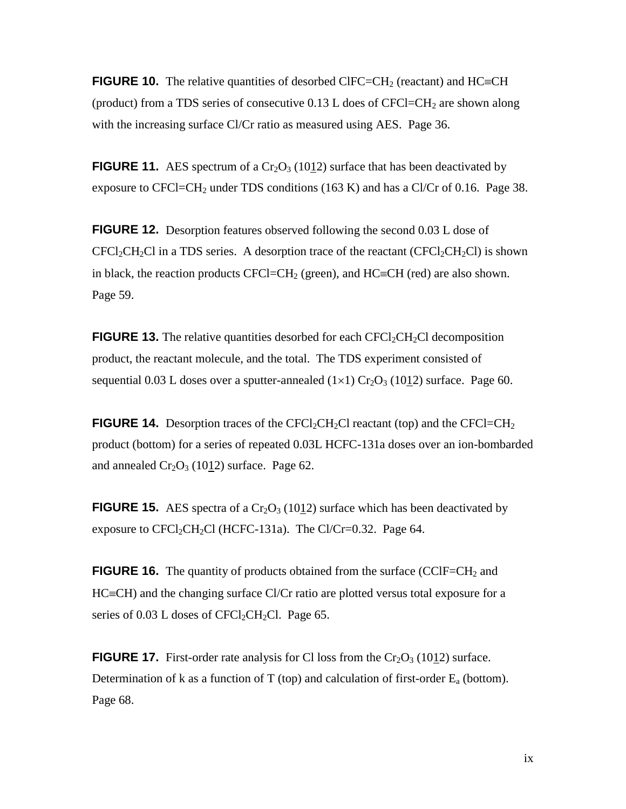**FIGURE 10.** The relative quantities of desorbed CIFC=CH<sub>2</sub> (reactant) and HC=CH (product) from a TDS series of consecutive  $0.13$  L does of CFCl=CH<sub>2</sub> are shown along with the increasing surface Cl/Cr ratio as measured using AES. Page 36.

**FIGURE 11.** AES spectrum of a  $Cr_2O_3$  (1012) surface that has been deactivated by exposure to CFCl=CH<sub>2</sub> under TDS conditions (163 K) and has a Cl/Cr of 0.16. Page 38.

**FIGURE 12.** Desorption features observed following the second 0.03 L dose of  $CFCl_2CH_2Cl$  in a TDS series. A desorption trace of the reactant  $(CFCl_2CH_2Cl)$  is shown in black, the reaction products CFCl=CH<sub>2</sub> (green), and HC=CH (red) are also shown. Page 59.

**FIGURE 13.** The relative quantities desorbed for each  $CFCI_2CH_2Cl$  decomposition product, the reactant molecule, and the total. The TDS experiment consisted of sequential 0.03 L doses over a sputter-annealed  $(1\times1)$  Cr<sub>2</sub>O<sub>3</sub> (1012) surface. Page 60.

**FIGURE 14.** Desorption traces of the CFCl<sub>2</sub>CH<sub>2</sub>Cl reactant (top) and the CFCl=CH<sub>2</sub> product (bottom) for a series of repeated 0.03L HCFC-131a doses over an ion-bombarded and annealed  $Cr_2O_3$  (1012) surface. Page 62.

**FIGURE 15.** AES spectra of a  $Cr_2O_3$  (1012) surface which has been deactivated by exposure to  $CFCl_2CH_2Cl$  (HCFC-131a). The Cl/Cr=0.32. Page 64.

**FIGURE 16.** The quantity of products obtained from the surface (CClF=CH<sub>2</sub> and  $HC=CH$ ) and the changing surface  $Cl/Cr$  ratio are plotted versus total exposure for a series of  $0.03$  L doses of CFCl<sub>2</sub>CH<sub>2</sub>Cl. Page 65.

**FIGURE 17.** First-order rate analysis for Cl loss from the  $Cr_2O_3$  (1012) surface. Determination of k as a function of T (top) and calculation of first-order  $E_a$  (bottom). Page 68.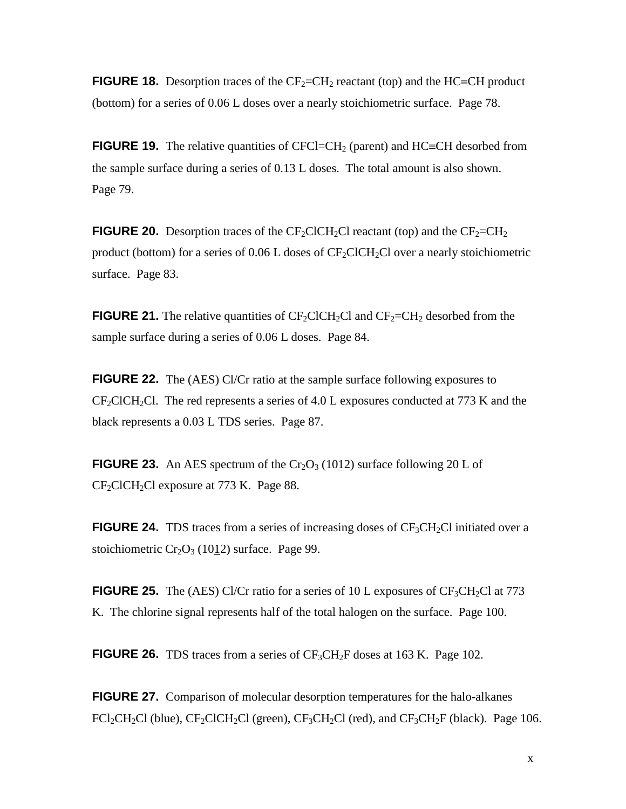**FIGURE 18.** Desorption traces of the  $CF_2=CH_2$  reactant (top) and the HC=CH product (bottom) for a series of 0.06 L doses over a nearly stoichiometric surface. Page 78.

**FIGURE 19.** The relative quantities of CFCl=CH<sub>2</sub> (parent) and HC=CH desorbed from the sample surface during a series of 0.13 L doses. The total amount is also shown. Page 79.

**FIGURE 20.** Desorption traces of the CF<sub>2</sub>ClCH<sub>2</sub>Cl reactant (top) and the CF<sub>2</sub>=CH<sub>2</sub> product (bottom) for a series of  $0.06$  L doses of  $CF_2CICH_2Cl$  over a nearly stoichiometric surface. Page 83.

**FIGURE 21.** The relative quantities of  $CF_2CICH_2Cl$  and  $CF_2=CH_2$  desorbed from the sample surface during a series of 0.06 L doses. Page 84.

**FIGURE 22.** The (AES) Cl/Cr ratio at the sample surface following exposures to  $CF_2CICH_2Cl$ . The red represents a series of 4.0 L exposures conducted at 773 K and the black represents a 0.03 L TDS series. Page 87.

**FIGURE 23.** An AES spectrum of the  $Cr_2O_3$  (1012) surface following 20 L of CF<sub>2</sub>ClCH<sub>2</sub>Cl exposure at 773 K. Page 88.

**FIGURE 24.** TDS traces from a series of increasing doses of  $CF_3CH_2Cl$  initiated over a stoichiometric  $Cr_2O_3$  (1012) surface. Page 99.

**FIGURE 25.** The (AES) Cl/Cr ratio for a series of 10 L exposures of  $CF_3CH_2Cl$  at 773 K. The chlorine signal represents half of the total halogen on the surface. Page 100.

**FIGURE 26.** TDS traces from a series of  $CF_3CH_2F$  doses at 163 K. Page 102.

**FIGURE 27.** Comparison of molecular desorption temperatures for the halo-alkanes  $FCl_2CH_2Cl$  (blue),  $CF_2ClCH_2Cl$  (green),  $CF_3CH_2Cl$  (red), and  $CF_3CH_2F$  (black). Page 106.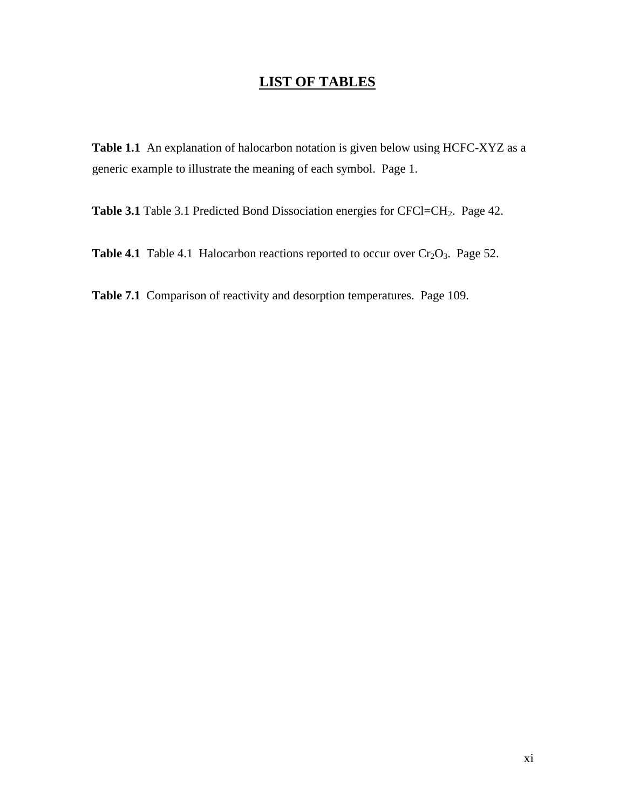### **LIST OF TABLES**

**Table 1.1** An explanation of halocarbon notation is given below using HCFC-XYZ as a generic example to illustrate the meaning of each symbol. Page 1.

Table 3.1 Table 3.1 Predicted Bond Dissociation energies for CFCl=CH<sub>2</sub>. Page 42.

**Table 4.1** Table 4.1 Halocarbon reactions reported to occur over  $Cr_2O_3$ . Page 52.

**Table 7.1** Comparison of reactivity and desorption temperatures. Page 109.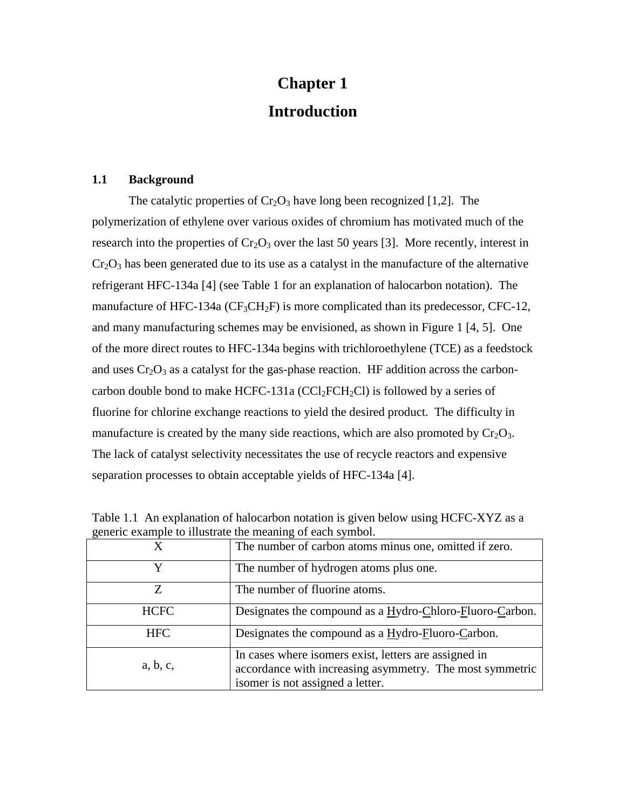# **Chapter 1 Introduction**

#### **1.1 Background**

The catalytic properties of  $Cr_2O_3$  have long been recognized [1,2]. The polymerization of ethylene over various oxides of chromium has motivated much of the research into the properties of  $Cr_2O_3$  over the last 50 years [3]. More recently, interest in  $Cr_2O_3$  has been generated due to its use as a catalyst in the manufacture of the alternative refrigerant HFC-134a [4] (see Table 1 for an explanation of halocarbon notation). The manufacture of HFC-134a ( $CF_3CH_2F$ ) is more complicated than its predecessor, CFC-12, and many manufacturing schemes may be envisioned, as shown in Figure 1 [4, 5]. One of the more direct routes to HFC-134a begins with trichloroethylene (TCE) as a feedstock and uses  $Cr_2O_3$  as a catalyst for the gas-phase reaction. HF addition across the carboncarbon double bond to make HCFC-131a ( $CCl_2FCH_2Cl$ ) is followed by a series of fluorine for chlorine exchange reactions to yield the desired product. The difficulty in manufacture is created by the many side reactions, which are also promoted by  $Cr_2O_3$ . The lack of catalyst selectivity necessitates the use of recycle reactors and expensive separation processes to obtain acceptable yields of HFC-134a [4].

| $S$ and $S$ and $S$ is the second of $S$ and $S$ and $S$ and $S$ and $S$ and $S$ and $S$ and $S$ and $S$ and $S$ and $S$ and $S$ and $S$ and $S$ and $S$ and $S$ and $S$ and $S$ and $S$ and $S$ and $S$ and $S$ and $S$ and |                                                                                                                                                       |  |  |
|------------------------------------------------------------------------------------------------------------------------------------------------------------------------------------------------------------------------------|-------------------------------------------------------------------------------------------------------------------------------------------------------|--|--|
|                                                                                                                                                                                                                              | The number of carbon atoms minus one, omitted if zero.                                                                                                |  |  |
| v                                                                                                                                                                                                                            | The number of hydrogen atoms plus one.                                                                                                                |  |  |
| Z                                                                                                                                                                                                                            | The number of fluorine atoms.                                                                                                                         |  |  |
| <b>HCFC</b>                                                                                                                                                                                                                  | Designates the compound as a Hydro-Chloro-Fluoro-Carbon.                                                                                              |  |  |
| <b>HFC</b>                                                                                                                                                                                                                   | Designates the compound as a Hydro-Fluoro-Carbon.                                                                                                     |  |  |
| a, b, c,                                                                                                                                                                                                                     | In cases where isomers exist, letters are assigned in<br>accordance with increasing asymmetry. The most symmetric<br>isomer is not assigned a letter. |  |  |

Table 1.1 An explanation of halocarbon notation is given below using HCFC-XYZ as a generic example to illustrate the meaning of each symbol.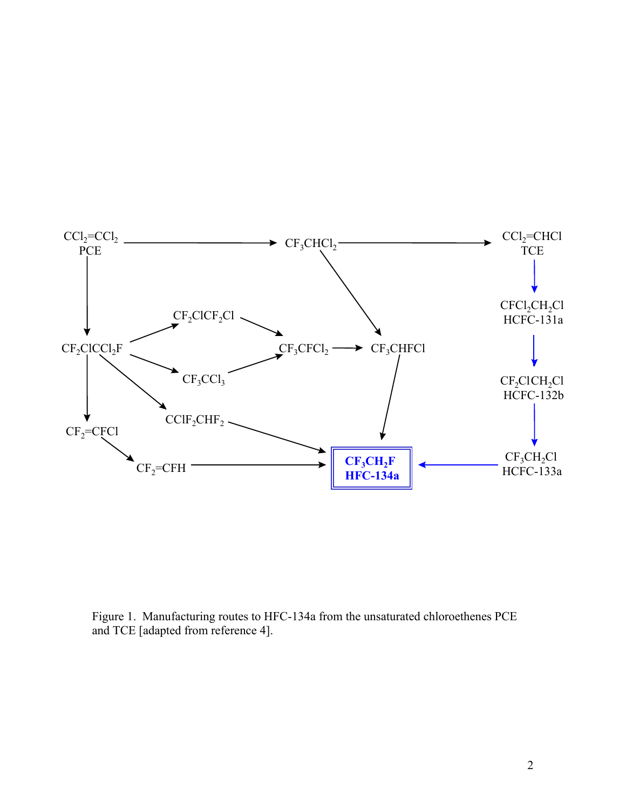

Figure 1. Manufacturing routes to HFC-134a from the unsaturated chloroethenes PCE and TCE [adapted from reference 4].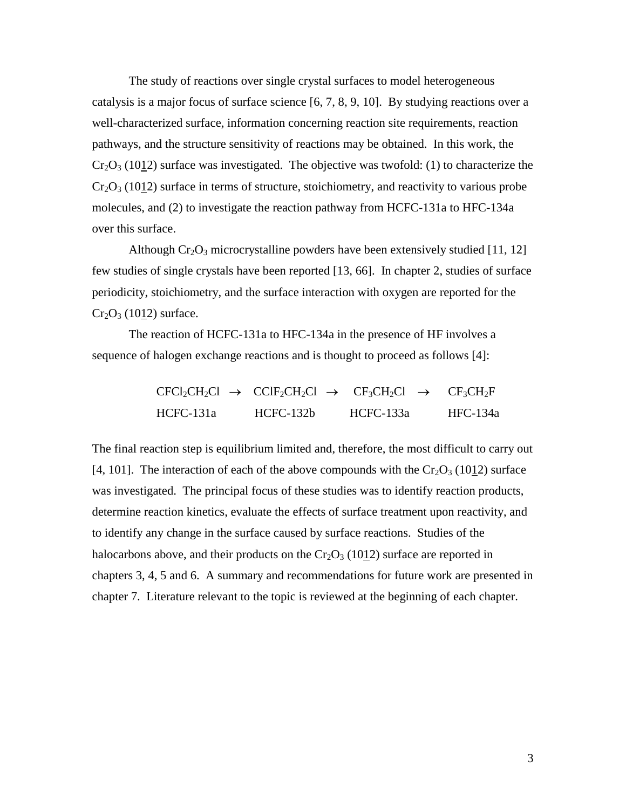The study of reactions over single crystal surfaces to model heterogeneous catalysis is a major focus of surface science [6, 7, 8, 9, 10]. By studying reactions over a well-characterized surface, information concerning reaction site requirements, reaction pathways, and the structure sensitivity of reactions may be obtained. In this work, the  $Cr_2O_3$  (1012) surface was investigated. The objective was twofold: (1) to characterize the  $Cr_2O_3$  (1012) surface in terms of structure, stoichiometry, and reactivity to various probe molecules, and (2) to investigate the reaction pathway from HCFC-131a to HFC-134a over this surface.

Although  $Cr_2O_3$  microcrystalline powders have been extensively studied [11, 12] few studies of single crystals have been reported [13, 66]. In chapter 2, studies of surface periodicity, stoichiometry, and the surface interaction with oxygen are reported for the  $Cr_2O_3$  (1012) surface.

The reaction of HCFC-131a to HFC-134a in the presence of HF involves a sequence of halogen exchange reactions and is thought to proceed as follows [4]:

|             |             | $CFCI_2CH_2Cl \rightarrow CCIF_2CH_2Cl \rightarrow CF_3CH_2Cl \rightarrow CF_3CH_2F$ |          |
|-------------|-------------|--------------------------------------------------------------------------------------|----------|
| $HCEC-131a$ | $HCFC-132b$ | HCFC-133a                                                                            | HFC-134a |

The final reaction step is equilibrium limited and, therefore, the most difficult to carry out [4, 101]. The interaction of each of the above compounds with the  $Cr_2O_3$  (1012) surface was investigated. The principal focus of these studies was to identify reaction products, determine reaction kinetics, evaluate the effects of surface treatment upon reactivity, and to identify any change in the surface caused by surface reactions. Studies of the halocarbons above, and their products on the  $Cr_2O_3$  (1012) surface are reported in chapters 3, 4, 5 and 6. A summary and recommendations for future work are presented in chapter 7. Literature relevant to the topic is reviewed at the beginning of each chapter.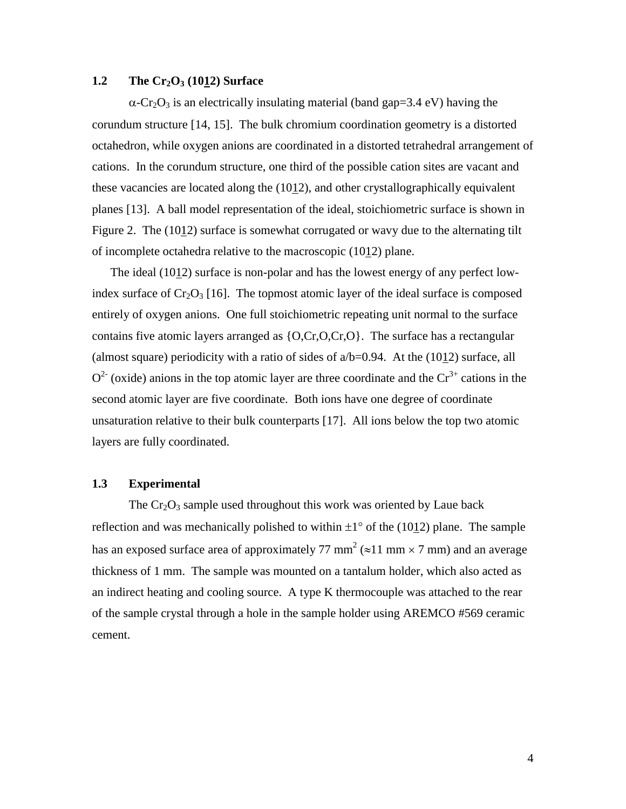#### **1.2** The Cr<sub>2</sub>O<sub>3</sub> (10<u>1</u>2) Surface

 $\alpha$ -Cr<sub>2</sub>O<sub>3</sub> is an electrically insulating material (band gap=3.4 eV) having the corundum structure [14, 15]. The bulk chromium coordination geometry is a distorted octahedron, while oxygen anions are coordinated in a distorted tetrahedral arrangement of cations. In the corundum structure, one third of the possible cation sites are vacant and these vacancies are located along the (1012), and other crystallographically equivalent planes [13]. A ball model representation of the ideal, stoichiometric surface is shown in Figure 2. The  $(1012)$  surface is somewhat corrugated or wavy due to the alternating tilt of incomplete octahedra relative to the macroscopic (1012) plane.

The ideal (1012) surface is non-polar and has the lowest energy of any perfect lowindex surface of  $Cr_2O_3$  [16]. The topmost atomic layer of the ideal surface is composed entirely of oxygen anions. One full stoichiometric repeating unit normal to the surface contains five atomic layers arranged as  ${O, Cr, O, Cr, O}$ . The surface has a rectangular (almost square) periodicity with a ratio of sides of  $a/b=0.94$ . At the (1012) surface, all  $Q<sup>2</sup>$  (oxide) anions in the top atomic layer are three coordinate and the  $Cr<sup>3+</sup>$  cations in the second atomic layer are five coordinate. Both ions have one degree of coordinate unsaturation relative to their bulk counterparts [17]. All ions below the top two atomic layers are fully coordinated.

#### **1.3 Experimental**

The  $Cr_2O_3$  sample used throughout this work was oriented by Laue back reflection and was mechanically polished to within  $\pm 1^{\circ}$  of the (1012) plane. The sample has an exposed surface area of approximately 77 mm<sup>2</sup> ( $\approx$ 11 mm  $\times$  7 mm) and an average thickness of 1 mm. The sample was mounted on a tantalum holder, which also acted as an indirect heating and cooling source. A type K thermocouple was attached to the rear of the sample crystal through a hole in the sample holder using AREMCO #569 ceramic cement.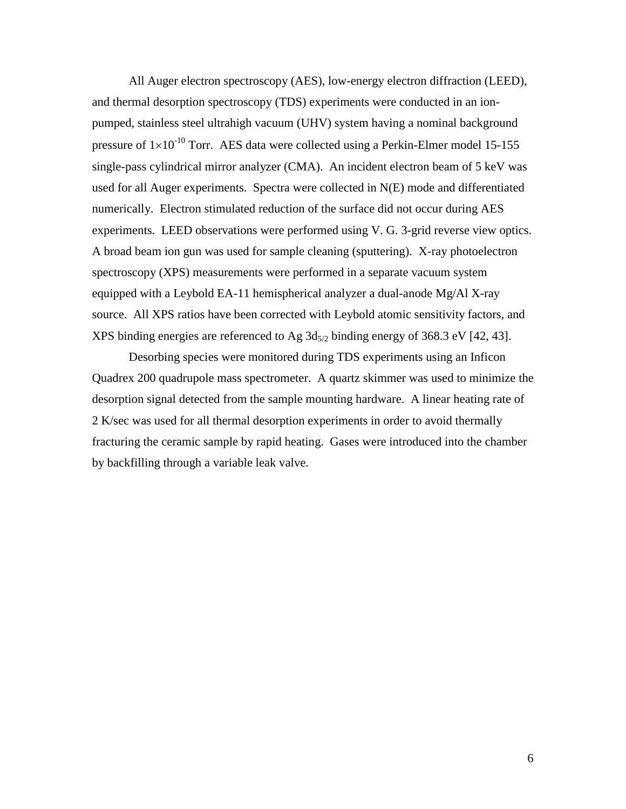All Auger electron spectroscopy (AES), low-energy electron diffraction (LEED), and thermal desorption spectroscopy (TDS) experiments were conducted in an ionpumped, stainless steel ultrahigh vacuum (UHV) system having a nominal background pressure of  $1\times10^{-10}$  Torr. AES data were collected using a Perkin-Elmer model 15-155 single-pass cylindrical mirror analyzer (CMA). An incident electron beam of 5 keV was used for all Auger experiments. Spectra were collected in N(E) mode and differentiated numerically. Electron stimulated reduction of the surface did not occur during AES experiments. LEED observations were performed using V. G. 3-grid reverse view optics. A broad beam ion gun was used for sample cleaning (sputtering). X-ray photoelectron spectroscopy (XPS) measurements were performed in a separate vacuum system equipped with a Leybold EA-11 hemispherical analyzer a dual-anode Mg/Al X-ray source. All XPS ratios have been corrected with Leybold atomic sensitivity factors, and XPS binding energies are referenced to Ag  $3d_{5/2}$  binding energy of 368.3 eV [42, 43].

Desorbing species were monitored during TDS experiments using an Inficon Quadrex 200 quadrupole mass spectrometer. A quartz skimmer was used to minimize the desorption signal detected from the sample mounting hardware. A linear heating rate of 2 K/sec was used for all thermal desorption experiments in order to avoid thermally fracturing the ceramic sample by rapid heating. Gases were introduced into the chamber by backfilling through a variable leak valve.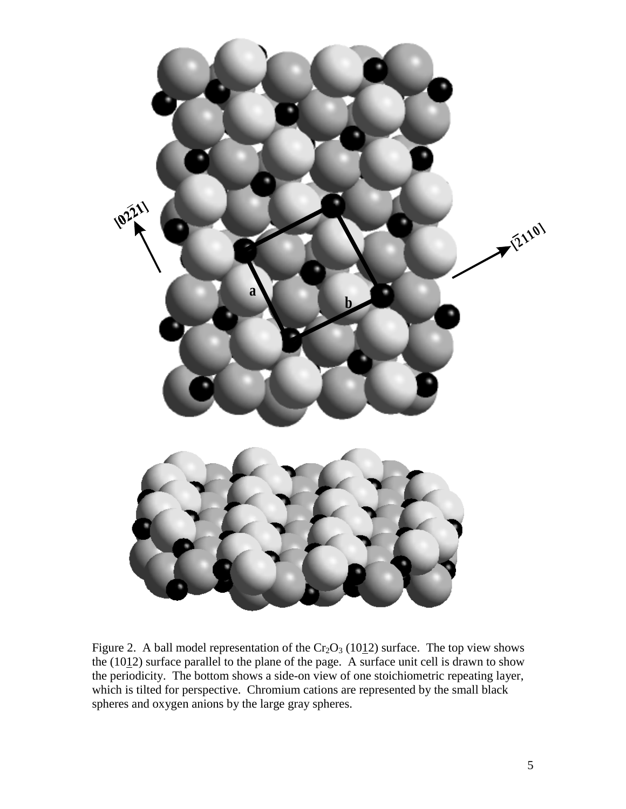

Figure 2. A ball model representation of the  $Cr_2O_3$  (1012) surface. The top view shows the  $(1012)$  surface parallel to the plane of the page. A surface unit cell is drawn to show the periodicity. The bottom shows a side-on view of one stoichiometric repeating layer, which is tilted for perspective. Chromium cations are represented by the small black spheres and oxygen anions by the large gray spheres.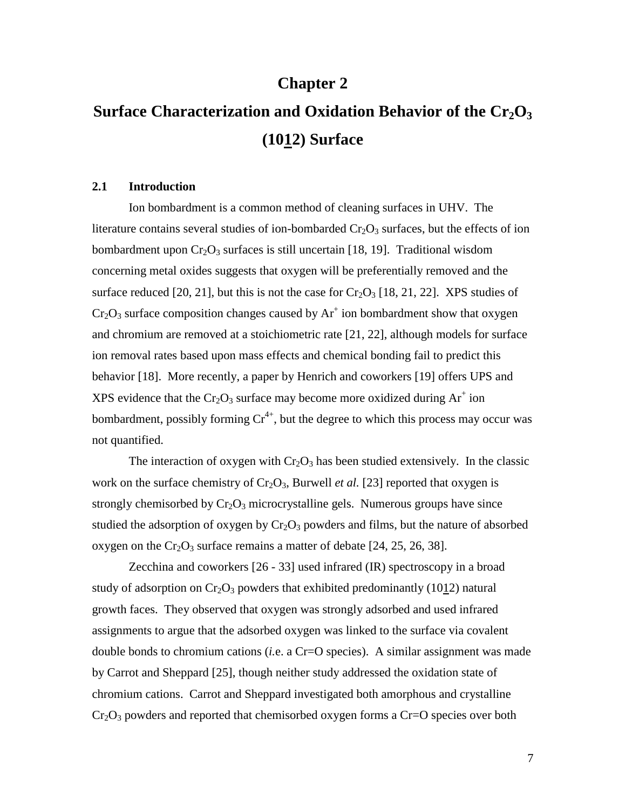### **Chapter 2**

# **Surface Characterization and Oxidation Behavior of the Cr<sub>2</sub>O<sub>3</sub> (1012) Surface**

#### **2.1 Introduction**

Ion bombardment is a common method of cleaning surfaces in UHV. The literature contains several studies of ion-bombarded  $Cr_2O_3$  surfaces, but the effects of ion bombardment upon  $Cr_2O_3$  surfaces is still uncertain [18, 19]. Traditional wisdom concerning metal oxides suggests that oxygen will be preferentially removed and the surface reduced [20, 21], but this is not the case for  $Cr_2O_3$  [18, 21, 22]. XPS studies of  $Cr_2O_3$  surface composition changes caused by  $Ar^+$  ion bombardment show that oxygen and chromium are removed at a stoichiometric rate [21, 22], although models for surface ion removal rates based upon mass effects and chemical bonding fail to predict this behavior [18]. More recently, a paper by Henrich and coworkers [19] offers UPS and XPS evidence that the  $Cr_2O_3$  surface may become more oxidized during  $Ar^+$  ion bombardment, possibly forming  $Cr^{4+}$ , but the degree to which this process may occur was not quantified.

The interaction of oxygen with  $Cr_2O_3$  has been studied extensively. In the classic work on the surface chemistry of  $Cr_2O_3$ , Burwell *et al.* [23] reported that oxygen is strongly chemisorbed by  $Cr_2O_3$  microcrystalline gels. Numerous groups have since studied the adsorption of oxygen by  $Cr_2O_3$  powders and films, but the nature of absorbed oxygen on the  $Cr_2O_3$  surface remains a matter of debate [24, 25, 26, 38].

Zecchina and coworkers [26 - 33] used infrared (IR) spectroscopy in a broad study of adsorption on  $Cr_2O_3$  powders that exhibited predominantly (1012) natural growth faces. They observed that oxygen was strongly adsorbed and used infrared assignments to argue that the adsorbed oxygen was linked to the surface via covalent double bonds to chromium cations (*i.*e. a Cr=O species). A similar assignment was made by Carrot and Sheppard [25], though neither study addressed the oxidation state of chromium cations. Carrot and Sheppard investigated both amorphous and crystalline  $Cr_2O_3$  powders and reported that chemisorbed oxygen forms a Cr=O species over both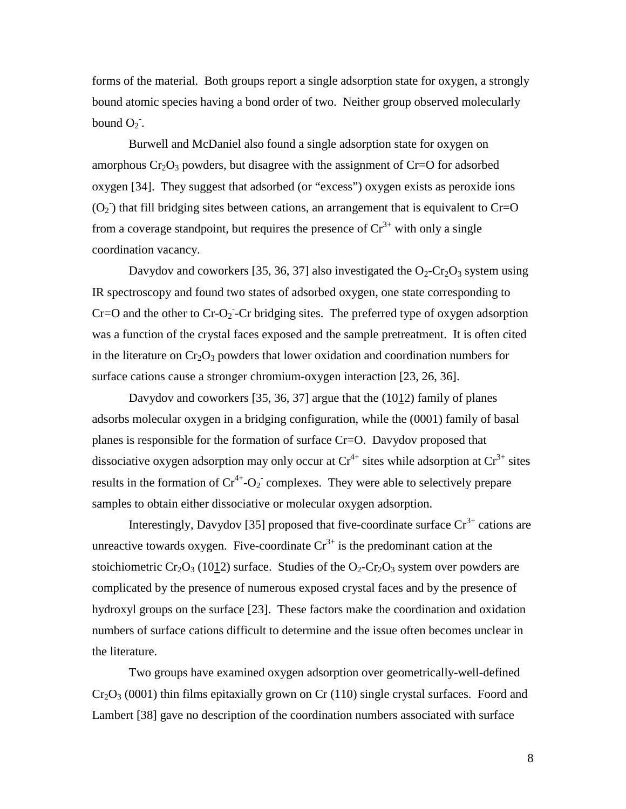forms of the material. Both groups report a single adsorption state for oxygen, a strongly bound atomic species having a bond order of two. Neither group observed molecularly bound  $O_2$ .

Burwell and McDaniel also found a single adsorption state for oxygen on amorphous  $Cr_2O_3$  powders, but disagree with the assignment of  $Cr=O$  for adsorbed oxygen [34]. They suggest that adsorbed (or "excess") oxygen exists as peroxide ions  $(O_2)$  that fill bridging sites between cations, an arrangement that is equivalent to Cr=O from a coverage standpoint, but requires the presence of  $Cr^{3+}$  with only a single coordination vacancy.

Davydov and coworkers [35, 36, 37] also investigated the  $O_2$ -Cr<sub>2</sub>O<sub>3</sub> system using IR spectroscopy and found two states of adsorbed oxygen, one state corresponding to  $Cr=O$  and the other to  $Cr-O_2$ -Cr bridging sites. The preferred type of oxygen adsorption was a function of the crystal faces exposed and the sample pretreatment. It is often cited in the literature on  $Cr_2O_3$  powders that lower oxidation and coordination numbers for surface cations cause a stronger chromium-oxygen interaction [23, 26, 36].

Davydov and coworkers [35, 36, 37] argue that the (1012) family of planes adsorbs molecular oxygen in a bridging configuration, while the (0001) family of basal planes is responsible for the formation of surface Cr=O. Davydov proposed that dissociative oxygen adsorption may only occur at  $Cr^{4+}$  sites while adsorption at  $Cr^{3+}$  sites results in the formation of  $Cr^{4+}$ -O<sub>2</sub> complexes. They were able to selectively prepare samples to obtain either dissociative or molecular oxygen adsorption.

Interestingly, Davydov [35] proposed that five-coordinate surface  $Cr^{3+}$  cations are unreactive towards oxygen. Five-coordinate  $Cr^{3+}$  is the predominant cation at the stoichiometric Cr<sub>2</sub>O<sub>3</sub> (1012) surface. Studies of the O<sub>2</sub>-Cr<sub>2</sub>O<sub>3</sub> system over powders are complicated by the presence of numerous exposed crystal faces and by the presence of hydroxyl groups on the surface [23]. These factors make the coordination and oxidation numbers of surface cations difficult to determine and the issue often becomes unclear in the literature.

Two groups have examined oxygen adsorption over geometrically-well-defined  $Cr_2O_3$  (0001) thin films epitaxially grown on Cr (110) single crystal surfaces. Foord and Lambert [38] gave no description of the coordination numbers associated with surface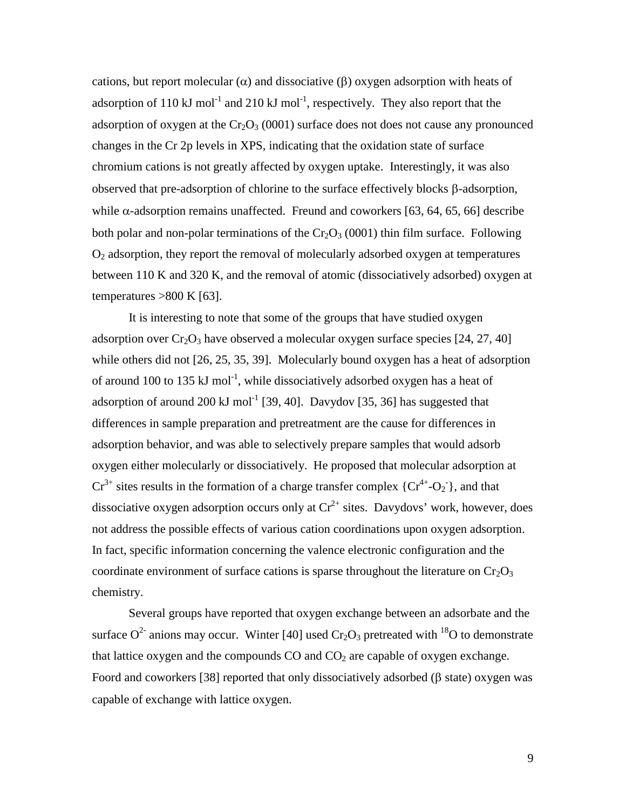cations, but report molecular ( $\alpha$ ) and dissociative ( $\beta$ ) oxygen adsorption with heats of adsorption of 110 kJ mol<sup>-1</sup> and 210 kJ mol<sup>-1</sup>, respectively. They also report that the adsorption of oxygen at the  $Cr_2O_3$  (0001) surface does not does not cause any pronounced changes in the Cr 2p levels in XPS, indicating that the oxidation state of surface chromium cations is not greatly affected by oxygen uptake. Interestingly, it was also observed that pre-adsorption of chlorine to the surface effectively blocks  $\beta$ -adsorption, while  $\alpha$ -adsorption remains unaffected. Freund and coworkers [63, 64, 65, 66] describe both polar and non-polar terminations of the  $Cr_2O_3$  (0001) thin film surface. Following  $O<sub>2</sub>$  adsorption, they report the removal of molecularly adsorbed oxygen at temperatures between 110 K and 320 K, and the removal of atomic (dissociatively adsorbed) oxygen at temperatures  $>800$  K [63].

It is interesting to note that some of the groups that have studied oxygen adsorption over  $Cr_2O_3$  have observed a molecular oxygen surface species [24, 27, 40] while others did not [26, 25, 35, 39]. Molecularly bound oxygen has a heat of adsorption of around 100 to 135 kJ mol<sup>-1</sup>, while dissociatively adsorbed oxygen has a heat of adsorption of around 200 kJ mol<sup>-1</sup> [39, 40]. Davydov [35, 36] has suggested that differences in sample preparation and pretreatment are the cause for differences in adsorption behavior, and was able to selectively prepare samples that would adsorb oxygen either molecularly or dissociatively. He proposed that molecular adsorption at  $Cr^{3+}$  sites results in the formation of a charge transfer complex  $\{Cr^{4+}-O_2\}$ , and that dissociative oxygen adsorption occurs only at  $Cr^{2+}$  sites. Davydovs' work, however, does not address the possible effects of various cation coordinations upon oxygen adsorption. In fact, specific information concerning the valence electronic configuration and the coordinate environment of surface cations is sparse throughout the literature on  $Cr_2O_3$ chemistry.

Several groups have reported that oxygen exchange between an adsorbate and the surface  $O^2$  anions may occur. Winter [40] used  $Cr_2O_3$  pretreated with <sup>18</sup>O to demonstrate that lattice oxygen and the compounds  $CO$  and  $CO<sub>2</sub>$  are capable of oxygen exchange. Foord and coworkers [38] reported that only dissociatively adsorbed ( $\beta$  state) oxygen was capable of exchange with lattice oxygen.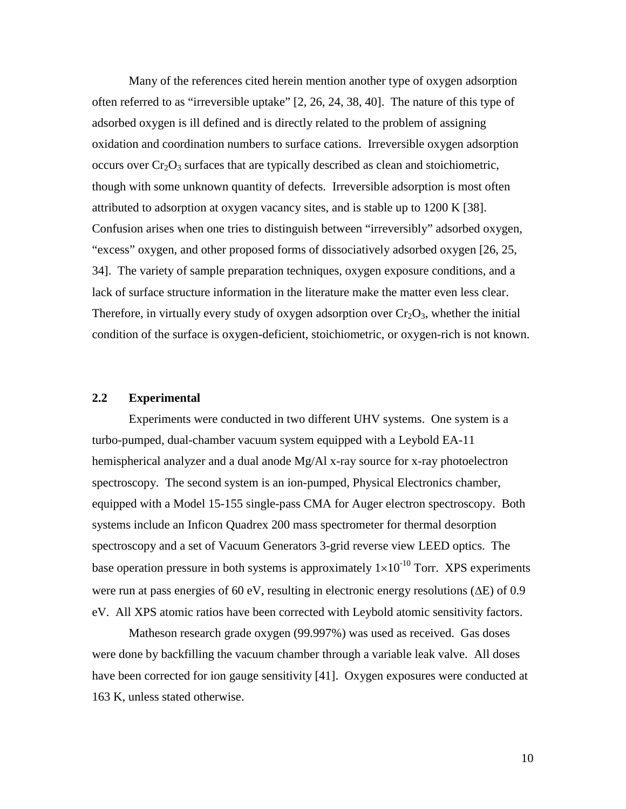Many of the references cited herein mention another type of oxygen adsorption often referred to as "irreversible uptake" [2, 26, 24, 38, 40]. The nature of this type of adsorbed oxygen is ill defined and is directly related to the problem of assigning oxidation and coordination numbers to surface cations. Irreversible oxygen adsorption occurs over  $Cr_2O_3$  surfaces that are typically described as clean and stoichiometric, though with some unknown quantity of defects. Irreversible adsorption is most often attributed to adsorption at oxygen vacancy sites, and is stable up to 1200 K [38]. Confusion arises when one tries to distinguish between "irreversibly" adsorbed oxygen, "excess" oxygen, and other proposed forms of dissociatively adsorbed oxygen [26, 25, 34]. The variety of sample preparation techniques, oxygen exposure conditions, and a lack of surface structure information in the literature make the matter even less clear. Therefore, in virtually every study of oxygen adsorption over  $Cr_2O_3$ , whether the initial condition of the surface is oxygen-deficient, stoichiometric, or oxygen-rich is not known.

#### **2.2 Experimental**

Experiments were conducted in two different UHV systems. One system is a turbo-pumped, dual-chamber vacuum system equipped with a Leybold EA-11 hemispherical analyzer and a dual anode Mg/Al x-ray source for x-ray photoelectron spectroscopy. The second system is an ion-pumped, Physical Electronics chamber, equipped with a Model 15-155 single-pass CMA for Auger electron spectroscopy. Both systems include an Inficon Quadrex 200 mass spectrometer for thermal desorption spectroscopy and a set of Vacuum Generators 3-grid reverse view LEED optics. The base operation pressure in both systems is approximately  $1\times10^{-10}$  Torr. XPS experiments were run at pass energies of 60 eV, resulting in electronic energy resolutions ( $\Delta E$ ) of 0.9 eV. All XPS atomic ratios have been corrected with Leybold atomic sensitivity factors.

Matheson research grade oxygen (99.997%) was used as received. Gas doses were done by backfilling the vacuum chamber through a variable leak valve. All doses have been corrected for ion gauge sensitivity [41]. Oxygen exposures were conducted at 163 K, unless stated otherwise.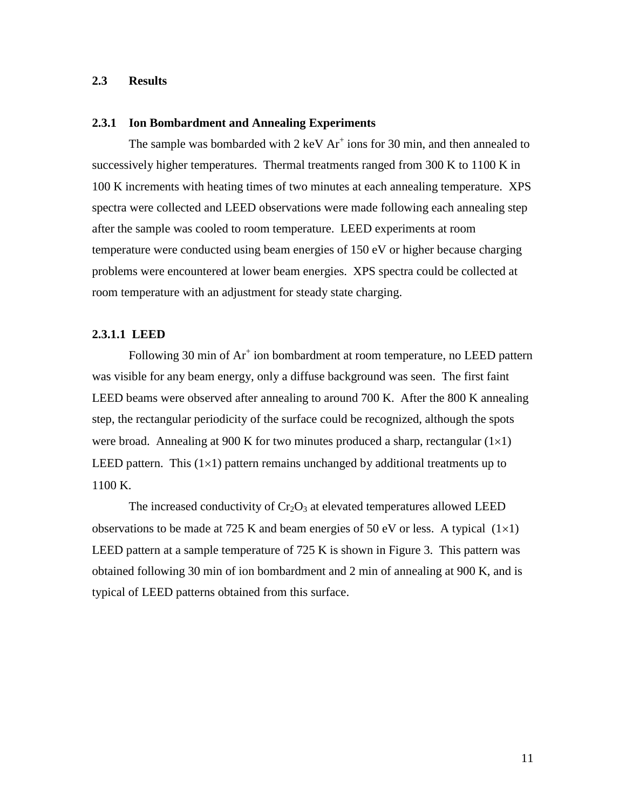#### **2.3 Results**

#### **2.3.1 Ion Bombardment and Annealing Experiments**

The sample was bombarded with  $2 \text{ keV Ar}^+$  ions for 30 min, and then annealed to successively higher temperatures. Thermal treatments ranged from 300 K to 1100 K in 100 K increments with heating times of two minutes at each annealing temperature. XPS spectra were collected and LEED observations were made following each annealing step after the sample was cooled to room temperature. LEED experiments at room temperature were conducted using beam energies of 150 eV or higher because charging problems were encountered at lower beam energies. XPS spectra could be collected at room temperature with an adjustment for steady state charging.

#### **2.3.1.1 LEED**

Following 30 min of Ar<sup>+</sup> ion bombardment at room temperature, no LEED pattern was visible for any beam energy, only a diffuse background was seen. The first faint LEED beams were observed after annealing to around 700 K. After the 800 K annealing step, the rectangular periodicity of the surface could be recognized, although the spots were broad. Annealing at 900 K for two minutes produced a sharp, rectangular  $(1\times1)$ LEED pattern. This  $(1\times1)$  pattern remains unchanged by additional treatments up to 1100 K.

The increased conductivity of  $Cr_2O_3$  at elevated temperatures allowed LEED observations to be made at 725 K and beam energies of 50 eV or less. A typical  $(1\times1)$ LEED pattern at a sample temperature of 725 K is shown in Figure 3. This pattern was obtained following 30 min of ion bombardment and 2 min of annealing at 900 K, and is typical of LEED patterns obtained from this surface.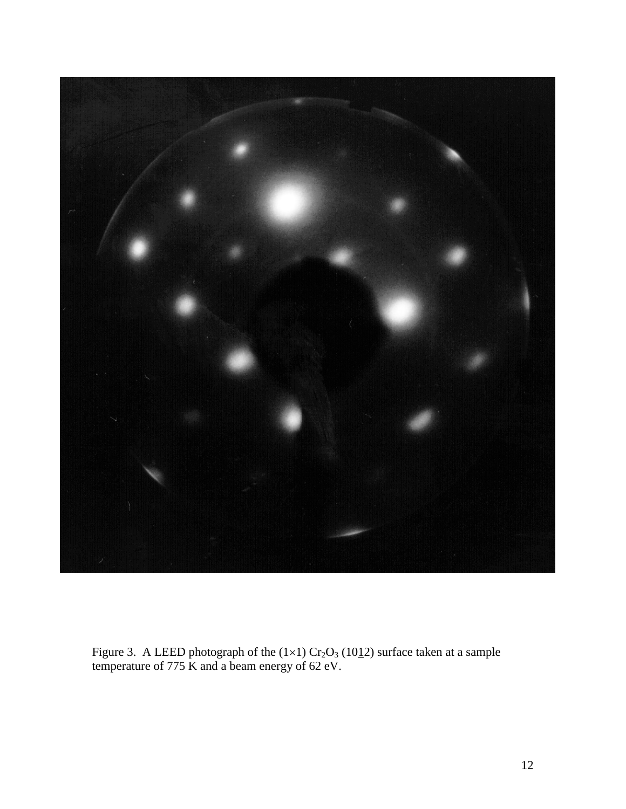

Figure 3. A LEED photograph of the  $(1\times1)$  Cr<sub>2</sub>O<sub>3</sub> (10<sup>1</sup>/<sub>1</sub>2) surface taken at a sample temperature of 775 K and a beam energy of 62 eV.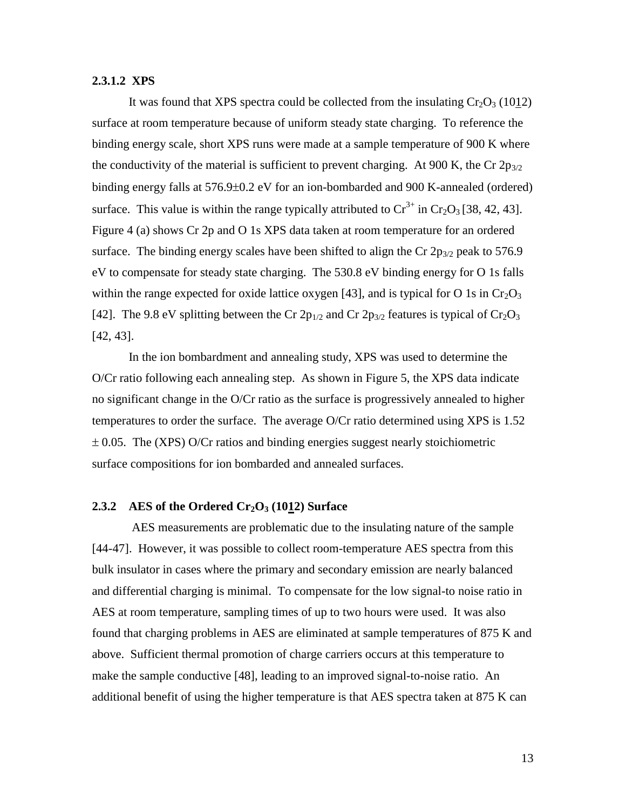#### **2.3.1.2 XPS**

It was found that XPS spectra could be collected from the insulating  $Cr_2O_3$  (1012) surface at room temperature because of uniform steady state charging. To reference the binding energy scale, short XPS runs were made at a sample temperature of 900 K where the conductivity of the material is sufficient to prevent charging. At 900 K, the Cr  $2p_{3/2}$ binding energy falls at  $576.9\pm0.2$  eV for an ion-bombarded and 900 K-annealed (ordered) surface. This value is within the range typically attributed to  $Cr^{3+}$  in  $Cr_2O_3$  [38, 42, 43]. Figure 4 (a) shows Cr 2p and O 1s XPS data taken at room temperature for an ordered surface. The binding energy scales have been shifted to align the Cr  $2p_{3/2}$  peak to 576.9 eV to compensate for steady state charging. The 530.8 eV binding energy for O 1s falls within the range expected for oxide lattice oxygen [43], and is typical for O 1s in  $Cr_2O_3$ [42]. The 9.8 eV splitting between the Cr  $2p_{1/2}$  and Cr  $2p_{3/2}$  features is typical of Cr<sub>2</sub>O<sub>3</sub> [42, 43].

In the ion bombardment and annealing study, XPS was used to determine the O/Cr ratio following each annealing step. As shown in Figure 5, the XPS data indicate no significant change in the O/Cr ratio as the surface is progressively annealed to higher temperatures to order the surface. The average O/Cr ratio determined using XPS is 1.52  $\pm$  0.05. The (XPS) O/Cr ratios and binding energies suggest nearly stoichiometric surface compositions for ion bombarded and annealed surfaces.

#### **2.3.2** AES of the Ordered Cr<sub>2</sub>O<sub>3</sub> (1012) Surface

 AES measurements are problematic due to the insulating nature of the sample [44-47]. However, it was possible to collect room-temperature AES spectra from this bulk insulator in cases where the primary and secondary emission are nearly balanced and differential charging is minimal. To compensate for the low signal-to noise ratio in AES at room temperature, sampling times of up to two hours were used. It was also found that charging problems in AES are eliminated at sample temperatures of 875 K and above. Sufficient thermal promotion of charge carriers occurs at this temperature to make the sample conductive [48], leading to an improved signal-to-noise ratio. An additional benefit of using the higher temperature is that AES spectra taken at 875 K can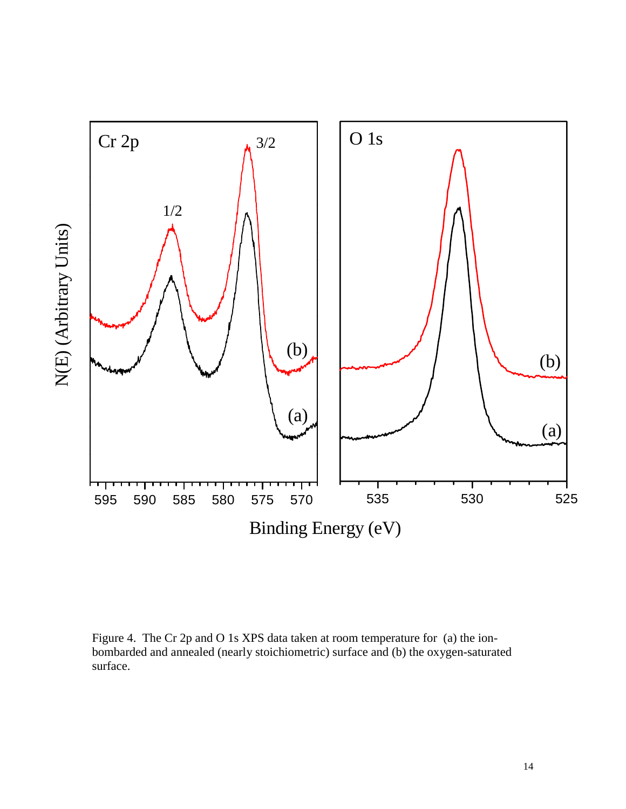

Figure 4. The Cr 2p and O 1s XPS data taken at room temperature for (a) the ionbombarded and annealed (nearly stoichiometric) surface and (b) the oxygen-saturated surface.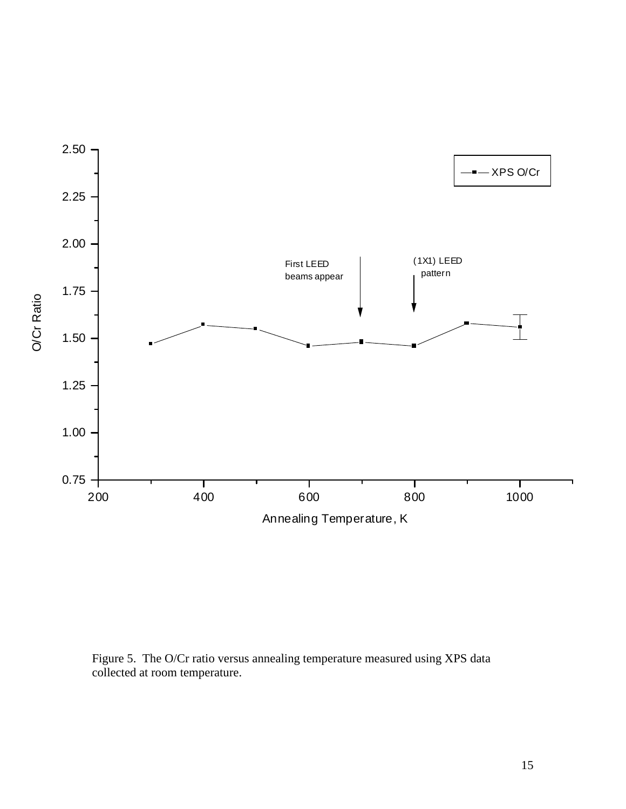

Figure 5. The O/Cr ratio versus annealing temperature measured using XPS data collected at room temperature.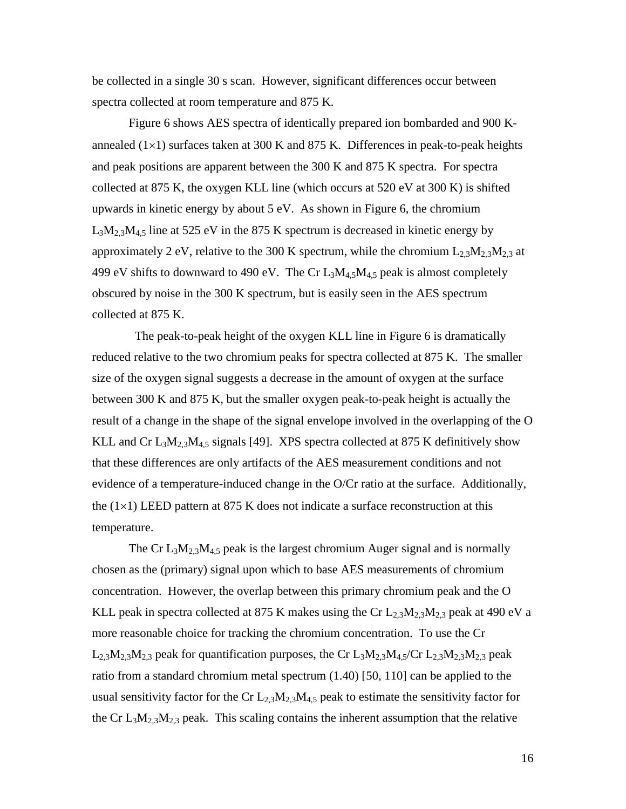be collected in a single 30 s scan. However, significant differences occur between spectra collected at room temperature and 875 K.

Figure 6 shows AES spectra of identically prepared ion bombarded and 900 Kannealed  $(1\times1)$  surfaces taken at 300 K and 875 K. Differences in peak-to-peak heights and peak positions are apparent between the 300 K and 875 K spectra. For spectra collected at 875 K, the oxygen KLL line (which occurs at 520 eV at 300 K) is shifted upwards in kinetic energy by about 5 eV. As shown in Figure 6, the chromium  $L_3M_{2,3}M_{4,5}$  line at 525 eV in the 875 K spectrum is decreased in kinetic energy by approximately 2 eV, relative to the 300 K spectrum, while the chromium  $L_{2,3}M_{2,3}M_{2,3}$  at 499 eV shifts to downward to 490 eV. The Cr  $L_3M_{4,5}M_{4,5}$  peak is almost completely obscured by noise in the 300 K spectrum, but is easily seen in the AES spectrum collected at 875 K.

 The peak-to-peak height of the oxygen KLL line in Figure 6 is dramatically reduced relative to the two chromium peaks for spectra collected at 875 K. The smaller size of the oxygen signal suggests a decrease in the amount of oxygen at the surface between 300 K and 875 K, but the smaller oxygen peak-to-peak height is actually the result of a change in the shape of the signal envelope involved in the overlapping of the O KLL and Cr  $L_3M_{2,3}M_{4,5}$  signals [49]. XPS spectra collected at 875 K definitively show that these differences are only artifacts of the AES measurement conditions and not evidence of a temperature-induced change in the O/Cr ratio at the surface. Additionally, the  $(1\times1)$  LEED pattern at 875 K does not indicate a surface reconstruction at this temperature.

The Cr  $L_3M_{2,3}M_{4,5}$  peak is the largest chromium Auger signal and is normally chosen as the (primary) signal upon which to base AES measurements of chromium concentration. However, the overlap between this primary chromium peak and the O KLL peak in spectra collected at 875 K makes using the Cr  $L_{2,3}M_{2,3}M_{2,3}$  peak at 490 eV a more reasonable choice for tracking the chromium concentration. To use the Cr  $L_{2,3}M_{2,3}M_{2,3}$  peak for quantification purposes, the Cr  $L_3M_{2,3}M_{4,5}/$ Cr  $L_{2,3}M_{2,3}M_{2,3}$  peak ratio from a standard chromium metal spectrum (1.40) [50, 110] can be applied to the usual sensitivity factor for the Cr  $L_{2,3}M_{2,3}M_{4,5}$  peak to estimate the sensitivity factor for the Cr  $L_3M_{2,3}M_{2,3}$  peak. This scaling contains the inherent assumption that the relative

16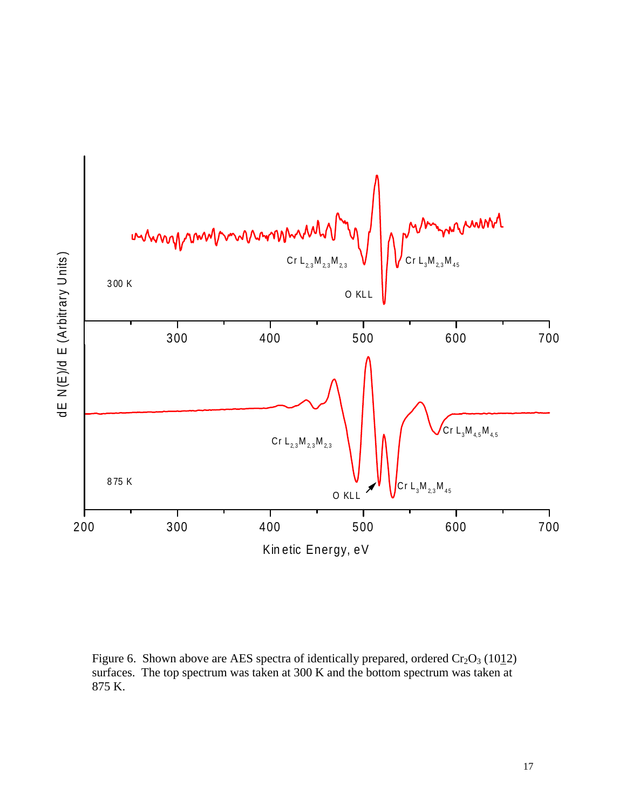

Figure 6. Shown above are AES spectra of identically prepared, ordered  $Cr_2O_3$  (1012) surfaces. The top spectrum was taken at 300 K and the bottom spectrum was taken at 875 K.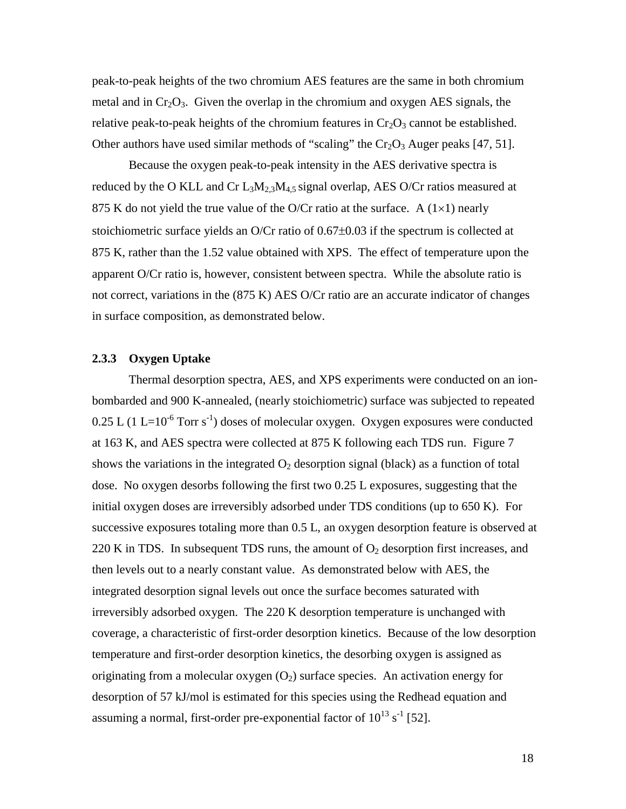peak-to-peak heights of the two chromium AES features are the same in both chromium metal and in  $Cr_2O_3$ . Given the overlap in the chromium and oxygen AES signals, the relative peak-to-peak heights of the chromium features in  $Cr_2O_3$  cannot be established. Other authors have used similar methods of "scaling" the  $Cr_2O_3$  Auger peaks [47, 51].

Because the oxygen peak-to-peak intensity in the AES derivative spectra is reduced by the O KLL and Cr  $L_3M_{2,3}M_{4,5}$  signal overlap, AES O/Cr ratios measured at 875 K do not yield the true value of the O/Cr ratio at the surface. A  $(1\times1)$  nearly stoichiometric surface yields an O/Cr ratio of  $0.67\pm0.03$  if the spectrum is collected at 875 K, rather than the 1.52 value obtained with XPS. The effect of temperature upon the apparent O/Cr ratio is, however, consistent between spectra. While the absolute ratio is not correct, variations in the (875 K) AES O/Cr ratio are an accurate indicator of changes in surface composition, as demonstrated below.

#### **2.3.3 Oxygen Uptake**

Thermal desorption spectra, AES, and XPS experiments were conducted on an ionbombarded and 900 K-annealed, (nearly stoichiometric) surface was subjected to repeated  $0.25$  L (1 L=10<sup>-6</sup> Torr s<sup>-1</sup>) doses of molecular oxygen. Oxygen exposures were conducted at 163 K, and AES spectra were collected at 875 K following each TDS run. Figure 7 shows the variations in the integrated  $O_2$  desorption signal (black) as a function of total dose. No oxygen desorbs following the first two 0.25 L exposures, suggesting that the initial oxygen doses are irreversibly adsorbed under TDS conditions (up to 650 K). For successive exposures totaling more than 0.5 L, an oxygen desorption feature is observed at 220 K in TDS. In subsequent TDS runs, the amount of  $O_2$  desorption first increases, and then levels out to a nearly constant value. As demonstrated below with AES, the integrated desorption signal levels out once the surface becomes saturated with irreversibly adsorbed oxygen. The 220 K desorption temperature is unchanged with coverage, a characteristic of first-order desorption kinetics. Because of the low desorption temperature and first-order desorption kinetics, the desorbing oxygen is assigned as originating from a molecular oxygen  $(O_2)$  surface species. An activation energy for desorption of 57 kJ/mol is estimated for this species using the Redhead equation and assuming a normal, first-order pre-exponential factor of  $10^{13}$  s<sup>-1</sup> [52].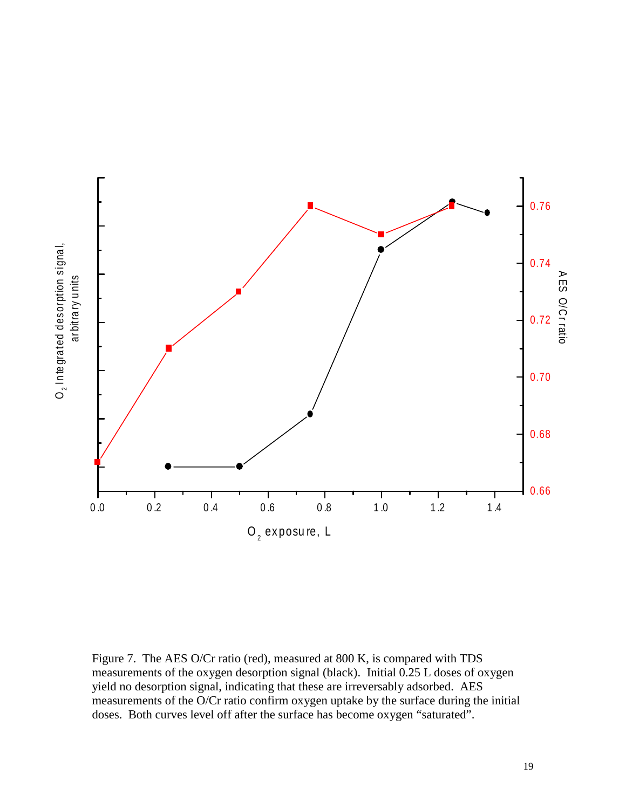

Figure 7. The AES O/Cr ratio (red), measured at 800 K, is compared with TDS measurements of the oxygen desorption signal (black). Initial 0.25 L doses of oxygen yield no desorption signal, indicating that these are irreversably adsorbed. AES measurements of the O/Cr ratio confirm oxygen uptake by the surface during the initial doses. Both curves level off after the surface has become oxygen "saturated".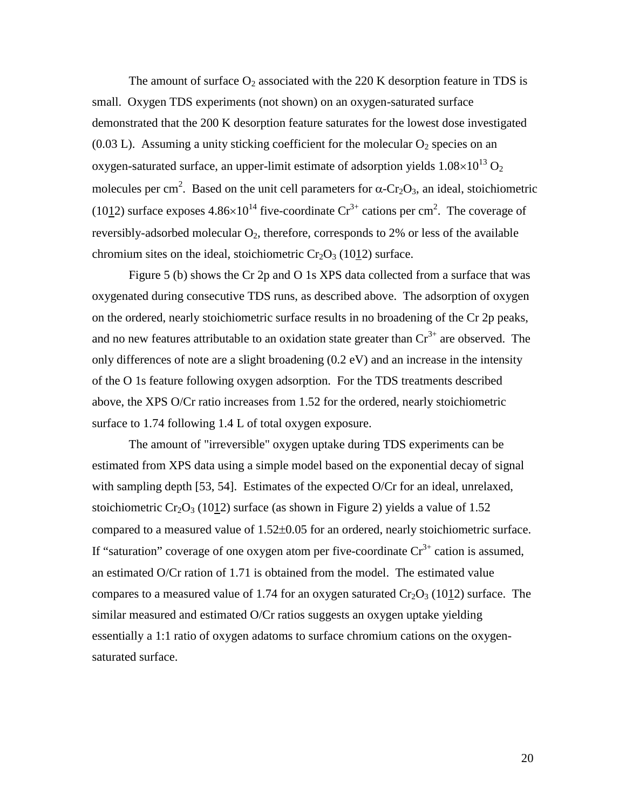The amount of surface  $O_2$  associated with the 220 K desorption feature in TDS is small. Oxygen TDS experiments (not shown) on an oxygen-saturated surface demonstrated that the 200 K desorption feature saturates for the lowest dose investigated  $(0.03 \text{ L})$ . Assuming a unity sticking coefficient for the molecular  $O_2$  species on an oxygen-saturated surface, an upper-limit estimate of adsorption yields  $1.08\times10^{13}$  O<sub>2</sub> molecules per cm<sup>2</sup>. Based on the unit cell parameters for  $\alpha$ -Cr<sub>2</sub>O<sub>3</sub>, an ideal, stoichiometric (1012) surface exposes  $4.86\times10^{14}$  five-coordinate Cr<sup>3+</sup> cations per cm<sup>2</sup>. The coverage of reversibly-adsorbed molecular  $O_2$ , therefore, corresponds to 2% or less of the available chromium sites on the ideal, stoichiometric  $Cr_2O_3$  (1012) surface.

Figure 5 (b) shows the Cr 2p and O 1s XPS data collected from a surface that was oxygenated during consecutive TDS runs, as described above. The adsorption of oxygen on the ordered, nearly stoichiometric surface results in no broadening of the Cr 2p peaks, and no new features attributable to an oxidation state greater than  $Cr^{3+}$  are observed. The only differences of note are a slight broadening (0.2 eV) and an increase in the intensity of the O 1s feature following oxygen adsorption. For the TDS treatments described above, the XPS O/Cr ratio increases from 1.52 for the ordered, nearly stoichiometric surface to 1.74 following 1.4 L of total oxygen exposure.

The amount of "irreversible" oxygen uptake during TDS experiments can be estimated from XPS data using a simple model based on the exponential decay of signal with sampling depth [53, 54]. Estimates of the expected O/Cr for an ideal, unrelaxed, stoichiometric  $Cr_2O_3$  (1012) surface (as shown in Figure 2) yields a value of 1.52 compared to a measured value of  $1.52\pm0.05$  for an ordered, nearly stoichiometric surface. If "saturation" coverage of one oxygen atom per five-coordinate  $Cr^{3+}$  cation is assumed, an estimated O/Cr ration of 1.71 is obtained from the model. The estimated value compares to a measured value of 1.74 for an oxygen saturated  $Cr_2O_3$  (1012) surface. The similar measured and estimated O/Cr ratios suggests an oxygen uptake yielding essentially a 1:1 ratio of oxygen adatoms to surface chromium cations on the oxygensaturated surface.

20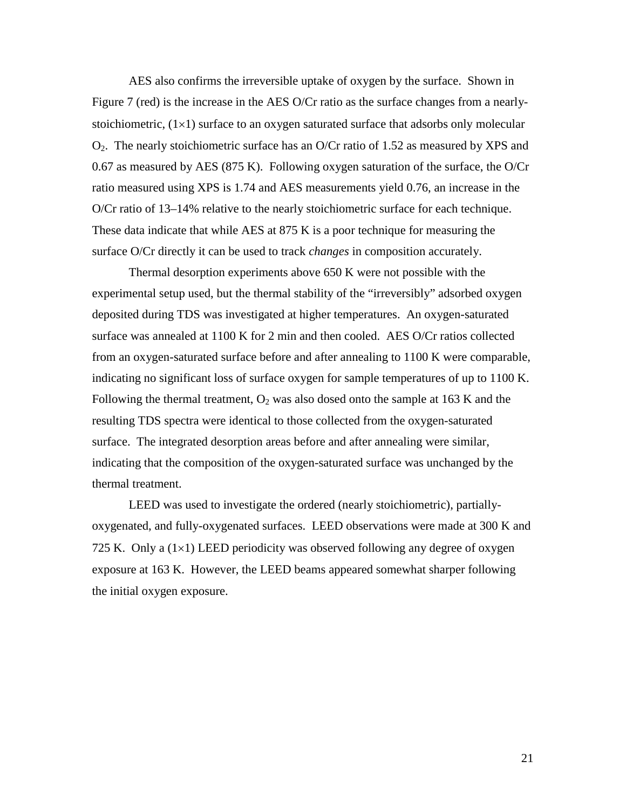AES also confirms the irreversible uptake of oxygen by the surface. Shown in Figure 7 (red) is the increase in the AES O/Cr ratio as the surface changes from a nearlystoichiometric,  $(1\times1)$  surface to an oxygen saturated surface that adsorbs only molecular  $O_2$ . The nearly stoichiometric surface has an O/Cr ratio of 1.52 as measured by XPS and 0.67 as measured by AES (875 K). Following oxygen saturation of the surface, the O/Cr ratio measured using XPS is 1.74 and AES measurements yield 0.76, an increase in the O/Cr ratio of 13–14% relative to the nearly stoichiometric surface for each technique. These data indicate that while AES at 875 K is a poor technique for measuring the surface O/Cr directly it can be used to track *changes* in composition accurately.

Thermal desorption experiments above 650 K were not possible with the experimental setup used, but the thermal stability of the "irreversibly" adsorbed oxygen deposited during TDS was investigated at higher temperatures. An oxygen-saturated surface was annealed at 1100 K for 2 min and then cooled. AES O/Cr ratios collected from an oxygen-saturated surface before and after annealing to 1100 K were comparable, indicating no significant loss of surface oxygen for sample temperatures of up to 1100 K. Following the thermal treatment,  $O_2$  was also dosed onto the sample at 163 K and the resulting TDS spectra were identical to those collected from the oxygen-saturated surface. The integrated desorption areas before and after annealing were similar, indicating that the composition of the oxygen-saturated surface was unchanged by the thermal treatment.

LEED was used to investigate the ordered (nearly stoichiometric), partiallyoxygenated, and fully-oxygenated surfaces. LEED observations were made at 300 K and 725 K. Only a  $(1\times1)$  LEED periodicity was observed following any degree of oxygen exposure at 163 K. However, the LEED beams appeared somewhat sharper following the initial oxygen exposure.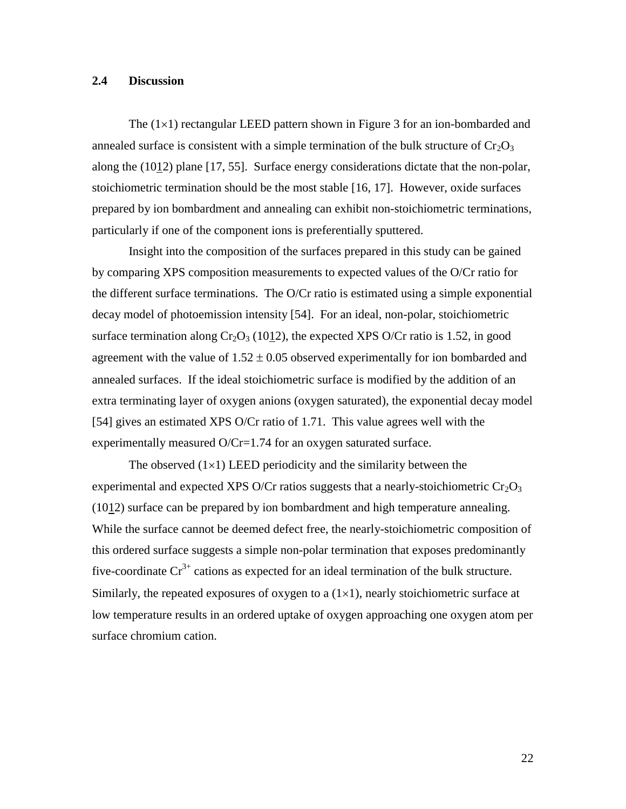#### **2.4 Discussion**

The  $(1\times1)$  rectangular LEED pattern shown in Figure 3 for an ion-bombarded and annealed surface is consistent with a simple termination of the bulk structure of  $Cr_2O_3$ along the (1012) plane [17, 55]. Surface energy considerations dictate that the non-polar, stoichiometric termination should be the most stable [16, 17]. However, oxide surfaces prepared by ion bombardment and annealing can exhibit non-stoichiometric terminations, particularly if one of the component ions is preferentially sputtered.

Insight into the composition of the surfaces prepared in this study can be gained by comparing XPS composition measurements to expected values of the O/Cr ratio for the different surface terminations. The O/Cr ratio is estimated using a simple exponential decay model of photoemission intensity [54]. For an ideal, non-polar, stoichiometric surface termination along  $Cr_2O_3$  (1012), the expected XPS O/Cr ratio is 1.52, in good agreement with the value of  $1.52 \pm 0.05$  observed experimentally for ion bombarded and annealed surfaces. If the ideal stoichiometric surface is modified by the addition of an extra terminating layer of oxygen anions (oxygen saturated), the exponential decay model [54] gives an estimated XPS O/Cr ratio of 1.71. This value agrees well with the experimentally measured O/Cr=1.74 for an oxygen saturated surface.

The observed  $(1\times1)$  LEED periodicity and the similarity between the experimental and expected XPS O/Cr ratios suggests that a nearly-stoichiometric  $Cr_2O_3$ (1012) surface can be prepared by ion bombardment and high temperature annealing. While the surface cannot be deemed defect free, the nearly-stoichiometric composition of this ordered surface suggests a simple non-polar termination that exposes predominantly five-coordinate  $Cr^{3+}$  cations as expected for an ideal termination of the bulk structure. Similarly, the repeated exposures of oxygen to a  $(1\times1)$ , nearly stoichiometric surface at low temperature results in an ordered uptake of oxygen approaching one oxygen atom per surface chromium cation.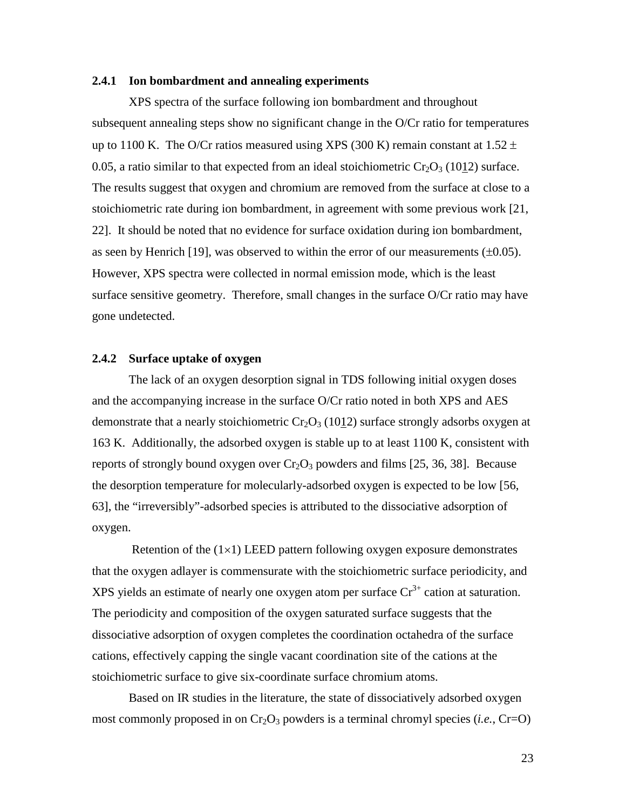#### **2.4.1 Ion bombardment and annealing experiments**

XPS spectra of the surface following ion bombardment and throughout subsequent annealing steps show no significant change in the O/Cr ratio for temperatures up to 1100 K. The O/Cr ratios measured using XPS (300 K) remain constant at 1.52  $\pm$ 0.05, a ratio similar to that expected from an ideal stoichiometric  $Cr_2O_3$  (1012) surface. The results suggest that oxygen and chromium are removed from the surface at close to a stoichiometric rate during ion bombardment, in agreement with some previous work [21, 22]. It should be noted that no evidence for surface oxidation during ion bombardment, as seen by Henrich [19], was observed to within the error of our measurements  $(\pm 0.05)$ . However, XPS spectra were collected in normal emission mode, which is the least surface sensitive geometry. Therefore, small changes in the surface O/Cr ratio may have gone undetected.

#### **2.4.2 Surface uptake of oxygen**

The lack of an oxygen desorption signal in TDS following initial oxygen doses and the accompanying increase in the surface O/Cr ratio noted in both XPS and AES demonstrate that a nearly stoichiometric  $Cr_2O_3$  (1012) surface strongly adsorbs oxygen at 163 K. Additionally, the adsorbed oxygen is stable up to at least 1100 K, consistent with reports of strongly bound oxygen over  $Cr_2O_3$  powders and films [25, 36, 38]. Because the desorption temperature for molecularly-adsorbed oxygen is expected to be low [56, 63], the "irreversibly"-adsorbed species is attributed to the dissociative adsorption of oxygen.

Retention of the  $(1\times1)$  LEED pattern following oxygen exposure demonstrates that the oxygen adlayer is commensurate with the stoichiometric surface periodicity, and XPS yields an estimate of nearly one oxygen atom per surface  $Cr^{3+}$  cation at saturation. The periodicity and composition of the oxygen saturated surface suggests that the dissociative adsorption of oxygen completes the coordination octahedra of the surface cations, effectively capping the single vacant coordination site of the cations at the stoichiometric surface to give six-coordinate surface chromium atoms.

Based on IR studies in the literature, the state of dissociatively adsorbed oxygen most commonly proposed in on  $Cr_2O_3$  powders is a terminal chromyl species (*i.e.*,  $Cr=O$ )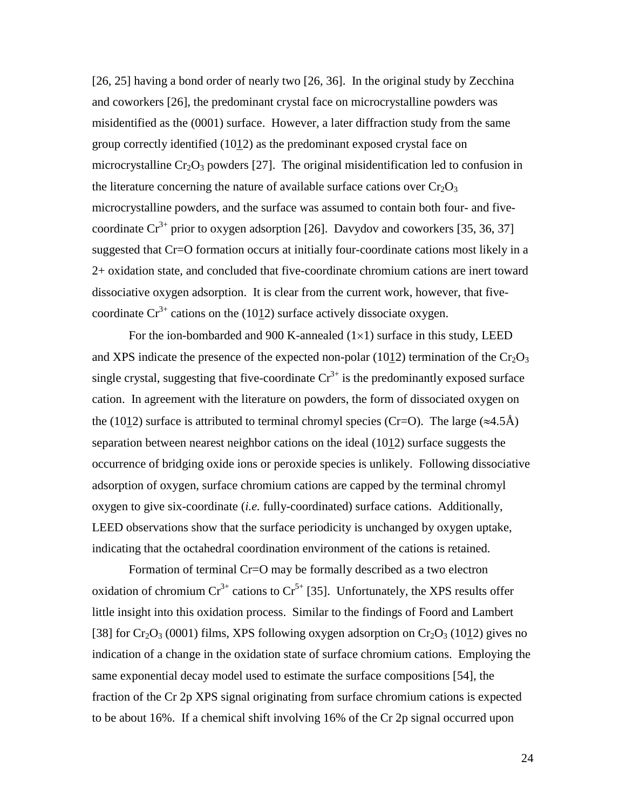[26, 25] having a bond order of nearly two [26, 36]. In the original study by Zecchina and coworkers [26], the predominant crystal face on microcrystalline powders was misidentified as the (0001) surface. However, a later diffraction study from the same group correctly identified (1012) as the predominant exposed crystal face on microcrystalline  $Cr_2O_3$  powders [27]. The original misidentification led to confusion in the literature concerning the nature of available surface cations over  $Cr_2O_3$ microcrystalline powders, and the surface was assumed to contain both four- and fivecoordinate  $Cr^{3+}$  prior to oxygen adsorption [26]. Davydov and coworkers [35, 36, 37] suggested that Cr=O formation occurs at initially four-coordinate cations most likely in a 2+ oxidation state, and concluded that five-coordinate chromium cations are inert toward dissociative oxygen adsorption. It is clear from the current work, however, that fivecoordinate  $Cr^{3+}$  cations on the (1012) surface actively dissociate oxygen.

For the ion-bombarded and 900 K-annealed  $(1\times1)$  surface in this study, LEED and XPS indicate the presence of the expected non-polar (1012) termination of the  $Cr_2O_3$ single crystal, suggesting that five-coordinate  $Cr^{3+}$  is the predominantly exposed surface cation. In agreement with the literature on powders, the form of dissociated oxygen on the (1012) surface is attributed to terminal chromyl species (Cr=O). The large ( $\approx$ 4.5Å) separation between nearest neighbor cations on the ideal (1012) surface suggests the occurrence of bridging oxide ions or peroxide species is unlikely. Following dissociative adsorption of oxygen, surface chromium cations are capped by the terminal chromyl oxygen to give six-coordinate (*i.e.* fully-coordinated) surface cations. Additionally, LEED observations show that the surface periodicity is unchanged by oxygen uptake, indicating that the octahedral coordination environment of the cations is retained.

Formation of terminal Cr=O may be formally described as a two electron oxidation of chromium  $Cr^{3+}$  cations to  $Cr^{5+}$  [35]. Unfortunately, the XPS results offer little insight into this oxidation process. Similar to the findings of Foord and Lambert [38] for  $Cr_2O_3$  (0001) films, XPS following oxygen adsorption on  $Cr_2O_3$  (1012) gives no indication of a change in the oxidation state of surface chromium cations. Employing the same exponential decay model used to estimate the surface compositions [54], the fraction of the Cr 2p XPS signal originating from surface chromium cations is expected to be about 16%. If a chemical shift involving 16% of the Cr 2p signal occurred upon

24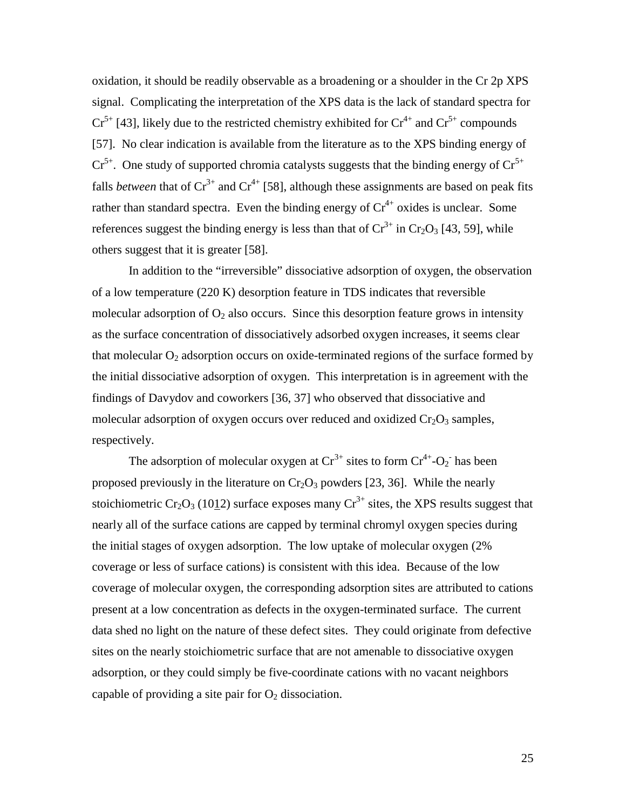oxidation, it should be readily observable as a broadening or a shoulder in the Cr 2p XPS signal. Complicating the interpretation of the XPS data is the lack of standard spectra for  $Cr^{5+}$  [43], likely due to the restricted chemistry exhibited for  $Cr^{4+}$  and  $Cr^{5+}$  compounds [57]. No clear indication is available from the literature as to the XPS binding energy of  $Cr^{5+}$ . One study of supported chromia catalysts suggests that the binding energy of  $Cr^{5+}$ falls *between* that of  $Cr^{3+}$  and  $Cr^{4+}$  [58], although these assignments are based on peak fits rather than standard spectra. Even the binding energy of  $Cr^{4+}$  oxides is unclear. Some references suggest the binding energy is less than that of  $Cr^{3+}$  in  $Cr_2O_3$  [43, 59], while others suggest that it is greater [58].

In addition to the "irreversible" dissociative adsorption of oxygen, the observation of a low temperature (220 K) desorption feature in TDS indicates that reversible molecular adsorption of  $O_2$  also occurs. Since this desorption feature grows in intensity as the surface concentration of dissociatively adsorbed oxygen increases, it seems clear that molecular  $O<sub>2</sub>$  adsorption occurs on oxide-terminated regions of the surface formed by the initial dissociative adsorption of oxygen. This interpretation is in agreement with the findings of Davydov and coworkers [36, 37] who observed that dissociative and molecular adsorption of oxygen occurs over reduced and oxidized  $Cr_2O_3$  samples, respectively.

The adsorption of molecular oxygen at  $Cr^{3+}$  sites to form  $Cr^{4+}$ -O<sub>2</sub> has been proposed previously in the literature on  $Cr_2O_3$  powders [23, 36]. While the nearly stoichiometric Cr<sub>2</sub>O<sub>3</sub> (1012) surface exposes many Cr<sup>3+</sup> sites, the XPS results suggest that nearly all of the surface cations are capped by terminal chromyl oxygen species during the initial stages of oxygen adsorption. The low uptake of molecular oxygen (2% coverage or less of surface cations) is consistent with this idea. Because of the low coverage of molecular oxygen, the corresponding adsorption sites are attributed to cations present at a low concentration as defects in the oxygen-terminated surface. The current data shed no light on the nature of these defect sites. They could originate from defective sites on the nearly stoichiometric surface that are not amenable to dissociative oxygen adsorption, or they could simply be five-coordinate cations with no vacant neighbors capable of providing a site pair for  $O_2$  dissociation.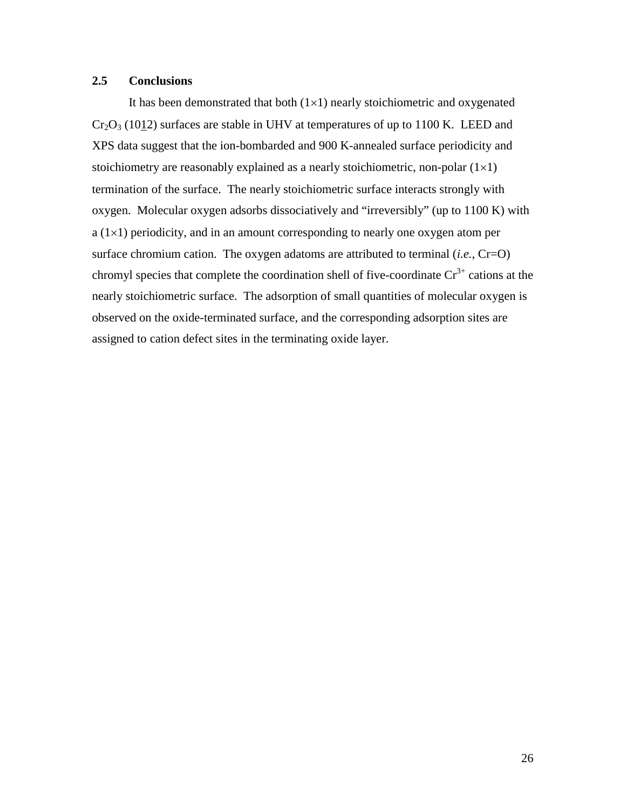# **2.5 Conclusions**

It has been demonstrated that both  $(1\times1)$  nearly stoichiometric and oxygenated  $Cr_2O_3$  (1012) surfaces are stable in UHV at temperatures of up to 1100 K. LEED and XPS data suggest that the ion-bombarded and 900 K-annealed surface periodicity and stoichiometry are reasonably explained as a nearly stoichiometric, non-polar  $(1\times1)$ termination of the surface. The nearly stoichiometric surface interacts strongly with oxygen. Molecular oxygen adsorbs dissociatively and "irreversibly" (up to 1100 K) with  $a (1\times1)$  periodicity, and in an amount corresponding to nearly one oxygen atom per surface chromium cation. The oxygen adatoms are attributed to terminal (*i.e.*, Cr=O) chromyl species that complete the coordination shell of five-coordinate  $Cr^{3+}$  cations at the nearly stoichiometric surface. The adsorption of small quantities of molecular oxygen is observed on the oxide-terminated surface, and the corresponding adsorption sites are assigned to cation defect sites in the terminating oxide layer.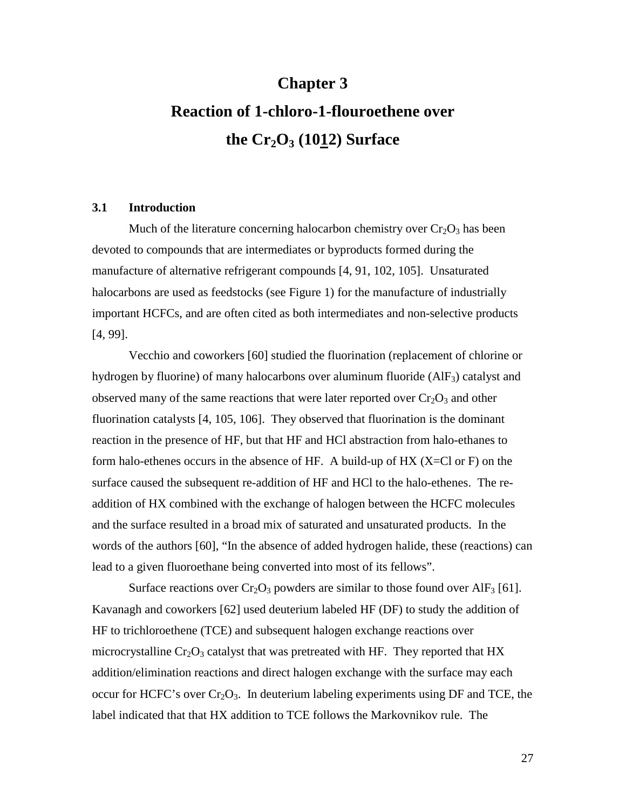# **Chapter 3 Reaction of 1-chloro-1-flouroethene over** the  $Cr_2O_3$  (1012) Surface

#### **3.1 Introduction**

Much of the literature concerning halocarbon chemistry over  $Cr_2O_3$  has been devoted to compounds that are intermediates or byproducts formed during the manufacture of alternative refrigerant compounds [4, 91, 102, 105]. Unsaturated halocarbons are used as feedstocks (see Figure 1) for the manufacture of industrially important HCFCs, and are often cited as both intermediates and non-selective products [4, 99].

Vecchio and coworkers [60] studied the fluorination (replacement of chlorine or hydrogen by fluorine) of many halocarbons over aluminum fluoride  $(AIF_3)$  catalyst and observed many of the same reactions that were later reported over  $Cr_2O_3$  and other fluorination catalysts [4, 105, 106]. They observed that fluorination is the dominant reaction in the presence of HF, but that HF and HCl abstraction from halo-ethanes to form halo-ethenes occurs in the absence of HF. A build-up of HX  $(X=Cl)$  or F) on the surface caused the subsequent re-addition of HF and HCl to the halo-ethenes. The readdition of HX combined with the exchange of halogen between the HCFC molecules and the surface resulted in a broad mix of saturated and unsaturated products. In the words of the authors [60], "In the absence of added hydrogen halide, these (reactions) can lead to a given fluoroethane being converted into most of its fellows".

Surface reactions over  $Cr_2O_3$  powders are similar to those found over AlF<sub>3</sub> [61]. Kavanagh and coworkers [62] used deuterium labeled HF (DF) to study the addition of HF to trichloroethene (TCE) and subsequent halogen exchange reactions over microcrystalline  $Cr_2O_3$  catalyst that was pretreated with HF. They reported that HX addition/elimination reactions and direct halogen exchange with the surface may each occur for HCFC's over  $Cr_2O_3$ . In deuterium labeling experiments using DF and TCE, the label indicated that that HX addition to TCE follows the Markovnikov rule. The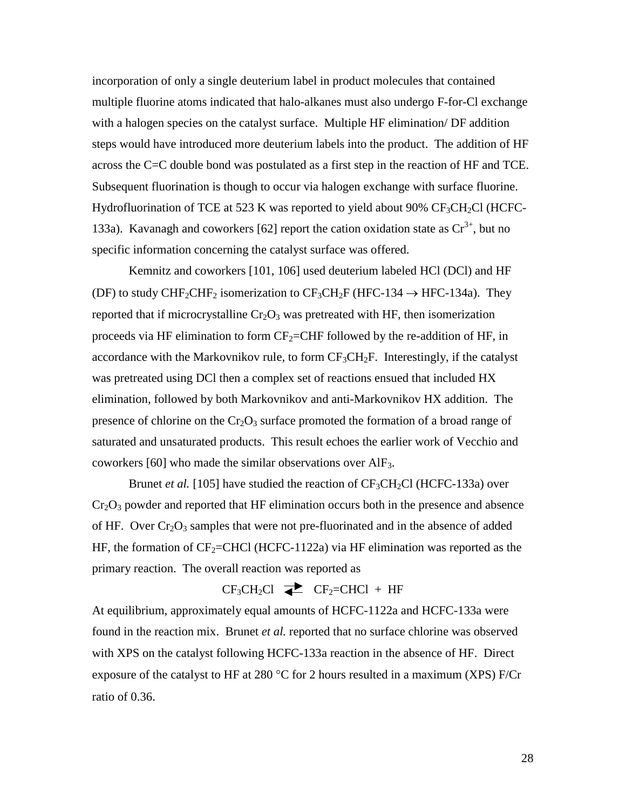incorporation of only a single deuterium label in product molecules that contained multiple fluorine atoms indicated that halo-alkanes must also undergo F-for-Cl exchange with a halogen species on the catalyst surface. Multiple HF elimination/ DF addition steps would have introduced more deuterium labels into the product. The addition of HF across the C=C double bond was postulated as a first step in the reaction of HF and TCE. Subsequent fluorination is though to occur via halogen exchange with surface fluorine. Hydrofluorination of TCE at 523 K was reported to yield about 90%  $CF_3CH_2Cl$  (HCFC-133a). Kavanagh and coworkers [62] report the cation oxidation state as  $Cr^{3+}$ , but no specific information concerning the catalyst surface was offered.

Kemnitz and coworkers [101, 106] used deuterium labeled HCl (DCl) and HF (DF) to study CHF<sub>2</sub>CHF<sub>2</sub> isomerization to CF<sub>3</sub>CH<sub>2</sub>F (HFC-134  $\rightarrow$  HFC-134a). They reported that if microcrystalline  $Cr_2O_3$  was pretreated with HF, then isomerization proceeds via HF elimination to form  $CF_2=CHF$  followed by the re-addition of HF, in accordance with the Markovnikov rule, to form  $CF_3CH_2F$ . Interestingly, if the catalyst was pretreated using DCl then a complex set of reactions ensued that included HX elimination, followed by both Markovnikov and anti-Markovnikov HX addition. The presence of chlorine on the  $Cr_2O_3$  surface promoted the formation of a broad range of saturated and unsaturated products. This result echoes the earlier work of Vecchio and coworkers [60] who made the similar observations over AlF3.

Brunet *et al.* [105] have studied the reaction of  $CF_3CH_2Cl$  (HCFC-133a) over  $Cr_2O_3$  powder and reported that HF elimination occurs both in the presence and absence of HF. Over  $Cr_2O_3$  samples that were not pre-fluorinated and in the absence of added HF, the formation of  $CF_2=CHCl$  (HCFC-1122a) via HF elimination was reported as the primary reaction. The overall reaction was reported as

# $CF_3CH_2Cl \implies CF_2=CHCl + HF$

At equilibrium, approximately equal amounts of HCFC-1122a and HCFC-133a were found in the reaction mix. Brunet *et al.* reported that no surface chlorine was observed with XPS on the catalyst following HCFC-133a reaction in the absence of HF. Direct exposure of the catalyst to HF at 280  $\degree$ C for 2 hours resulted in a maximum (XPS) F/Cr ratio of 0.36.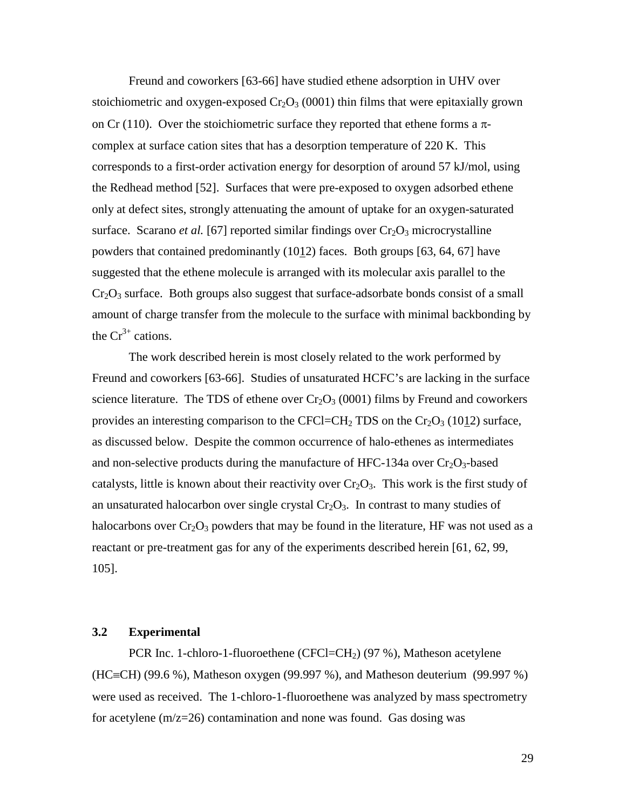Freund and coworkers [63-66] have studied ethene adsorption in UHV over stoichiometric and oxygen-exposed  $Cr_2O_3$  (0001) thin films that were epitaxially grown on Cr (110). Over the stoichiometric surface they reported that ethene forms a  $\pi$ complex at surface cation sites that has a desorption temperature of 220 K. This corresponds to a first-order activation energy for desorption of around 57 kJ/mol, using the Redhead method [52]. Surfaces that were pre-exposed to oxygen adsorbed ethene only at defect sites, strongly attenuating the amount of uptake for an oxygen-saturated surface. Scarano *et al.* [67] reported similar findings over  $Cr_2O_3$  microcrystalline powders that contained predominantly (1012) faces. Both groups [63, 64, 67] have suggested that the ethene molecule is arranged with its molecular axis parallel to the  $Cr_2O_3$  surface. Both groups also suggest that surface-adsorbate bonds consist of a small amount of charge transfer from the molecule to the surface with minimal backbonding by the  $Cr^{3+}$  cations.

The work described herein is most closely related to the work performed by Freund and coworkers [63-66]. Studies of unsaturated HCFC's are lacking in the surface science literature. The TDS of ethene over  $Cr_2O_3$  (0001) films by Freund and coworkers provides an interesting comparison to the CFCl=CH<sub>2</sub> TDS on the Cr<sub>2</sub>O<sub>3</sub> (1012) surface, as discussed below. Despite the common occurrence of halo-ethenes as intermediates and non-selective products during the manufacture of HFC-134a over  $Cr_2O_3$ -based catalysts, little is known about their reactivity over  $Cr_2O_3$ . This work is the first study of an unsaturated halocarbon over single crystal  $Cr<sub>2</sub>O<sub>3</sub>$ . In contrast to many studies of halocarbons over  $Cr_2O_3$  powders that may be found in the literature, HF was not used as a reactant or pre-treatment gas for any of the experiments described herein [61, 62, 99, 105].

#### **3.2 Experimental**

PCR Inc. 1-chloro-1-fluoroethene (CFCl=CH<sub>2</sub>) (97 %), Matheson acetylene (HC=CH) (99.6 %), Matheson oxygen (99.997 %), and Matheson deuterium (99.997 %) were used as received. The 1-chloro-1-fluoroethene was analyzed by mass spectrometry for acetylene (m/z=26) contamination and none was found. Gas dosing was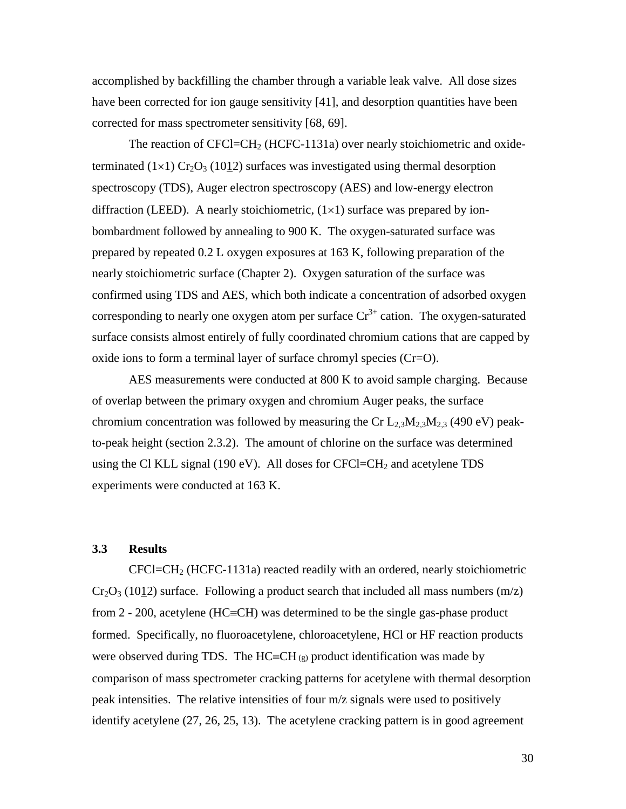accomplished by backfilling the chamber through a variable leak valve. All dose sizes have been corrected for ion gauge sensitivity [41], and desorption quantities have been corrected for mass spectrometer sensitivity [68, 69].

The reaction of  $CFCI=CH<sub>2</sub>$  (HCFC-1131a) over nearly stoichiometric and oxideterminated (1×1)  $Cr_2O_3$  (1012) surfaces was investigated using thermal desorption spectroscopy (TDS), Auger electron spectroscopy (AES) and low-energy electron diffraction (LEED). A nearly stoichiometric,  $(1\times1)$  surface was prepared by ionbombardment followed by annealing to 900 K. The oxygen-saturated surface was prepared by repeated 0.2 L oxygen exposures at 163 K, following preparation of the nearly stoichiometric surface (Chapter 2). Oxygen saturation of the surface was confirmed using TDS and AES, which both indicate a concentration of adsorbed oxygen corresponding to nearly one oxygen atom per surface  $Cr^{3+}$  cation. The oxygen-saturated surface consists almost entirely of fully coordinated chromium cations that are capped by oxide ions to form a terminal layer of surface chromyl species (Cr=O).

AES measurements were conducted at 800 K to avoid sample charging. Because of overlap between the primary oxygen and chromium Auger peaks, the surface chromium concentration was followed by measuring the Cr  $L_{2,3}M_{2,3}M_{2,3}$  (490 eV) peakto-peak height (section 2.3.2). The amount of chlorine on the surface was determined using the Cl KLL signal (190 eV). All doses for  $CFCI=CH<sub>2</sub>$  and acetylene TDS experiments were conducted at 163 K.

#### **3.3 Results**

CFCl=CH2 (HCFC-1131a) reacted readily with an ordered, nearly stoichiometric  $Cr_2O_3$  (1012) surface. Following a product search that included all mass numbers (m/z) from  $2 - 200$ , acetylene (HC=CH) was determined to be the single gas-phase product formed. Specifically, no fluoroacetylene, chloroacetylene, HCl or HF reaction products were observed during TDS. The  $HC=CH_{(g)}$  product identification was made by comparison of mass spectrometer cracking patterns for acetylene with thermal desorption peak intensities. The relative intensities of four m/z signals were used to positively identify acetylene (27, 26, 25, 13). The acetylene cracking pattern is in good agreement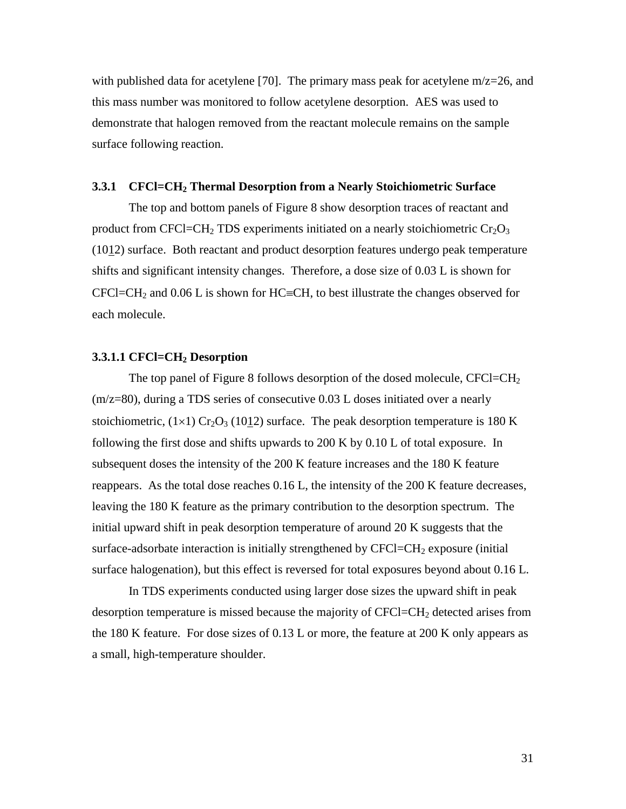with published data for acetylene [70]. The primary mass peak for acetylene m/z=26, and this mass number was monitored to follow acetylene desorption. AES was used to demonstrate that halogen removed from the reactant molecule remains on the sample surface following reaction.

#### **3.3.1 CFCl=CH2 Thermal Desorption from a Nearly Stoichiometric Surface**

The top and bottom panels of Figure 8 show desorption traces of reactant and product from CFCl=CH<sub>2</sub> TDS experiments initiated on a nearly stoichiometric Cr<sub>2</sub>O<sub>3</sub> (1012) surface. Both reactant and product desorption features undergo peak temperature shifts and significant intensity changes. Therefore, a dose size of 0.03 L is shown for  $CFCI=CH<sub>2</sub>$  and 0.06 L is shown for HC=CH, to best illustrate the changes observed for each molecule.

#### **3.3.1.1 CFCl=CH2 Desorption**

The top panel of Figure 8 follows desorption of the dosed molecule, CFCl=CH<sub>2</sub> (m/z=80), during a TDS series of consecutive 0.03 L doses initiated over a nearly stoichiometric,  $(1\times1)$  Cr<sub>2</sub>O<sub>3</sub> (10<u>1</u>2) surface. The peak desorption temperature is 180 K following the first dose and shifts upwards to 200 K by 0.10 L of total exposure. In subsequent doses the intensity of the 200 K feature increases and the 180 K feature reappears. As the total dose reaches 0.16 L, the intensity of the 200 K feature decreases, leaving the 180 K feature as the primary contribution to the desorption spectrum. The initial upward shift in peak desorption temperature of around 20 K suggests that the surface-adsorbate interaction is initially strengthened by  $CFCI=CH<sub>2</sub>$  exposure (initial surface halogenation), but this effect is reversed for total exposures beyond about 0.16 L.

In TDS experiments conducted using larger dose sizes the upward shift in peak desorption temperature is missed because the majority of  $CFCI = CH<sub>2</sub>$  detected arises from the 180 K feature. For dose sizes of 0.13 L or more, the feature at 200 K only appears as a small, high-temperature shoulder.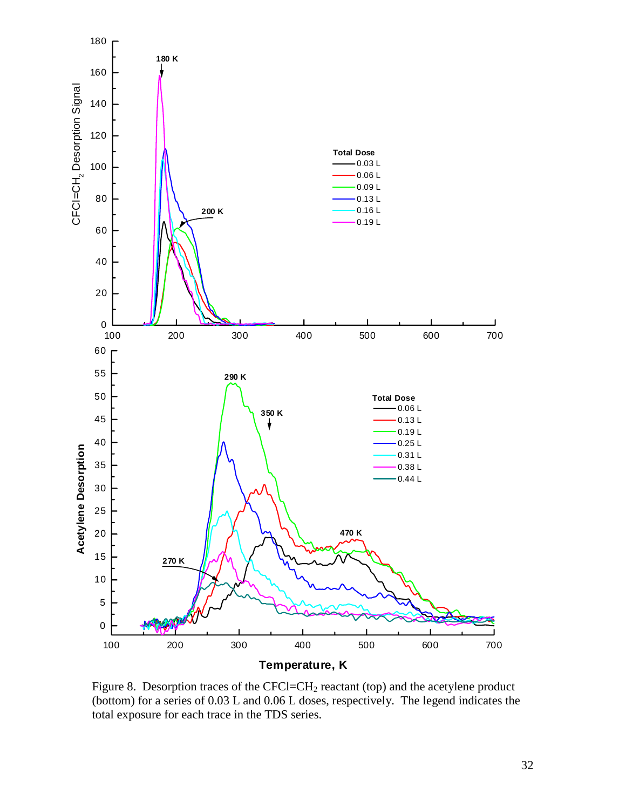

Figure 8. Desorption traces of the CFCl=CH<sub>2</sub> reactant (top) and the acetylene product (bottom) for a series of 0.03 L and 0.06 L doses, respectively. The legend indicates the total exposure for each trace in the TDS series.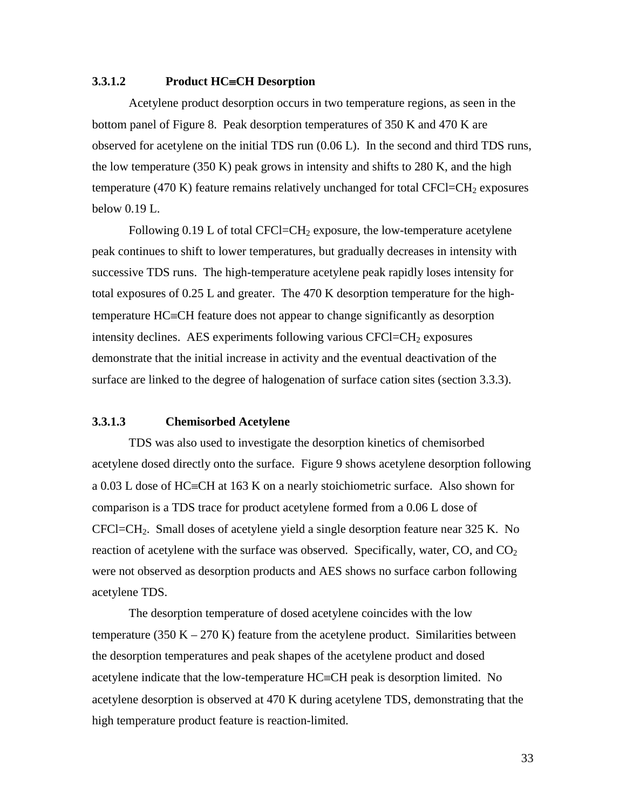#### **3.3.1.2** Product HC=CH Desorption

Acetylene product desorption occurs in two temperature regions, as seen in the bottom panel of Figure 8. Peak desorption temperatures of 350 K and 470 K are observed for acetylene on the initial TDS run (0.06 L). In the second and third TDS runs, the low temperature (350 K) peak grows in intensity and shifts to 280 K, and the high temperature (470 K) feature remains relatively unchanged for total  $CFCI = CH<sub>2</sub>$  exposures below 0.19 L.

Following  $0.19$  L of total CFCl=CH<sub>2</sub> exposure, the low-temperature acetylene peak continues to shift to lower temperatures, but gradually decreases in intensity with successive TDS runs. The high-temperature acetylene peak rapidly loses intensity for total exposures of 0.25 L and greater. The 470 K desorption temperature for the high $temperature HC=CH$  feature does not appear to change significantly as desorption intensity declines. AES experiments following various  $CFCI = CH<sub>2</sub>$  exposures demonstrate that the initial increase in activity and the eventual deactivation of the surface are linked to the degree of halogenation of surface cation sites (section 3.3.3).

## **3.3.1.3 Chemisorbed Acetylene**

TDS was also used to investigate the desorption kinetics of chemisorbed acetylene dosed directly onto the surface. Figure 9 shows acetylene desorption following a 0.03 L dose of HC $\equiv$ CH at 163 K on a nearly stoichiometric surface. Also shown for comparison is a TDS trace for product acetylene formed from a 0.06 L dose of CFCl=CH2. Small doses of acetylene yield a single desorption feature near 325 K. No reaction of acetylene with the surface was observed. Specifically, water,  $CO$ , and  $CO<sub>2</sub>$ were not observed as desorption products and AES shows no surface carbon following acetylene TDS.

The desorption temperature of dosed acetylene coincides with the low temperature (350 K – 270 K) feature from the acetylene product. Similarities between the desorption temperatures and peak shapes of the acetylene product and dosed acetylene indicate that the low-temperature  $HC = CH$  peak is desorption limited. No acetylene desorption is observed at 470 K during acetylene TDS, demonstrating that the high temperature product feature is reaction-limited.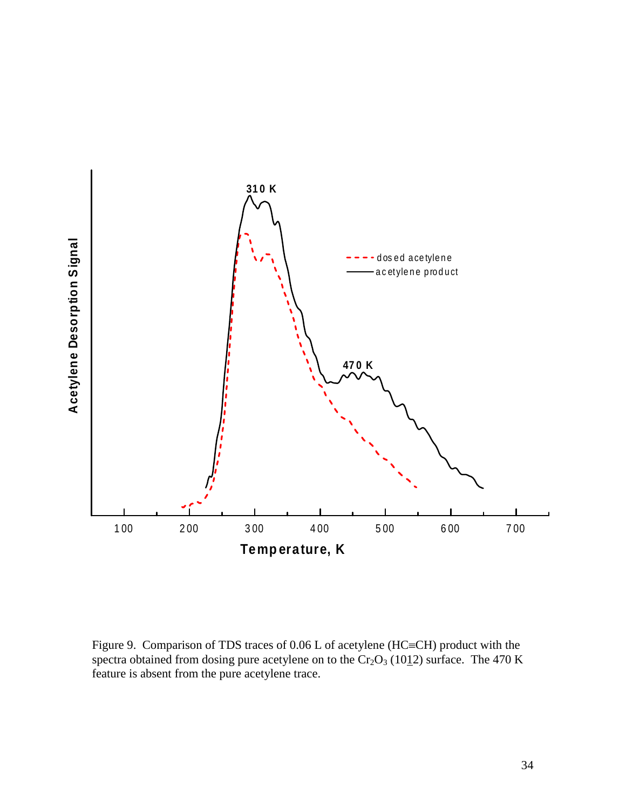

Figure 9. Comparison of TDS traces of  $0.06$  L of acetylene (HC=CH) product with the spectra obtained from dosing pure acetylene on to the  $Cr_2O_3$  (1012) surface. The 470 K feature is absent from the pure acetylene trace.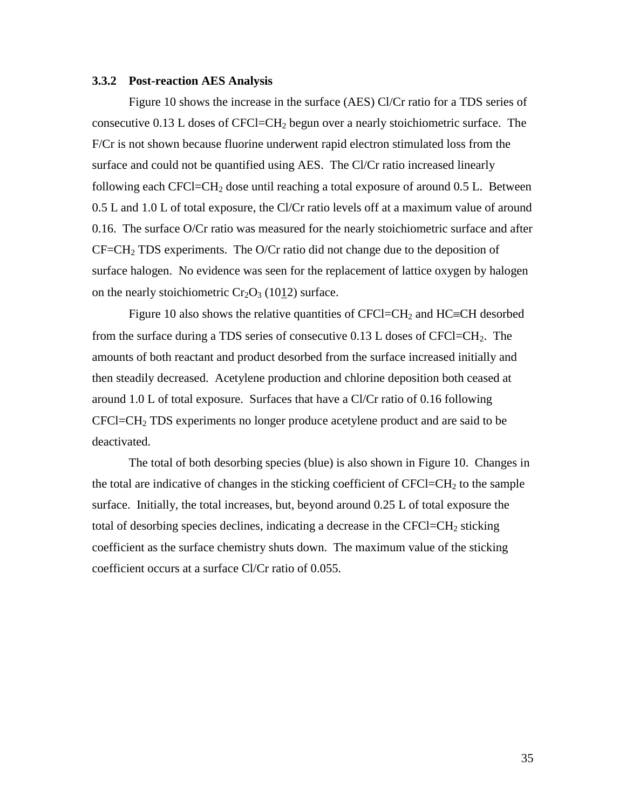#### **3.3.2 Post-reaction AES Analysis**

Figure 10 shows the increase in the surface (AES) Cl/Cr ratio for a TDS series of consecutive 0.13 L doses of CFCl=CH2 begun over a nearly stoichiometric surface. The F/Cr is not shown because fluorine underwent rapid electron stimulated loss from the surface and could not be quantified using AES. The Cl/Cr ratio increased linearly following each CFCl=CH<sub>2</sub> dose until reaching a total exposure of around 0.5 L. Between 0.5 L and 1.0 L of total exposure, the Cl/Cr ratio levels off at a maximum value of around 0.16. The surface O/Cr ratio was measured for the nearly stoichiometric surface and after  $CF=CH<sub>2</sub> TDS experiments.$  The O/Cr ratio did not change due to the deposition of surface halogen. No evidence was seen for the replacement of lattice oxygen by halogen on the nearly stoichiometric  $Cr_2O_3$  (1012) surface.

Figure 10 also shows the relative quantities of  $CFCI = CH<sub>2</sub>$  and  $HC = CH$  desorbed from the surface during a TDS series of consecutive  $0.13$  L doses of CFCl=CH<sub>2</sub>. The amounts of both reactant and product desorbed from the surface increased initially and then steadily decreased. Acetylene production and chlorine deposition both ceased at around 1.0 L of total exposure. Surfaces that have a Cl/Cr ratio of 0.16 following CFCl=CH2 TDS experiments no longer produce acetylene product and are said to be deactivated.

The total of both desorbing species (blue) is also shown in Figure 10. Changes in the total are indicative of changes in the sticking coefficient of  $CFCI=CH<sub>2</sub>$  to the sample surface. Initially, the total increases, but, beyond around 0.25 L of total exposure the total of desorbing species declines, indicating a decrease in the  $CFCI=CH<sub>2</sub>$  sticking coefficient as the surface chemistry shuts down. The maximum value of the sticking coefficient occurs at a surface Cl/Cr ratio of 0.055.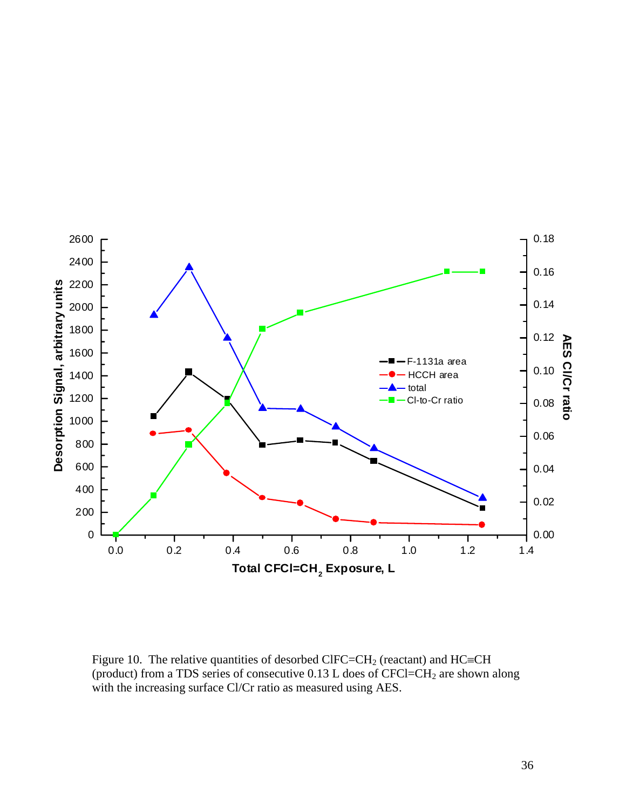

Figure 10. The relative quantities of desorbed ClFC=CH<sub>2</sub> (reactant) and HC=CH (product) from a TDS series of consecutive  $0.13$  L does of CFCl=CH<sub>2</sub> are shown along with the increasing surface Cl/Cr ratio as measured using AES.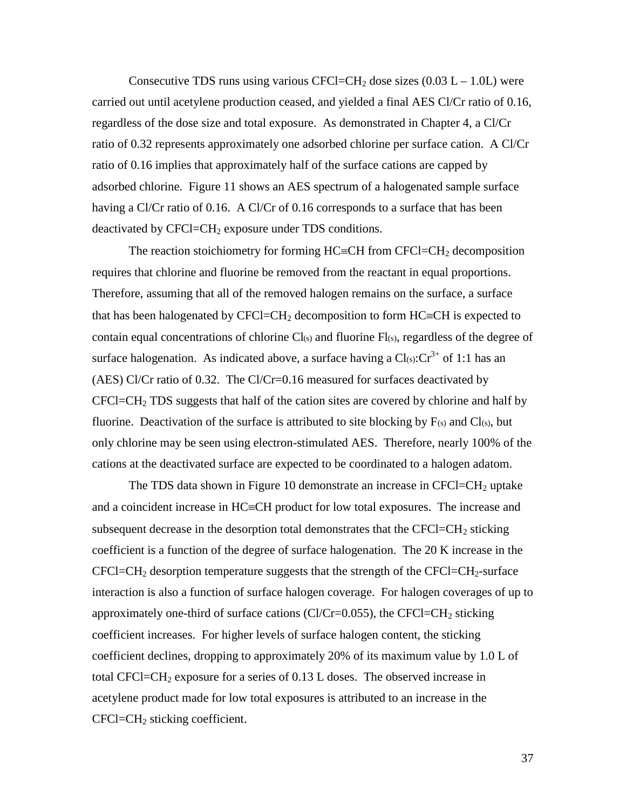Consecutive TDS runs using various CFCl=CH<sub>2</sub> dose sizes  $(0.03 L - 1.0L)$  were carried out until acetylene production ceased, and yielded a final AES Cl/Cr ratio of 0.16, regardless of the dose size and total exposure. As demonstrated in Chapter 4, a Cl/Cr ratio of 0.32 represents approximately one adsorbed chlorine per surface cation. A Cl/Cr ratio of 0.16 implies that approximately half of the surface cations are capped by adsorbed chlorine. Figure 11 shows an AES spectrum of a halogenated sample surface having a Cl/Cr ratio of 0.16. A Cl/Cr of 0.16 corresponds to a surface that has been deactivated by  $CFCI = CH_2$  exposure under TDS conditions.

The reaction stoichiometry for forming  $HC=CH$  from  $CFCI=CH<sub>2</sub>$  decomposition requires that chlorine and fluorine be removed from the reactant in equal proportions. Therefore, assuming that all of the removed halogen remains on the surface, a surface that has been halogenated by CFCl=CH<sub>2</sub> decomposition to form HC=CH is expected to contain equal concentrations of chlorine  $Cl<sub>(s)</sub>$  and fluorine  $Fl<sub>(s)</sub>$ , regardless of the degree of surface halogenation. As indicated above, a surface having a  $Cl(s): Cr^{3+}$  of 1:1 has an (AES) Cl/Cr ratio of 0.32. The Cl/Cr=0.16 measured for surfaces deactivated by  $CFCI=CH<sub>2</sub> TDS$  suggests that half of the cation sites are covered by chlorine and half by fluorine. Deactivation of the surface is attributed to site blocking by  $F(s)$  and  $Cl(s)$ , but only chlorine may be seen using electron-stimulated AES. Therefore, nearly 100% of the cations at the deactivated surface are expected to be coordinated to a halogen adatom.

The TDS data shown in Figure 10 demonstrate an increase in  $CFCI = CH<sub>2</sub>$  uptake and a coincident increase in  $HC=CH$  product for low total exposures. The increase and subsequent decrease in the desorption total demonstrates that the CFCl=CH<sub>2</sub> sticking coefficient is a function of the degree of surface halogenation. The 20 K increase in the  $CFCI=CH<sub>2</sub>$  desorption temperature suggests that the strength of the  $CFCI=CH<sub>2</sub>$ -surface interaction is also a function of surface halogen coverage. For halogen coverages of up to approximately one-third of surface cations (Cl/Cr=0.055), the CFCl=CH<sub>2</sub> sticking coefficient increases. For higher levels of surface halogen content, the sticking coefficient declines, dropping to approximately 20% of its maximum value by 1.0 L of total CFCl=CH<sub>2</sub> exposure for a series of  $0.13$  L doses. The observed increase in acetylene product made for low total exposures is attributed to an increase in the  $CFCI = CH<sub>2</sub>$  sticking coefficient.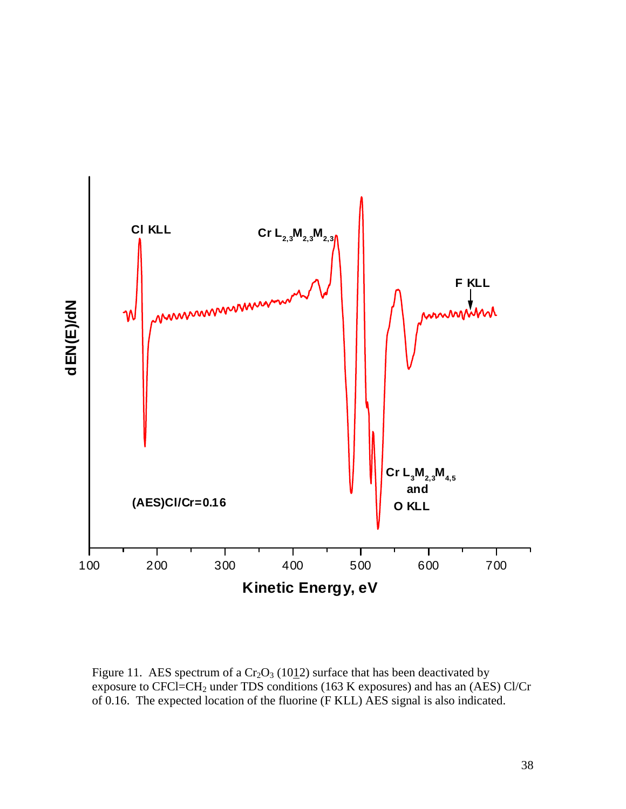

Figure 11. AES spectrum of a  $Cr_2O_3$  (1012) surface that has been deactivated by exposure to CFCl=CH2 under TDS conditions (163 K exposures) and has an (AES) Cl/Cr of 0.16. The expected location of the fluorine (F KLL) AES signal is also indicated.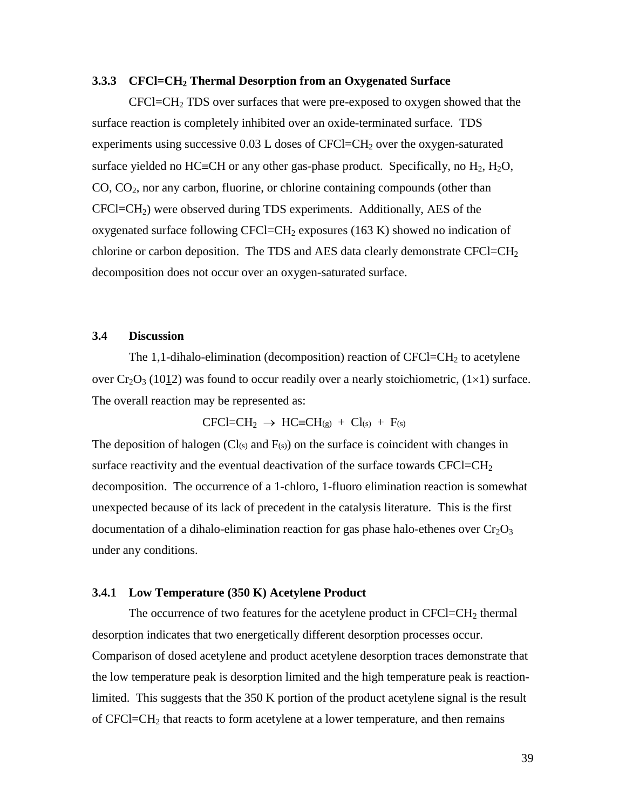#### **3.3.3 CFCl=CH2 Thermal Desorption from an Oxygenated Surface**

 $CFCI=CH<sub>2</sub> TDS$  over surfaces that were pre-exposed to oxygen showed that the surface reaction is completely inhibited over an oxide-terminated surface. TDS experiments using successive  $0.03$  L doses of CFCl=CH<sub>2</sub> over the oxygen-saturated surface yielded no HC=CH or any other gas-phase product. Specifically, no  $H_2$ ,  $H_2O$ ,  $CO, CO<sub>2</sub>$ , nor any carbon, fluorine, or chlorine containing compounds (other than  $CFCI=CH<sub>2</sub>$ ) were observed during TDS experiments. Additionally, AES of the oxygenated surface following CFCl=CH<sub>2</sub> exposures (163 K) showed no indication of chlorine or carbon deposition. The TDS and AES data clearly demonstrate CFCl=CH<sub>2</sub> decomposition does not occur over an oxygen-saturated surface.

#### **3.4 Discussion**

The 1,1-dihalo-elimination (decomposition) reaction of  $CFCI = CH<sub>2</sub>$  to acetylene over  $Cr_2O_3$  (1012) was found to occur readily over a nearly stoichiometric, (1×1) surface. The overall reaction may be represented as:

$$
CFCl{=}CH_2 \ \rightarrow \ HC{\equiv}CH_{(g)} \ + \ CI_{(s)} \ + \ F_{(s)}
$$

The deposition of halogen (Cl(s) and  $F(s)$ ) on the surface is coincident with changes in surface reactivity and the eventual deactivation of the surface towards  $CFCI=CH<sub>2</sub>$ decomposition. The occurrence of a 1-chloro, 1-fluoro elimination reaction is somewhat unexpected because of its lack of precedent in the catalysis literature. This is the first documentation of a dihalo-elimination reaction for gas phase halo-ethenes over  $Cr_2O_3$ under any conditions.

#### **3.4.1 Low Temperature (350 K) Acetylene Product**

The occurrence of two features for the acetylene product in  $CFCI = CH<sub>2</sub>$  thermal desorption indicates that two energetically different desorption processes occur. Comparison of dosed acetylene and product acetylene desorption traces demonstrate that the low temperature peak is desorption limited and the high temperature peak is reactionlimited. This suggests that the 350 K portion of the product acetylene signal is the result of CFCl=CH<sub>2</sub> that reacts to form acetylene at a lower temperature, and then remains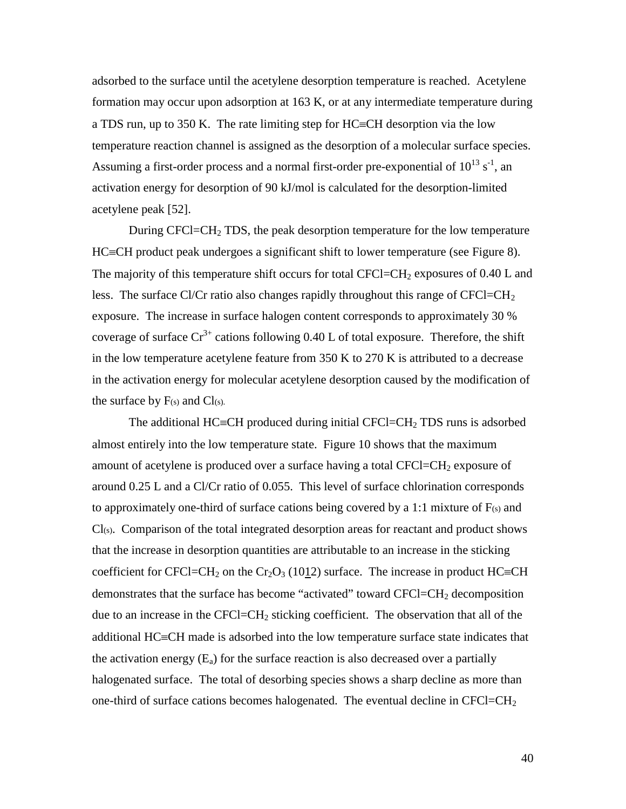adsorbed to the surface until the acetylene desorption temperature is reached. Acetylene formation may occur upon adsorption at 163 K, or at any intermediate temperature during a TDS run, up to  $350$  K. The rate limiting step for HC=CH desorption via the low temperature reaction channel is assigned as the desorption of a molecular surface species. Assuming a first-order process and a normal first-order pre-exponential of  $10^{13}$  s<sup>-1</sup>, an activation energy for desorption of 90 kJ/mol is calculated for the desorption-limited acetylene peak [52].

During CFCl=CH<sub>2</sub> TDS, the peak desorption temperature for the low temperature  $HC=CH$  product peak undergoes a significant shift to lower temperature (see Figure 8). The majority of this temperature shift occurs for total CFCl=CH<sub>2</sub> exposures of  $0.40$  L and less. The surface Cl/Cr ratio also changes rapidly throughout this range of  $CFCI=CH<sub>2</sub>$ exposure. The increase in surface halogen content corresponds to approximately 30 % coverage of surface  $Cr^{3+}$  cations following 0.40 L of total exposure. Therefore, the shift in the low temperature acetylene feature from 350 K to 270 K is attributed to a decrease in the activation energy for molecular acetylene desorption caused by the modification of the surface by  $F(s)$  and  $Cl(s)$ .

The additional HC=CH produced during initial CFCl=CH<sub>2</sub> TDS runs is adsorbed almost entirely into the low temperature state. Figure 10 shows that the maximum amount of acetylene is produced over a surface having a total  $CFCI = CH<sub>2</sub>$  exposure of around 0.25 L and a Cl/Cr ratio of 0.055. This level of surface chlorination corresponds to approximately one-third of surface cations being covered by a 1:1 mixture of  $F(s)$  and  $Cl(s)$ . Comparison of the total integrated desorption areas for reactant and product shows that the increase in desorption quantities are attributable to an increase in the sticking coefficient for CFCl=CH<sub>2</sub> on the Cr<sub>2</sub>O<sub>3</sub> (10<u>1</u>2) surface. The increase in product HC≡CH demonstrates that the surface has become "activated" toward  $CFCI = CH<sub>2</sub>$  decomposition due to an increase in the  $CFCI = CH<sub>2</sub>$  sticking coefficient. The observation that all of the additional  $HC=CH$  made is adsorbed into the low temperature surface state indicates that the activation energy  $(E_a)$  for the surface reaction is also decreased over a partially halogenated surface. The total of desorbing species shows a sharp decline as more than one-third of surface cations becomes halogenated. The eventual decline in  $CFCI = CH<sub>2</sub>$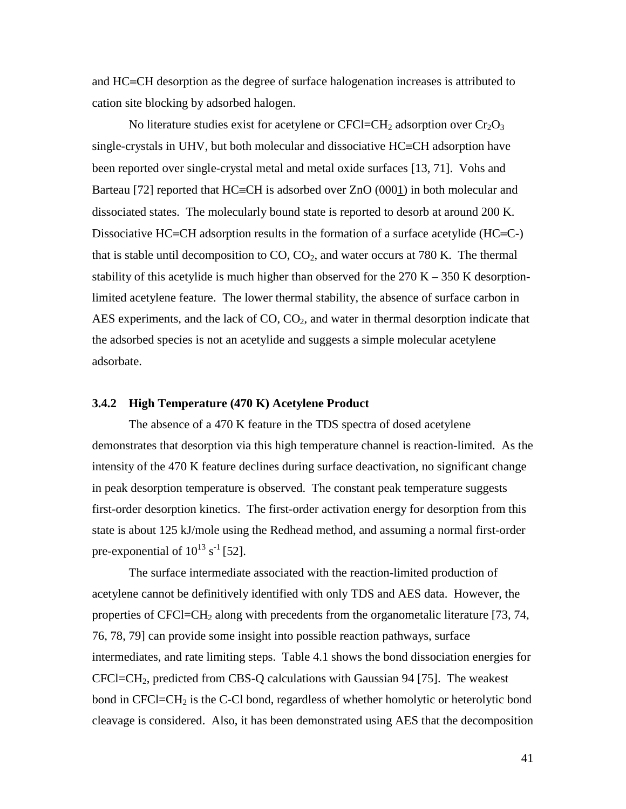and  $HC=CH$  desorption as the degree of surface halogenation increases is attributed to cation site blocking by adsorbed halogen.

No literature studies exist for acetylene or  $CFCI = CH<sub>2</sub>$  adsorption over  $Cr<sub>2</sub>O<sub>3</sub>$ single-crystals in UHV, but both molecular and dissociative  $HC=CH$  adsorption have been reported over single-crystal metal and metal oxide surfaces [13, 71]. Vohs and Barteau [72] reported that  $HC=CH$  is adsorbed over  $ZnO(0001)$  in both molecular and dissociated states. The molecularly bound state is reported to desorb at around 200 K. Dissociative HC=CH adsorption results in the formation of a surface acetylide (HC=C-) that is stable until decomposition to  $CO$ ,  $CO<sub>2</sub>$ , and water occurs at 780 K. The thermal stability of this acetylide is much higher than observed for the  $270 K - 350 K$  desorptionlimited acetylene feature. The lower thermal stability, the absence of surface carbon in AES experiments, and the lack of  $CO$ ,  $CO<sub>2</sub>$ , and water in thermal desorption indicate that the adsorbed species is not an acetylide and suggests a simple molecular acetylene adsorbate.

#### **3.4.2 High Temperature (470 K) Acetylene Product**

The absence of a 470 K feature in the TDS spectra of dosed acetylene demonstrates that desorption via this high temperature channel is reaction-limited. As the intensity of the 470 K feature declines during surface deactivation, no significant change in peak desorption temperature is observed. The constant peak temperature suggests first-order desorption kinetics. The first-order activation energy for desorption from this state is about 125 kJ/mole using the Redhead method, and assuming a normal first-order pre-exponential of  $10^{13}$  s<sup>-1</sup> [52].

The surface intermediate associated with the reaction-limited production of acetylene cannot be definitively identified with only TDS and AES data. However, the properties of  $CFCI = CH<sub>2</sub>$  along with precedents from the organometalic literature [73, 74, 76, 78, 79] can provide some insight into possible reaction pathways, surface intermediates, and rate limiting steps. Table 4.1 shows the bond dissociation energies for CFCl=CH2, predicted from CBS-Q calculations with Gaussian 94 [75]. The weakest bond in  $CFCI = CH<sub>2</sub>$  is the C-Cl bond, regardless of whether homolytic or heterolytic bond cleavage is considered. Also, it has been demonstrated using AES that the decomposition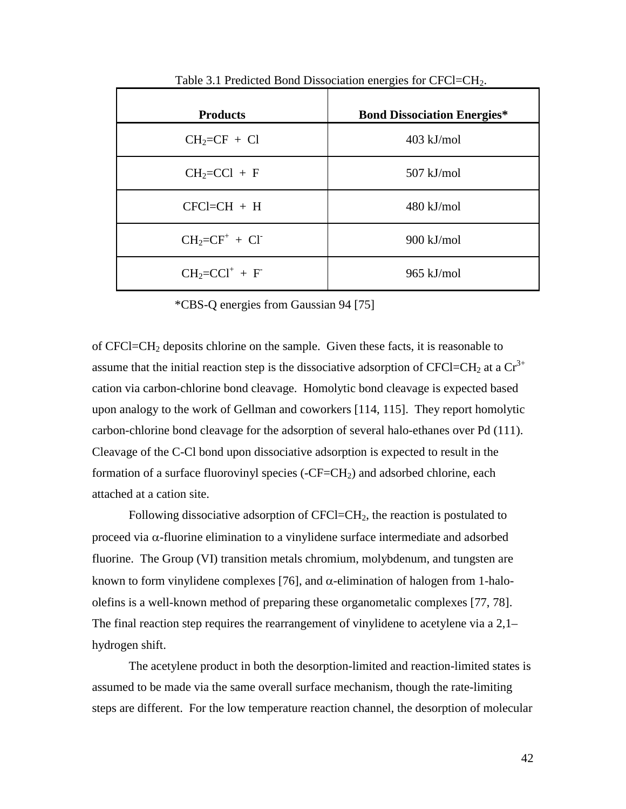| <b>Products</b>    | <b>Bond Dissociation Energies*</b> |
|--------------------|------------------------------------|
| $CH_2=CF + CI$     | $403$ kJ/mol                       |
| $CH_2=CCl + F$     | $507$ kJ/mol                       |
| $CFCI = CH + H$    | $480 \text{ kJ/mol}$               |
| $CH_2=CF^+ + CI^-$ | $900$ kJ/mol                       |
| $CH_2=CCI^+ + F^-$ | $965$ kJ/mol                       |

Table 3.1 Predicted Bond Dissociation energies for CFCl=CH2.

\*CBS-Q energies from Gaussian 94 [75]

of CFCl=CH2 deposits chlorine on the sample. Given these facts, it is reasonable to assume that the initial reaction step is the dissociative adsorption of CFCl=CH<sub>2</sub> at a  $Cr^{3+}$ cation via carbon-chlorine bond cleavage. Homolytic bond cleavage is expected based upon analogy to the work of Gellman and coworkers [114, 115]. They report homolytic carbon-chlorine bond cleavage for the adsorption of several halo-ethanes over Pd (111). Cleavage of the C-Cl bond upon dissociative adsorption is expected to result in the formation of a surface fluorovinyl species (-CF=CH<sub>2</sub>) and adsorbed chlorine, each attached at a cation site.

Following dissociative adsorption of  $CFCI = CH<sub>2</sub>$ , the reaction is postulated to proceed via  $\alpha$ -fluorine elimination to a vinylidene surface intermediate and adsorbed fluorine. The Group (VI) transition metals chromium, molybdenum, and tungsten are known to form vinylidene complexes [76], and  $\alpha$ -elimination of halogen from 1-haloolefins is a well-known method of preparing these organometalic complexes [77, 78]. The final reaction step requires the rearrangement of vinylidene to acetylene via a 2,1– hydrogen shift.

The acetylene product in both the desorption-limited and reaction-limited states is assumed to be made via the same overall surface mechanism, though the rate-limiting steps are different. For the low temperature reaction channel, the desorption of molecular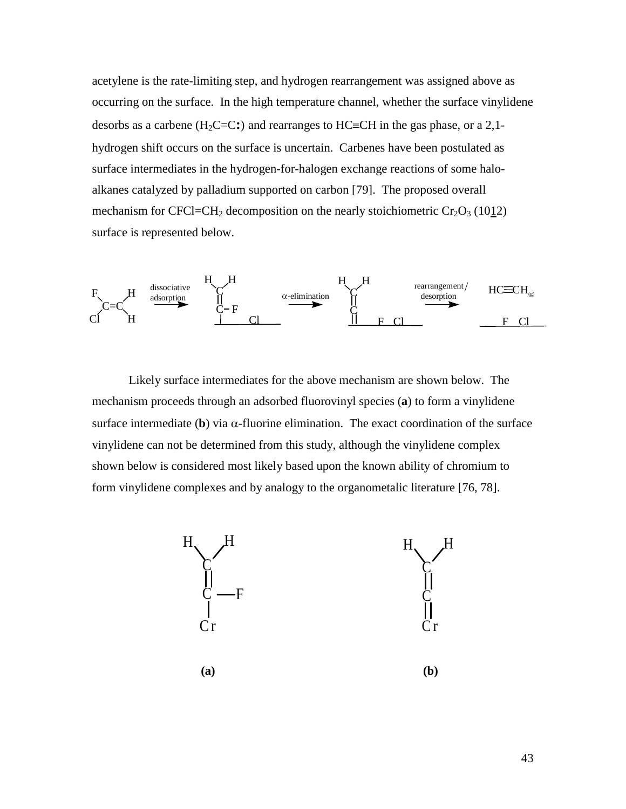acetylene is the rate-limiting step, and hydrogen rearrangement was assigned above as occurring on the surface. In the high temperature channel, whether the surface vinylidene desorbs as a carbene ( $H_2C=C$ :) and rearranges to  $HC=CH$  in the gas phase, or a 2,1hydrogen shift occurs on the surface is uncertain. Carbenes have been postulated as surface intermediates in the hydrogen-for-halogen exchange reactions of some haloalkanes catalyzed by palladium supported on carbon [79]. The proposed overall mechanism for CFCl=CH<sub>2</sub> decomposition on the nearly stoichiometric  $Cr_2O_3$  (1012) surface is represented below.



Likely surface intermediates for the above mechanism are shown below. The mechanism proceeds through an adsorbed fluorovinyl species (**a**) to form a vinylidene surface intermediate (b) via  $\alpha$ -fluorine elimination. The exact coordination of the surface vinylidene can not be determined from this study, although the vinylidene complex shown below is considered most likely based upon the known ability of chromium to form vinylidene complexes and by analogy to the organometalic literature [76, 78].

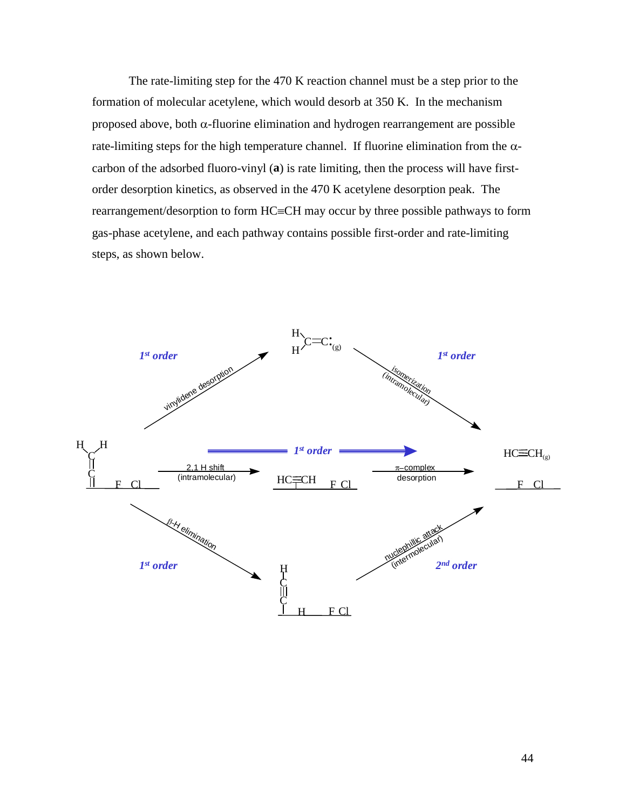The rate-limiting step for the 470 K reaction channel must be a step prior to the formation of molecular acetylene, which would desorb at 350 K. In the mechanism proposed above, both  $\alpha$ -fluorine elimination and hydrogen rearrangement are possible rate-limiting steps for the high temperature channel. If fluorine elimination from the  $\alpha$ carbon of the adsorbed fluoro-vinyl (**a**) is rate limiting, then the process will have firstorder desorption kinetics, as observed in the 470 K acetylene desorption peak. The rearrangement/desorption to form HC=CH may occur by three possible pathways to form gas-phase acetylene, and each pathway contains possible first-order and rate-limiting steps, as shown below.

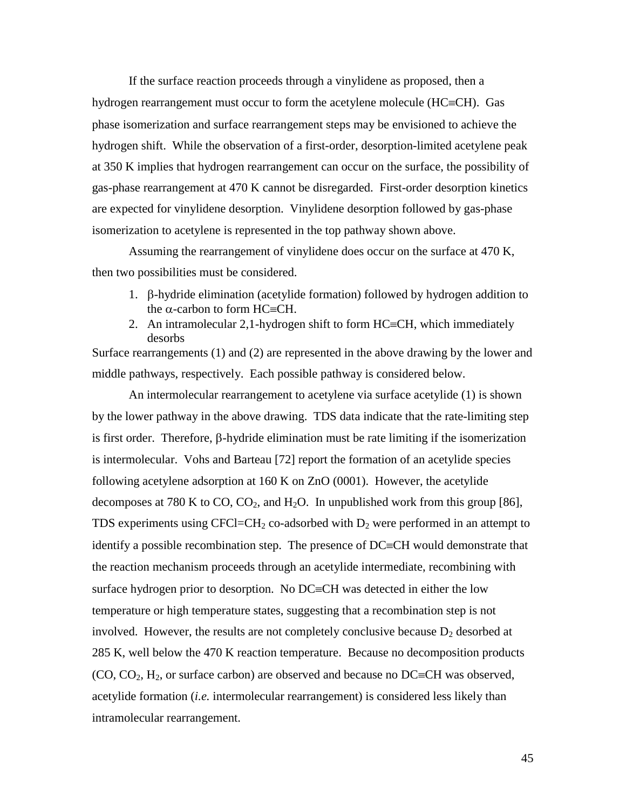If the surface reaction proceeds through a vinylidene as proposed, then a hydrogen rearrangement must occur to form the acetylene molecule  $(HC=CH)$ . Gas phase isomerization and surface rearrangement steps may be envisioned to achieve the hydrogen shift. While the observation of a first-order, desorption-limited acetylene peak at 350 K implies that hydrogen rearrangement can occur on the surface, the possibility of gas-phase rearrangement at 470 K cannot be disregarded. First-order desorption kinetics are expected for vinylidene desorption. Vinylidene desorption followed by gas-phase isomerization to acetylene is represented in the top pathway shown above.

Assuming the rearrangement of vinylidene does occur on the surface at 470 K, then two possibilities must be considered.

- 1. B-hydride elimination (acetylide formation) followed by hydrogen addition to the  $\alpha$ -carbon to form HC $\equiv$ CH.
- 2. An intramolecular 2,1-hydrogen shift to form  $HC=CH$ , which immediately desorbs

Surface rearrangements (1) and (2) are represented in the above drawing by the lower and middle pathways, respectively. Each possible pathway is considered below.

An intermolecular rearrangement to acetylene via surface acetylide (1) is shown by the lower pathway in the above drawing. TDS data indicate that the rate-limiting step is first order. Therefore,  $\beta$ -hydride elimination must be rate limiting if the isomerization is intermolecular. Vohs and Barteau [72] report the formation of an acetylide species following acetylene adsorption at 160 K on ZnO (0001). However, the acetylide decomposes at 780 K to CO,  $CO_2$ , and  $H_2O$ . In unpublished work from this group [86], TDS experiments using CFCl=CH<sub>2</sub> co-adsorbed with  $D_2$  were performed in an attempt to identify a possible recombination step. The presence of  $DC=CH$  would demonstrate that the reaction mechanism proceeds through an acetylide intermediate, recombining with surface hydrogen prior to desorption. No  $DC=CH$  was detected in either the low temperature or high temperature states, suggesting that a recombination step is not involved. However, the results are not completely conclusive because  $D_2$  desorbed at 285 K, well below the 470 K reaction temperature. Because no decomposition products  $(CO, CO<sub>2</sub>, H<sub>2</sub>, or surface carbon)$  are observed and because no DC=CH was observed, acetylide formation (*i.e.* intermolecular rearrangement) is considered less likely than intramolecular rearrangement.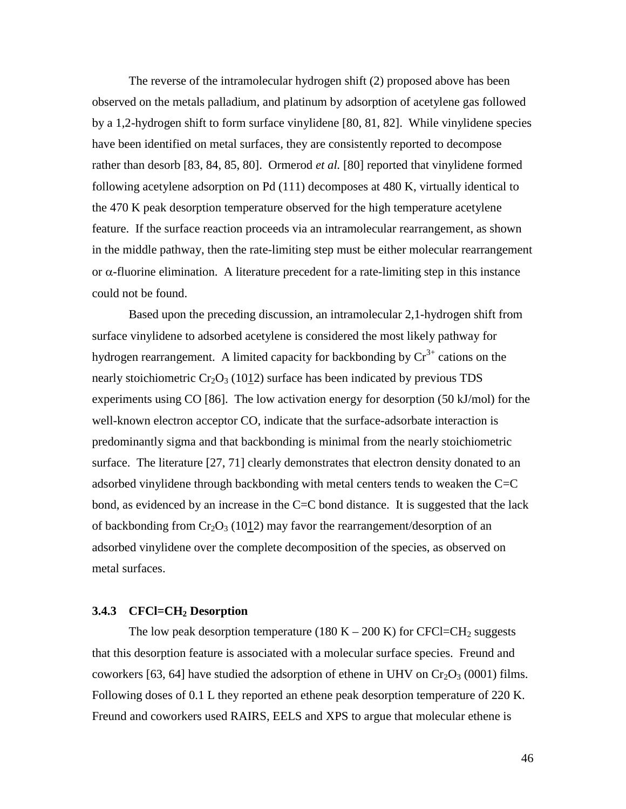The reverse of the intramolecular hydrogen shift (2) proposed above has been observed on the metals palladium, and platinum by adsorption of acetylene gas followed by a 1,2-hydrogen shift to form surface vinylidene [80, 81, 82]. While vinylidene species have been identified on metal surfaces, they are consistently reported to decompose rather than desorb [83, 84, 85, 80]. Ormerod *et al.* [80] reported that vinylidene formed following acetylene adsorption on Pd (111) decomposes at 480 K, virtually identical to the 470 K peak desorption temperature observed for the high temperature acetylene feature. If the surface reaction proceeds via an intramolecular rearrangement, as shown in the middle pathway, then the rate-limiting step must be either molecular rearrangement or  $\alpha$ -fluorine elimination. A literature precedent for a rate-limiting step in this instance could not be found.

Based upon the preceding discussion, an intramolecular 2,1-hydrogen shift from surface vinylidene to adsorbed acetylene is considered the most likely pathway for hydrogen rearrangement. A limited capacity for backbonding by  $Cr^{3+}$  cations on the nearly stoichiometric  $Cr_2O_3$  (1012) surface has been indicated by previous TDS experiments using CO [86]. The low activation energy for desorption (50 kJ/mol) for the well-known electron acceptor CO, indicate that the surface-adsorbate interaction is predominantly sigma and that backbonding is minimal from the nearly stoichiometric surface. The literature [27, 71] clearly demonstrates that electron density donated to an adsorbed vinylidene through backbonding with metal centers tends to weaken the  $C=C$ bond, as evidenced by an increase in the  $C = C$  bond distance. It is suggested that the lack of backbonding from  $Cr_2O_3$  (1012) may favor the rearrangement/desorption of an adsorbed vinylidene over the complete decomposition of the species, as observed on metal surfaces.

#### **3.4.3 CFCl=CH2 Desorption**

The low peak desorption temperature (180 K – 200 K) for CFCl=CH<sub>2</sub> suggests that this desorption feature is associated with a molecular surface species. Freund and coworkers [63, 64] have studied the adsorption of ethene in UHV on  $Cr_2O_3$  (0001) films. Following doses of 0.1 L they reported an ethene peak desorption temperature of 220 K. Freund and coworkers used RAIRS, EELS and XPS to argue that molecular ethene is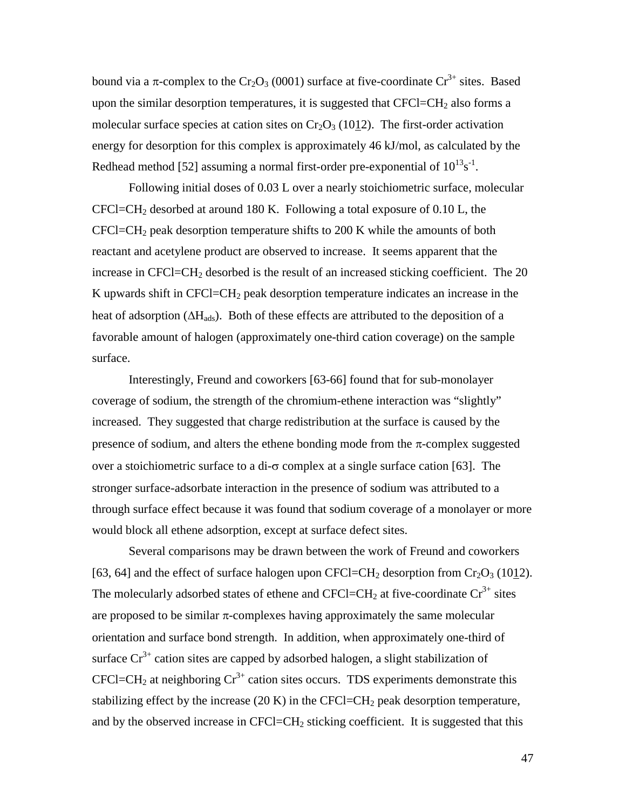bound via a  $\pi$ -complex to the Cr<sub>2</sub>O<sub>3</sub> (0001) surface at five-coordinate Cr<sup>3+</sup> sites. Based upon the similar desorption temperatures, it is suggested that  $CFCI = CH<sub>2</sub>$  also forms a molecular surface species at cation sites on  $Cr_2O_3$  (1012). The first-order activation energy for desorption for this complex is approximately 46 kJ/mol, as calculated by the Redhead method [52] assuming a normal first-order pre-exponential of  $10^{13}$ s<sup>-1</sup>.

Following initial doses of 0.03 L over a nearly stoichiometric surface, molecular  $CFCI=CH<sub>2</sub>$  desorbed at around 180 K. Following a total exposure of 0.10 L, the  $CFCI = CH<sub>2</sub>$  peak desorption temperature shifts to 200 K while the amounts of both reactant and acetylene product are observed to increase. It seems apparent that the increase in CFCl=CH<sub>2</sub> desorbed is the result of an increased sticking coefficient. The  $20$ K upwards shift in CFCl=CH2 peak desorption temperature indicates an increase in the heat of adsorption  $(\Delta H_{ads})$ . Both of these effects are attributed to the deposition of a favorable amount of halogen (approximately one-third cation coverage) on the sample surface.

Interestingly, Freund and coworkers [63-66] found that for sub-monolayer coverage of sodium, the strength of the chromium-ethene interaction was "slightly" increased. They suggested that charge redistribution at the surface is caused by the presence of sodium, and alters the ethene bonding mode from the  $\pi$ -complex suggested over a stoichiometric surface to a di- $\sigma$  complex at a single surface cation [63]. The stronger surface-adsorbate interaction in the presence of sodium was attributed to a through surface effect because it was found that sodium coverage of a monolayer or more would block all ethene adsorption, except at surface defect sites.

Several comparisons may be drawn between the work of Freund and coworkers [63, 64] and the effect of surface halogen upon CFCl=CH<sub>2</sub> desorption from Cr<sub>2</sub>O<sub>3</sub> (1012). The molecularly adsorbed states of ethene and CFCl=CH<sub>2</sub> at five-coordinate  $Cr^{3+}$  sites are proposed to be similar  $\pi$ -complexes having approximately the same molecular orientation and surface bond strength. In addition, when approximately one-third of surface  $Cr^{3+}$  cation sites are capped by adsorbed halogen, a slight stabilization of CFCl=CH<sub>2</sub> at neighboring  $Cr^{3+}$  cation sites occurs. TDS experiments demonstrate this stabilizing effect by the increase  $(20 K)$  in the CFCl=CH<sub>2</sub> peak desorption temperature, and by the observed increase in  $CFCI = CH<sub>2</sub>$  sticking coefficient. It is suggested that this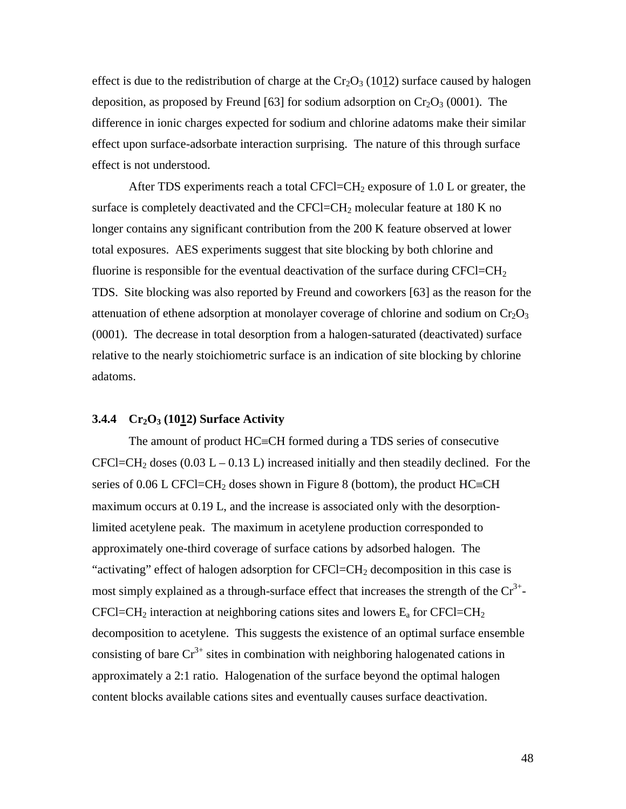effect is due to the redistribution of charge at the  $Cr_2O_3$  (1012) surface caused by halogen deposition, as proposed by Freund [63] for sodium adsorption on  $Cr_2O_3$  (0001). The difference in ionic charges expected for sodium and chlorine adatoms make their similar effect upon surface-adsorbate interaction surprising. The nature of this through surface effect is not understood.

After TDS experiments reach a total CFCl=CH<sub>2</sub> exposure of 1.0 L or greater, the surface is completely deactivated and the CFCl=CH<sub>2</sub> molecular feature at 180 K no longer contains any significant contribution from the 200 K feature observed at lower total exposures. AES experiments suggest that site blocking by both chlorine and fluorine is responsible for the eventual deactivation of the surface during  $CFCI=CH<sub>2</sub>$ TDS. Site blocking was also reported by Freund and coworkers [63] as the reason for the attenuation of ethene adsorption at monolayer coverage of chlorine and sodium on  $Cr_2O_3$ (0001). The decrease in total desorption from a halogen-saturated (deactivated) surface relative to the nearly stoichiometric surface is an indication of site blocking by chlorine adatoms.

## **3.4.4 Cr2O3 (1012) Surface Activity**

The amount of product  $HC=CH$  formed during a TDS series of consecutive CFCl=CH<sub>2</sub> doses (0.03 L – 0.13 L) increased initially and then steadily declined. For the series of 0.06 L CFCl=CH<sub>2</sub> doses shown in Figure 8 (bottom), the product HC=CH maximum occurs at 0.19 L, and the increase is associated only with the desorptionlimited acetylene peak. The maximum in acetylene production corresponded to approximately one-third coverage of surface cations by adsorbed halogen. The "activating" effect of halogen adsorption for  $CFCI = CH<sub>2</sub>$  decomposition in this case is most simply explained as a through-surface effect that increases the strength of the  $Cr^{3+}$ -CFCl=CH<sub>2</sub> interaction at neighboring cations sites and lowers  $E_a$  for CFCl=CH<sub>2</sub> decomposition to acetylene. This suggests the existence of an optimal surface ensemble consisting of bare  $Cr^{3+}$  sites in combination with neighboring halogenated cations in approximately a 2:1 ratio. Halogenation of the surface beyond the optimal halogen content blocks available cations sites and eventually causes surface deactivation.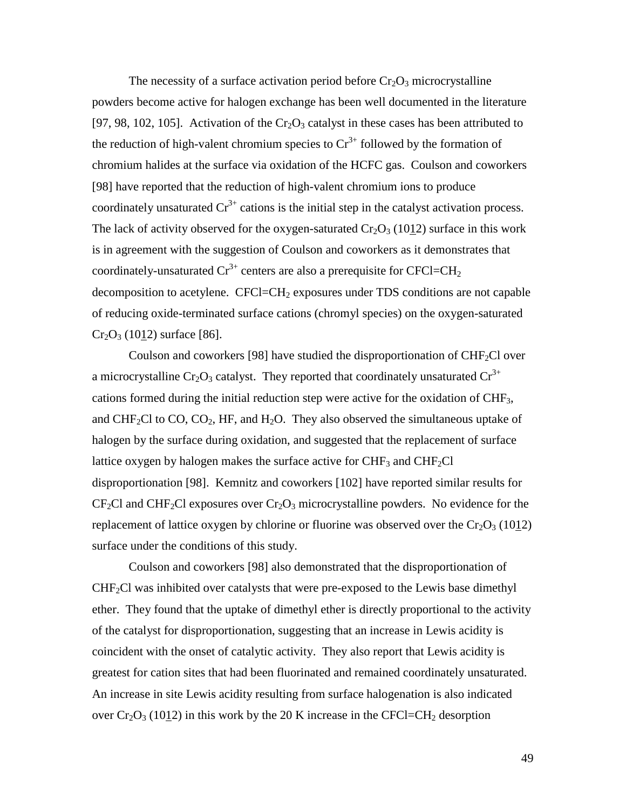The necessity of a surface activation period before  $Cr_2O_3$  microcrystalline powders become active for halogen exchange has been well documented in the literature [97, 98, 102, 105]. Activation of the  $Cr_2O_3$  catalyst in these cases has been attributed to the reduction of high-valent chromium species to  $Cr^{3+}$  followed by the formation of chromium halides at the surface via oxidation of the HCFC gas. Coulson and coworkers [98] have reported that the reduction of high-valent chromium ions to produce coordinately unsaturated  $Cr^{3+}$  cations is the initial step in the catalyst activation process. The lack of activity observed for the oxygen-saturated  $Cr_2O_3$  (1012) surface in this work is in agreement with the suggestion of Coulson and coworkers as it demonstrates that coordinately-unsaturated  $Cr^{3+}$  centers are also a prerequisite for CFCl=CH<sub>2</sub> decomposition to acetylene. CFCl=CH<sub>2</sub> exposures under TDS conditions are not capable of reducing oxide-terminated surface cations (chromyl species) on the oxygen-saturated  $Cr_2O_3$  (1012) surface [86].

Coulson and coworkers [98] have studied the disproportionation of  $CHF<sub>2</sub>Cl$  over a microcrystalline Cr<sub>2</sub>O<sub>3</sub> catalyst. They reported that coordinately unsaturated Cr<sup>3+</sup> cations formed during the initial reduction step were active for the oxidation of CHF3, and CHF<sub>2</sub>Cl to CO, CO<sub>2</sub>, HF, and H<sub>2</sub>O. They also observed the simultaneous uptake of halogen by the surface during oxidation, and suggested that the replacement of surface lattice oxygen by halogen makes the surface active for  $CHF_3$  and  $CHF_2Cl$ disproportionation [98]. Kemnitz and coworkers [102] have reported similar results for  $CF_2Cl$  and CHF<sub>2</sub>Cl exposures over  $Cr_2O_3$  microcrystalline powders. No evidence for the replacement of lattice oxygen by chlorine or fluorine was observed over the  $Cr_2O_3$  (1012) surface under the conditions of this study.

Coulson and coworkers [98] also demonstrated that the disproportionation of  $CHF<sub>2</sub>Cl$  was inhibited over catalysts that were pre-exposed to the Lewis base dimethyl ether. They found that the uptake of dimethyl ether is directly proportional to the activity of the catalyst for disproportionation, suggesting that an increase in Lewis acidity is coincident with the onset of catalytic activity. They also report that Lewis acidity is greatest for cation sites that had been fluorinated and remained coordinately unsaturated. An increase in site Lewis acidity resulting from surface halogenation is also indicated over  $Cr_2O_3$  (1012) in this work by the 20 K increase in the CFCl=CH<sub>2</sub> desorption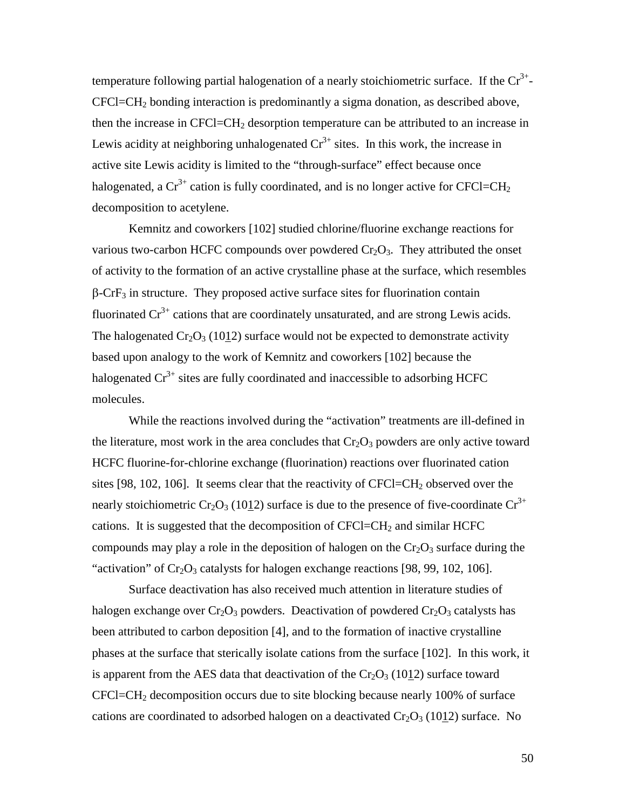temperature following partial halogenation of a nearly stoichiometric surface. If the  $Cr^{3+}$ - $CFCI=CH<sub>2</sub>$  bonding interaction is predominantly a sigma donation, as described above, then the increase in  $CFCI = CH<sub>2</sub>$  desorption temperature can be attributed to an increase in Lewis acidity at neighboring unhalogenated  $Cr^{3+}$  sites. In this work, the increase in active site Lewis acidity is limited to the "through-surface" effect because once halogenated, a  $Cr^{3+}$  cation is fully coordinated, and is no longer active for CFCl=CH<sub>2</sub> decomposition to acetylene.

Kemnitz and coworkers [102] studied chlorine/fluorine exchange reactions for various two-carbon HCFC compounds over powdered  $Cr_2O_3$ . They attributed the onset of activity to the formation of an active crystalline phase at the surface, which resembles  $\beta$ -CrF<sub>3</sub> in structure. They proposed active surface sites for fluorination contain fluorinated  $Cr^{3+}$  cations that are coordinately unsaturated, and are strong Lewis acids. The halogenated  $Cr_2O_3$  (1012) surface would not be expected to demonstrate activity based upon analogy to the work of Kemnitz and coworkers [102] because the halogenated  $Cr^{3+}$  sites are fully coordinated and inaccessible to adsorbing HCFC molecules.

While the reactions involved during the "activation" treatments are ill-defined in the literature, most work in the area concludes that  $Cr_2O_3$  powders are only active toward HCFC fluorine-for-chlorine exchange (fluorination) reactions over fluorinated cation sites [98, 102, 106]. It seems clear that the reactivity of  $CFCI=CH<sub>2</sub>$  observed over the nearly stoichiometric Cr<sub>2</sub>O<sub>3</sub> (1012) surface is due to the presence of five-coordinate Cr<sup>3+</sup> cations. It is suggested that the decomposition of  $CFCI=CH<sub>2</sub>$  and similar HCFC compounds may play a role in the deposition of halogen on the  $Cr_2O_3$  surface during the "activation" of  $Cr_2O_3$  catalysts for halogen exchange reactions [98, 99, 102, 106].

Surface deactivation has also received much attention in literature studies of halogen exchange over  $Cr_2O_3$  powders. Deactivation of powdered  $Cr_2O_3$  catalysts has been attributed to carbon deposition [4], and to the formation of inactive crystalline phases at the surface that sterically isolate cations from the surface [102]. In this work, it is apparent from the AES data that deactivation of the  $Cr_2O_3$  (1012) surface toward  $CFCI = CH<sub>2</sub>$  decomposition occurs due to site blocking because nearly 100% of surface cations are coordinated to adsorbed halogen on a deactivated  $Cr_2O_3$  (1012) surface. No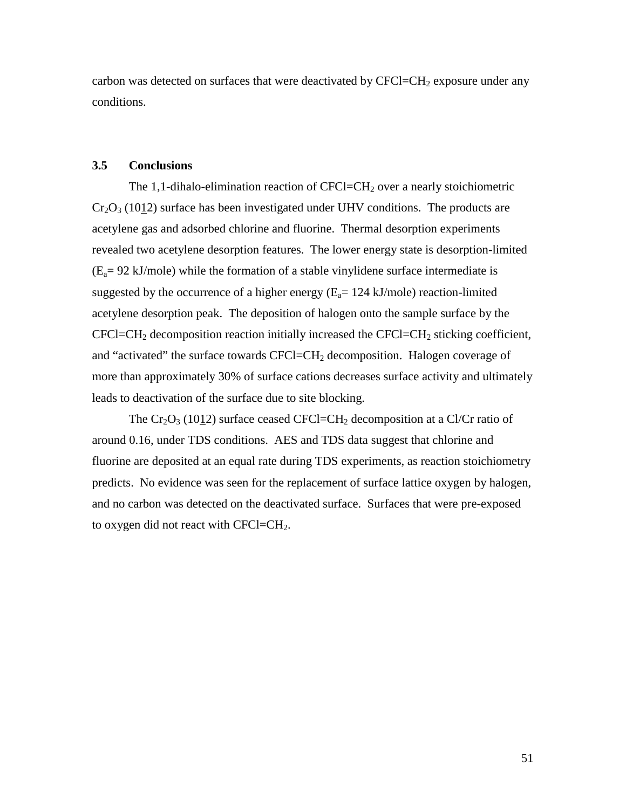carbon was detected on surfaces that were deactivated by  $CFCI=CH<sub>2</sub>$  exposure under any conditions.

#### **3.5 Conclusions**

The 1,1-dihalo-elimination reaction of  $CFCI=CH<sub>2</sub>$  over a nearly stoichiometric  $Cr_2O_3$  (1012) surface has been investigated under UHV conditions. The products are acetylene gas and adsorbed chlorine and fluorine. Thermal desorption experiments revealed two acetylene desorption features. The lower energy state is desorption-limited  $(E_a= 92 \text{ kJ/mole})$  while the formation of a stable vinylidene surface intermediate is suggested by the occurrence of a higher energy  $(E_a= 124 \text{ kJ/mole})$  reaction-limited acetylene desorption peak. The deposition of halogen onto the sample surface by the  $CFCI=CH<sub>2</sub>$  decomposition reaction initially increased the  $CFCI=CH<sub>2</sub>$  sticking coefficient, and "activated" the surface towards  $CFCI = CH<sub>2</sub>$  decomposition. Halogen coverage of more than approximately 30% of surface cations decreases surface activity and ultimately leads to deactivation of the surface due to site blocking.

The  $Cr_2O_3$  (1012) surface ceased CFCl=CH<sub>2</sub> decomposition at a Cl/Cr ratio of around 0.16, under TDS conditions. AES and TDS data suggest that chlorine and fluorine are deposited at an equal rate during TDS experiments, as reaction stoichiometry predicts. No evidence was seen for the replacement of surface lattice oxygen by halogen, and no carbon was detected on the deactivated surface. Surfaces that were pre-exposed to oxygen did not react with  $CFCI=CH<sub>2</sub>$ .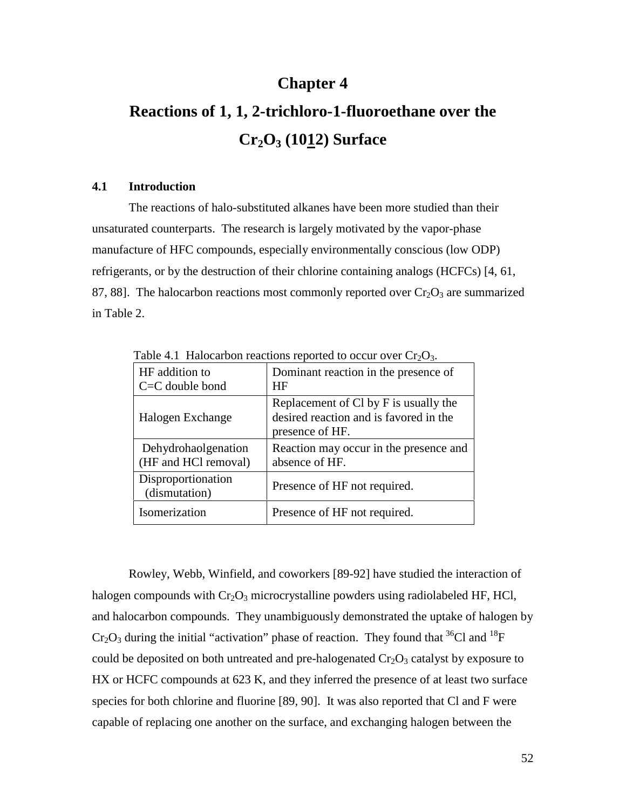# **Chapter 4**

# **Reactions of 1, 1, 2-trichloro-1-fluoroethane over the Cr2O3 (1012) Surface**

### **4.1 Introduction**

The reactions of halo-substituted alkanes have been more studied than their unsaturated counterparts. The research is largely motivated by the vapor-phase manufacture of HFC compounds, especially environmentally conscious (low ODP) refrigerants, or by the destruction of their chlorine containing analogs (HCFCs) [4, 61, 87, 88]. The halocarbon reactions most commonly reported over  $Cr_2O_3$  are summarized in Table 2.

| HF addition to<br>$C = C$ double bond       | Dominant reaction in the presence of<br>HF                                                         |
|---------------------------------------------|----------------------------------------------------------------------------------------------------|
| Halogen Exchange                            | Replacement of Cl by F is usually the<br>desired reaction and is favored in the<br>presence of HF. |
| Dehydrohaolgenation<br>(HF and HCl removal) | Reaction may occur in the presence and<br>absence of HF.                                           |
| Disproportionation<br>(dismutation)         | Presence of HF not required.                                                                       |
| Isomerization                               | Presence of HF not required.                                                                       |

Table 4.1 Halocarbon reactions reported to occur over  $Cr_2O_3$ .

Rowley, Webb, Winfield, and coworkers [89-92] have studied the interaction of halogen compounds with  $Cr_2O_3$  microcrystalline powders using radiolabeled HF, HCl, and halocarbon compounds. They unambiguously demonstrated the uptake of halogen by  $Cr_2O_3$  during the initial "activation" phase of reaction. They found that <sup>36</sup>Cl and <sup>18</sup>F could be deposited on both untreated and pre-halogenated  $Cr_2O_3$  catalyst by exposure to HX or HCFC compounds at 623 K, and they inferred the presence of at least two surface species for both chlorine and fluorine [89, 90]. It was also reported that Cl and F were capable of replacing one another on the surface, and exchanging halogen between the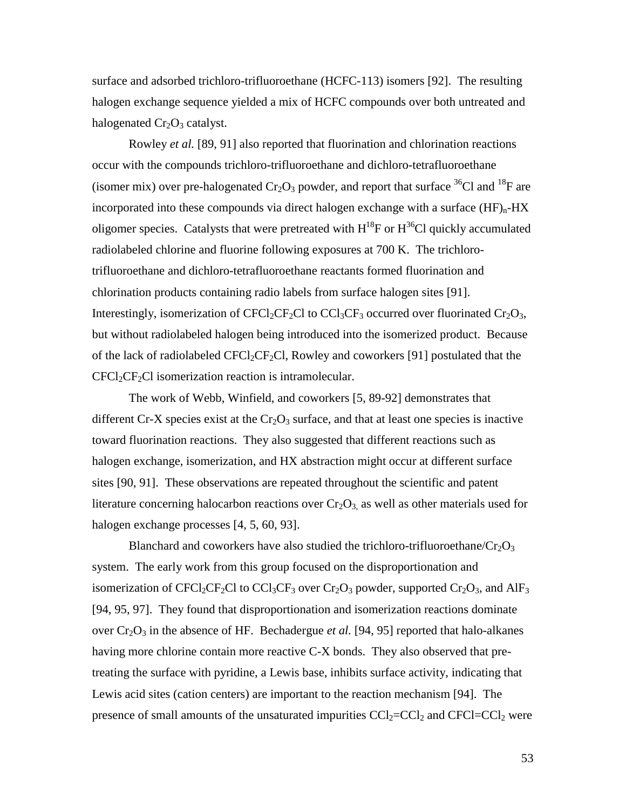surface and adsorbed trichloro-trifluoroethane (HCFC-113) isomers [92]. The resulting halogen exchange sequence yielded a mix of HCFC compounds over both untreated and halogenated  $Cr<sub>2</sub>O<sub>3</sub>$  catalyst.

Rowley *et al.* [89, 91] also reported that fluorination and chlorination reactions occur with the compounds trichloro-trifluoroethane and dichloro-tetrafluoroethane (isomer mix) over pre-halogenated  $Cr_2O_3$  powder, and report that surface <sup>36</sup>Cl and <sup>18</sup>F are incorporated into these compounds via direct halogen exchange with a surface  $(HF)<sub>n</sub>$ -HX oligomer species. Catalysts that were pretreated with  $H^{18}F$  or  $H^{36}Cl$  quickly accumulated radiolabeled chlorine and fluorine following exposures at 700 K. The trichlorotrifluoroethane and dichloro-tetrafluoroethane reactants formed fluorination and chlorination products containing radio labels from surface halogen sites [91]. Interestingly, isomerization of CFCl<sub>2</sub>CF<sub>2</sub>Cl to CCl<sub>3</sub>CF<sub>3</sub> occurred over fluorinated Cr<sub>2</sub>O<sub>3</sub>, but without radiolabeled halogen being introduced into the isomerized product. Because of the lack of radiolabeled  $CFCl_2CF_2Cl$ , Rowley and coworkers [91] postulated that the  $CFCI_2CF_2CI$  isomerization reaction is intramolecular.

The work of Webb, Winfield, and coworkers [5, 89-92] demonstrates that different Cr-X species exist at the  $Cr_2O_3$  surface, and that at least one species is inactive toward fluorination reactions. They also suggested that different reactions such as halogen exchange, isomerization, and HX abstraction might occur at different surface sites [90, 91]. These observations are repeated throughout the scientific and patent literature concerning halocarbon reactions over  $Cr_2O_3$  as well as other materials used for halogen exchange processes [4, 5, 60, 93].

Blanchard and coworkers have also studied the trichloro-trifluoroethane/ $Cr_2O_3$ system. The early work from this group focused on the disproportionation and isomerization of CFCl<sub>2</sub>CF<sub>2</sub>Cl to CCl<sub>3</sub>CF<sub>3</sub> over Cr<sub>2</sub>O<sub>3</sub> powder, supported Cr<sub>2</sub>O<sub>3</sub>, and AlF<sub>3</sub> [94, 95, 97]. They found that disproportionation and isomerization reactions dominate over  $Cr_2O_3$  in the absence of HF. Bechadergue *et al.* [94, 95] reported that halo-alkanes having more chlorine contain more reactive C-X bonds. They also observed that pretreating the surface with pyridine, a Lewis base, inhibits surface activity, indicating that Lewis acid sites (cation centers) are important to the reaction mechanism [94]. The presence of small amounts of the unsaturated impurities  $CCl_2=CCl_2$  and  $CFCl=CCl_2$  were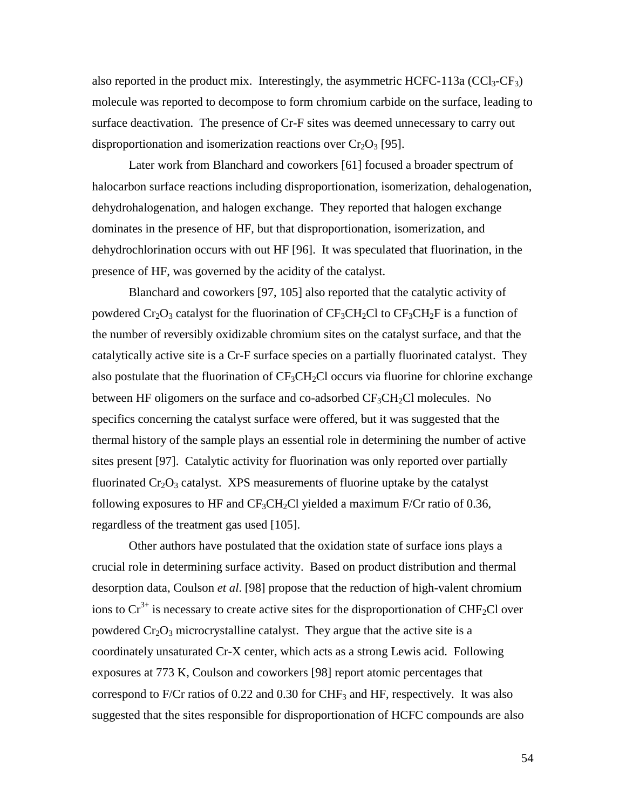also reported in the product mix. Interestingly, the asymmetric HCFC-113a (CCl<sub>3</sub>-CF<sub>3</sub>) molecule was reported to decompose to form chromium carbide on the surface, leading to surface deactivation. The presence of Cr-F sites was deemed unnecessary to carry out disproportionation and isomerization reactions over  $Cr_2O_3$  [95].

Later work from Blanchard and coworkers [61] focused a broader spectrum of halocarbon surface reactions including disproportionation, isomerization, dehalogenation, dehydrohalogenation, and halogen exchange. They reported that halogen exchange dominates in the presence of HF, but that disproportionation, isomerization, and dehydrochlorination occurs with out HF [96]. It was speculated that fluorination, in the presence of HF, was governed by the acidity of the catalyst.

Blanchard and coworkers [97, 105] also reported that the catalytic activity of powdered  $Cr_2O_3$  catalyst for the fluorination of  $CF_3CH_2Cl$  to  $CF_3CH_2F$  is a function of the number of reversibly oxidizable chromium sites on the catalyst surface, and that the catalytically active site is a Cr-F surface species on a partially fluorinated catalyst. They also postulate that the fluorination of  $CF_3CH_2Cl$  occurs via fluorine for chlorine exchange between HF oligomers on the surface and co-adsorbed  $CF_3CH_2Cl$  molecules. No specifics concerning the catalyst surface were offered, but it was suggested that the thermal history of the sample plays an essential role in determining the number of active sites present [97]. Catalytic activity for fluorination was only reported over partially fluorinated  $Cr_2O_3$  catalyst. XPS measurements of fluorine uptake by the catalyst following exposures to HF and  $CF_3CH_2Cl$  yielded a maximum F/Cr ratio of 0.36, regardless of the treatment gas used [105].

Other authors have postulated that the oxidation state of surface ions plays a crucial role in determining surface activity. Based on product distribution and thermal desorption data, Coulson *et al*. [98] propose that the reduction of high-valent chromium ions to  $Cr^{3+}$  is necessary to create active sites for the disproportionation of CHF<sub>2</sub>Cl over powdered  $Cr_2O_3$  microcrystalline catalyst. They argue that the active site is a coordinately unsaturated Cr-X center, which acts as a strong Lewis acid. Following exposures at 773 K, Coulson and coworkers [98] report atomic percentages that correspond to F/Cr ratios of  $0.22$  and  $0.30$  for CHF<sub>3</sub> and HF, respectively. It was also suggested that the sites responsible for disproportionation of HCFC compounds are also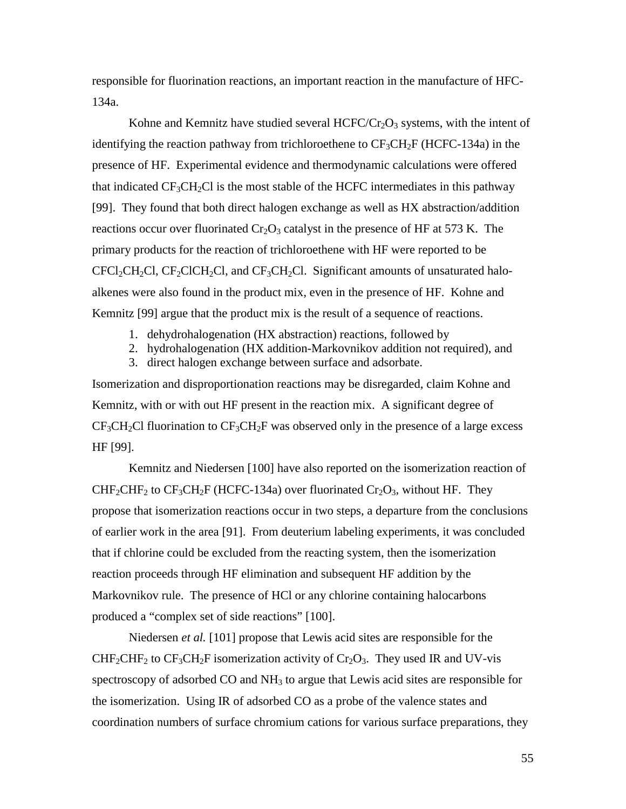responsible for fluorination reactions, an important reaction in the manufacture of HFC-134a.

Kohne and Kemnitz have studied several  $HCFC/Cr<sub>2</sub>O<sub>3</sub>$  systems, with the intent of identifying the reaction pathway from trichloroethene to  $CF_3CH_2F$  (HCFC-134a) in the presence of HF. Experimental evidence and thermodynamic calculations were offered that indicated  $CF<sub>3</sub>CH<sub>2</sub>Cl$  is the most stable of the HCFC intermediates in this pathway [99]. They found that both direct halogen exchange as well as HX abstraction/addition reactions occur over fluorinated  $Cr_2O_3$  catalyst in the presence of HF at 573 K. The primary products for the reaction of trichloroethene with HF were reported to be  $CFCI_2CH_2Cl$ ,  $CF_2CICH_2Cl$ , and  $CF_3CH_2Cl$ . Significant amounts of unsaturated haloalkenes were also found in the product mix, even in the presence of HF. Kohne and Kemnitz [99] argue that the product mix is the result of a sequence of reactions.

- 1. dehydrohalogenation (HX abstraction) reactions, followed by
- 2. hydrohalogenation (HX addition-Markovnikov addition not required), and
- 3. direct halogen exchange between surface and adsorbate.

Isomerization and disproportionation reactions may be disregarded, claim Kohne and Kemnitz, with or with out HF present in the reaction mix. A significant degree of  $CF<sub>3</sub>CH<sub>2</sub>Cl$  fluorination to  $CF<sub>3</sub>CH<sub>2</sub>F$  was observed only in the presence of a large excess HF [99].

Kemnitz and Niedersen [100] have also reported on the isomerization reaction of  $CHF_2CHF_2$  to  $CF_3CH_2F$  (HCFC-134a) over fluorinated  $Cr_2O_3$ , without HF. They propose that isomerization reactions occur in two steps, a departure from the conclusions of earlier work in the area [91]. From deuterium labeling experiments, it was concluded that if chlorine could be excluded from the reacting system, then the isomerization reaction proceeds through HF elimination and subsequent HF addition by the Markovnikov rule. The presence of HCl or any chlorine containing halocarbons produced a "complex set of side reactions" [100].

Niedersen *et al.* [101] propose that Lewis acid sites are responsible for the  $CHF_2CHF_2$  to  $CF_3CH_2F$  isomerization activity of  $Cr_2O_3$ . They used IR and UV-vis spectroscopy of adsorbed CO and  $NH<sub>3</sub>$  to argue that Lewis acid sites are responsible for the isomerization. Using IR of adsorbed CO as a probe of the valence states and coordination numbers of surface chromium cations for various surface preparations, they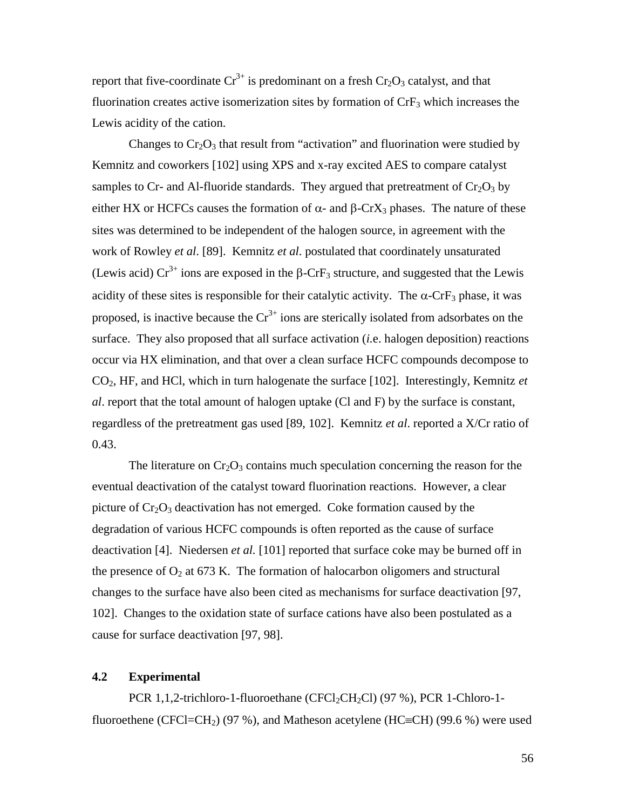report that five-coordinate  $Cr^{3+}$  is predominant on a fresh  $Cr_2O_3$  catalyst, and that fluorination creates active isomerization sites by formation of  $\rm CrF<sub>3</sub>$  which increases the Lewis acidity of the cation.

Changes to  $Cr_2O_3$  that result from "activation" and fluorination were studied by Kemnitz and coworkers [102] using XPS and x-ray excited AES to compare catalyst samples to Cr- and Al-fluoride standards. They argued that pretreatment of  $Cr_2O_3$  by either HX or HCFCs causes the formation of  $\alpha$ - and  $\beta$ -CrX<sub>3</sub> phases. The nature of these sites was determined to be independent of the halogen source, in agreement with the work of Rowley *et al*. [89]. Kemnitz *et al*. postulated that coordinately unsaturated (Lewis acid)  $Cr^{3+}$  ions are exposed in the  $\beta$ -CrF<sub>3</sub> structure, and suggested that the Lewis acidity of these sites is responsible for their catalytic activity. The  $\alpha$ -CrF<sub>3</sub> phase, it was proposed, is inactive because the  $Cr^{3+}$  ions are sterically isolated from adsorbates on the surface. They also proposed that all surface activation (*i.*e. halogen deposition) reactions occur via HX elimination, and that over a clean surface HCFC compounds decompose to CO2, HF, and HCl, which in turn halogenate the surface [102]. Interestingly, Kemnitz *et al*. report that the total amount of halogen uptake (Cl and F) by the surface is constant, regardless of the pretreatment gas used [89, 102]. Kemnitz *et al*. reported a X/Cr ratio of 0.43.

The literature on  $Cr_2O_3$  contains much speculation concerning the reason for the eventual deactivation of the catalyst toward fluorination reactions. However, a clear picture of  $Cr_2O_3$  deactivation has not emerged. Coke formation caused by the degradation of various HCFC compounds is often reported as the cause of surface deactivation [4]. Niedersen *et al.* [101] reported that surface coke may be burned off in the presence of  $O_2$  at 673 K. The formation of halocarbon oligomers and structural changes to the surface have also been cited as mechanisms for surface deactivation [97, 102]. Changes to the oxidation state of surface cations have also been postulated as a cause for surface deactivation [97, 98].

## **4.2 Experimental**

PCR 1,1,2-trichloro-1-fluoroethane (CFCl<sub>2</sub>CH<sub>2</sub>Cl) (97 %), PCR 1-Chloro-1fluoroethene (CFCl=CH<sub>2</sub>) (97 %), and Matheson acetylene (HC=CH) (99.6 %) were used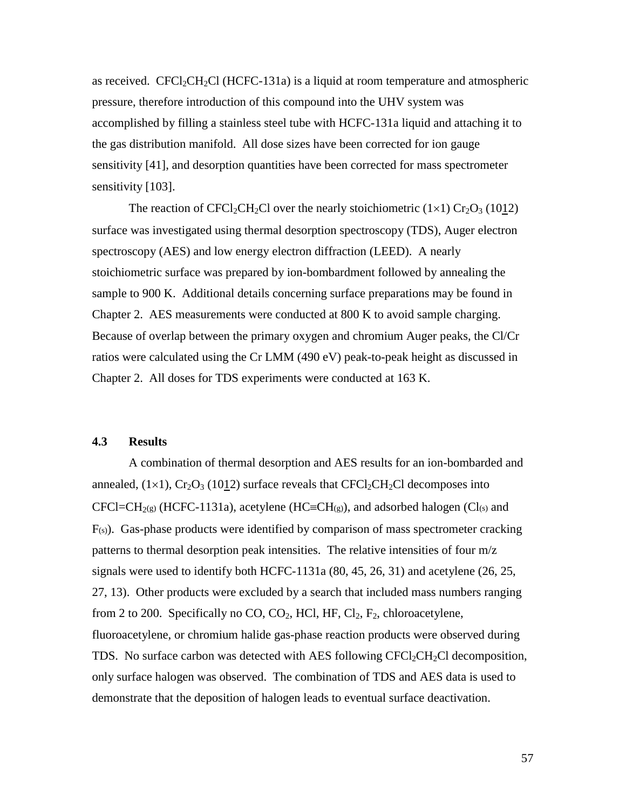as received. CFCl<sub>2</sub>CH<sub>2</sub>Cl (HCFC-131a) is a liquid at room temperature and atmospheric pressure, therefore introduction of this compound into the UHV system was accomplished by filling a stainless steel tube with HCFC-131a liquid and attaching it to the gas distribution manifold. All dose sizes have been corrected for ion gauge sensitivity [41], and desorption quantities have been corrected for mass spectrometer sensitivity [103].

The reaction of CFCl<sub>2</sub>CH<sub>2</sub>Cl over the nearly stoichiometric  $(1\times1)$  Cr<sub>2</sub>O<sub>3</sub> (1012) surface was investigated using thermal desorption spectroscopy (TDS), Auger electron spectroscopy (AES) and low energy electron diffraction (LEED). A nearly stoichiometric surface was prepared by ion-bombardment followed by annealing the sample to 900 K. Additional details concerning surface preparations may be found in Chapter 2. AES measurements were conducted at 800 K to avoid sample charging. Because of overlap between the primary oxygen and chromium Auger peaks, the Cl/Cr ratios were calculated using the Cr LMM (490 eV) peak-to-peak height as discussed in Chapter 2. All doses for TDS experiments were conducted at 163 K.

#### **4.3 Results**

A combination of thermal desorption and AES results for an ion-bombarded and annealed,  $(1\times1)$ ,  $Cr_2O_3$  (1012) surface reveals that  $CFCl_2CH_2Cl$  decomposes into  $CFCI=CH<sub>2(S)</sub>$  (HCFC-1131a), acetylene (HC $\equiv CH_{(g)}$ ), and adsorbed halogen (Cl(s) and  $F(s)$ ). Gas-phase products were identified by comparison of mass spectrometer cracking patterns to thermal desorption peak intensities. The relative intensities of four m/z signals were used to identify both HCFC-1131a (80, 45, 26, 31) and acetylene (26, 25, 27, 13). Other products were excluded by a search that included mass numbers ranging from 2 to 200. Specifically no  $CO$ ,  $CO<sub>2</sub>$ , HCl, HF,  $Cl<sub>2</sub>$ ,  $F<sub>2</sub>$ , chloroacetylene, fluoroacetylene, or chromium halide gas-phase reaction products were observed during TDS. No surface carbon was detected with AES following  $CFCI_2CH_2Cl$  decomposition, only surface halogen was observed. The combination of TDS and AES data is used to demonstrate that the deposition of halogen leads to eventual surface deactivation.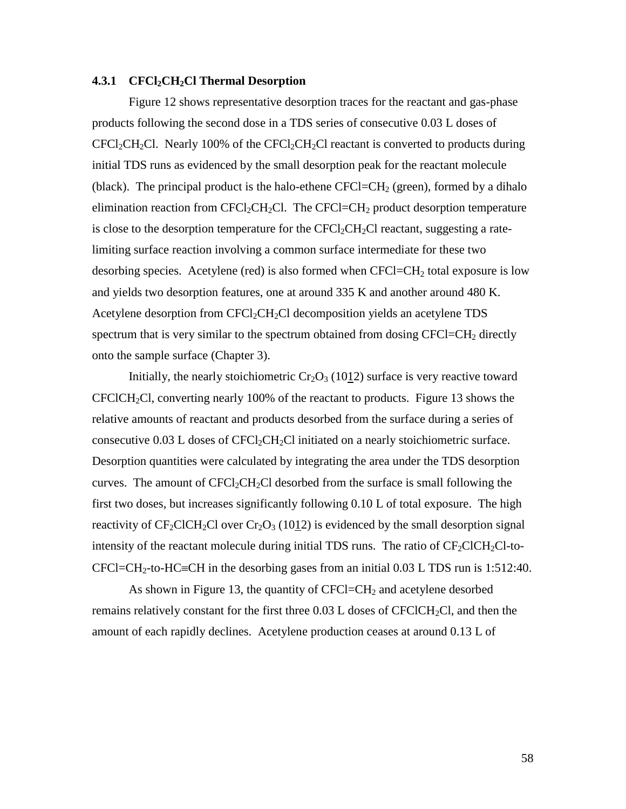#### **4.3.1 CFCl2CH2Cl Thermal Desorption**

Figure 12 shows representative desorption traces for the reactant and gas-phase products following the second dose in a TDS series of consecutive 0.03 L doses of  $CFCl_2CH_2Cl$ . Nearly 100% of the  $CFCl_2CH_2Cl$  reactant is converted to products during initial TDS runs as evidenced by the small desorption peak for the reactant molecule (black). The principal product is the halo-ethene  $CFCI = CH<sub>2</sub>$  (green), formed by a dihalo elimination reaction from  $CFCl_2CH_2Cl$ . The  $CFCl=CH_2$  product desorption temperature is close to the desorption temperature for the  $CFCI_2CH_2Cl$  reactant, suggesting a ratelimiting surface reaction involving a common surface intermediate for these two desorbing species. Acetylene (red) is also formed when  $CFCI=CH<sub>2</sub>$  total exposure is low and yields two desorption features, one at around 335 K and another around 480 K. Acetylene desorption from  $CFCl<sub>2</sub>CH<sub>2</sub>Cl$  decomposition yields an acetylene TDS spectrum that is very similar to the spectrum obtained from dosing  $CFCI = CH<sub>2</sub>$  directly onto the sample surface (Chapter 3).

Initially, the nearly stoichiometric  $Cr_2O_3$  (1012) surface is very reactive toward  $CFCICH_2Cl$ , converting nearly 100% of the reactant to products. Figure 13 shows the relative amounts of reactant and products desorbed from the surface during a series of consecutive  $0.03$  L doses of CFCl<sub>2</sub>CH<sub>2</sub>Cl initiated on a nearly stoichiometric surface. Desorption quantities were calculated by integrating the area under the TDS desorption curves. The amount of  $CFCl_2CH_2Cl$  desorbed from the surface is small following the first two doses, but increases significantly following 0.10 L of total exposure. The high reactivity of  $CF_2CICH_2Cl$  over  $Cr_2O_3$  (1012) is evidenced by the small desorption signal intensity of the reactant molecule during initial TDS runs. The ratio of  $CF_2CICH_2Cl$ -to- $CFCI=CH_2$ -to-HC=CH in the desorbing gases from an initial 0.03 L TDS run is 1:512:40.

As shown in Figure 13, the quantity of  $CFCI=CH<sub>2</sub>$  and acetylene desorbed remains relatively constant for the first three  $0.03$  L doses of CFClCH<sub>2</sub>Cl, and then the amount of each rapidly declines. Acetylene production ceases at around 0.13 L of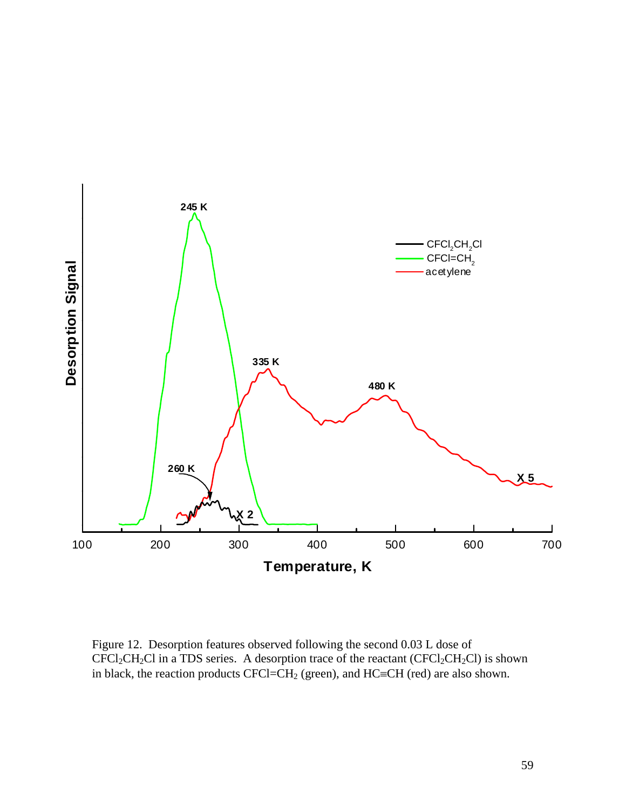

Figure 12. Desorption features observed following the second 0.03 L dose of  $CFCI_2CH_2Cl$  in a TDS series. A desorption trace of the reactant  $(CFCI_2CH_2Cl)$  is shown in black, the reaction products CFCl=CH<sub>2</sub> (green), and HC=CH (red) are also shown.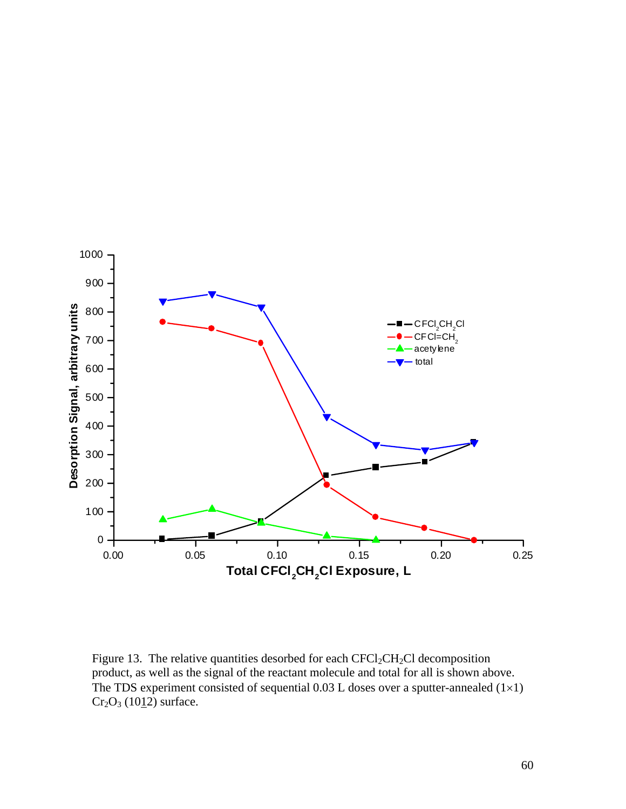

Figure 13. The relative quantities desorbed for each  $CFCl_2CH_2Cl$  decomposition product, as well as the signal of the reactant molecule and total for all is shown above. The TDS experiment consisted of sequential  $0.03$  L doses over a sputter-annealed  $(1\times1)$  $Cr_2O_3$  (1012) surface.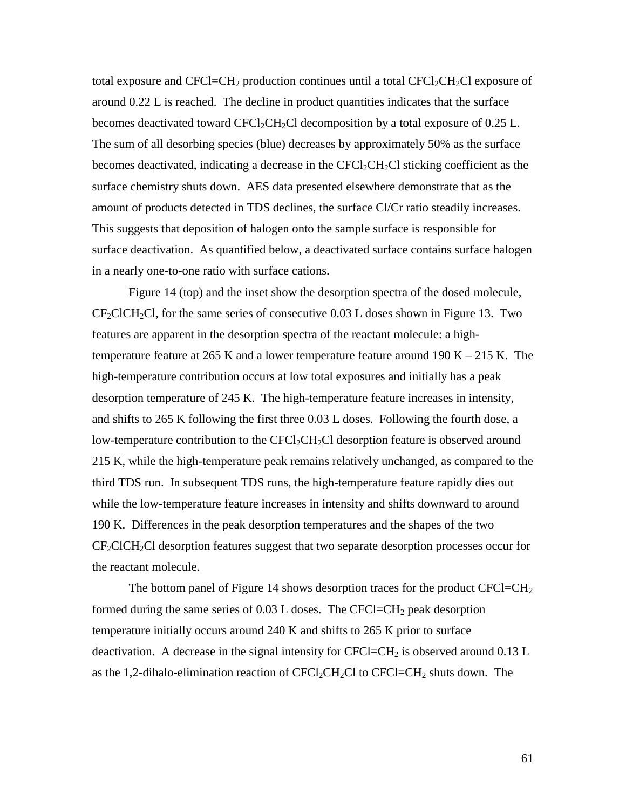total exposure and  $CFCI = CH_2$  production continues until a total  $CFCI_2CH_2Cl$  exposure of around 0.22 L is reached. The decline in product quantities indicates that the surface becomes deactivated toward  $CFCI_2CH_2Cl$  decomposition by a total exposure of 0.25 L. The sum of all desorbing species (blue) decreases by approximately 50% as the surface becomes deactivated, indicating a decrease in the  $CFCl_2CH_2Cl$  sticking coefficient as the surface chemistry shuts down. AES data presented elsewhere demonstrate that as the amount of products detected in TDS declines, the surface Cl/Cr ratio steadily increases. This suggests that deposition of halogen onto the sample surface is responsible for surface deactivation. As quantified below, a deactivated surface contains surface halogen in a nearly one-to-one ratio with surface cations.

Figure 14 (top) and the inset show the desorption spectra of the dosed molecule,  $CF_2CICH_2Cl$ , for the same series of consecutive 0.03 L doses shown in Figure 13. Two features are apparent in the desorption spectra of the reactant molecule: a hightemperature feature at 265 K and a lower temperature feature around  $190 K - 215 K$ . The high-temperature contribution occurs at low total exposures and initially has a peak desorption temperature of 245 K. The high-temperature feature increases in intensity, and shifts to 265 K following the first three 0.03 L doses. Following the fourth dose, a low-temperature contribution to the  $CFCI_2CH_2Cl$  desorption feature is observed around 215 K, while the high-temperature peak remains relatively unchanged, as compared to the third TDS run. In subsequent TDS runs, the high-temperature feature rapidly dies out while the low-temperature feature increases in intensity and shifts downward to around 190 K. Differences in the peak desorption temperatures and the shapes of the two  $CF<sub>2</sub>CICH<sub>2</sub>Cl$  desorption features suggest that two separate desorption processes occur for the reactant molecule.

The bottom panel of Figure 14 shows desorption traces for the product  $CFCI=CH<sub>2</sub>$ formed during the same series of  $0.03$  L doses. The CFCl=CH<sub>2</sub> peak desorption temperature initially occurs around 240 K and shifts to 265 K prior to surface deactivation. A decrease in the signal intensity for CFCl=CH<sub>2</sub> is observed around  $0.13$  L as the 1,2-dihalo-elimination reaction of  $CFCl<sub>2</sub>CH<sub>2</sub>Cl$  to  $CFCl=CH<sub>2</sub>$  shuts down. The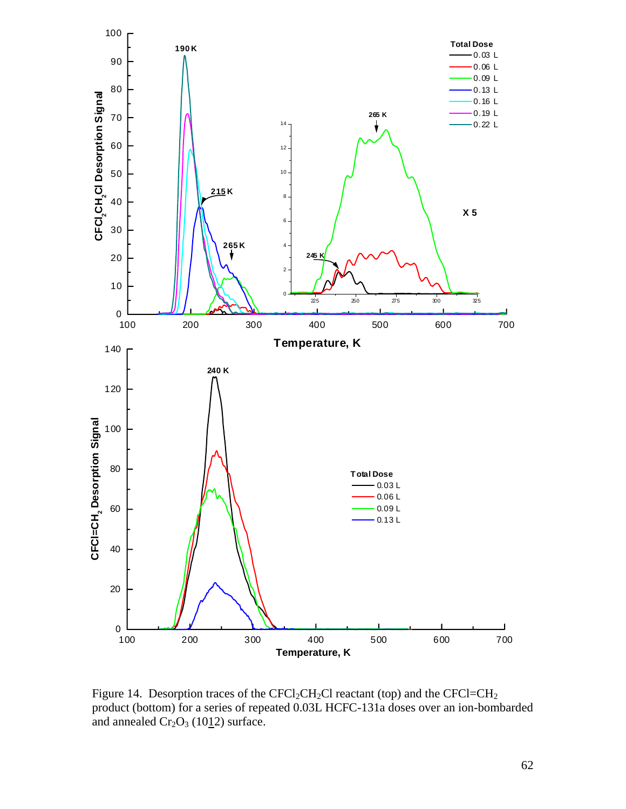

Figure 14. Desorption traces of the  $CFCl_2CH_2Cl$  reactant (top) and the  $CFCl=CH_2$ product (bottom) for a series of repeated 0.03L HCFC-131a doses over an ion-bombarded and annealed  $Cr_2O_3$  (1012) surface.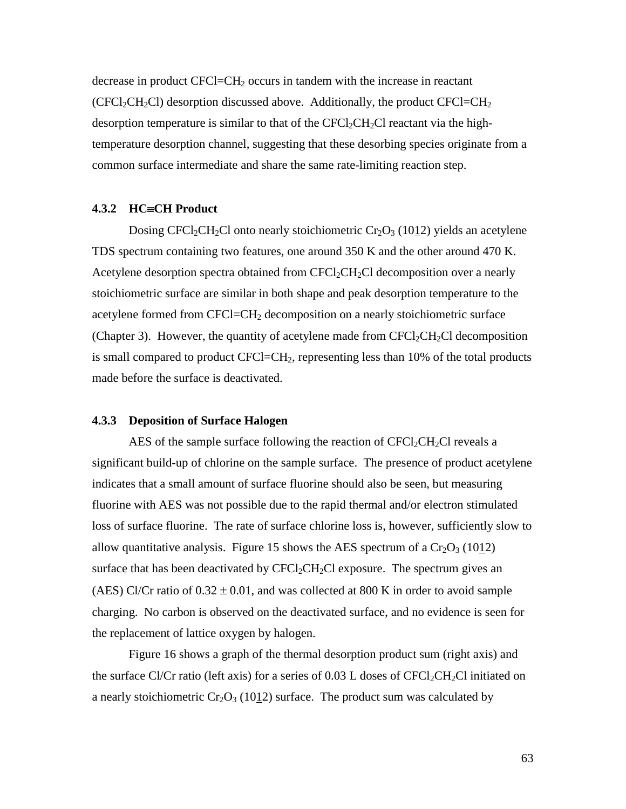decrease in product CFCl=CH2 occurs in tandem with the increase in reactant (CFCl<sub>2</sub>CH<sub>2</sub>Cl) desorption discussed above. Additionally, the product CFCl=CH<sub>2</sub> desorption temperature is similar to that of the  $CFCl_2CH_2Cl$  reactant via the hightemperature desorption channel, suggesting that these desorbing species originate from a common surface intermediate and share the same rate-limiting reaction step.

## 4.3.2 **HC**=CH Product

Dosing CFCl<sub>2</sub>CH<sub>2</sub>Cl onto nearly stoichiometric Cr<sub>2</sub>O<sub>3</sub> (1012) yields an acetylene TDS spectrum containing two features, one around 350 K and the other around 470 K. Acetylene desorption spectra obtained from  $CFCI_2CH_2Cl$  decomposition over a nearly stoichiometric surface are similar in both shape and peak desorption temperature to the acetylene formed from CFCl=CH2 decomposition on a nearly stoichiometric surface (Chapter 3). However, the quantity of acetylene made from  $CFCl_2CH_2Cl$  decomposition is small compared to product  $CFCI = CH<sub>2</sub>$ , representing less than 10% of the total products made before the surface is deactivated.

## **4.3.3 Deposition of Surface Halogen**

AES of the sample surface following the reaction of  $CFCl_2CH_2Cl$  reveals a significant build-up of chlorine on the sample surface. The presence of product acetylene indicates that a small amount of surface fluorine should also be seen, but measuring fluorine with AES was not possible due to the rapid thermal and/or electron stimulated loss of surface fluorine. The rate of surface chlorine loss is, however, sufficiently slow to allow quantitative analysis. Figure 15 shows the AES spectrum of a  $Cr_2O_3$  (1012) surface that has been deactivated by  $CFCl_2CH_2Cl$  exposure. The spectrum gives an (AES) Cl/Cr ratio of  $0.32 \pm 0.01$ , and was collected at 800 K in order to avoid sample charging. No carbon is observed on the deactivated surface, and no evidence is seen for the replacement of lattice oxygen by halogen.

Figure 16 shows a graph of the thermal desorption product sum (right axis) and the surface Cl/Cr ratio (left axis) for a series of  $0.03$  L doses of CFCl<sub>2</sub>CH<sub>2</sub>Cl initiated on a nearly stoichiometric  $Cr_2O_3$  (1012) surface. The product sum was calculated by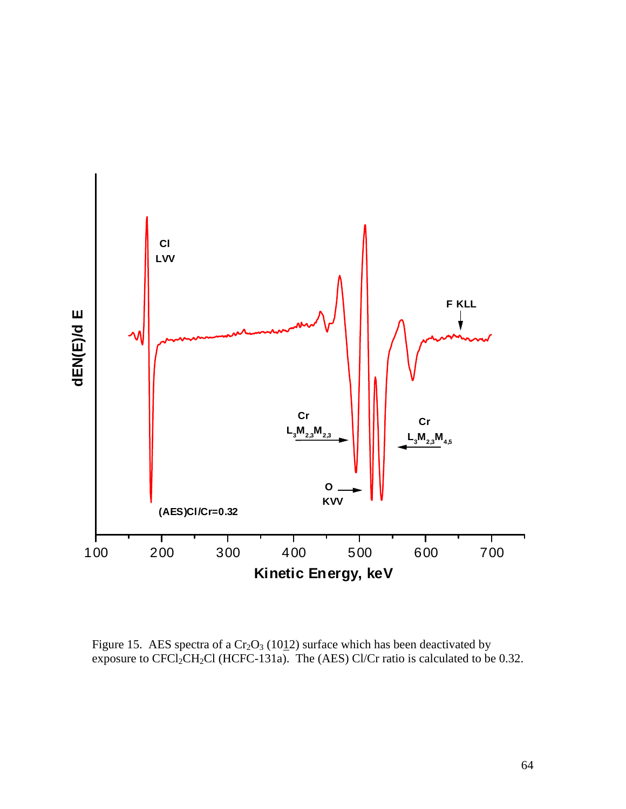

Figure 15. AES spectra of a  $Cr_2O_3$  (1012) surface which has been deactivated by exposure to  $CFCI_2CH_2Cl$  (HCFC-131a). The (AES) Cl/Cr ratio is calculated to be 0.32.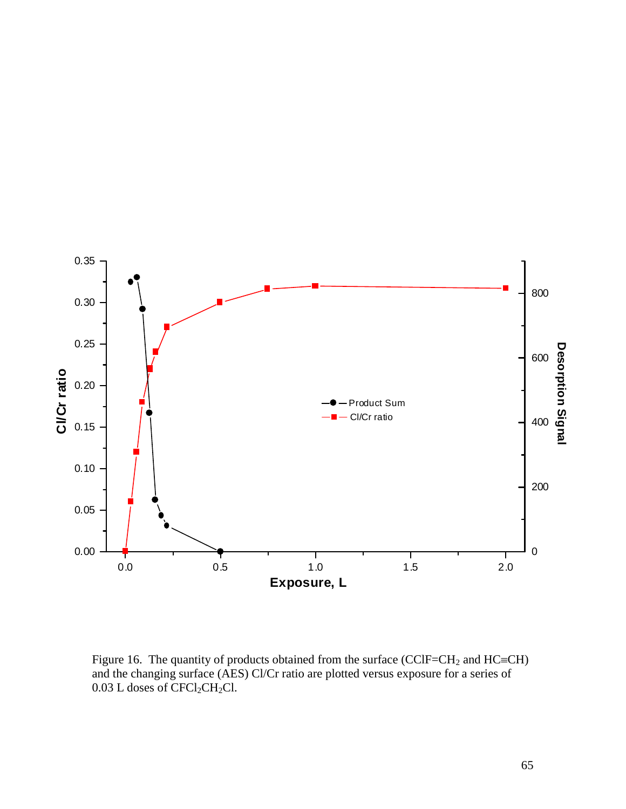

Figure 16. The quantity of products obtained from the surface (CClF=CH<sub>2</sub> and HC=CH) and the changing surface (AES) Cl/Cr ratio are plotted versus exposure for a series of  $0.03$  L doses of CFCl<sub>2</sub>CH<sub>2</sub>Cl.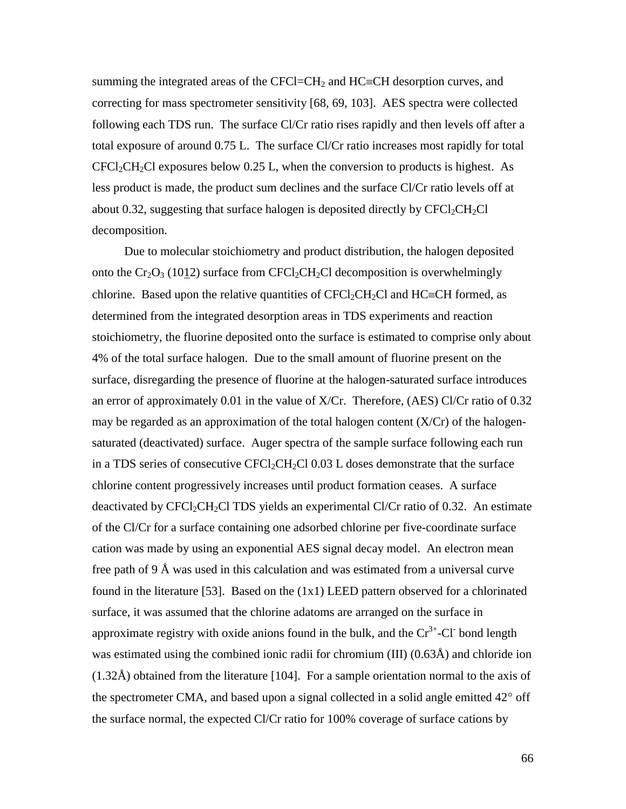summing the integrated areas of the CFCl=CH<sub>2</sub> and HC=CH desorption curves, and correcting for mass spectrometer sensitivity [68, 69, 103]. AES spectra were collected following each TDS run. The surface Cl/Cr ratio rises rapidly and then levels off after a total exposure of around 0.75 L. The surface Cl/Cr ratio increases most rapidly for total  $CFCI_2CH_2Cl$  exposures below 0.25 L, when the conversion to products is highest. As less product is made, the product sum declines and the surface Cl/Cr ratio levels off at about 0.32, suggesting that surface halogen is deposited directly by  $CFCl_2CH_2Cl$ decomposition.

Due to molecular stoichiometry and product distribution, the halogen deposited onto the  $Cr_2O_3$  (1012) surface from CFCl<sub>2</sub>CH<sub>2</sub>Cl decomposition is overwhelmingly chlorine. Based upon the relative quantities of  $CFCl_2CH_2Cl$  and  $HC=CH$  formed, as determined from the integrated desorption areas in TDS experiments and reaction stoichiometry, the fluorine deposited onto the surface is estimated to comprise only about 4% of the total surface halogen. Due to the small amount of fluorine present on the surface, disregarding the presence of fluorine at the halogen-saturated surface introduces an error of approximately 0.01 in the value of X/Cr. Therefore, (AES) Cl/Cr ratio of 0.32 may be regarded as an approximation of the total halogen content  $(X/Cr)$  of the halogensaturated (deactivated) surface. Auger spectra of the sample surface following each run in a TDS series of consecutive CFCl<sub>2</sub>CH<sub>2</sub>Cl 0.03 L doses demonstrate that the surface chlorine content progressively increases until product formation ceases. A surface deactivated by  $CFCI_2CH_2CI$  TDS yields an experimental Cl/Cr ratio of 0.32. An estimate of the Cl/Cr for a surface containing one adsorbed chlorine per five-coordinate surface cation was made by using an exponential AES signal decay model. An electron mean free path of 9 Å was used in this calculation and was estimated from a universal curve found in the literature [53]. Based on the  $(1x1)$  LEED pattern observed for a chlorinated surface, it was assumed that the chlorine adatoms are arranged on the surface in approximate registry with oxide anions found in the bulk, and the  $Cr^{3+}$ -Cl<sup>-</sup> bond length was estimated using the combined ionic radii for chromium (III) (0.63Å) and chloride ion (1.32Å) obtained from the literature [104]. For a sample orientation normal to the axis of the spectrometer CMA, and based upon a signal collected in a solid angle emitted  $42^{\circ}$  off the surface normal, the expected Cl/Cr ratio for 100% coverage of surface cations by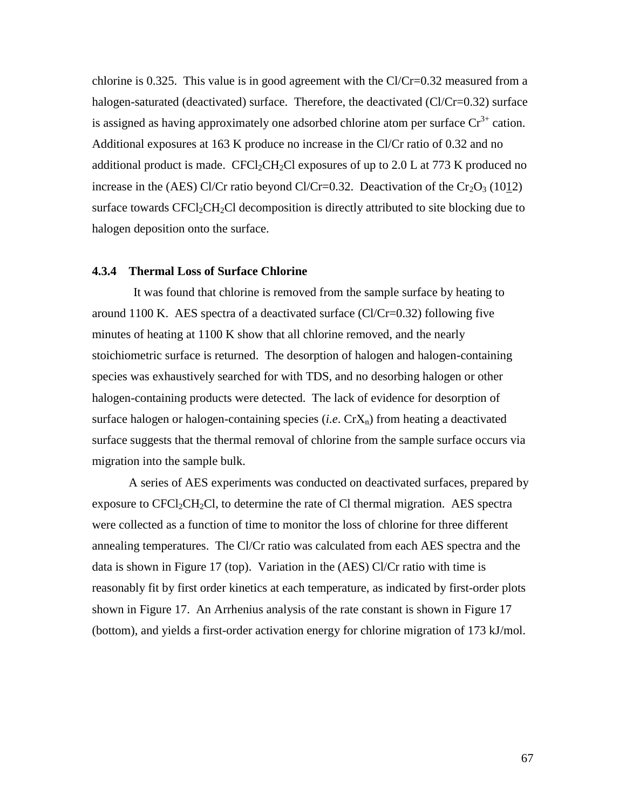chlorine is 0.325. This value is in good agreement with the  $Cl/Cr=0.32$  measured from a halogen-saturated (deactivated) surface. Therefore, the deactivated (Cl/Cr=0.32) surface is assigned as having approximately one adsorbed chlorine atom per surface  $Cr^{3+}$  cation. Additional exposures at 163 K produce no increase in the Cl/Cr ratio of 0.32 and no additional product is made. CFCl<sub>2</sub>CH<sub>2</sub>Cl exposures of up to 2.0 L at 773 K produced no increase in the (AES) Cl/Cr ratio beyond Cl/Cr=0.32. Deactivation of the  $Cr_2O_3$  (1012) surface towards  $CFCl_2CH_2Cl$  decomposition is directly attributed to site blocking due to halogen deposition onto the surface.

### **4.3.4 Thermal Loss of Surface Chlorine**

It was found that chlorine is removed from the sample surface by heating to around 1100 K. AES spectra of a deactivated surface  $(Cl/Cr=0.32)$  following five minutes of heating at 1100 K show that all chlorine removed, and the nearly stoichiometric surface is returned. The desorption of halogen and halogen-containing species was exhaustively searched for with TDS, and no desorbing halogen or other halogen-containing products were detected. The lack of evidence for desorption of surface halogen or halogen-containing species  $(i.e. CrX<sub>n</sub>)$  from heating a deactivated surface suggests that the thermal removal of chlorine from the sample surface occurs via migration into the sample bulk.

A series of AES experiments was conducted on deactivated surfaces, prepared by exposure to  $CFCI_2CH_2Cl$ , to determine the rate of Cl thermal migration. AES spectra were collected as a function of time to monitor the loss of chlorine for three different annealing temperatures. The Cl/Cr ratio was calculated from each AES spectra and the data is shown in Figure 17 (top). Variation in the (AES) Cl/Cr ratio with time is reasonably fit by first order kinetics at each temperature, as indicated by first-order plots shown in Figure 17. An Arrhenius analysis of the rate constant is shown in Figure 17 (bottom), and yields a first-order activation energy for chlorine migration of 173 kJ/mol.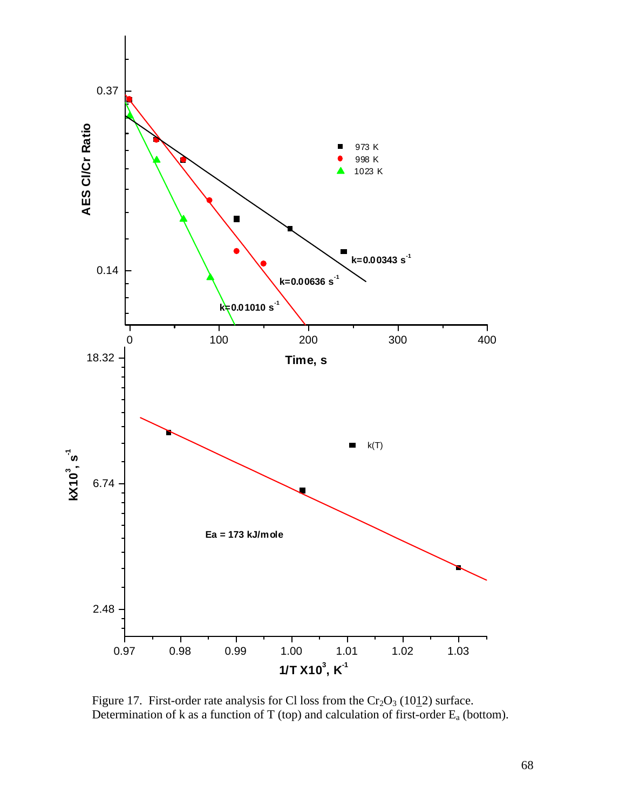

Figure 17. First-order rate analysis for Cl loss from the  $Cr_2O_3$  (1012) surface. Determination of k as a function of T (top) and calculation of first-order Ea (bottom).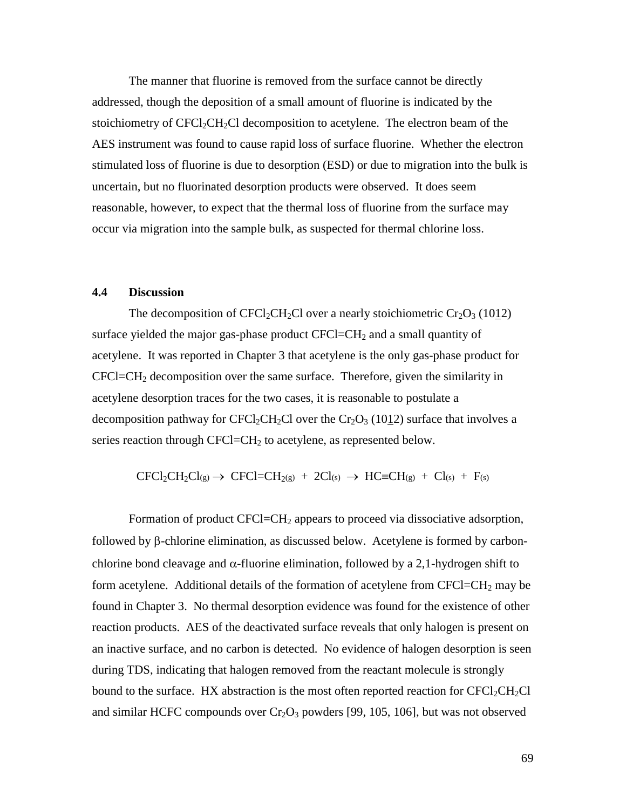The manner that fluorine is removed from the surface cannot be directly addressed, though the deposition of a small amount of fluorine is indicated by the stoichiometry of  $CFCl_2CH_2Cl$  decomposition to acetylene. The electron beam of the AES instrument was found to cause rapid loss of surface fluorine. Whether the electron stimulated loss of fluorine is due to desorption (ESD) or due to migration into the bulk is uncertain, but no fluorinated desorption products were observed. It does seem reasonable, however, to expect that the thermal loss of fluorine from the surface may occur via migration into the sample bulk, as suspected for thermal chlorine loss.

## **4.4 Discussion**

The decomposition of CFCl<sub>2</sub>CH<sub>2</sub>Cl over a nearly stoichiometric Cr<sub>2</sub>O<sub>3</sub> (1012) surface yielded the major gas-phase product  $CFCI = CH<sub>2</sub>$  and a small quantity of acetylene. It was reported in Chapter 3 that acetylene is the only gas-phase product for  $CFCI=CH<sub>2</sub>$  decomposition over the same surface. Therefore, given the similarity in acetylene desorption traces for the two cases, it is reasonable to postulate a decomposition pathway for  $CFCl_2CH_2Cl$  over the  $Cr_2O_3$  (1012) surface that involves a series reaction through CFCl=CH<sub>2</sub> to acetylene, as represented below.

$$
CFCl_2CH_2Cl_{(g)} \rightarrow \text{CFCl} = CH_{2(g)} + 2Cl_{(s)} \rightarrow \text{HC} \equiv CH_{(g)} + Cl_{(s)} + F_{(s)}
$$

Formation of product CFCl=CH<sub>2</sub> appears to proceed via dissociative adsorption, followed by  $\beta$ -chlorine elimination, as discussed below. Acetylene is formed by carbonchlorine bond cleavage and  $\alpha$ -fluorine elimination, followed by a 2,1-hydrogen shift to form acetylene. Additional details of the formation of acetylene from  $CFCI = CH<sub>2</sub>$  may be found in Chapter 3. No thermal desorption evidence was found for the existence of other reaction products. AES of the deactivated surface reveals that only halogen is present on an inactive surface, and no carbon is detected. No evidence of halogen desorption is seen during TDS, indicating that halogen removed from the reactant molecule is strongly bound to the surface. HX abstraction is the most often reported reaction for  $CFCl_2CH_2Cl$ and similar HCFC compounds over  $Cr_2O_3$  powders [99, 105, 106], but was not observed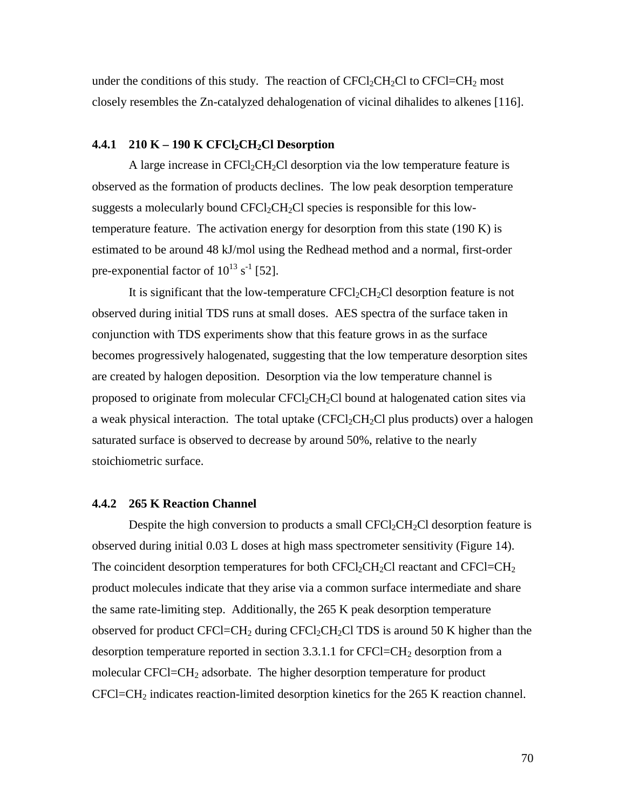under the conditions of this study. The reaction of  $CFCl_2CH_2Cl$  to  $CFCl=CH_2$  most closely resembles the Zn-catalyzed dehalogenation of vicinal dihalides to alkenes [116].

## **4.4.1** 210 K – 190 K CFCl<sub>2</sub>CH<sub>2</sub>Cl Desorption

A large increase in  $CFCI_2CH_2Cl$  desorption via the low temperature feature is observed as the formation of products declines. The low peak desorption temperature suggests a molecularly bound  $CFCI_2CH_2Cl$  species is responsible for this lowtemperature feature. The activation energy for desorption from this state  $(190 \text{ K})$  is estimated to be around 48 kJ/mol using the Redhead method and a normal, first-order pre-exponential factor of  $10^{13}$  s<sup>-1</sup> [52].

It is significant that the low-temperature  $CFCl_2CH_2Cl$  desorption feature is not observed during initial TDS runs at small doses. AES spectra of the surface taken in conjunction with TDS experiments show that this feature grows in as the surface becomes progressively halogenated, suggesting that the low temperature desorption sites are created by halogen deposition. Desorption via the low temperature channel is proposed to originate from molecular  $CFCl_2CH_2Cl$  bound at halogenated cation sites via a weak physical interaction. The total uptake  $(CFCl<sub>2</sub>CH<sub>2</sub>Cl$  plus products) over a halogen saturated surface is observed to decrease by around 50%, relative to the nearly stoichiometric surface.

## **4.4.2 265 K Reaction Channel**

Despite the high conversion to products a small  $CFCl_2CH_2Cl$  desorption feature is observed during initial 0.03 L doses at high mass spectrometer sensitivity (Figure 14). The coincident desorption temperatures for both  $CFCl_2CH_2Cl$  reactant and  $CFCl=CH_2$ product molecules indicate that they arise via a common surface intermediate and share the same rate-limiting step. Additionally, the 265 K peak desorption temperature observed for product CFCl=CH<sub>2</sub> during CFCl<sub>2</sub>CH<sub>2</sub>Cl TDS is around 50 K higher than the desorption temperature reported in section  $3.3.1.1$  for CFCl=CH<sub>2</sub> desorption from a molecular CFCl=CH<sub>2</sub> adsorbate. The higher desorption temperature for product  $CFCI=CH<sub>2</sub>$  indicates reaction-limited desorption kinetics for the 265 K reaction channel.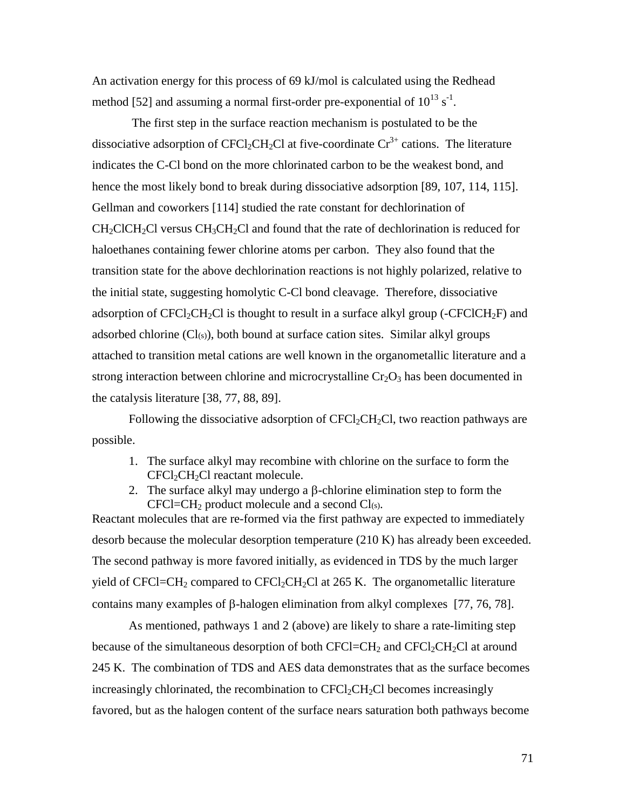An activation energy for this process of 69 kJ/mol is calculated using the Redhead method [52] and assuming a normal first-order pre-exponential of  $10^{13}$  s<sup>-1</sup>.

 The first step in the surface reaction mechanism is postulated to be the dissociative adsorption of CFCl<sub>2</sub>CH<sub>2</sub>Cl at five-coordinate  $Cr^{3+}$  cations. The literature indicates the C-Cl bond on the more chlorinated carbon to be the weakest bond, and hence the most likely bond to break during dissociative adsorption [89, 107, 114, 115]. Gellman and coworkers [114] studied the rate constant for dechlorination of  $CH_2ClCH_2Cl$  versus  $CH_3CH_2Cl$  and found that the rate of dechlorination is reduced for haloethanes containing fewer chlorine atoms per carbon. They also found that the transition state for the above dechlorination reactions is not highly polarized, relative to the initial state, suggesting homolytic C-Cl bond cleavage. Therefore, dissociative adsorption of CFCl<sub>2</sub>CH<sub>2</sub>Cl is thought to result in a surface alkyl group (-CFClCH<sub>2</sub>F) and adsorbed chlorine  $(Cl<sub>(s)</sub>)$ , both bound at surface cation sites. Similar alkyl groups attached to transition metal cations are well known in the organometallic literature and a strong interaction between chlorine and microcrystalline  $Cr_2O_3$  has been documented in the catalysis literature [38, 77, 88, 89].

Following the dissociative adsorption of  $CFCl<sub>2</sub>CH<sub>2</sub>Cl$ , two reaction pathways are possible.

- 1. The surface alkyl may recombine with chlorine on the surface to form the  $CFCI_2CH_2Cl$  reactant molecule.
- 2. The surface alkyl may undergo a  $\beta$ -chlorine elimination step to form the  $CFCI = CH<sub>2</sub>$  product molecule and a second  $Cl<sub>(s)</sub>$ .

Reactant molecules that are re-formed via the first pathway are expected to immediately desorb because the molecular desorption temperature (210 K) has already been exceeded. The second pathway is more favored initially, as evidenced in TDS by the much larger yield of CFCl=CH<sub>2</sub> compared to CFCl<sub>2</sub>CH<sub>2</sub>Cl at 265 K. The organometallic literature contains many examples of  $\beta$ -halogen elimination from alkyl complexes [77, 76, 78].

As mentioned, pathways 1 and 2 (above) are likely to share a rate-limiting step because of the simultaneous desorption of both  $CFCl = CH<sub>2</sub>$  and  $CFCl<sub>2</sub>CH<sub>2</sub>Cl$  at around 245 K. The combination of TDS and AES data demonstrates that as the surface becomes increasingly chlorinated, the recombination to  $CFCl_2CH_2Cl$  becomes increasingly favored, but as the halogen content of the surface nears saturation both pathways become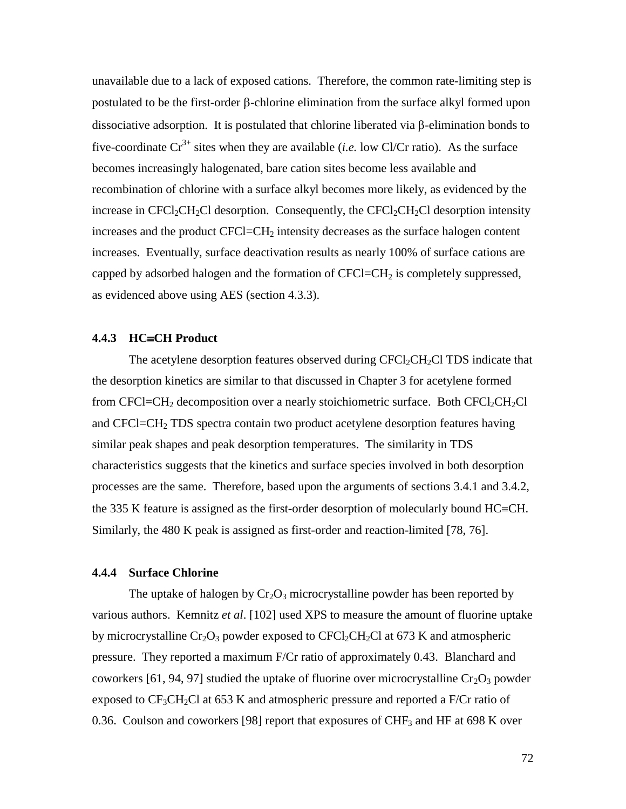unavailable due to a lack of exposed cations. Therefore, the common rate-limiting step is postulated to be the first-order  $\beta$ -chlorine elimination from the surface alkyl formed upon dissociative adsorption. It is postulated that chlorine liberated via  $\beta$ -elimination bonds to five-coordinate  $Cr^{3+}$  sites when they are available (*i.e.* low Cl/Cr ratio). As the surface becomes increasingly halogenated, bare cation sites become less available and recombination of chlorine with a surface alkyl becomes more likely, as evidenced by the increase in CFCl<sub>2</sub>CH<sub>2</sub>Cl desorption. Consequently, the CFCl<sub>2</sub>CH<sub>2</sub>Cl desorption intensity increases and the product  $CFCI = CH<sub>2</sub>$  intensity decreases as the surface halogen content increases. Eventually, surface deactivation results as nearly 100% of surface cations are capped by adsorbed halogen and the formation of  $CFCI=CH<sub>2</sub>$  is completely suppressed, as evidenced above using AES (section 4.3.3).

## 4.4.3 HC=CH Product

The acetylene desorption features observed during  $CFCl<sub>2</sub>CH<sub>2</sub>Cl$  TDS indicate that the desorption kinetics are similar to that discussed in Chapter 3 for acetylene formed from CFCl=CH<sub>2</sub> decomposition over a nearly stoichiometric surface. Both CFCl<sub>2</sub>CH<sub>2</sub>Cl and CFCl=CH2 TDS spectra contain two product acetylene desorption features having similar peak shapes and peak desorption temperatures. The similarity in TDS characteristics suggests that the kinetics and surface species involved in both desorption processes are the same. Therefore, based upon the arguments of sections 3.4.1 and 3.4.2, the 335 K feature is assigned as the first-order desorption of molecularly bound  $HC=CH$ . Similarly, the 480 K peak is assigned as first-order and reaction-limited [78, 76].

# **4.4.4 Surface Chlorine**

The uptake of halogen by  $Cr_2O_3$  microcrystalline powder has been reported by various authors. Kemnitz *et al*. [102] used XPS to measure the amount of fluorine uptake by microcrystalline  $Cr_2O_3$  powder exposed to  $CFCl_2CH_2Cl$  at 673 K and atmospheric pressure. They reported a maximum F/Cr ratio of approximately 0.43. Blanchard and coworkers [61, 94, 97] studied the uptake of fluorine over microcrystalline  $Cr_2O_3$  powder exposed to  $CF_3CH_2Cl$  at 653 K and atmospheric pressure and reported a F/Cr ratio of 0.36. Coulson and coworkers [98] report that exposures of CHF<sub>3</sub> and HF at 698 K over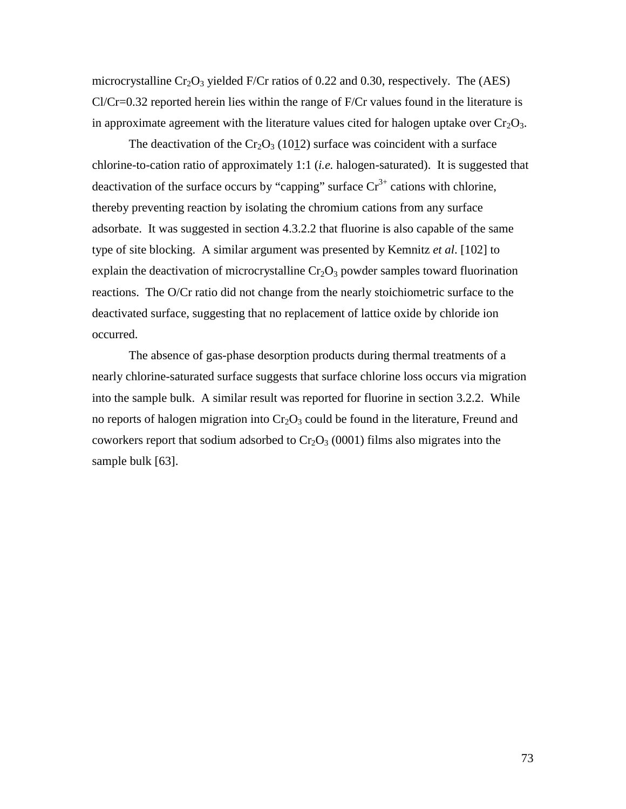microcrystalline  $Cr_2O_3$  yielded F/Cr ratios of 0.22 and 0.30, respectively. The (AES)  $Cl/Cr=0.32$  reported herein lies within the range of  $F/Cr$  values found in the literature is in approximate agreement with the literature values cited for halogen uptake over  $Cr_2O_3$ .

The deactivation of the  $Cr_2O_3$  (1012) surface was coincident with a surface chlorine-to-cation ratio of approximately 1:1 (*i.e.* halogen-saturated). It is suggested that deactivation of the surface occurs by "capping" surface  $Cr^{3+}$  cations with chlorine, thereby preventing reaction by isolating the chromium cations from any surface adsorbate. It was suggested in section 4.3.2.2 that fluorine is also capable of the same type of site blocking. A similar argument was presented by Kemnitz *et al*. [102] to explain the deactivation of microcrystalline  $Cr_2O_3$  powder samples toward fluorination reactions. The O/Cr ratio did not change from the nearly stoichiometric surface to the deactivated surface, suggesting that no replacement of lattice oxide by chloride ion occurred.

The absence of gas-phase desorption products during thermal treatments of a nearly chlorine-saturated surface suggests that surface chlorine loss occurs via migration into the sample bulk. A similar result was reported for fluorine in section 3.2.2. While no reports of halogen migration into  $Cr_2O_3$  could be found in the literature, Freund and coworkers report that sodium adsorbed to  $Cr_2O_3$  (0001) films also migrates into the sample bulk [63].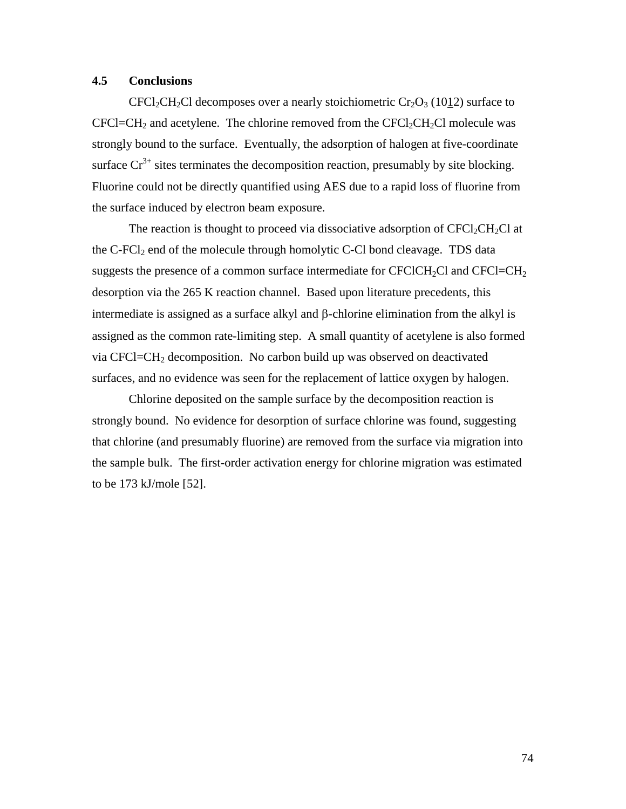# **4.5 Conclusions**

CFCl<sub>2</sub>CH<sub>2</sub>Cl decomposes over a nearly stoichiometric Cr<sub>2</sub>O<sub>3</sub> (1012) surface to  $CFCI = CH<sub>2</sub>$  and acetylene. The chlorine removed from the  $CFCI<sub>2</sub>CH<sub>2</sub>Cl$  molecule was strongly bound to the surface. Eventually, the adsorption of halogen at five-coordinate surface  $Cr^{3+}$  sites terminates the decomposition reaction, presumably by site blocking. Fluorine could not be directly quantified using AES due to a rapid loss of fluorine from the surface induced by electron beam exposure.

The reaction is thought to proceed via dissociative adsorption of  $CFCI_2CH_2Cl$  at the  $C$ - $FCI<sub>2</sub>$  end of the molecule through homolytic  $C$ - $CI$  bond cleavage. TDS data suggests the presence of a common surface intermediate for  $CFCICH_2Cl$  and  $CFCI=CH_2$ desorption via the 265 K reaction channel. Based upon literature precedents, this intermediate is assigned as a surface alkyl and  $\beta$ -chlorine elimination from the alkyl is assigned as the common rate-limiting step. A small quantity of acetylene is also formed via CFCl=CH2 decomposition. No carbon build up was observed on deactivated surfaces, and no evidence was seen for the replacement of lattice oxygen by halogen.

Chlorine deposited on the sample surface by the decomposition reaction is strongly bound. No evidence for desorption of surface chlorine was found, suggesting that chlorine (and presumably fluorine) are removed from the surface via migration into the sample bulk. The first-order activation energy for chlorine migration was estimated to be 173 kJ/mole [52].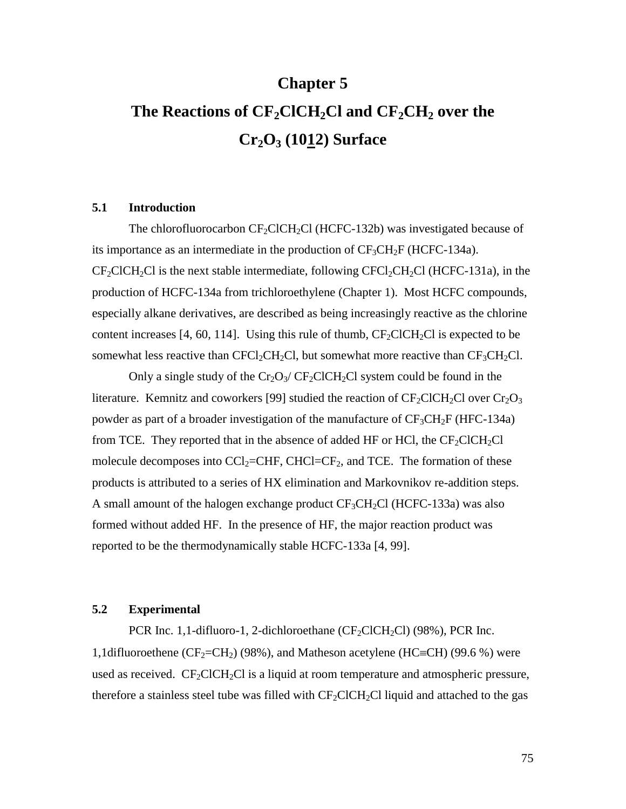# **Chapter 5** The Reactions of CF<sub>2</sub>ClCH<sub>2</sub>Cl and CF<sub>2</sub>CH<sub>2</sub> over the **Cr2O3 (1012) Surface**

## **5.1 Introduction**

The chlorofluorocarbon  $CF_2CICH_2Cl(HCFC-132b)$  was investigated because of its importance as an intermediate in the production of  $CF_3CH_2F$  (HCFC-134a).  $CF_2CICH_2Cl$  is the next stable intermediate, following  $CFC1_2CH_2Cl$  (HCFC-131a), in the production of HCFC-134a from trichloroethylene (Chapter 1). Most HCFC compounds, especially alkane derivatives, are described as being increasingly reactive as the chlorine content increases [4, 60, 114]. Using this rule of thumb,  $CF_2CICH_2Cl$  is expected to be somewhat less reactive than  $CFCl_2CH_2Cl$ , but somewhat more reactive than  $CF_3CH_2Cl$ .

Only a single study of the  $Cr_2O_3/CF_2CICH_2Cl$  system could be found in the literature. Kemnitz and coworkers [99] studied the reaction of  $CF_2ClCH_2Cl$  over  $Cr_2O_3$ powder as part of a broader investigation of the manufacture of  $CF_3CH_2F$  (HFC-134a) from TCE. They reported that in the absence of added HF or HCl, the  $CF_2CICH_2Cl$ molecule decomposes into  $\text{CC}l_2$ =CHF, CHCl=CF<sub>2</sub>, and TCE. The formation of these products is attributed to a series of HX elimination and Markovnikov re-addition steps. A small amount of the halogen exchange product  $CF_3CH_2Cl$  (HCFC-133a) was also formed without added HF. In the presence of HF, the major reaction product was reported to be the thermodynamically stable HCFC-133a [4, 99].

# **5.2 Experimental**

PCR Inc. 1,1-difluoro-1, 2-dichloroethane  $(CF_2ClCH_2Cl)$  (98%), PCR Inc. 1,1difluoroethene ( $CF_2=CH_2$ ) (98%), and Matheson acetylene ( $HC=CH$ ) (99.6 %) were used as received.  $CF_2CICH_2Cl$  is a liquid at room temperature and atmospheric pressure, therefore a stainless steel tube was filled with  $CF_2CICH_2Cl$  liquid and attached to the gas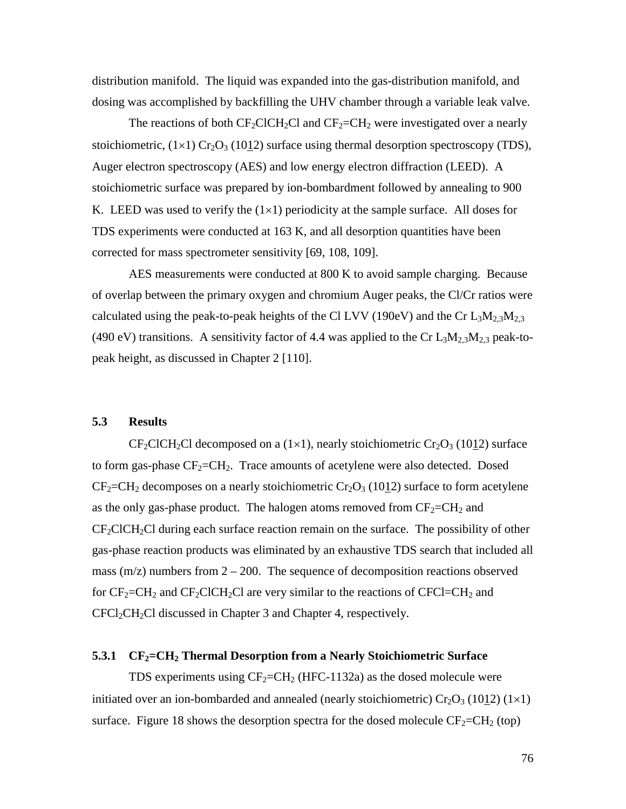distribution manifold. The liquid was expanded into the gas-distribution manifold, and dosing was accomplished by backfilling the UHV chamber through a variable leak valve.

The reactions of both  $CF_2CICH_2Cl$  and  $CF_2=CH_2$  were investigated over a nearly stoichiometric,  $(1\times1)$  Cr<sub>2</sub>O<sub>3</sub> (1012) surface using thermal desorption spectroscopy (TDS), Auger electron spectroscopy (AES) and low energy electron diffraction (LEED). A stoichiometric surface was prepared by ion-bombardment followed by annealing to 900 K. LEED was used to verify the  $(1\times1)$  periodicity at the sample surface. All doses for TDS experiments were conducted at 163 K, and all desorption quantities have been corrected for mass spectrometer sensitivity [69, 108, 109].

AES measurements were conducted at 800 K to avoid sample charging. Because of overlap between the primary oxygen and chromium Auger peaks, the Cl/Cr ratios were calculated using the peak-to-peak heights of the Cl LVV (190eV) and the Cr  $L_3M_{2,3}M_{2,3}$ (490 eV) transitions. A sensitivity factor of 4.4 was applied to the Cr  $L_3M_{2,3}M_{2,3}$  peak-topeak height, as discussed in Chapter 2 [110].

## **5.3 Results**

 $CF_2CICH_2Cl$  decomposed on a (1×1), nearly stoichiometric  $Cr_2O_3$  (1012) surface to form gas-phase  $CF_2=CH_2$ . Trace amounts of acetylene were also detected. Dosed  $CF_2=CH_2$  decomposes on a nearly stoichiometric  $Cr_2O_3$  (1012) surface to form acetylene as the only gas-phase product. The halogen atoms removed from  $CF_2=CH_2$  and  $CF_2CICH_2Cl$  during each surface reaction remain on the surface. The possibility of other gas-phase reaction products was eliminated by an exhaustive TDS search that included all mass  $(m/z)$  numbers from  $2 - 200$ . The sequence of decomposition reactions observed for  $CF_2=CH_2$  and  $CF_2ClCH_2Cl$  are very similar to the reactions of  $CFCI=CH_2$  and  $CFCl<sub>2</sub>CH<sub>2</sub>Cl$  discussed in Chapter 3 and Chapter 4, respectively.

#### **5.3.1 CF<sub>2</sub>=CH<sub>2</sub> Thermal Desorption from a Nearly Stoichiometric Surface**

TDS experiments using  $CF_2=CH_2$  (HFC-1132a) as the dosed molecule were initiated over an ion-bombarded and annealed (nearly stoichiometric)  $Cr_2O_3$  (1012) (1×1) surface. Figure 18 shows the desorption spectra for the dosed molecule  $CF_2=CH_2$  (top)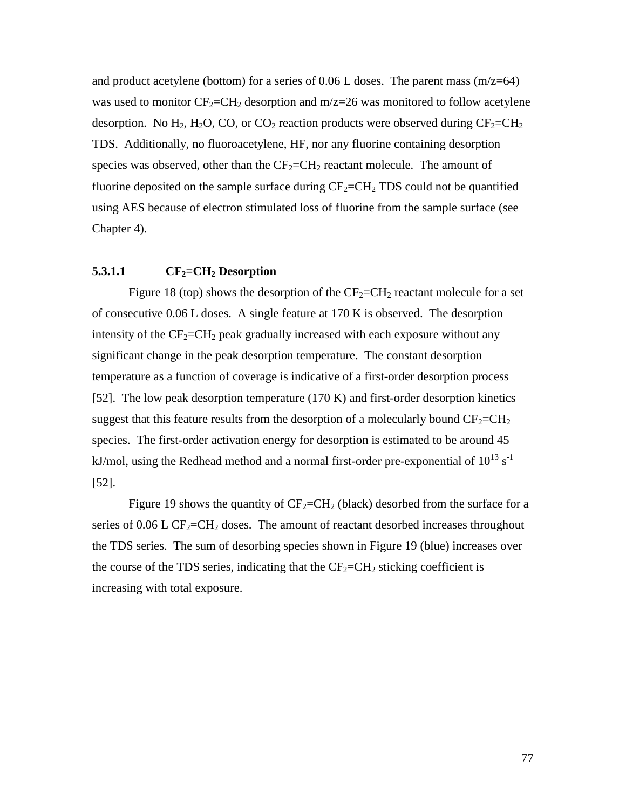and product acetylene (bottom) for a series of 0.06 L doses. The parent mass  $(m/z=64)$ was used to monitor  $CF_2=CH_2$  desorption and  $m/z=26$  was monitored to follow acetylene desorption. No  $H_2$ ,  $H_2O$ , CO, or CO<sub>2</sub> reaction products were observed during  $CF_2=CH_2$ TDS. Additionally, no fluoroacetylene, HF, nor any fluorine containing desorption species was observed, other than the  $CF_2=CH_2$  reactant molecule. The amount of fluorine deposited on the sample surface during  $CF_2=CH_2$  TDS could not be quantified using AES because of electron stimulated loss of fluorine from the sample surface (see Chapter 4).

## $5.3.1.1$  CF<sub>2</sub>=CH<sub>2</sub> Desorption

Figure 18 (top) shows the desorption of the  $CF_2=CH_2$  reactant molecule for a set of consecutive 0.06 L doses. A single feature at 170 K is observed. The desorption intensity of the  $CF_2=CH_2$  peak gradually increased with each exposure without any significant change in the peak desorption temperature. The constant desorption temperature as a function of coverage is indicative of a first-order desorption process [52]. The low peak desorption temperature (170 K) and first-order desorption kinetics suggest that this feature results from the desorption of a molecularly bound  $CF_2=CH_2$ species. The first-order activation energy for desorption is estimated to be around 45 kJ/mol, using the Redhead method and a normal first-order pre-exponential of  $10^{13}$  s<sup>-1</sup> [52].

Figure 19 shows the quantity of  $CF_2=CH_2$  (black) desorbed from the surface for a series of  $0.06$  L CF<sub>2</sub>=CH<sub>2</sub> doses. The amount of reactant desorbed increases throughout the TDS series. The sum of desorbing species shown in Figure 19 (blue) increases over the course of the TDS series, indicating that the  $CF_2=CH_2$  sticking coefficient is increasing with total exposure.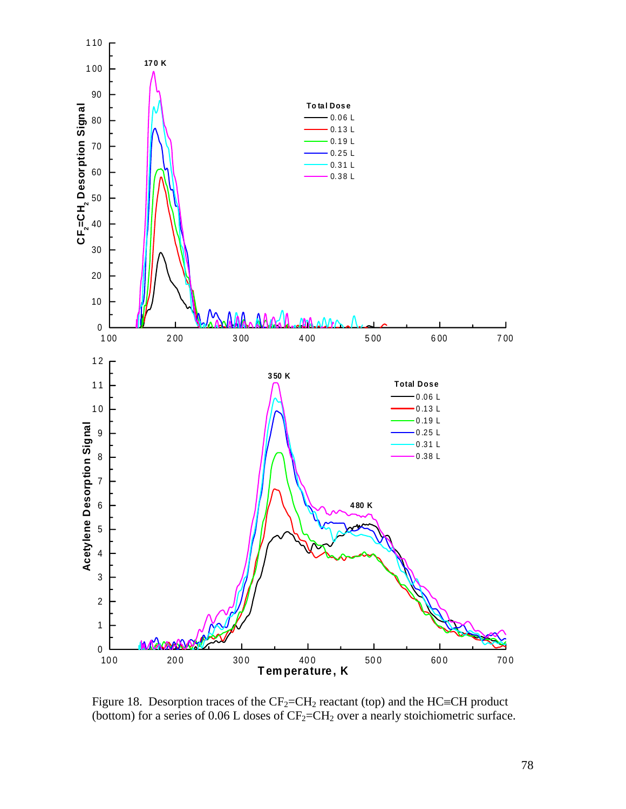

Figure 18. Desorption traces of the  $CF_2=CH_2$  reactant (top) and the HC=CH product (bottom) for a series of 0.06 L doses of  $CF_2=CH_2$  over a nearly stoichiometric surface.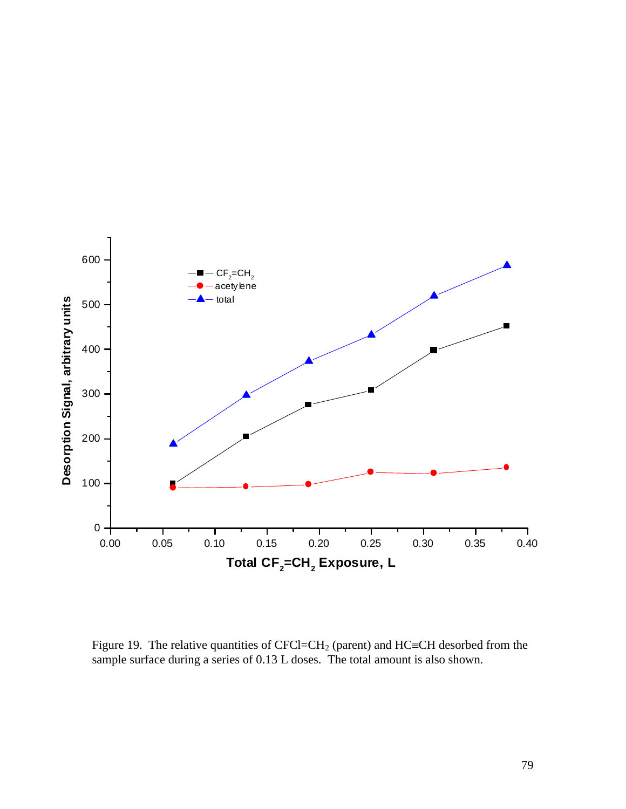

Figure 19. The relative quantities of CFCl=CH<sub>2</sub> (parent) and HC=CH desorbed from the sample surface during a series of 0.13 L doses. The total amount is also shown.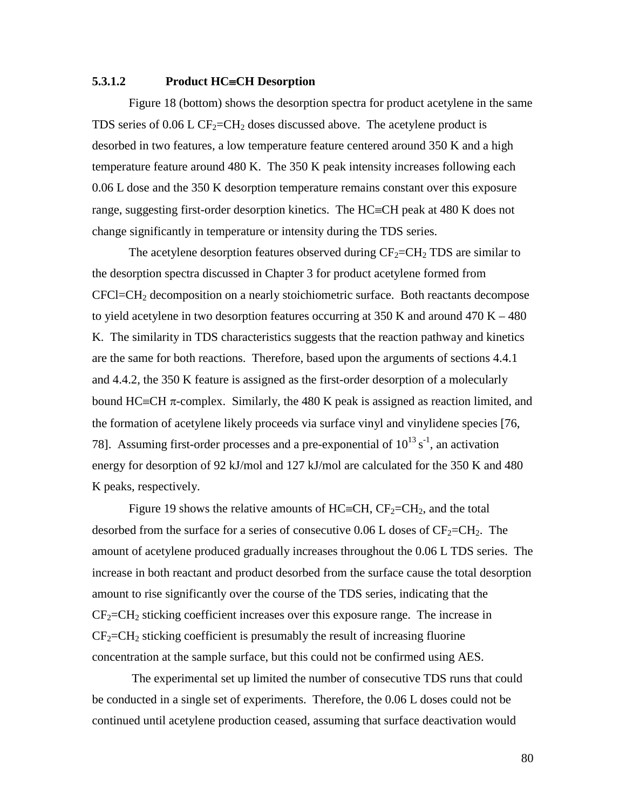## **5.3.1.2** Product HC=CH Desorption

Figure 18 (bottom) shows the desorption spectra for product acetylene in the same TDS series of 0.06 L CF<sub>2</sub>=CH<sub>2</sub> doses discussed above. The acetylene product is desorbed in two features, a low temperature feature centered around 350 K and a high temperature feature around 480 K. The 350 K peak intensity increases following each 0.06 L dose and the 350 K desorption temperature remains constant over this exposure range, suggesting first-order desorption kinetics. The  $HC=CH$  peak at 480 K does not change significantly in temperature or intensity during the TDS series.

The acetylene desorption features observed during  $CF_2=CH_2$  TDS are similar to the desorption spectra discussed in Chapter 3 for product acetylene formed from CFCl=CH2 decomposition on a nearly stoichiometric surface. Both reactants decompose to yield acetylene in two desorption features occurring at  $350$  K and around  $470$  K  $-480$ K. The similarity in TDS characteristics suggests that the reaction pathway and kinetics are the same for both reactions. Therefore, based upon the arguments of sections 4.4.1 and 4.4.2, the 350 K feature is assigned as the first-order desorption of a molecularly bound  $HC = CH \pi$ -complex. Similarly, the 480 K peak is assigned as reaction limited, and the formation of acetylene likely proceeds via surface vinyl and vinylidene species [76, 78]. Assuming first-order processes and a pre-exponential of  $10^{13}$  s<sup>-1</sup>, an activation energy for desorption of 92 kJ/mol and 127 kJ/mol are calculated for the 350 K and 480 K peaks, respectively.

Figure 19 shows the relative amounts of HC=CH,  $CF_2=CH_2$ , and the total desorbed from the surface for a series of consecutive  $0.06$  L doses of  $CF_2=CH_2$ . The amount of acetylene produced gradually increases throughout the 0.06 L TDS series. The increase in both reactant and product desorbed from the surface cause the total desorption amount to rise significantly over the course of the TDS series, indicating that the  $CF_2=CH_2$  sticking coefficient increases over this exposure range. The increase in  $CF<sub>2</sub>=CH<sub>2</sub>$  sticking coefficient is presumably the result of increasing fluorine concentration at the sample surface, but this could not be confirmed using AES.

 The experimental set up limited the number of consecutive TDS runs that could be conducted in a single set of experiments. Therefore, the 0.06 L doses could not be continued until acetylene production ceased, assuming that surface deactivation would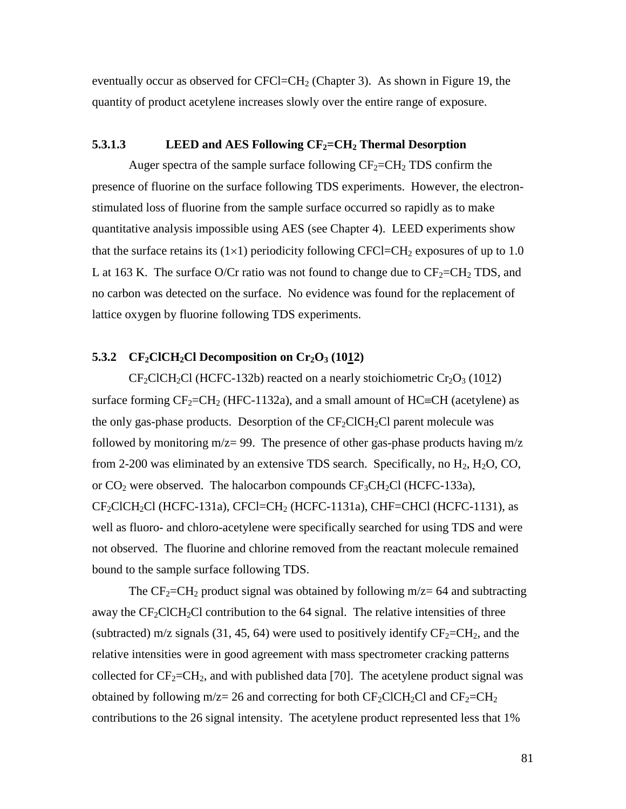eventually occur as observed for CFCl=CH<sub>2</sub> (Chapter 3). As shown in Figure 19, the quantity of product acetylene increases slowly over the entire range of exposure.

## **5.3.1.3** LEED and AES Following  $CF_2=CH_2$  Thermal Desorption

Auger spectra of the sample surface following  $CF_2=CH_2$  TDS confirm the presence of fluorine on the surface following TDS experiments. However, the electronstimulated loss of fluorine from the sample surface occurred so rapidly as to make quantitative analysis impossible using AES (see Chapter 4). LEED experiments show that the surface retains its  $(1\times1)$  periodicity following CFCl=CH<sub>2</sub> exposures of up to 1.0 L at 163 K. The surface O/Cr ratio was not found to change due to  $CF_2=CH_2$  TDS, and no carbon was detected on the surface. No evidence was found for the replacement of lattice oxygen by fluorine following TDS experiments.

## 5.3.2 CF<sub>2</sub>ClCH<sub>2</sub>Cl Decomposition on Cr<sub>2</sub>O<sub>3</sub> (1012)

 $CF_2CICH_2Cl$  (HCFC-132b) reacted on a nearly stoichiometric  $Cr_2O_3$  (1012) surface forming  $CF_2=CH_2$  (HFC-1132a), and a small amount of HC=CH (acetylene) as the only gas-phase products. Desorption of the  $CF_2CICH_2Cl$  parent molecule was followed by monitoring  $m/z = 99$ . The presence of other gas-phase products having  $m/z$ from 2-200 was eliminated by an extensive TDS search. Specifically, no  $H_2$ ,  $H_2O$ , CO, or  $CO_2$  were observed. The halocarbon compounds  $CF_3CH_2Cl$  (HCFC-133a),  $CF_2CICH_2Cl$  (HCFC-131a), CFCl=CH<sub>2</sub> (HCFC-1131a), CHF=CHCl (HCFC-1131), as well as fluoro- and chloro-acetylene were specifically searched for using TDS and were not observed. The fluorine and chlorine removed from the reactant molecule remained bound to the sample surface following TDS.

The  $CF_2=CH_2$  product signal was obtained by following m/z= 64 and subtracting away the  $CF_2CICH_2Cl$  contribution to the 64 signal. The relative intensities of three (subtracted) m/z signals (31, 45, 64) were used to positively identify  $CF_2=CH_2$ , and the relative intensities were in good agreement with mass spectrometer cracking patterns collected for  $CF_2=CH_2$ , and with published data [70]. The acetylene product signal was obtained by following m/z= 26 and correcting for both  $CF_2CICH_2Cl$  and  $CF_2=CH_2$ contributions to the 26 signal intensity. The acetylene product represented less that 1%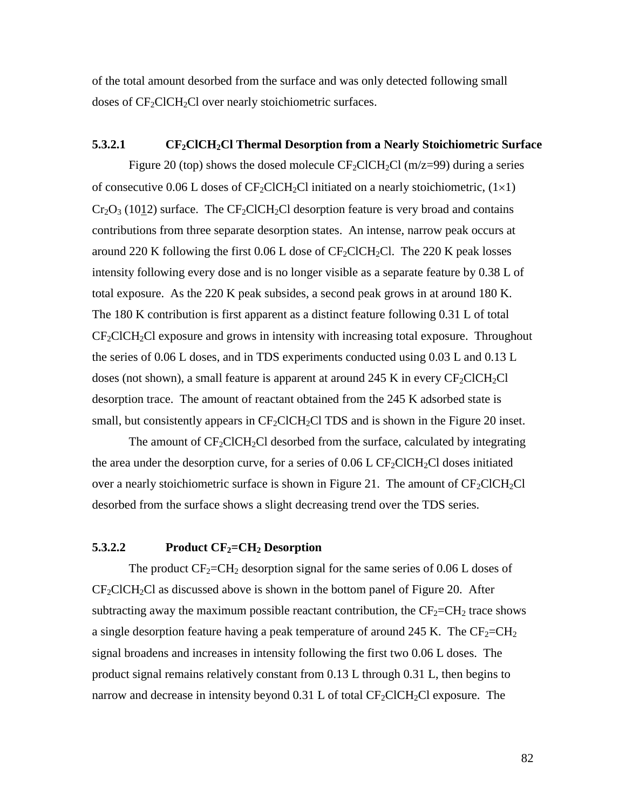of the total amount desorbed from the surface and was only detected following small doses of  $CF_2CICH_2Cl$  over nearly stoichiometric surfaces.

#### **5.3.2.1** CF<sub>2</sub>ClCH<sub>2</sub>Cl Thermal Desorption from a Nearly Stoichiometric Surface

Figure 20 (top) shows the dosed molecule  $CF_2CICH_2Cl$  (m/z=99) during a series of consecutive 0.06 L doses of  $CF_2ClCH_2Cl$  initiated on a nearly stoichiometric,  $(1\times1)$  $Cr_2O_3$  (1012) surface. The CF<sub>2</sub>ClCH<sub>2</sub>Cl desorption feature is very broad and contains contributions from three separate desorption states. An intense, narrow peak occurs at around 220 K following the first 0.06 L dose of  $CF_2CICH_2Cl$ . The 220 K peak losses intensity following every dose and is no longer visible as a separate feature by 0.38 L of total exposure. As the 220 K peak subsides, a second peak grows in at around 180 K. The 180 K contribution is first apparent as a distinct feature following 0.31 L of total  $CF<sub>2</sub>CICH<sub>2</sub>CI$  exposure and grows in intensity with increasing total exposure. Throughout the series of 0.06 L doses, and in TDS experiments conducted using 0.03 L and 0.13 L doses (not shown), a small feature is apparent at around 245 K in every  $CF_2CICH_2Cl$ desorption trace. The amount of reactant obtained from the 245 K adsorbed state is small, but consistently appears in  $CF_2CICH_2CI$  TDS and is shown in the Figure 20 inset.

The amount of  $CF_2CICH_2Cl$  desorbed from the surface, calculated by integrating the area under the desorption curve, for a series of  $0.06$  L CF<sub>2</sub>ClCH<sub>2</sub>Cl doses initiated over a nearly stoichiometric surface is shown in Figure 21. The amount of  $CF_2CICH_2Cl$ desorbed from the surface shows a slight decreasing trend over the TDS series.

# **5.3.2.2** Product  $CF_2=CH_2$  Desorption

The product  $CF_2=CH_2$  desorption signal for the same series of 0.06 L doses of  $CF_2CICH_2Cl$  as discussed above is shown in the bottom panel of Figure 20. After subtracting away the maximum possible reactant contribution, the  $CF_2=CH_2$  trace shows a single desorption feature having a peak temperature of around 245 K. The  $CF_2=CH_2$ signal broadens and increases in intensity following the first two 0.06 L doses. The product signal remains relatively constant from 0.13 L through 0.31 L, then begins to narrow and decrease in intensity beyond  $0.31$  L of total CF<sub>2</sub>ClCH<sub>2</sub>Cl exposure. The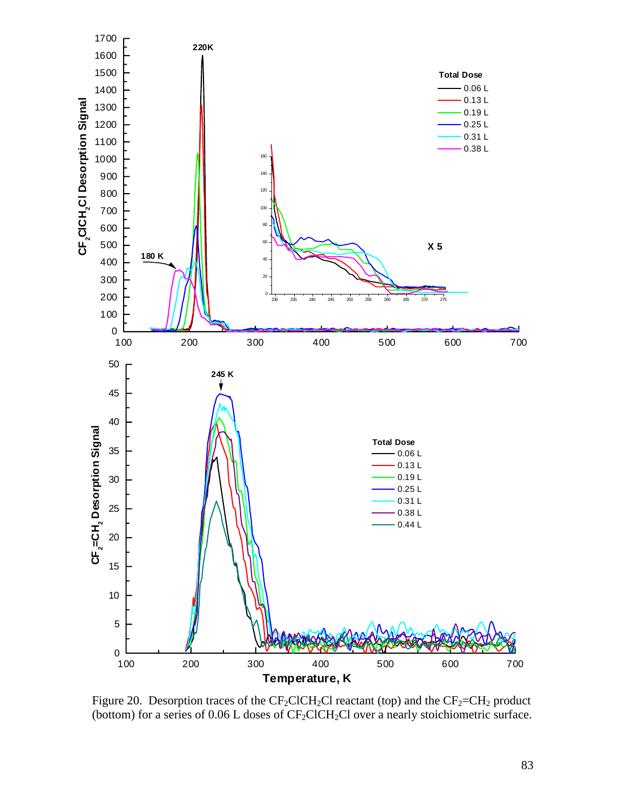

Figure 20. Desorption traces of the  $CF_2CICH_2Cl$  reactant (top) and the  $CF_2=CH_2$  product (bottom) for a series of  $0.06$  L doses of CF<sub>2</sub>ClCH<sub>2</sub>Cl over a nearly stoichiometric surface.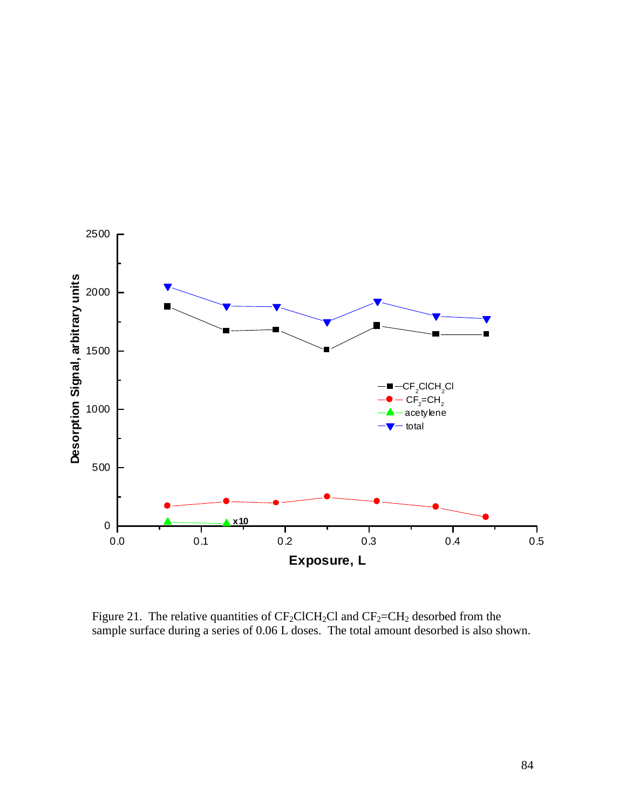

Figure 21. The relative quantities of  $CF_2CICH_2Cl$  and  $CF_2=CH_2$  desorbed from the sample surface during a series of 0.06 L doses. The total amount desorbed is also shown.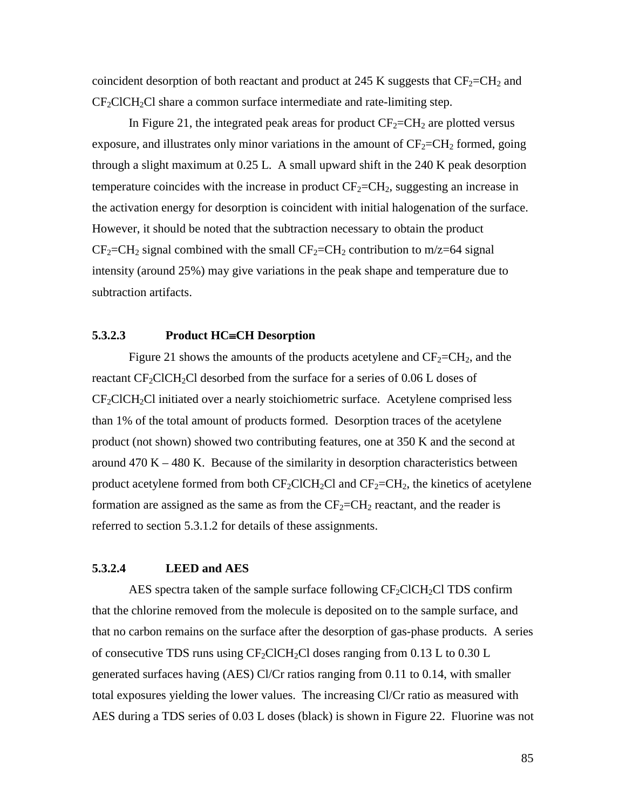coincident desorption of both reactant and product at 245 K suggests that  $CF_2=CH_2$  and  $CF_2CICH_2Cl$  share a common surface intermediate and rate-limiting step.

In Figure 21, the integrated peak areas for product  $CF_2=CH_2$  are plotted versus exposure, and illustrates only minor variations in the amount of  $CF_2=CH_2$  formed, going through a slight maximum at 0.25 L. A small upward shift in the 240 K peak desorption temperature coincides with the increase in product  $CF_2=CH_2$ , suggesting an increase in the activation energy for desorption is coincident with initial halogenation of the surface. However, it should be noted that the subtraction necessary to obtain the product  $CF_2=CH_2$  signal combined with the small  $CF_2=CH_2$  contribution to m/z=64 signal intensity (around 25%) may give variations in the peak shape and temperature due to subtraction artifacts.

## **5.3.2.3** Product HC=CH Desorption

Figure 21 shows the amounts of the products acetylene and  $CF_2=CH_2$ , and the reactant  $CF_2CICH_2Cl$  desorbed from the surface for a series of 0.06 L doses of  $CF_2CICH_2CI$  initiated over a nearly stoichiometric surface. Acetylene comprised less than 1% of the total amount of products formed. Desorption traces of the acetylene product (not shown) showed two contributing features, one at 350 K and the second at around  $470 K - 480 K$ . Because of the similarity in desorption characteristics between product acetylene formed from both  $CF_2CICH_2Cl$  and  $CF_2=CH_2$ , the kinetics of acetylene formation are assigned as the same as from the  $CF_2=CH_2$  reactant, and the reader is referred to section 5.3.1.2 for details of these assignments.

# **5.3.2.4 LEED and AES**

AES spectra taken of the sample surface following  $CF_2CICH_2CI$  TDS confirm that the chlorine removed from the molecule is deposited on to the sample surface, and that no carbon remains on the surface after the desorption of gas-phase products. A series of consecutive TDS runs using  $CF_2CICH_2Cl$  doses ranging from 0.13 L to 0.30 L generated surfaces having (AES) Cl/Cr ratios ranging from 0.11 to 0.14, with smaller total exposures yielding the lower values. The increasing Cl/Cr ratio as measured with AES during a TDS series of 0.03 L doses (black) is shown in Figure 22. Fluorine was not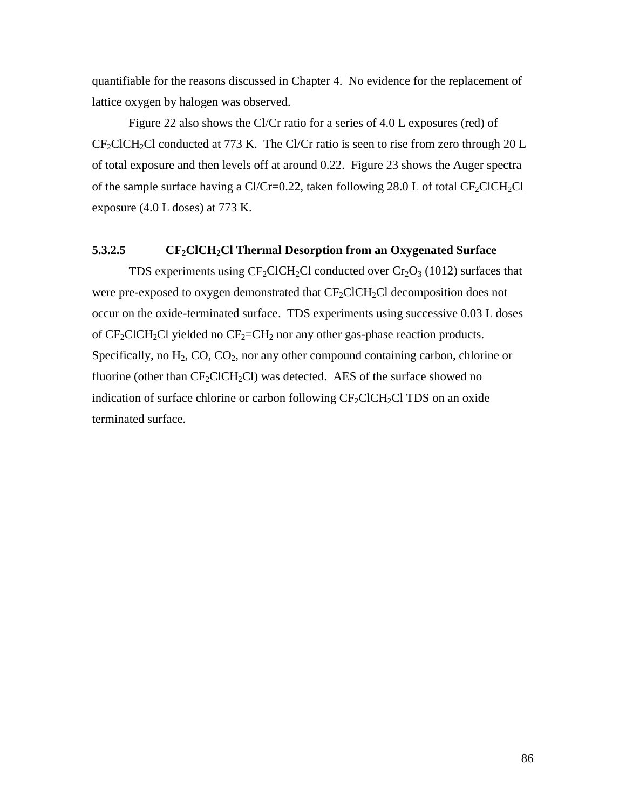quantifiable for the reasons discussed in Chapter 4. No evidence for the replacement of lattice oxygen by halogen was observed.

Figure 22 also shows the Cl/Cr ratio for a series of 4.0 L exposures (red) of  $CF_2CICH_2Cl$  conducted at 773 K. The Cl/Cr ratio is seen to rise from zero through 20 L of total exposure and then levels off at around 0.22. Figure 23 shows the Auger spectra of the sample surface having a  $Cl/Cr=0.22$ , taken following 28.0 L of total  $CF_2ClCH_2Cl$ exposure (4.0 L doses) at 773 K.

## **5.3.2.5** CF<sub>2</sub>ClCH<sub>2</sub>Cl Thermal Desorption from an Oxygenated Surface

TDS experiments using  $CF_2CICH_2Cl$  conducted over  $Cr_2O_3$  (1012) surfaces that were pre-exposed to oxygen demonstrated that  $CF_2CICH_2Cl$  decomposition does not occur on the oxide-terminated surface. TDS experiments using successive 0.03 L doses of  $CF_2ClCH_2Cl$  yielded no  $CF_2=CH_2$  nor any other gas-phase reaction products. Specifically, no  $H_2$ , CO, CO<sub>2</sub>, nor any other compound containing carbon, chlorine or fluorine (other than  $CF_2ClCH_2Cl$ ) was detected. AES of the surface showed no indication of surface chlorine or carbon following  $CF_2CICH_2CI$  TDS on an oxide terminated surface.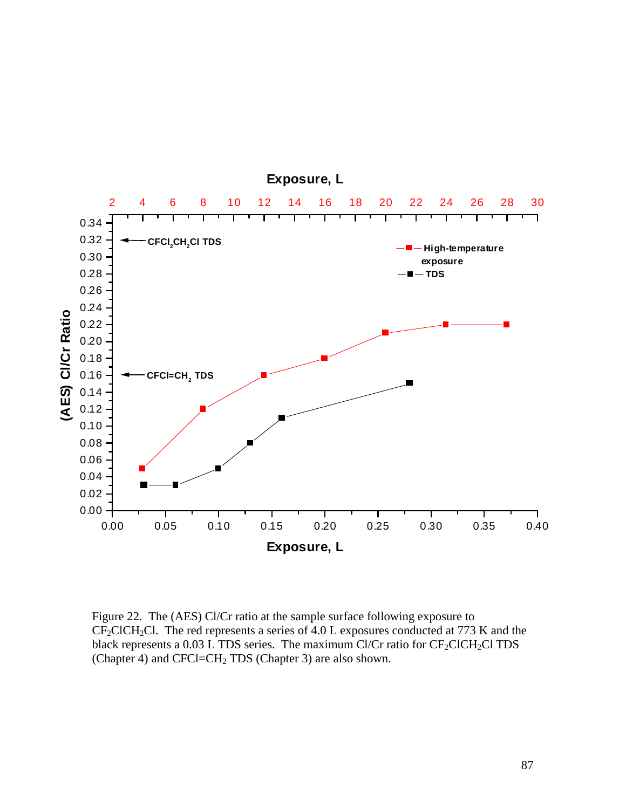

Figure 22. The (AES) Cl/Cr ratio at the sample surface following exposure to  $CF_2CICH_2Cl$ . The red represents a series of 4.0 L exposures conducted at 773 K and the black represents a  $0.03$  L TDS series. The maximum Cl/Cr ratio for  $CF_2ClCH_2Cl$  TDS (Chapter 4) and CFCl=CH<sub>2</sub> TDS (Chapter 3) are also shown.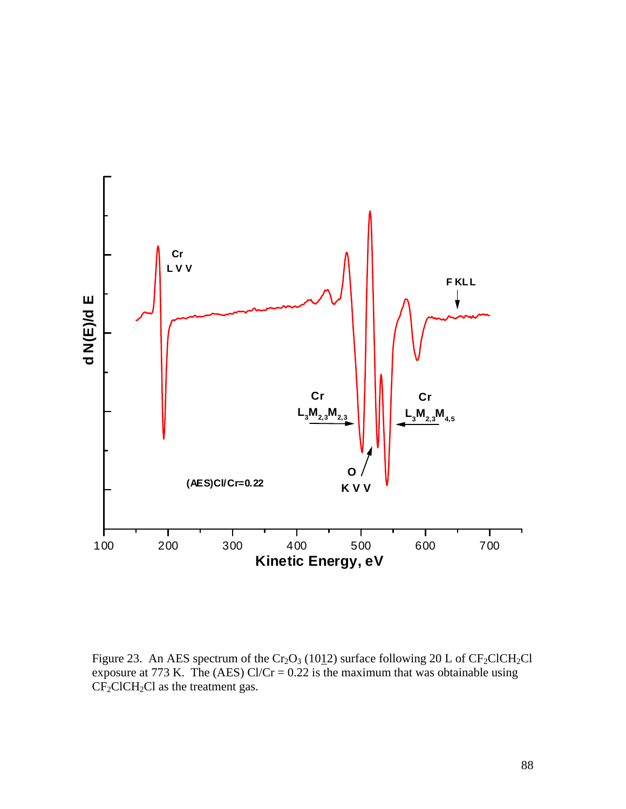

Figure 23. An AES spectrum of the  $Cr_2O_3$  (1012) surface following 20 L of  $CF_2CICH_2Cl$ exposure at 773 K. The (AES)  $Cl/Cr = 0.22$  is the maximum that was obtainable using  $CF<sub>2</sub>CICH<sub>2</sub>Cl$  as the treatment gas.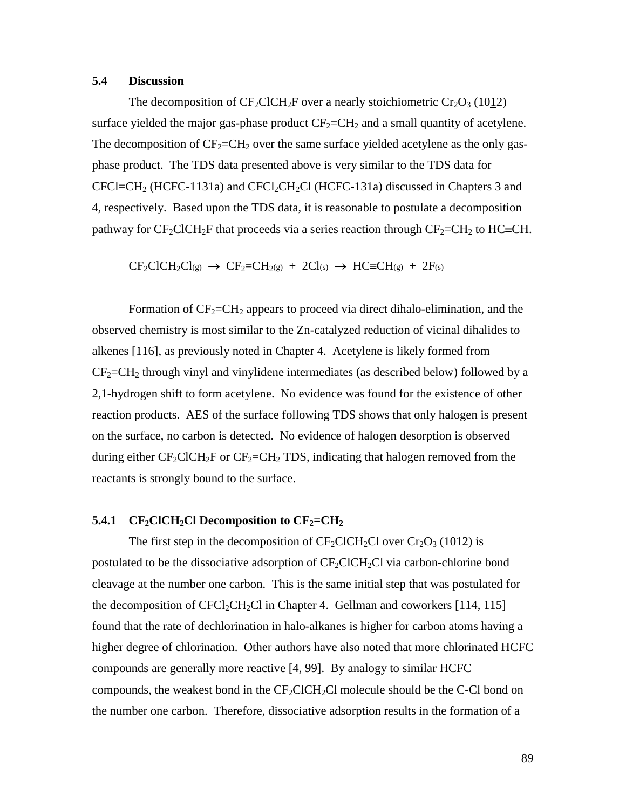## **5.4 Discussion**

The decomposition of  $CF_2CICH_2F$  over a nearly stoichiometric  $Cr_2O_3$  (1012) surface yielded the major gas-phase product  $CF_2=CH_2$  and a small quantity of acetylene. The decomposition of  $CF_2=CH_2$  over the same surface yielded acetylene as the only gasphase product. The TDS data presented above is very similar to the TDS data for  $CFCI=CH<sub>2</sub>$  (HCFC-1131a) and  $CFCI<sub>2</sub>CH<sub>2</sub>Cl$  (HCFC-131a) discussed in Chapters 3 and 4, respectively. Based upon the TDS data, it is reasonable to postulate a decomposition pathway for  $CF_2CICH_2F$  that proceeds via a series reaction through  $CF_2=CH_2$  to  $HC=CH$ .

 $CF_2ClCH_2Cl_{(g)} \rightarrow CF_2=CH_{2(g)} + 2Cl_{(s)} \rightarrow HC=CH_{(g)} + 2F_{(s)}$ 

Formation of  $CF_2=CH_2$  appears to proceed via direct dihalo-elimination, and the observed chemistry is most similar to the Zn-catalyzed reduction of vicinal dihalides to alkenes [116], as previously noted in Chapter 4. Acetylene is likely formed from  $CF_2=CH_2$  through vinyl and vinylidene intermediates (as described below) followed by a 2,1-hydrogen shift to form acetylene. No evidence was found for the existence of other reaction products. AES of the surface following TDS shows that only halogen is present on the surface, no carbon is detected. No evidence of halogen desorption is observed during either  $CF_2CICH_2F$  or  $CF_2=CH_2 TDS$ , indicating that halogen removed from the reactants is strongly bound to the surface.

## **5.4.1** CF<sub>2</sub>ClCH<sub>2</sub>Cl Decomposition to  $CF_2=CH_2$

The first step in the decomposition of  $CF_2CICH_2Cl$  over  $Cr_2O_3$  (1012) is postulated to be the dissociative adsorption of  $CF_2CICH_2Cl$  via carbon-chlorine bond cleavage at the number one carbon. This is the same initial step that was postulated for the decomposition of  $CFCI_2CH_2Cl$  in Chapter 4. Gellman and coworkers [114, 115] found that the rate of dechlorination in halo-alkanes is higher for carbon atoms having a higher degree of chlorination. Other authors have also noted that more chlorinated HCFC compounds are generally more reactive [4, 99]. By analogy to similar HCFC compounds, the weakest bond in the  $CF_2CICH_2Cl$  molecule should be the C-Cl bond on the number one carbon. Therefore, dissociative adsorption results in the formation of a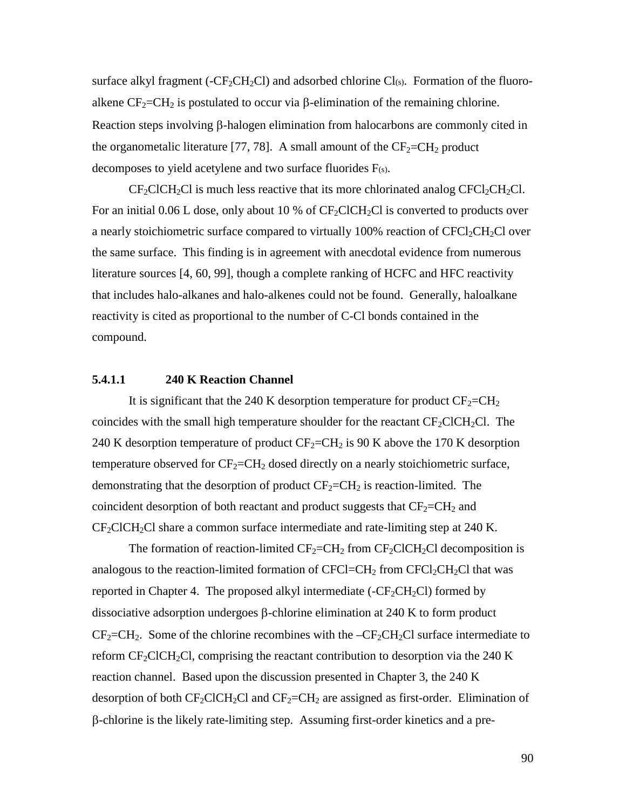surface alkyl fragment ( $-CF_2CH_2Cl$ ) and adsorbed chlorine  $Cl(s)$ . Formation of the fluoroalkene  $CF_2=CH_2$  is postulated to occur via  $\beta$ -elimination of the remaining chlorine. Reaction steps involving  $\beta$ -halogen elimination from halocarbons are commonly cited in the organometalic literature [77, 78]. A small amount of the  $CF_2=CH_2$  product decomposes to yield acetylene and two surface fluorides F(s).

 $CF_2CICH_2CI$  is much less reactive that its more chlorinated analog  $CFCI_2CH_2CI$ . For an initial 0.06 L dose, only about 10 % of  $CF_2CICH_2Cl$  is converted to products over a nearly stoichiometric surface compared to virtually  $100\%$  reaction of CFCl<sub>2</sub>CH<sub>2</sub>Cl over the same surface. This finding is in agreement with anecdotal evidence from numerous literature sources [4, 60, 99], though a complete ranking of HCFC and HFC reactivity that includes halo-alkanes and halo-alkenes could not be found. Generally, haloalkane reactivity is cited as proportional to the number of C-Cl bonds contained in the compound.

## **5.4.1.1 240 K Reaction Channel**

It is significant that the 240 K desorption temperature for product  $CF_2=CH_2$ coincides with the small high temperature shoulder for the reactant  $CF_2CICH_2Cl$ . The 240 K desorption temperature of product  $CF_2=CH_2$  is 90 K above the 170 K desorption temperature observed for  $CF_2=CH_2$  dosed directly on a nearly stoichiometric surface, demonstrating that the desorption of product  $CF_2=CH_2$  is reaction-limited. The coincident desorption of both reactant and product suggests that  $CF_2=CH_2$  and  $CF_2CICH_2Cl$  share a common surface intermediate and rate-limiting step at 240 K.

The formation of reaction-limited  $CF_2=CH_2$  from  $CF_2CICH_2Cl$  decomposition is analogous to the reaction-limited formation of  $CFCI = CH_2$  from  $CFCI_2CH_2Cl$  that was reported in Chapter 4. The proposed alkyl intermediate  $(-CF_2CH_2Cl)$  formed by dissociative adsorption undergoes  $\beta$ -chlorine elimination at 240 K to form product  $CF_2=CH_2$ . Some of the chlorine recombines with the  $-CF_2CH_2Cl$  surface intermediate to reform  $CF_2CICH_2Cl$ , comprising the reactant contribution to desorption via the 240 K reaction channel. Based upon the discussion presented in Chapter 3, the 240 K desorption of both  $CF_2CICH_2Cl$  and  $CF_2=CH_2$  are assigned as first-order. Elimination of  $\beta$ -chlorine is the likely rate-limiting step. Assuming first-order kinetics and a pre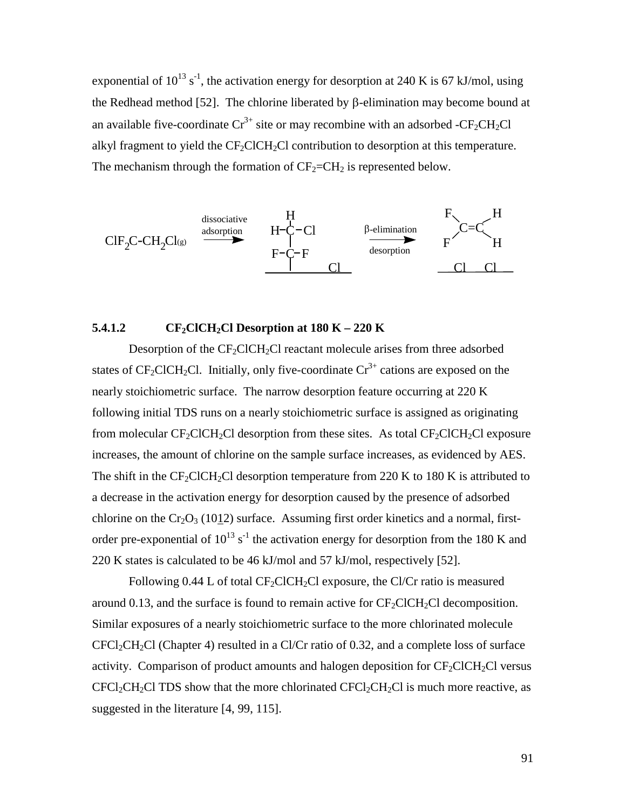exponential of  $10^{13}$  s<sup>-1</sup>, the activation energy for desorption at 240 K is 67 kJ/mol, using the Redhead method [52]. The chlorine liberated by  $\beta$ -elimination may become bound at an available five-coordinate  $Cr^{3+}$  site or may recombine with an adsorbed -CF<sub>2</sub>CH<sub>2</sub>Cl alkyl fragment to yield the  $CF_2CICH_2Cl$  contribution to desorption at this temperature. The mechanism through the formation of  $CF_2=CH_2$  is represented below.



## **5.4.1.2** CF<sub>2</sub>ClCH<sub>2</sub>Cl Desorption at  $180 K - 220 K$

Desorption of the  $CF_2CICH_2Cl$  reactant molecule arises from three adsorbed states of  $CF_2CICH_2Cl$ . Initially, only five-coordinate  $Cr^{3+}$  cations are exposed on the nearly stoichiometric surface. The narrow desorption feature occurring at 220 K following initial TDS runs on a nearly stoichiometric surface is assigned as originating from molecular  $CF_2ClCH_2Cl$  desorption from these sites. As total  $CF_2ClCH_2Cl$  exposure increases, the amount of chlorine on the sample surface increases, as evidenced by AES. The shift in the  $CF_2ClCH_2Cl$  desorption temperature from 220 K to 180 K is attributed to a decrease in the activation energy for desorption caused by the presence of adsorbed chlorine on the  $Cr_2O_3$  (1012) surface. Assuming first order kinetics and a normal, firstorder pre-exponential of  $10^{13}$  s<sup>-1</sup> the activation energy for desorption from the 180 K and 220 K states is calculated to be 46 kJ/mol and 57 kJ/mol, respectively [52].

Following 0.44 L of total  $CF_2CICH_2Cl$  exposure, the Cl/Cr ratio is measured around 0.13, and the surface is found to remain active for  $CF_2ClCH_2Cl$  decomposition. Similar exposures of a nearly stoichiometric surface to the more chlorinated molecule  $CFCI_2CH_2Cl$  (Chapter 4) resulted in a Cl/Cr ratio of 0.32, and a complete loss of surface activity. Comparison of product amounts and halogen deposition for  $CF_2CICH_2Cl$  versus  $CFCl_2CH_2Cl$  TDS show that the more chlorinated  $CFCl_2CH_2Cl$  is much more reactive, as suggested in the literature [4, 99, 115].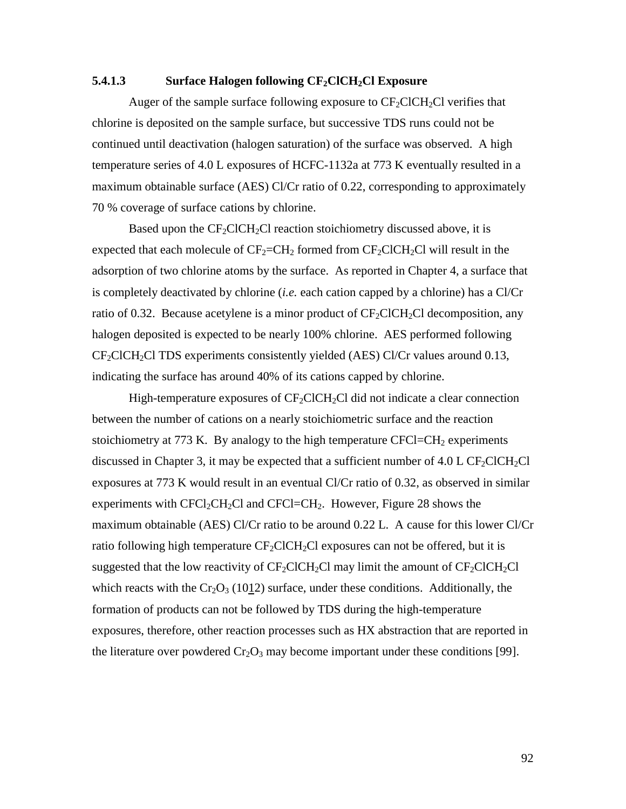## **5.4.1.3** Surface Halogen following  $CF_2CICH_2Cl$  Exposure

Auger of the sample surface following exposure to  $CF_2CICH_2Cl$  verifies that chlorine is deposited on the sample surface, but successive TDS runs could not be continued until deactivation (halogen saturation) of the surface was observed. A high temperature series of 4.0 L exposures of HCFC-1132a at 773 K eventually resulted in a maximum obtainable surface (AES) Cl/Cr ratio of 0.22, corresponding to approximately 70 % coverage of surface cations by chlorine.

Based upon the  $CF_2ClCH_2Cl$  reaction stoichiometry discussed above, it is expected that each molecule of  $CF_2=CH_2$  formed from  $CF_2ClCH_2Cl$  will result in the adsorption of two chlorine atoms by the surface. As reported in Chapter 4, a surface that is completely deactivated by chlorine (*i.e.* each cation capped by a chlorine) has a Cl/Cr ratio of 0.32. Because acetylene is a minor product of  $CF_2CICH_2Cl$  decomposition, any halogen deposited is expected to be nearly 100% chlorine. AES performed following  $CF_2CICH_2CI TDS$  experiments consistently yielded (AES) Cl/Cr values around 0.13, indicating the surface has around 40% of its cations capped by chlorine.

High-temperature exposures of  $CF_2CICH_2Cl$  did not indicate a clear connection between the number of cations on a nearly stoichiometric surface and the reaction stoichiometry at 773 K. By analogy to the high temperature  $CFCI=CH<sub>2</sub>$  experiments discussed in Chapter 3, it may be expected that a sufficient number of  $4.0 \text{ L CF}_2$ ClCH<sub>2</sub>Cl exposures at 773 K would result in an eventual Cl/Cr ratio of 0.32, as observed in similar experiments with  $CFCI_2CH_2Cl$  and  $CFCI=CH_2$ . However, Figure 28 shows the maximum obtainable (AES) Cl/Cr ratio to be around 0.22 L. A cause for this lower Cl/Cr ratio following high temperature  $CF_2CICH_2Cl$  exposures can not be offered, but it is suggested that the low reactivity of  $CF_2CICH_2Cl$  may limit the amount of  $CF_2CICH_2Cl$ which reacts with the  $Cr_2O_3$  (1012) surface, under these conditions. Additionally, the formation of products can not be followed by TDS during the high-temperature exposures, therefore, other reaction processes such as HX abstraction that are reported in the literature over powdered  $Cr_2O_3$  may become important under these conditions [99].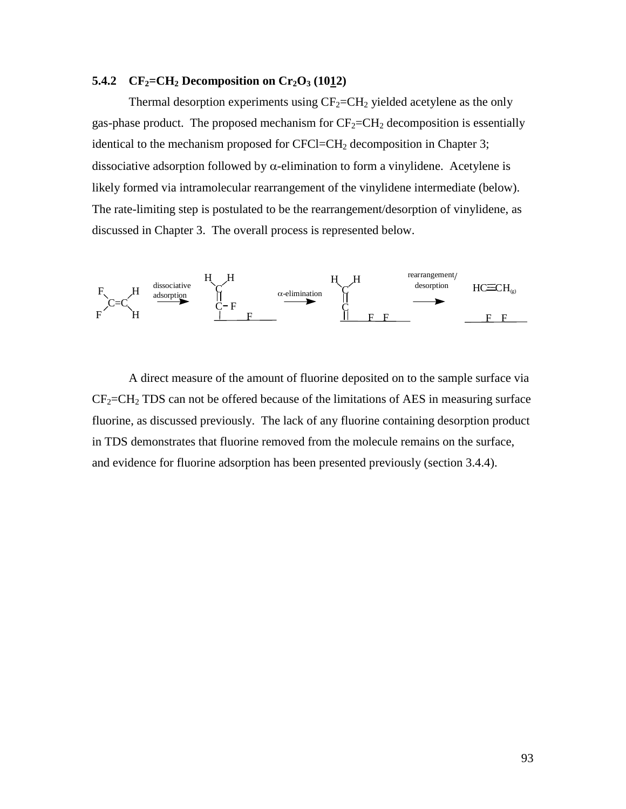# **5.4.2**  $CF_2=CH_2$  Decomposition on  $Cr_2O_3$  (1012)

Thermal desorption experiments using  $CF_2=CH_2$  yielded acetylene as the only gas-phase product. The proposed mechanism for  $CF_2=CH_2$  decomposition is essentially identical to the mechanism proposed for CFCl=CH<sub>2</sub> decomposition in Chapter 3; dissociative adsorption followed by  $\alpha$ -elimination to form a vinylidene. Acetylene is likely formed via intramolecular rearrangement of the vinylidene intermediate (below). The rate-limiting step is postulated to be the rearrangement/desorption of vinylidene, as discussed in Chapter 3. The overall process is represented below.



A direct measure of the amount of fluorine deposited on to the sample surface via  $CF_2=CH_2$  TDS can not be offered because of the limitations of AES in measuring surface fluorine, as discussed previously. The lack of any fluorine containing desorption product in TDS demonstrates that fluorine removed from the molecule remains on the surface, and evidence for fluorine adsorption has been presented previously (section 3.4.4).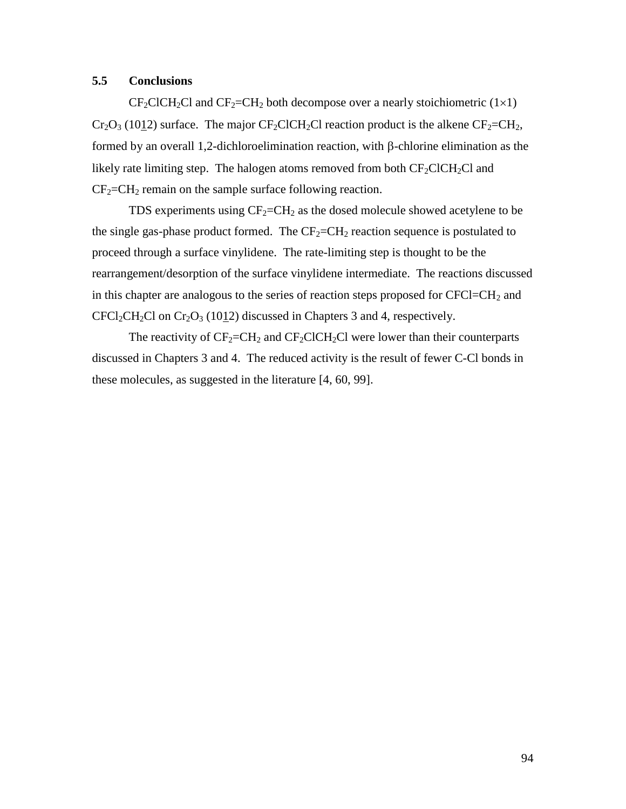# **5.5 Conclusions**

 $CF_2CICH_2Cl$  and  $CF_2=CH_2$  both decompose over a nearly stoichiometric (1×1)  $Cr_2O_3$  (1012) surface. The major  $CF_2ClCH_2Cl$  reaction product is the alkene  $CF_2=CH_2$ , formed by an overall 1,2-dichloroelimination reaction, with  $\beta$ -chlorine elimination as the likely rate limiting step. The halogen atoms removed from both  $CF_2CICH_2Cl$  and  $CF_2=CH_2$  remain on the sample surface following reaction.

TDS experiments using  $CF_2=CH_2$  as the dosed molecule showed acetylene to be the single gas-phase product formed. The  $CF_2=CH_2$  reaction sequence is postulated to proceed through a surface vinylidene. The rate-limiting step is thought to be the rearrangement/desorption of the surface vinylidene intermediate. The reactions discussed in this chapter are analogous to the series of reaction steps proposed for  $CFCI=CH<sub>2</sub>$  and  $CFCl_2CH_2Cl$  on  $Cr_2O_3$  (1012) discussed in Chapters 3 and 4, respectively.

The reactivity of  $CF_2=CH_2$  and  $CF_2CICH_2Cl$  were lower than their counterparts discussed in Chapters 3 and 4. The reduced activity is the result of fewer C-Cl bonds in these molecules, as suggested in the literature [4, 60, 99].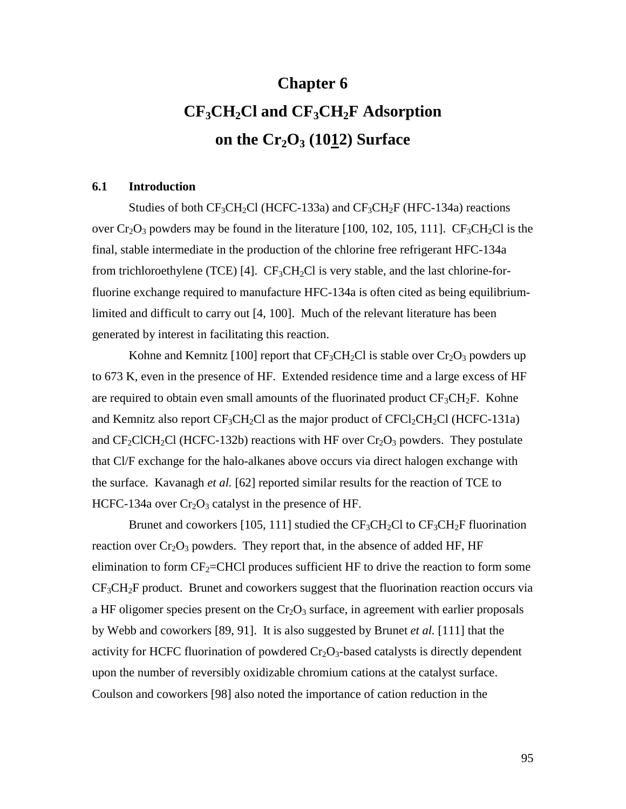# **Chapter 6 CF3CH2Cl and CF3CH2F Adsorption** on the  $Cr_2O_3$  (1012) Surface

## **6.1 Introduction**

Studies of both  $CF_3CH_2Cl$  (HCFC-133a) and  $CF_3CH_2F$  (HFC-134a) reactions over  $Cr_2O_3$  powders may be found in the literature [100, 102, 105, 111].  $CF_3CH_2Cl$  is the final, stable intermediate in the production of the chlorine free refrigerant HFC-134a from trichloroethylene (TCE) [4].  $CF_3CH_2Cl$  is very stable, and the last chlorine-forfluorine exchange required to manufacture HFC-134a is often cited as being equilibriumlimited and difficult to carry out [4, 100]. Much of the relevant literature has been generated by interest in facilitating this reaction.

Kohne and Kemnitz [100] report that  $CF_3CH_2Cl$  is stable over  $Cr_2O_3$  powders up to 673 K, even in the presence of HF. Extended residence time and a large excess of HF are required to obtain even small amounts of the fluorinated product  $CF_3CH_2F$ . Kohne and Kemnitz also report  $CF_3CH_2Cl$  as the major product of  $CFCI_2CH_2Cl$  (HCFC-131a) and  $CF_2CICH_2Cl$  (HCFC-132b) reactions with HF over  $Cr_2O_3$  powders. They postulate that Cl/F exchange for the halo-alkanes above occurs via direct halogen exchange with the surface. Kavanagh *et al.* [62] reported similar results for the reaction of TCE to HCFC-134a over  $Cr_2O_3$  catalyst in the presence of HF.

Brunet and coworkers [105, 111] studied the  $CF_3CH_2Cl$  to  $CF_3CH_2F$  fluorination reaction over  $Cr_2O_3$  powders. They report that, in the absence of added HF, HF elimination to form  $CF_2$ =CHCl produces sufficient HF to drive the reaction to form some  $CF<sub>3</sub>CH<sub>2</sub>F$  product. Brunet and coworkers suggest that the fluorination reaction occurs via a HF oligomer species present on the  $Cr_2O_3$  surface, in agreement with earlier proposals by Webb and coworkers [89, 91]. It is also suggested by Brunet *et al.* [111] that the activity for HCFC fluorination of powdered  $Cr_2O_3$ -based catalysts is directly dependent upon the number of reversibly oxidizable chromium cations at the catalyst surface. Coulson and coworkers [98] also noted the importance of cation reduction in the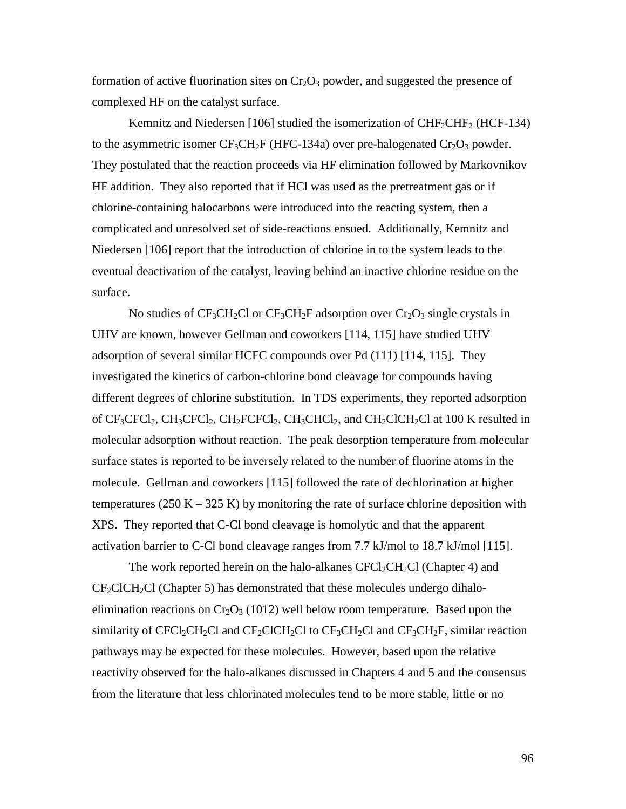formation of active fluorination sites on  $Cr_2O_3$  powder, and suggested the presence of complexed HF on the catalyst surface.

Kemnitz and Niedersen [106] studied the isomerization of  $CHF_2CHF_2$  (HCF-134) to the asymmetric isomer  $CF_3CH_2F$  (HFC-134a) over pre-halogenated  $Cr_2O_3$  powder. They postulated that the reaction proceeds via HF elimination followed by Markovnikov HF addition. They also reported that if HCl was used as the pretreatment gas or if chlorine-containing halocarbons were introduced into the reacting system, then a complicated and unresolved set of side-reactions ensued. Additionally, Kemnitz and Niedersen [106] report that the introduction of chlorine in to the system leads to the eventual deactivation of the catalyst, leaving behind an inactive chlorine residue on the surface.

No studies of  $CF_3CH_2Cl$  or  $CF_3CH_2F$  adsorption over  $Cr_2O_3$  single crystals in UHV are known, however Gellman and coworkers [114, 115] have studied UHV adsorption of several similar HCFC compounds over Pd (111) [114, 115]. They investigated the kinetics of carbon-chlorine bond cleavage for compounds having different degrees of chlorine substitution. In TDS experiments, they reported adsorption of  $CF_3CFCI_2$ ,  $CH_3CFCI_2$ ,  $CH_2FCFCI_2$ ,  $CH_3CHCl_2$ , and  $CH_2CICH_2Cl$  at 100 K resulted in molecular adsorption without reaction. The peak desorption temperature from molecular surface states is reported to be inversely related to the number of fluorine atoms in the molecule. Gellman and coworkers [115] followed the rate of dechlorination at higher temperatures (250 K – 325 K) by monitoring the rate of surface chlorine deposition with XPS. They reported that C-Cl bond cleavage is homolytic and that the apparent activation barrier to C-Cl bond cleavage ranges from 7.7 kJ/mol to 18.7 kJ/mol [115].

The work reported herein on the halo-alkanes  $CFCl_2CH_2Cl$  (Chapter 4) and  $CF<sub>2</sub>CICH<sub>2</sub>Cl (Chapter 5)$  has demonstrated that these molecules undergo dihaloelimination reactions on  $Cr_2O_3$  (1012) well below room temperature. Based upon the similarity of CFCl<sub>2</sub>CH<sub>2</sub>Cl and CF<sub>2</sub>ClCH<sub>2</sub>Cl to CF<sub>3</sub>CH<sub>2</sub>Cl and CF<sub>3</sub>CH<sub>2</sub>F, similar reaction pathways may be expected for these molecules. However, based upon the relative reactivity observed for the halo-alkanes discussed in Chapters 4 and 5 and the consensus from the literature that less chlorinated molecules tend to be more stable, little or no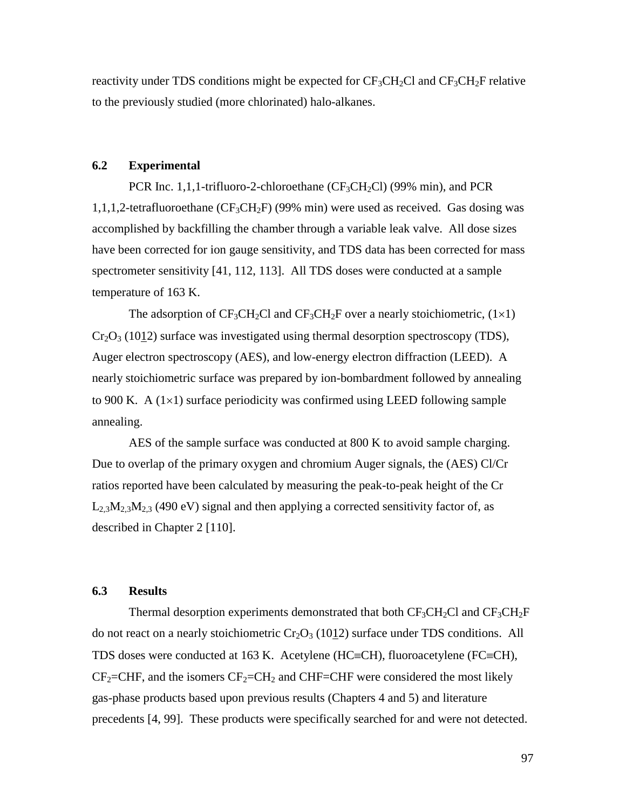reactivity under TDS conditions might be expected for  $CF_3CH_2Cl$  and  $CF_3CH_2F$  relative to the previously studied (more chlorinated) halo-alkanes.

#### **6.2 Experimental**

PCR Inc. 1,1,1-trifluoro-2-chloroethane ( $CF_3CH_2Cl$ ) (99% min), and PCR 1,1,1,2-tetrafluoroethane ( $CF_3CH_2F$ ) (99% min) were used as received. Gas dosing was accomplished by backfilling the chamber through a variable leak valve. All dose sizes have been corrected for ion gauge sensitivity, and TDS data has been corrected for mass spectrometer sensitivity [41, 112, 113]. All TDS doses were conducted at a sample temperature of 163 K.

The adsorption of  $CF_3CH_2Cl$  and  $CF_3CH_2F$  over a nearly stoichiometric,  $(1\times1)$  $Cr_2O_3$  (1012) surface was investigated using thermal desorption spectroscopy (TDS), Auger electron spectroscopy (AES), and low-energy electron diffraction (LEED). A nearly stoichiometric surface was prepared by ion-bombardment followed by annealing to 900 K. A  $(1\times1)$  surface periodicity was confirmed using LEED following sample annealing.

AES of the sample surface was conducted at 800 K to avoid sample charging. Due to overlap of the primary oxygen and chromium Auger signals, the (AES) Cl/Cr ratios reported have been calculated by measuring the peak-to-peak height of the Cr  $L_{2,3}M_{2,3}M_{2,3}$  (490 eV) signal and then applying a corrected sensitivity factor of, as described in Chapter 2 [110].

# **6.3 Results**

Thermal desorption experiments demonstrated that both  $CF_3CH_2Cl$  and  $CF_3CH_2F$ do not react on a nearly stoichiometric  $Cr_2O_3$  (1012) surface under TDS conditions. All TDS doses were conducted at 163 K. Acetylene (HC $\equiv$ CH), fluoroacetylene (FC $\equiv$ CH),  $CF_2=CHF$ , and the isomers  $CF_2=CH_2$  and CHF=CHF were considered the most likely gas-phase products based upon previous results (Chapters 4 and 5) and literature precedents [4, 99]. These products were specifically searched for and were not detected.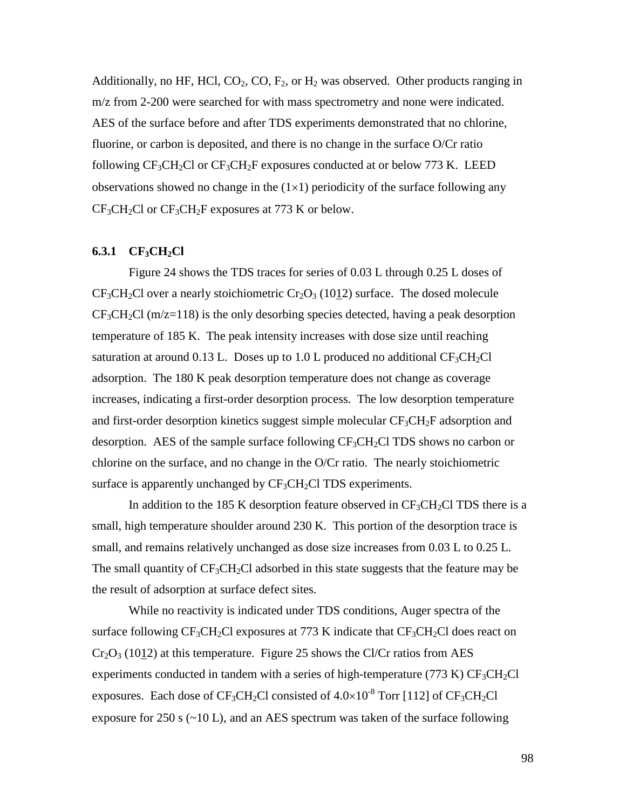Additionally, no HF, HCl,  $CO_2$ ,  $CO$ ,  $F_2$ , or  $H_2$  was observed. Other products ranging in m/z from 2-200 were searched for with mass spectrometry and none were indicated. AES of the surface before and after TDS experiments demonstrated that no chlorine, fluorine, or carbon is deposited, and there is no change in the surface O/Cr ratio following  $CF_3CH_2Cl$  or  $CF_3CH_2F$  exposures conducted at or below 773 K. LEED observations showed no change in the  $(1\times1)$  periodicity of the surface following any  $CF<sub>3</sub>CH<sub>2</sub>Cl$  or  $CF<sub>3</sub>CH<sub>2</sub>F$  exposures at 773 K or below.

#### **6.3.1 CF3CH2Cl**

Figure 24 shows the TDS traces for series of 0.03 L through 0.25 L doses of  $CF<sub>3</sub>CH<sub>2</sub>Cl$  over a nearly stoichiometric  $Cr<sub>2</sub>O<sub>3</sub>$  (1012) surface. The dosed molecule  $CF<sub>3</sub>CH<sub>2</sub>Cl$  (m/z=118) is the only desorbing species detected, having a peak desorption temperature of 185 K. The peak intensity increases with dose size until reaching saturation at around 0.13 L. Doses up to 1.0 L produced no additional  $CF_3CH_2Cl$ adsorption. The 180 K peak desorption temperature does not change as coverage increases, indicating a first-order desorption process. The low desorption temperature and first-order desorption kinetics suggest simple molecular  $CF_3CH_2F$  adsorption and desorption. AES of the sample surface following  $CF_3CH_2Cl$  TDS shows no carbon or chlorine on the surface, and no change in the O/Cr ratio. The nearly stoichiometric surface is apparently unchanged by  $CF_3CH_2Cl$  TDS experiments.

In addition to the 185 K desorption feature observed in  $CF_3CH_2Cl$  TDS there is a small, high temperature shoulder around 230 K. This portion of the desorption trace is small, and remains relatively unchanged as dose size increases from 0.03 L to 0.25 L. The small quantity of  $CF_3CH_2Cl$  adsorbed in this state suggests that the feature may be the result of adsorption at surface defect sites.

While no reactivity is indicated under TDS conditions, Auger spectra of the surface following  $CF_3CH_2Cl$  exposures at 773 K indicate that  $CF_3CH_2Cl$  does react on  $Cr_2O_3$  (1012) at this temperature. Figure 25 shows the Cl/Cr ratios from AES experiments conducted in tandem with a series of high-temperature (773 K)  $CF_3CH_2Cl$ exposures. Each dose of  $CF_3CH_2Cl$  consisted of  $4.0\times10^{-8}$  Torr [112] of  $CF_3CH_2Cl$ exposure for 250 s  $(\sim 10 \text{ L})$ , and an AES spectrum was taken of the surface following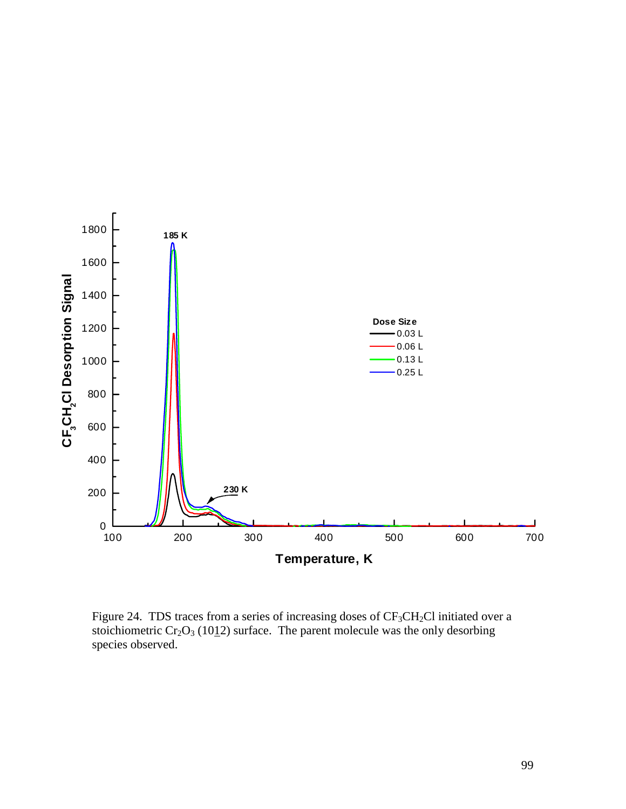

Figure 24. TDS traces from a series of increasing doses of CF<sub>3</sub>CH<sub>2</sub>Cl initiated over a stoichiometric  $Cr_2O_3$  (1012) surface. The parent molecule was the only desorbing species observed.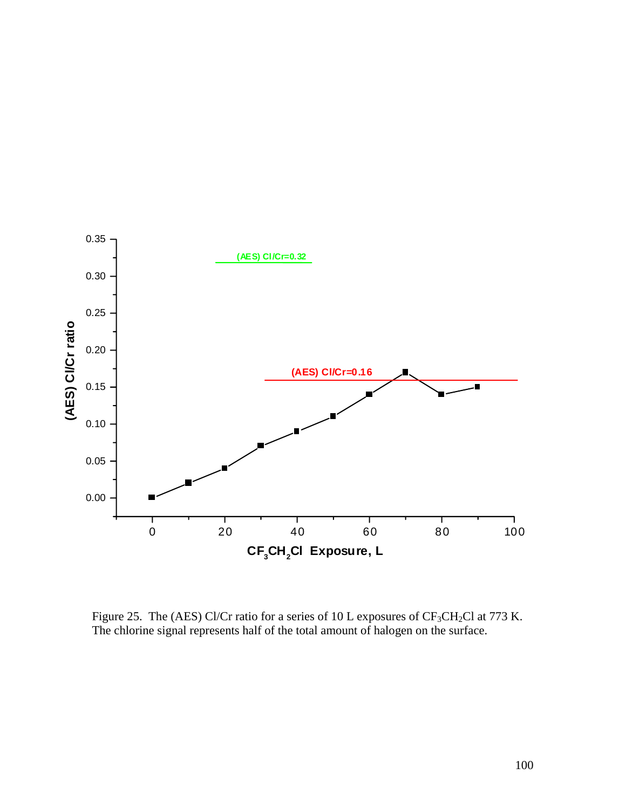

Figure 25. The (AES) Cl/Cr ratio for a series of 10 L exposures of CF<sub>3</sub>CH<sub>2</sub>Cl at 773 K. The chlorine signal represents half of the total amount of halogen on the surface.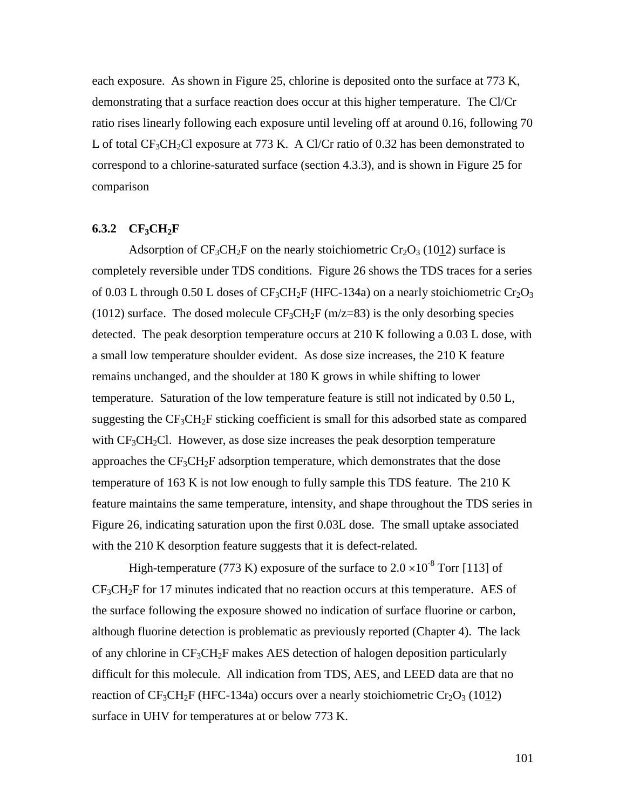each exposure. As shown in Figure 25, chlorine is deposited onto the surface at 773 K, demonstrating that a surface reaction does occur at this higher temperature. The Cl/Cr ratio rises linearly following each exposure until leveling off at around 0.16, following 70 L of total  $CF_3CH_2Cl$  exposure at 773 K. A Cl/Cr ratio of 0.32 has been demonstrated to correspond to a chlorine-saturated surface (section 4.3.3), and is shown in Figure 25 for comparison

#### **6.3.2**  $CF_3CH_2F$

Adsorption of  $CF_3CH_2F$  on the nearly stoichiometric  $Cr_2O_3$  (1012) surface is completely reversible under TDS conditions. Figure 26 shows the TDS traces for a series of 0.03 L through 0.50 L doses of  $CF_3CH_2F$  (HFC-134a) on a nearly stoichiometric  $Cr_2O_3$ (1012) surface. The dosed molecule  $CF_3CH_2F$  (m/z=83) is the only desorbing species detected. The peak desorption temperature occurs at 210 K following a 0.03 L dose, with a small low temperature shoulder evident. As dose size increases, the 210 K feature remains unchanged, and the shoulder at 180 K grows in while shifting to lower temperature. Saturation of the low temperature feature is still not indicated by 0.50 L, suggesting the  $CF_3CH_2F$  sticking coefficient is small for this adsorbed state as compared with  $CF<sub>3</sub>CH<sub>2</sub>Cl$ . However, as dose size increases the peak desorption temperature approaches the  $CF_3CH_2F$  adsorption temperature, which demonstrates that the dose temperature of 163 K is not low enough to fully sample this TDS feature. The 210 K feature maintains the same temperature, intensity, and shape throughout the TDS series in Figure 26, indicating saturation upon the first 0.03L dose. The small uptake associated with the 210 K desorption feature suggests that it is defect-related.

High-temperature (773 K) exposure of the surface to  $2.0 \times 10^{-8}$  Torr [113] of  $CF<sub>3</sub>CH<sub>2</sub>F$  for 17 minutes indicated that no reaction occurs at this temperature. AES of the surface following the exposure showed no indication of surface fluorine or carbon, although fluorine detection is problematic as previously reported (Chapter 4). The lack of any chlorine in  $CF_3CH_2F$  makes AES detection of halogen deposition particularly difficult for this molecule. All indication from TDS, AES, and LEED data are that no reaction of  $CF_3CH_2F$  (HFC-134a) occurs over a nearly stoichiometric  $Cr_2O_3$  (1012) surface in UHV for temperatures at or below 773 K.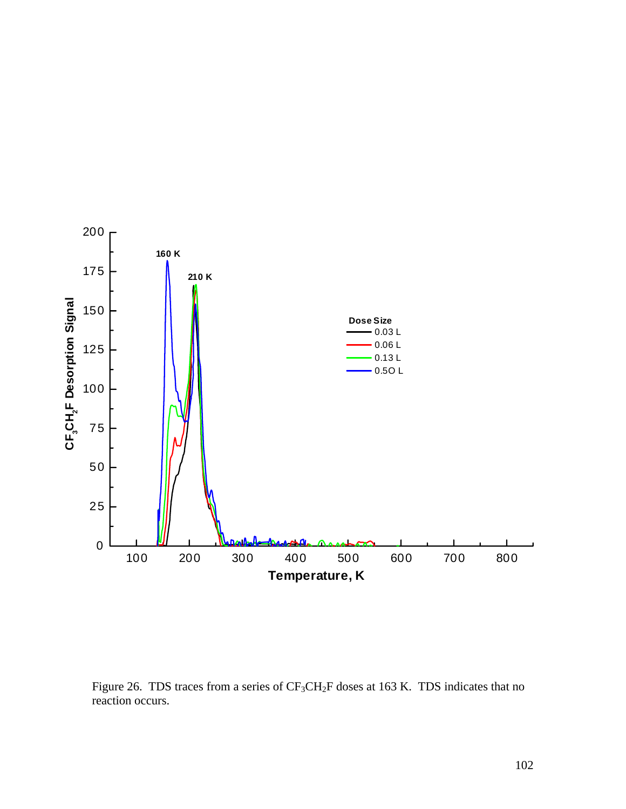

Figure 26. TDS traces from a series of  $CF_3CH_2F$  doses at 163 K. TDS indicates that no reaction occurs.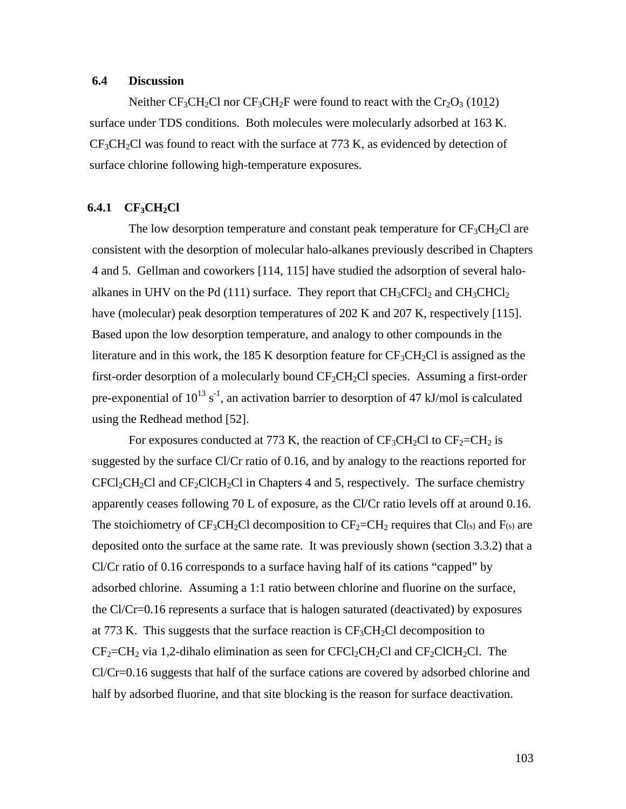#### **6.4 Discussion**

Neither CF<sub>3</sub>CH<sub>2</sub>Cl nor CF<sub>3</sub>CH<sub>2</sub>F were found to react with the Cr<sub>2</sub>O<sub>3</sub> (1012) surface under TDS conditions. Both molecules were molecularly adsorbed at 163 K.  $CF<sub>3</sub>CH<sub>2</sub>Cl$  was found to react with the surface at 773 K, as evidenced by detection of surface chlorine following high-temperature exposures.

#### **6.4.1 CF<sub>3</sub>CH<sub>2</sub>Cl**

The low desorption temperature and constant peak temperature for  $CF_3CH_2Cl$  are consistent with the desorption of molecular halo-alkanes previously described in Chapters 4 and 5. Gellman and coworkers [114, 115] have studied the adsorption of several haloalkanes in UHV on the Pd (111) surface. They report that  $CH_3CFCI_2$  and  $CH_3CHCl_2$ have (molecular) peak desorption temperatures of 202 K and 207 K, respectively [115]. Based upon the low desorption temperature, and analogy to other compounds in the literature and in this work, the 185 K desorption feature for  $CF_3CH_2Cl$  is assigned as the first-order desorption of a molecularly bound  $CF_2CH_2Cl$  species. Assuming a first-order pre-exponential of  $10^{13}$  s<sup>-1</sup>, an activation barrier to desorption of 47 kJ/mol is calculated using the Redhead method [52].

For exposures conducted at 773 K, the reaction of  $CF_3CH_2Cl$  to  $CF_2=CH_2$  is suggested by the surface Cl/Cr ratio of 0.16, and by analogy to the reactions reported for  $CFCI_2CH_2Cl$  and  $CF_2ClCH_2Cl$  in Chapters 4 and 5, respectively. The surface chemistry apparently ceases following 70 L of exposure, as the Cl/Cr ratio levels off at around 0.16. The stoichiometry of  $CF_3CH_2Cl$  decomposition to  $CF_2=CH_2$  requires that  $Cl_{(s)}$  and  $F_{(s)}$  are deposited onto the surface at the same rate. It was previously shown (section 3.3.2) that a Cl/Cr ratio of 0.16 corresponds to a surface having half of its cations "capped" by adsorbed chlorine. Assuming a 1:1 ratio between chlorine and fluorine on the surface, the Cl/Cr=0.16 represents a surface that is halogen saturated (deactivated) by exposures at 773 K. This suggests that the surface reaction is  $CF<sub>3</sub>CH<sub>2</sub>Cl$  decomposition to  $CF_2=CH_2$  via 1,2-dihalo elimination as seen for  $CFCl_2CH_2Cl$  and  $CF_2CICH_2Cl$ . The Cl/Cr=0.16 suggests that half of the surface cations are covered by adsorbed chlorine and half by adsorbed fluorine, and that site blocking is the reason for surface deactivation.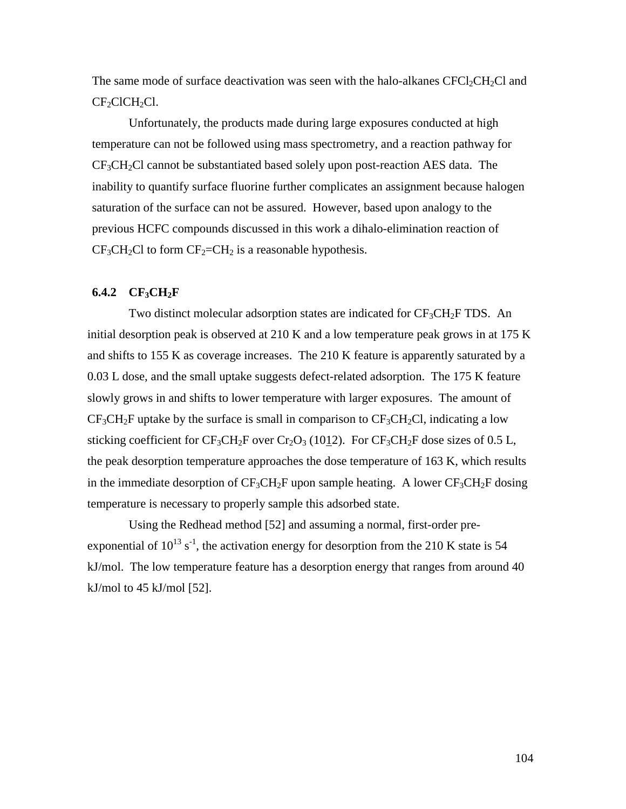The same mode of surface deactivation was seen with the halo-alkanes  $CFCl_2CH_2Cl$  and CF<sub>2</sub>ClCH<sub>2</sub>Cl.

Unfortunately, the products made during large exposures conducted at high temperature can not be followed using mass spectrometry, and a reaction pathway for  $CF<sub>3</sub>CH<sub>2</sub>Cl$  cannot be substantiated based solely upon post-reaction AES data. The inability to quantify surface fluorine further complicates an assignment because halogen saturation of the surface can not be assured. However, based upon analogy to the previous HCFC compounds discussed in this work a dihalo-elimination reaction of  $CF<sub>3</sub>CH<sub>2</sub>Cl$  to form  $CF<sub>2</sub>=CH<sub>2</sub>$  is a reasonable hypothesis.

# **6.4.2 CF3CH2F**

Two distinct molecular adsorption states are indicated for  $CF_3CH_2F$  TDS. An initial desorption peak is observed at 210 K and a low temperature peak grows in at 175 K and shifts to 155 K as coverage increases. The 210 K feature is apparently saturated by a 0.03 L dose, and the small uptake suggests defect-related adsorption. The 175 K feature slowly grows in and shifts to lower temperature with larger exposures. The amount of  $CF_3CH_2F$  uptake by the surface is small in comparison to  $CF_3CH_2Cl$ , indicating a low sticking coefficient for  $CF_3CH_2F$  over  $Cr_2O_3$  (1012). For  $CF_3CH_2F$  dose sizes of 0.5 L, the peak desorption temperature approaches the dose temperature of 163 K, which results in the immediate desorption of  $CF_3CH_2F$  upon sample heating. A lower  $CF_3CH_2F$  dosing temperature is necessary to properly sample this adsorbed state.

Using the Redhead method [52] and assuming a normal, first-order preexponential of  $10^{13}$  s<sup>-1</sup>, the activation energy for desorption from the 210 K state is 54 kJ/mol. The low temperature feature has a desorption energy that ranges from around 40 kJ/mol to 45 kJ/mol  $[52]$ .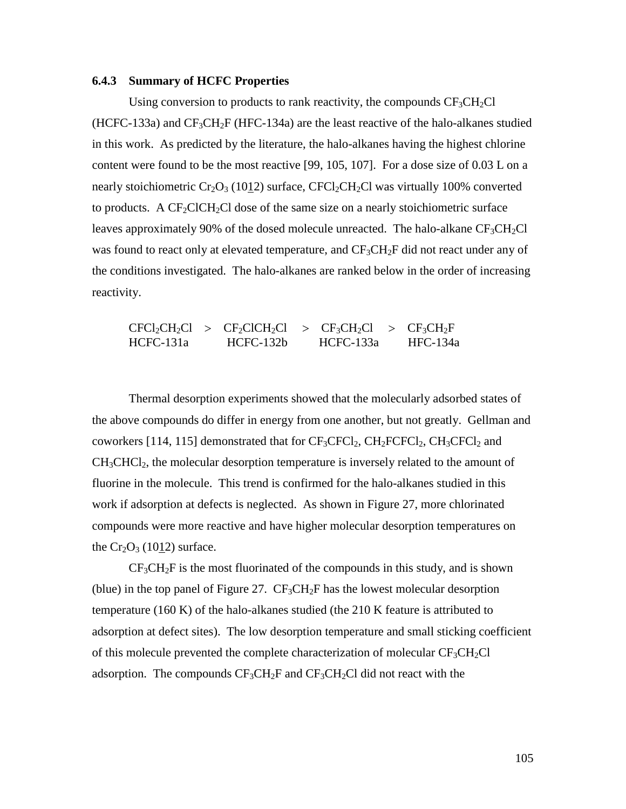#### **6.4.3 Summary of HCFC Properties**

Using conversion to products to rank reactivity, the compounds  $CF_3CH_2Cl$  $(HCFC-133a)$  and  $CF_3CH_2F$  (HFC-134a) are the least reactive of the halo-alkanes studied in this work. As predicted by the literature, the halo-alkanes having the highest chlorine content were found to be the most reactive [99, 105, 107]. For a dose size of 0.03 L on a nearly stoichiometric  $Cr_2O_3$  (1012) surface, CFCl<sub>2</sub>CH<sub>2</sub>Cl was virtually 100% converted to products. A  $CF_2ClCH_2Cl$  dose of the same size on a nearly stoichiometric surface leaves approximately 90% of the dosed molecule unreacted. The halo-alkane  $CF_3CH_2Cl$ was found to react only at elevated temperature, and  $CF_3CH_2F$  did not react under any of the conditions investigated. The halo-alkanes are ranked below in the order of increasing reactivity.

 $CFCl_2CH_2Cl$  >  $CF_2ClCH_2Cl$  >  $CF_3CH_2Cl$  >  $CF_3CH_2F$ HCFC-131a HCFC-132b HCFC-133a HFC-134a

Thermal desorption experiments showed that the molecularly adsorbed states of the above compounds do differ in energy from one another, but not greatly. Gellman and coworkers [114, 115] demonstrated that for  $CF_3CFCI_2$ ,  $CH_2FCFCI_2$ ,  $CH_3CFCI_2$  and  $CH<sub>3</sub>CHCl<sub>2</sub>$ , the molecular desorption temperature is inversely related to the amount of fluorine in the molecule. This trend is confirmed for the halo-alkanes studied in this work if adsorption at defects is neglected. As shown in Figure 27, more chlorinated compounds were more reactive and have higher molecular desorption temperatures on the  $Cr_2O_3$  (1012) surface.

 $CF<sub>3</sub>CH<sub>2</sub>F$  is the most fluorinated of the compounds in this study, and is shown (blue) in the top panel of Figure 27.  $CF_3CH_2F$  has the lowest molecular desorption temperature (160 K) of the halo-alkanes studied (the 210 K feature is attributed to adsorption at defect sites). The low desorption temperature and small sticking coefficient of this molecule prevented the complete characterization of molecular  $CF_3CH_2Cl$ adsorption. The compounds  $CF_3CH_2F$  and  $CF_3CH_2Cl$  did not react with the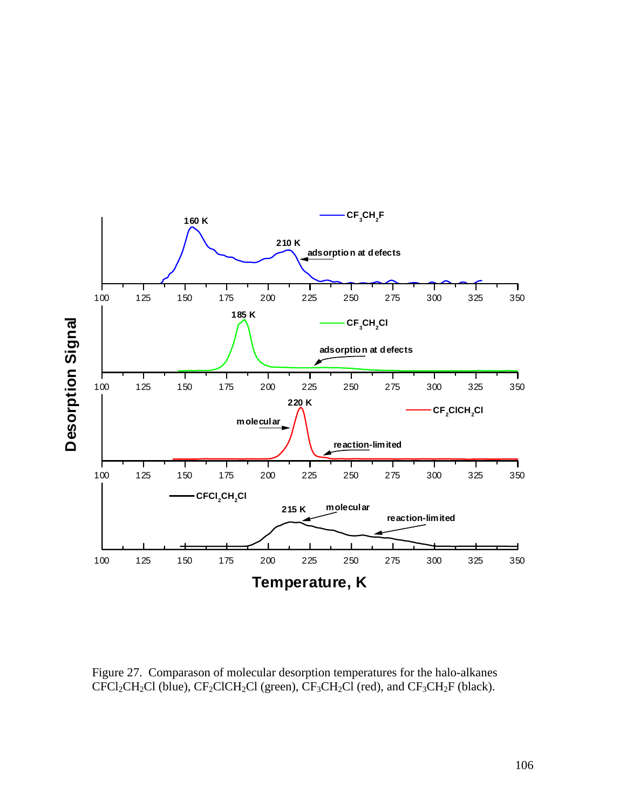

Figure 27. Comparason of molecular desorption temperatures for the halo-alkanes  $CFCl_2CH_2Cl$  (blue),  $CF_2ClCH_2Cl$  (green),  $CF_3CH_2Cl$  (red), and  $CF_3CH_2F$  (black).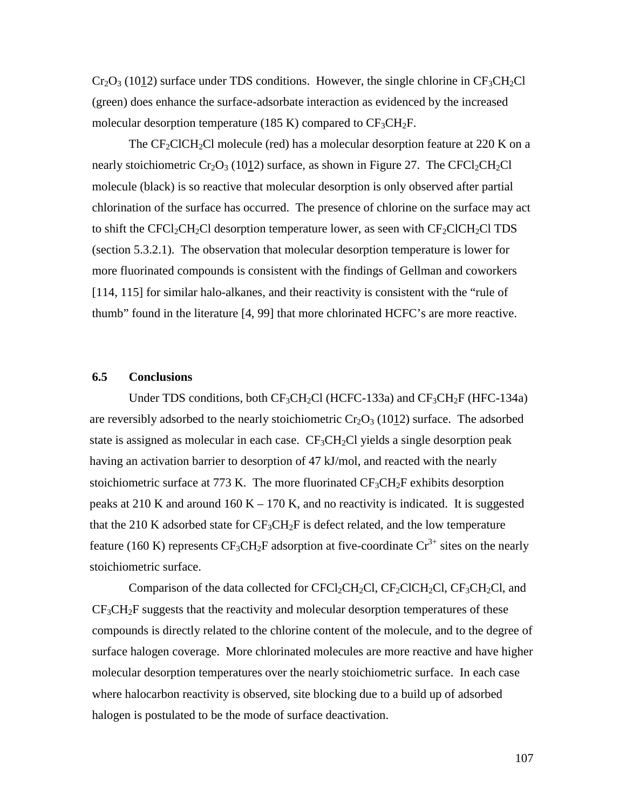$Cr_2O_3$  (1012) surface under TDS conditions. However, the single chlorine in  $CF_3CH_2Cl$ (green) does enhance the surface-adsorbate interaction as evidenced by the increased molecular desorption temperature (185 K) compared to  $CF_3CH_2F$ .

The  $CF_2ClCH_2Cl$  molecule (red) has a molecular desorption feature at 220 K on a nearly stoichiometric  $Cr_2O_3$  (1012) surface, as shown in Figure 27. The CFCl<sub>2</sub>CH<sub>2</sub>Cl molecule (black) is so reactive that molecular desorption is only observed after partial chlorination of the surface has occurred. The presence of chlorine on the surface may act to shift the CFCl<sub>2</sub>CH<sub>2</sub>Cl desorption temperature lower, as seen with  $CF_2CICH_2Cl$  TDS (section 5.3.2.1). The observation that molecular desorption temperature is lower for more fluorinated compounds is consistent with the findings of Gellman and coworkers [114, 115] for similar halo-alkanes, and their reactivity is consistent with the "rule of thumb" found in the literature [4, 99] that more chlorinated HCFC's are more reactive.

# **6.5 Conclusions**

Under TDS conditions, both  $CF_3CH_2Cl$  (HCFC-133a) and  $CF_3CH_2F$  (HFC-134a) are reversibly adsorbed to the nearly stoichiometric  $Cr_2O_3$  (1012) surface. The adsorbed state is assigned as molecular in each case.  $CF_3CH_2Cl$  yields a single desorption peak having an activation barrier to desorption of 47 kJ/mol, and reacted with the nearly stoichiometric surface at 773 K. The more fluorinated  $CF_3CH_2F$  exhibits desorption peaks at 210 K and around 160 K – 170 K, and no reactivity is indicated. It is suggested that the 210 K adsorbed state for  $CF_3CH_2F$  is defect related, and the low temperature feature (160 K) represents  $CF_3CH_2F$  adsorption at five-coordinate  $Cr^{3+}$  sites on the nearly stoichiometric surface.

Comparison of the data collected for CFCl<sub>2</sub>CH<sub>2</sub>Cl, CF<sub>2</sub>ClCH<sub>2</sub>Cl, CF<sub>3</sub>CH<sub>2</sub>Cl, and  $CF<sub>3</sub>CH<sub>2</sub>F$  suggests that the reactivity and molecular desorption temperatures of these compounds is directly related to the chlorine content of the molecule, and to the degree of surface halogen coverage. More chlorinated molecules are more reactive and have higher molecular desorption temperatures over the nearly stoichiometric surface. In each case where halocarbon reactivity is observed, site blocking due to a build up of adsorbed halogen is postulated to be the mode of surface deactivation.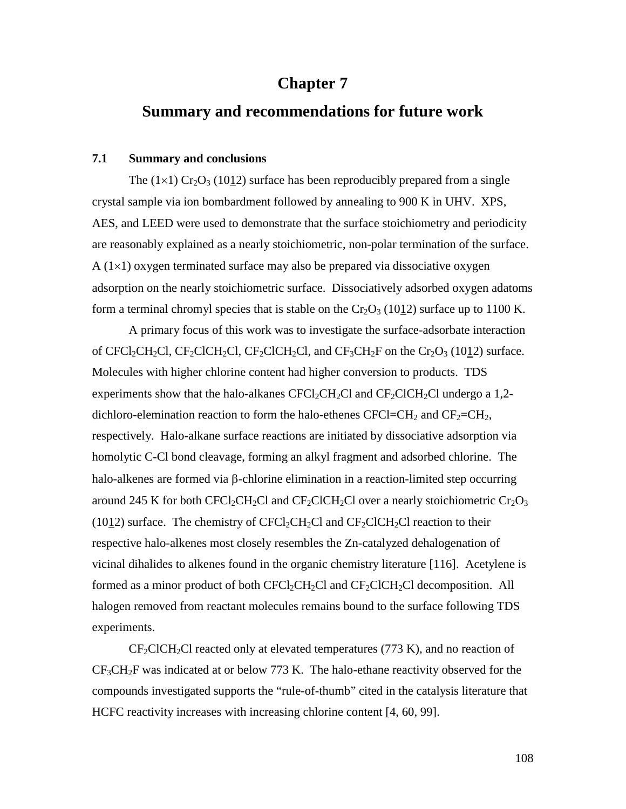# **Chapter 7**

# **Summary and recommendations for future work**

# **7.1 Summary and conclusions**

The  $(1\times1)$  Cr<sub>2</sub>O<sub>3</sub> (1012) surface has been reproducibly prepared from a single crystal sample via ion bombardment followed by annealing to 900 K in UHV. XPS, AES, and LEED were used to demonstrate that the surface stoichiometry and periodicity are reasonably explained as a nearly stoichiometric, non-polar termination of the surface.  $A(1\times1)$  oxygen terminated surface may also be prepared via dissociative oxygen adsorption on the nearly stoichiometric surface. Dissociatively adsorbed oxygen adatoms form a terminal chromyl species that is stable on the  $Cr_2O_3$  (1012) surface up to 1100 K.

A primary focus of this work was to investigate the surface-adsorbate interaction of CFCl<sub>2</sub>CH<sub>2</sub>Cl, CF<sub>2</sub>ClCH<sub>2</sub>Cl, CF<sub>2</sub>ClCH<sub>2</sub>Cl, and CF<sub>3</sub>CH<sub>2</sub>F on the Cr<sub>2</sub>O<sub>3</sub> (1012) surface. Molecules with higher chlorine content had higher conversion to products. TDS experiments show that the halo-alkanes  $CFCl_2CH_2Cl$  and  $CF_2ClCH_2Cl$  undergo a 1,2dichloro-elemination reaction to form the halo-ethenes  $CFCI=CH<sub>2</sub>$  and  $CF<sub>2</sub>=CH<sub>2</sub>$ , respectively. Halo-alkane surface reactions are initiated by dissociative adsorption via homolytic C-Cl bond cleavage, forming an alkyl fragment and adsorbed chlorine. The halo-alkenes are formed via  $\beta$ -chlorine elimination in a reaction-limited step occurring around 245 K for both CFCl<sub>2</sub>CH<sub>2</sub>Cl and CF<sub>2</sub>ClCH<sub>2</sub>Cl over a nearly stoichiometric Cr<sub>2</sub>O<sub>3</sub> (1012) surface. The chemistry of  $CFCl_2CH_2Cl$  and  $CF_2CICH_2Cl$  reaction to their respective halo-alkenes most closely resembles the Zn-catalyzed dehalogenation of vicinal dihalides to alkenes found in the organic chemistry literature [116]. Acetylene is formed as a minor product of both  $CFCl_2CH_2Cl$  and  $CF_2ClCH_2Cl$  decomposition. All halogen removed from reactant molecules remains bound to the surface following TDS experiments.

 $CF_2CICH_2Cl$  reacted only at elevated temperatures (773 K), and no reaction of  $CF<sub>3</sub>CH<sub>2</sub>F$  was indicated at or below 773 K. The halo-ethane reactivity observed for the compounds investigated supports the "rule-of-thumb" cited in the catalysis literature that HCFC reactivity increases with increasing chlorine content [4, 60, 99].

108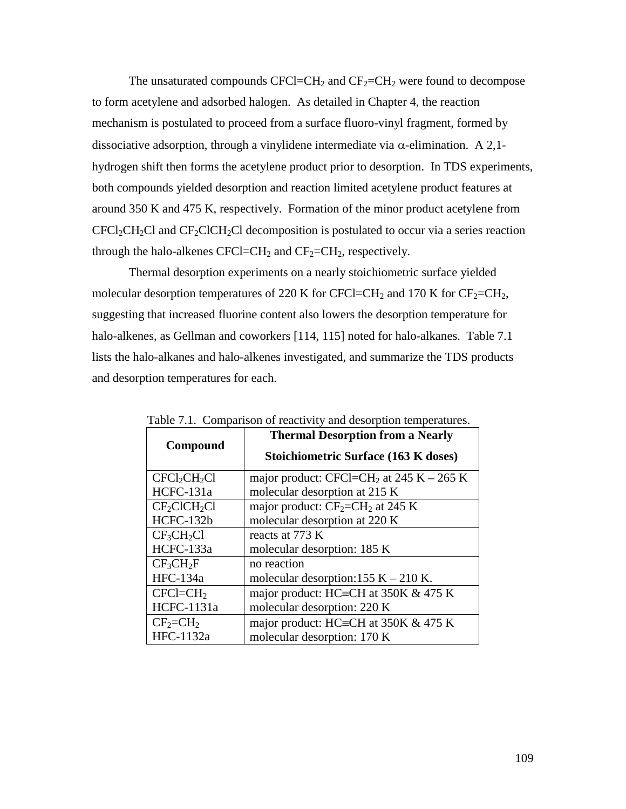The unsaturated compounds  $CFCI=CH<sub>2</sub>$  and  $CF<sub>2</sub>=CH<sub>2</sub>$  were found to decompose to form acetylene and adsorbed halogen. As detailed in Chapter 4, the reaction mechanism is postulated to proceed from a surface fluoro-vinyl fragment, formed by dissociative adsorption, through a vinylidene intermediate via  $\alpha$ -elimination. A 2,1hydrogen shift then forms the acetylene product prior to desorption. In TDS experiments, both compounds yielded desorption and reaction limited acetylene product features at around 350 K and 475 K, respectively. Formation of the minor product acetylene from  $CFCI_2CH_2Cl$  and  $CF_2ClCH_2Cl$  decomposition is postulated to occur via a series reaction through the halo-alkenes CFCl=CH<sub>2</sub> and CF<sub>2</sub>=CH<sub>2</sub>, respectively.

Thermal desorption experiments on a nearly stoichiometric surface yielded molecular desorption temperatures of 220 K for CFCl=CH<sub>2</sub> and 170 K for  $CF_2=CH_2$ , suggesting that increased fluorine content also lowers the desorption temperature for halo-alkenes, as Gellman and coworkers [114, 115] noted for halo-alkanes. Table 7.1 lists the halo-alkanes and halo-alkenes investigated, and summarize the TDS products and desorption temperatures for each.

| Compound                             | <b>Thermal Desorption from a Nearly</b>              |
|--------------------------------------|------------------------------------------------------|
|                                      | <b>Stoichiometric Surface (163 K doses)</b>          |
| $CFCI_2CH_2Cl$                       | major product: CFCl=CH <sub>2</sub> at 245 K – 265 K |
| $HCFC-131a$                          | molecular desorption at 215 K                        |
| CF <sub>2</sub> ClCH <sub>2</sub> Cl | major product: $CF_2=CH_2$ at 245 K                  |
| HCFC-132b                            | molecular desorption at 220 K                        |
| $CF_3CH_2Cl$                         | reacts at 773 K                                      |
| HCFC-133a                            | molecular desorption: 185 K                          |
| CF <sub>3</sub> CH <sub>2</sub> F    | no reaction                                          |
| HFC-134a                             | molecular desorption:155 $K - 210 K$ .               |
| $CFCI = CH2$                         | major product: HC=CH at $350K \& 475 K$              |
| HCFC-1131a                           | molecular desorption: 220 K                          |
| $CF_2 = CH_2$                        | major product: HC=CH at 350K & 475 K                 |
| HFC-1132a                            | molecular desorption: 170 K                          |

Table 7.1. Comparison of reactivity and desorption temperatures.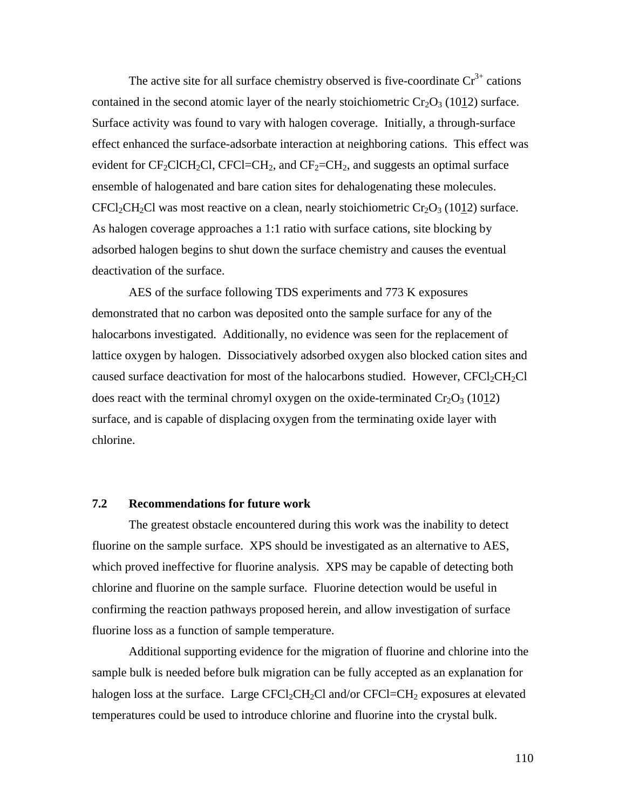The active site for all surface chemistry observed is five-coordinate  $Cr^{3+}$  cations contained in the second atomic layer of the nearly stoichiometric  $Cr_2O_3$  (1012) surface. Surface activity was found to vary with halogen coverage. Initially, a through-surface effect enhanced the surface-adsorbate interaction at neighboring cations. This effect was evident for  $CF_2CICH_2Cl$ ,  $CFCI=CH_2$ , and  $CF_2=CH_2$ , and suggests an optimal surface ensemble of halogenated and bare cation sites for dehalogenating these molecules.  $CFCl_2CH_2Cl$  was most reactive on a clean, nearly stoichiometric  $Cr_2O_3$  (1012) surface. As halogen coverage approaches a 1:1 ratio with surface cations, site blocking by adsorbed halogen begins to shut down the surface chemistry and causes the eventual deactivation of the surface.

AES of the surface following TDS experiments and 773 K exposures demonstrated that no carbon was deposited onto the sample surface for any of the halocarbons investigated. Additionally, no evidence was seen for the replacement of lattice oxygen by halogen. Dissociatively adsorbed oxygen also blocked cation sites and caused surface deactivation for most of the halocarbons studied. However,  $CFC1_2CH_2Cl$ does react with the terminal chromyl oxygen on the oxide-terminated  $Cr_2O_3$  (1012) surface, and is capable of displacing oxygen from the terminating oxide layer with chlorine.

#### **7.2 Recommendations for future work**

The greatest obstacle encountered during this work was the inability to detect fluorine on the sample surface. XPS should be investigated as an alternative to AES, which proved ineffective for fluorine analysis. XPS may be capable of detecting both chlorine and fluorine on the sample surface. Fluorine detection would be useful in confirming the reaction pathways proposed herein, and allow investigation of surface fluorine loss as a function of sample temperature.

Additional supporting evidence for the migration of fluorine and chlorine into the sample bulk is needed before bulk migration can be fully accepted as an explanation for halogen loss at the surface. Large  $CFCl<sub>2</sub>CH<sub>2</sub>Cl$  and/or  $CFCl=CH<sub>2</sub>$  exposures at elevated temperatures could be used to introduce chlorine and fluorine into the crystal bulk.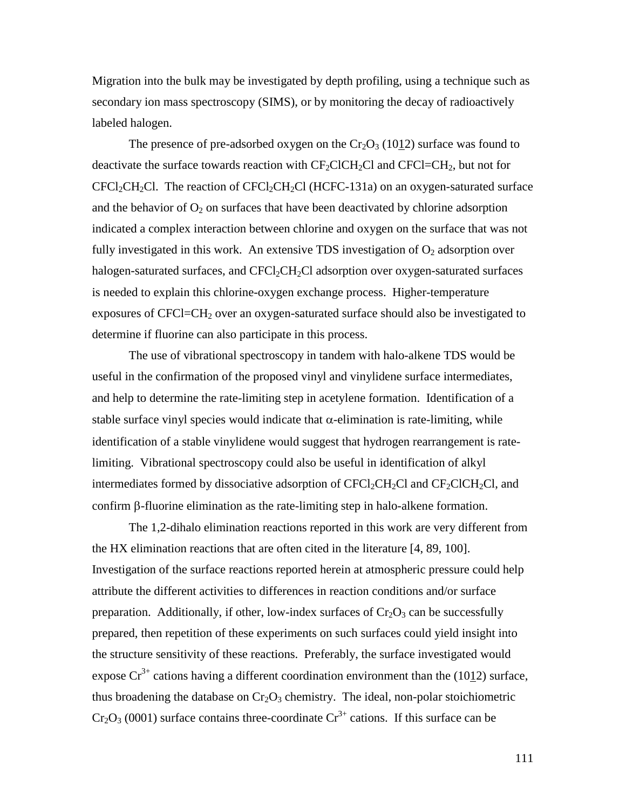Migration into the bulk may be investigated by depth profiling, using a technique such as secondary ion mass spectroscopy (SIMS), or by monitoring the decay of radioactively labeled halogen.

The presence of pre-adsorbed oxygen on the  $Cr_2O_3$  (1012) surface was found to deactivate the surface towards reaction with  $CF_2ClCH_2Cl$  and  $CFCI=CH_2$ , but not for  $CFCl<sub>2</sub>CH<sub>2</sub>Cl$ . The reaction of  $CFCl<sub>2</sub>CH<sub>2</sub>Cl$  (HCFC-131a) on an oxygen-saturated surface and the behavior of  $O_2$  on surfaces that have been deactivated by chlorine adsorption indicated a complex interaction between chlorine and oxygen on the surface that was not fully investigated in this work. An extensive TDS investigation of  $O_2$  adsorption over halogen-saturated surfaces, and  $CFCI_2CH_2Cl$  adsorption over oxygen-saturated surfaces is needed to explain this chlorine-oxygen exchange process. Higher-temperature exposures of CFCl=CH<sub>2</sub> over an oxygen-saturated surface should also be investigated to determine if fluorine can also participate in this process.

The use of vibrational spectroscopy in tandem with halo-alkene TDS would be useful in the confirmation of the proposed vinyl and vinylidene surface intermediates, and help to determine the rate-limiting step in acetylene formation. Identification of a stable surface vinyl species would indicate that  $\alpha$ -elimination is rate-limiting, while identification of a stable vinylidene would suggest that hydrogen rearrangement is ratelimiting. Vibrational spectroscopy could also be useful in identification of alkyl intermediates formed by dissociative adsorption of  $CFCl_2CH_2Cl$  and  $CF_2CICH_2Cl$ , and confirm  $\beta$ -fluorine elimination as the rate-limiting step in halo-alkene formation.

The 1,2-dihalo elimination reactions reported in this work are very different from the HX elimination reactions that are often cited in the literature [4, 89, 100]. Investigation of the surface reactions reported herein at atmospheric pressure could help attribute the different activities to differences in reaction conditions and/or surface preparation. Additionally, if other, low-index surfaces of  $Cr_2O_3$  can be successfully prepared, then repetition of these experiments on such surfaces could yield insight into the structure sensitivity of these reactions. Preferably, the surface investigated would expose  $Cr^{3+}$  cations having a different coordination environment than the (1012) surface, thus broadening the database on  $Cr_2O_3$  chemistry. The ideal, non-polar stoichiometric  $Cr_2O_3$  (0001) surface contains three-coordinate  $Cr^{3+}$  cations. If this surface can be

111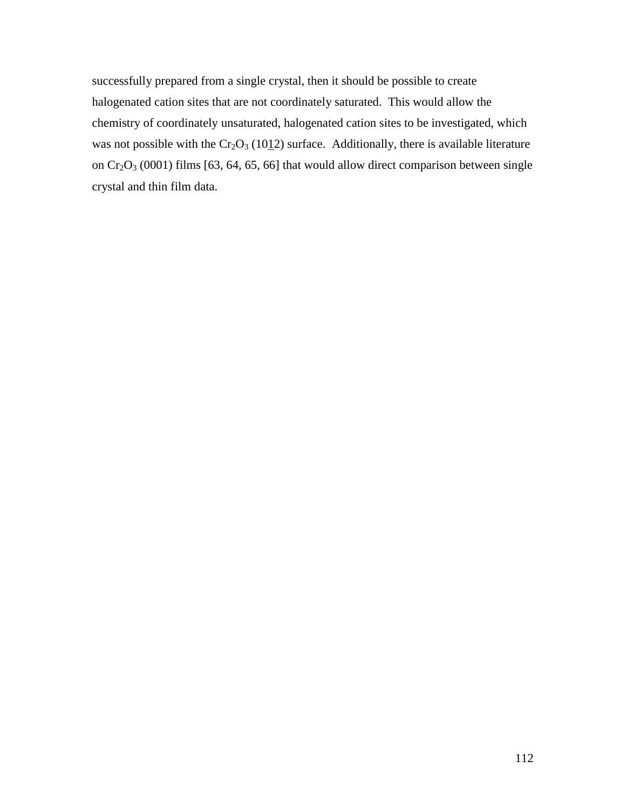successfully prepared from a single crystal, then it should be possible to create halogenated cation sites that are not coordinately saturated. This would allow the chemistry of coordinately unsaturated, halogenated cation sites to be investigated, which was not possible with the  $Cr_2O_3$  (1012) surface. Additionally, there is available literature on  $Cr_2O_3$  (0001) films [63, 64, 65, 66] that would allow direct comparison between single crystal and thin film data.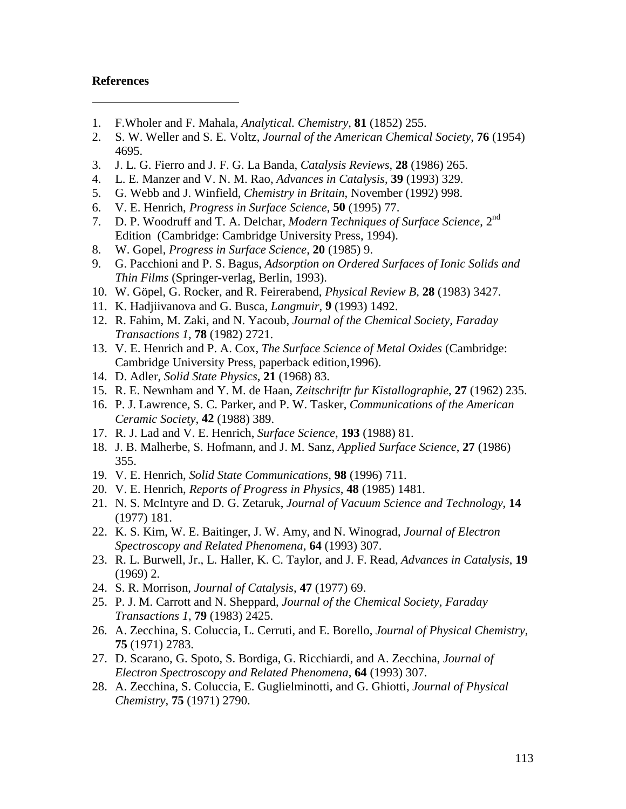## **References**

- 1. F.Wholer and F. Mahala, *Analytical. Chemistry*, **81** (1852) 255.
- 2. S. W. Weller and S. E. Voltz, *Journal of the American Chemical Society*, **76** (1954) 4695.
- 3. J. L. G. Fierro and J. F. G. La Banda, *Catalysis Reviews*, **28** (1986) 265.
- 4. L. E. Manzer and V. N. M. Rao, *Advances in Catalysis*, **39** (1993) 329.
- 5. G. Webb and J. Winfield, *Chemistry in Britain*, November (1992) 998.
- 6. V. E. Henrich, *Progress in Surface Science*, **50** (1995) 77.
- 7. D. P. Woodruff and T. A. Delchar, *Modern Techniques of Surface Science*, 2nd Edition (Cambridge: Cambridge University Press, 1994).
- 8. W. Gopel, *Progress in Surface Science*, **20** (1985) 9.
- 9. G. Pacchioni and P. S. Bagus, *Adsorption on Ordered Surfaces of Ionic Solids and Thin Films* (Springer-verlag, Berlin, 1993).
- 10. W. Göpel, G. Rocker, and R. Feirerabend, *Physical Review B*, **28** (1983) 3427.
- 11. K. Hadjiivanova and G. Busca, *Langmuir*, **9** (1993) 1492.
- 12. R. Fahim, M. Zaki, and N. Yacoub, *Journal of the Chemical Society, Faraday Transactions 1*, **78** (1982) 2721.
- 13. V. E. Henrich and P. A. Cox, *The Surface Science of Metal Oxides* (Cambridge: Cambridge University Press, paperback edition,1996).
- 14. D. Adler, *Solid State Physics*, **21** (1968) 83.
- 15. R. E. Newnham and Y. M. de Haan, *Zeitschriftr fur Kistallographie*, **27** (1962) 235.
- 16. P. J. Lawrence, S. C. Parker, and P. W. Tasker, *Communications of the American Ceramic Society*, **42** (1988) 389.
- 17. R. J. Lad and V. E. Henrich, *Surface Science*, **193** (1988) 81.
- 18. J. B. Malherbe, S. Hofmann, and J. M. Sanz, *Applied Surface Science*, **27** (1986) 355.
- 19. V. E. Henrich, *Solid State Communications*, **98** (1996) 711.
- 20. V. E. Henrich, *Reports of Progress in Physics*, **48** (1985) 1481.
- 21. N. S. McIntyre and D. G. Zetaruk, *Journal of Vacuum Science and Technology*, **14** (1977) 181.
- 22. K. S. Kim, W. E. Baitinger, J. W. Amy, and N. Winograd, *Journal of Electron Spectroscopy and Related Phenomena*, **64** (1993) 307.
- 23. R. L. Burwell, Jr., L. Haller, K. C. Taylor, and J. F. Read, *Advances in Catalysis*, **19** (1969) 2.
- 24. S. R. Morrison, *Journal of Catalysis*, **47** (1977) 69.
- 25. P. J. M. Carrott and N. Sheppard, *Journal of the Chemical Society, Faraday Transactions 1*, **79** (1983) 2425.
- 26. A. Zecchina, S. Coluccia, L. Cerruti, and E. Borello, *Journal of Physical Chemistry*, **75** (1971) 2783.
- 27. D. Scarano, G. Spoto, S. Bordiga, G. Ricchiardi, and A. Zecchina, *Journal of Electron Spectroscopy and Related Phenomena*, **64** (1993) 307.
- 28. A. Zecchina, S. Coluccia, E. Guglielminotti, and G. Ghiotti, *Journal of Physical Chemistry*, **75** (1971) 2790.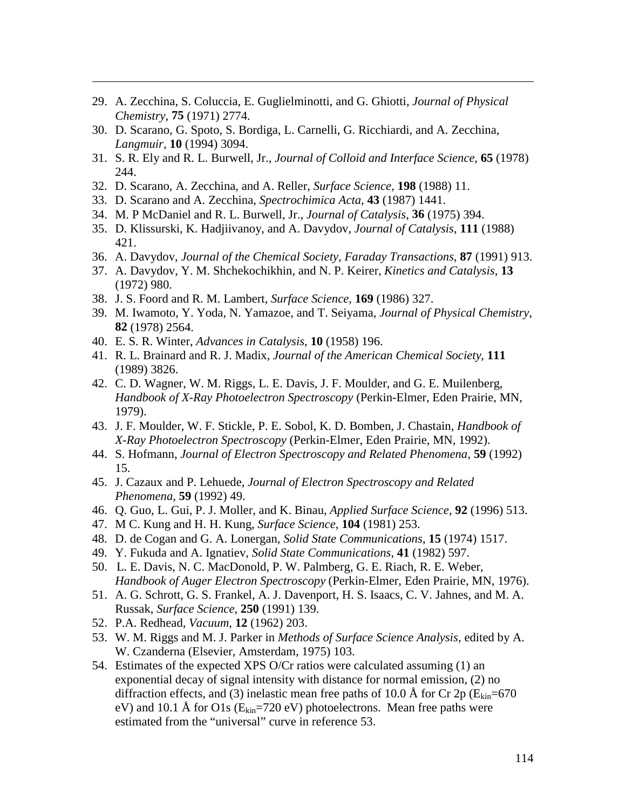- 29. A. Zecchina, S. Coluccia, E. Guglielminotti, and G. Ghiotti, *Journal of Physical Chemistry*, **75** (1971) 2774.
- 30. D. Scarano, G. Spoto, S. Bordiga, L. Carnelli, G. Ricchiardi, and A. Zecchina, *Langmuir*, **10** (1994) 3094.
- 31. S. R. Ely and R. L. Burwell, Jr., *Journal of Colloid and Interface Science*, **65** (1978) 244.
- 32. D. Scarano, A. Zecchina, and A. Reller, *Surface Science*, **198** (1988) 11.
- 33. D. Scarano and A. Zecchina, *Spectrochimica Acta*, **43** (1987) 1441.
- 34. M. P McDaniel and R. L. Burwell, Jr., *Journal of Catalysis*, **36** (1975) 394.
- 35. D. Klissurski, K. Hadjiivanoy, and A. Davydov, *Journal of Catalysis*, **111** (1988) 421.
- 36. A. Davydov, *Journal of the Chemical Society, Faraday Transactions*, **87** (1991) 913.
- 37. A. Davydov, Y. M. Shchekochikhin, and N. P. Keirer, *Kinetics and Catalysis*, **13** (1972) 980.
- 38. J. S. Foord and R. M. Lambert, *Surface Science*, **169** (1986) 327.
- 39. M. Iwamoto, Y. Yoda, N. Yamazoe, and T. Seiyama, *Journal of Physical Chemistry*, **82** (1978) 2564.
- 40. E. S. R. Winter, *Advances in Catalysis*, **10** (1958) 196.

- 41. R. L. Brainard and R. J. Madix, *Journal of the American Chemical Society*, **111** (1989) 3826.
- 42. C. D. Wagner, W. M. Riggs, L. E. Davis, J. F. Moulder, and G. E. Muilenberg, *Handbook of X-Ray Photoelectron Spectroscopy* (Perkin-Elmer, Eden Prairie, MN, 1979).
- 43. J. F. Moulder, W. F. Stickle, P. E. Sobol, K. D. Bomben, J. Chastain, *Handbook of X-Ray Photoelectron Spectroscopy* (Perkin-Elmer, Eden Prairie, MN, 1992).
- 44. S. Hofmann, *Journal of Electron Spectroscopy and Related Phenomena*, **59** (1992) 15.
- 45. J. Cazaux and P. Lehuede, *Journal of Electron Spectroscopy and Related Phenomena*, **59** (1992) 49.
- 46. Q. Guo, L. Gui, P. J. Moller, and K. Binau, *Applied Surface Science*, **92** (1996) 513.
- 47. M C. Kung and H. H. Kung, *Surface Science*, **104** (1981) 253.
- 48. D. de Cogan and G. A. Lonergan, *Solid State Communications*, **15** (1974) 1517.
- 49. Y. Fukuda and A. Ignatiev, *Solid State Communications*, **41** (1982) 597.
- 50. L. E. Davis, N. C. MacDonold, P. W. Palmberg, G. E. Riach, R. E. Weber, *Handbook of Auger Electron Spectroscopy* (Perkin-Elmer, Eden Prairie, MN, 1976).
- 51. A. G. Schrott, G. S. Frankel, A. J. Davenport, H. S. Isaacs, C. V. Jahnes, and M. A. Russak, *Surface Science*, **250** (1991) 139.
- 52. P.A. Redhead, *Vacuum*, **12** (1962) 203.
- 53. W. M. Riggs and M. J. Parker in *Methods of Surface Science Analysis*, edited by A. W. Czanderna (Elsevier, Amsterdam, 1975) 103.
- 54. Estimates of the expected XPS O/Cr ratios were calculated assuming (1) an exponential decay of signal intensity with distance for normal emission, (2) no diffraction effects, and (3) inelastic mean free paths of 10.0 Å for Cr  $2p(E_{kin}=670$ eV) and 10.1 Å for O1s ( $E_{kin}$ =720 eV) photoelectrons. Mean free paths were estimated from the "universal" curve in reference 53.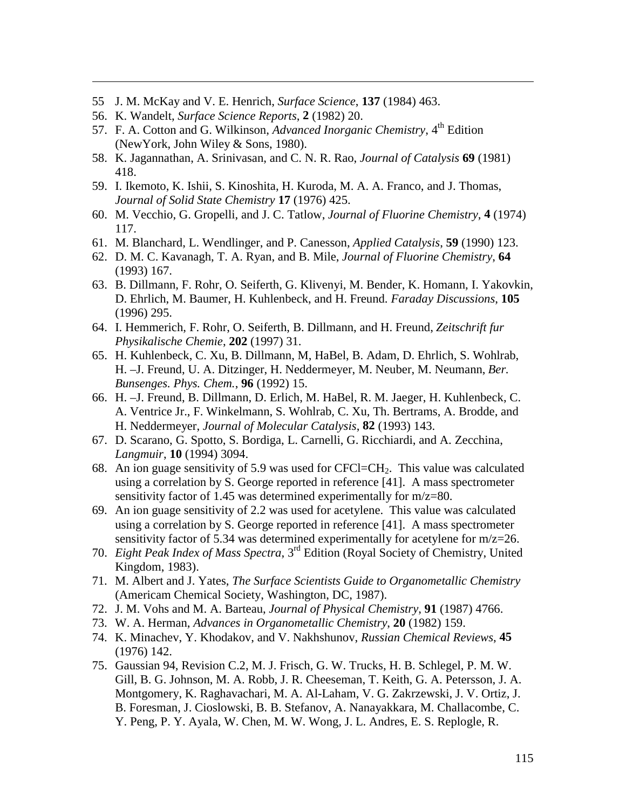- 55 J. M. McKay and V. E. Henrich, *Surface Science*, **137** (1984) 463.
- 56. K. Wandelt, *Surface Science Reports*, **2** (1982) 20.

- 57. F. A. Cotton and G. Wilkinson, *Advanced Inorganic Chemistry*, 4<sup>th</sup> Edition (NewYork, John Wiley & Sons, 1980).
- 58. K. Jagannathan, A. Srinivasan, and C. N. R. Rao, *Journal of Catalysis* **69** (1981) 418.
- 59. I. Ikemoto, K. Ishii, S. Kinoshita, H. Kuroda, M. A. A. Franco, and J. Thomas, *Journal of Solid State Chemistry* **17** (1976) 425.
- 60. M. Vecchio, G. Gropelli, and J. C. Tatlow, *Journal of Fluorine Chemistry*, **4** (1974) 117.
- 61. M. Blanchard, L. Wendlinger, and P. Canesson, *Applied Catalysis*, **59** (1990) 123.
- 62. D. M. C. Kavanagh, T. A. Ryan, and B. Mile, *Journal of Fluorine Chemistry*, **64** (1993) 167.
- 63. B. Dillmann, F. Rohr, O. Seiferth, G. Klivenyi, M. Bender, K. Homann, I. Yakovkin, D. Ehrlich, M. Baumer, H. Kuhlenbeck, and H. Freund. *Faraday Discussions*, **105** (1996) 295.
- 64. I. Hemmerich, F. Rohr, O. Seiferth, B. Dillmann, and H. Freund, *Zeitschrift fur Physikalische Chemie*, **202** (1997) 31.
- 65. H. Kuhlenbeck, C. Xu, B. Dillmann, M, HaBel, B. Adam, D. Ehrlich, S. Wohlrab, H. –J. Freund, U. A. Ditzinger, H. Neddermeyer, M. Neuber, M. Neumann, *Ber. Bunsenges. Phys. Chem.*, **96** (1992) 15.
- 66. H. –J. Freund, B. Dillmann, D. Erlich, M. HaBel, R. M. Jaeger, H. Kuhlenbeck, C. A. Ventrice Jr., F. Winkelmann, S. Wohlrab, C. Xu, Th. Bertrams, A. Brodde, and H. Neddermeyer, *Journal of Molecular Catalysis*, **82** (1993) 143.
- 67. D. Scarano, G. Spotto, S. Bordiga, L. Carnelli, G. Ricchiardi, and A. Zecchina, *Langmuir*, **10** (1994) 3094.
- 68. An ion guage sensitivity of 5.9 was used for  $CFCI = CH<sub>2</sub>$ . This value was calculated using a correlation by S. George reported in reference [41]. A mass spectrometer sensitivity factor of 1.45 was determined experimentally for m/z=80.
- 69. An ion guage sensitivity of 2.2 was used for acetylene. This value was calculated using a correlation by S. George reported in reference [41]. A mass spectrometer sensitivity factor of 5.34 was determined experimentally for acetylene for m/z=26.
- 70. *Eight Peak Index of Mass Spectra*, 3rd Edition (Royal Society of Chemistry, United Kingdom, 1983).
- 71. M. Albert and J. Yates, *The Surface Scientists Guide to Organometallic Chemistry* (Americam Chemical Society, Washington, DC, 1987).
- 72. J. M. Vohs and M. A. Barteau, *Journal of Physical Chemistry*, **91** (1987) 4766.
- 73. W. A. Herman, *Advances in Organometallic Chemistry*, **20** (1982) 159.
- 74. K. Minachev, Y. Khodakov, and V. Nakhshunov, *Russian Chemical Reviews*, **45** (1976) 142.
- 75. Gaussian 94, Revision C.2, M. J. Frisch, G. W. Trucks, H. B. Schlegel, P. M. W. Gill, B. G. Johnson, M. A. Robb, J. R. Cheeseman, T. Keith, G. A. Petersson, J. A. Montgomery, K. Raghavachari, M. A. Al-Laham, V. G. Zakrzewski, J. V. Ortiz, J. B. Foresman, J. Cioslowski, B. B. Stefanov, A. Nanayakkara, M. Challacombe, C. Y. Peng, P. Y. Ayala, W. Chen, M. W. Wong, J. L. Andres, E. S. Replogle, R.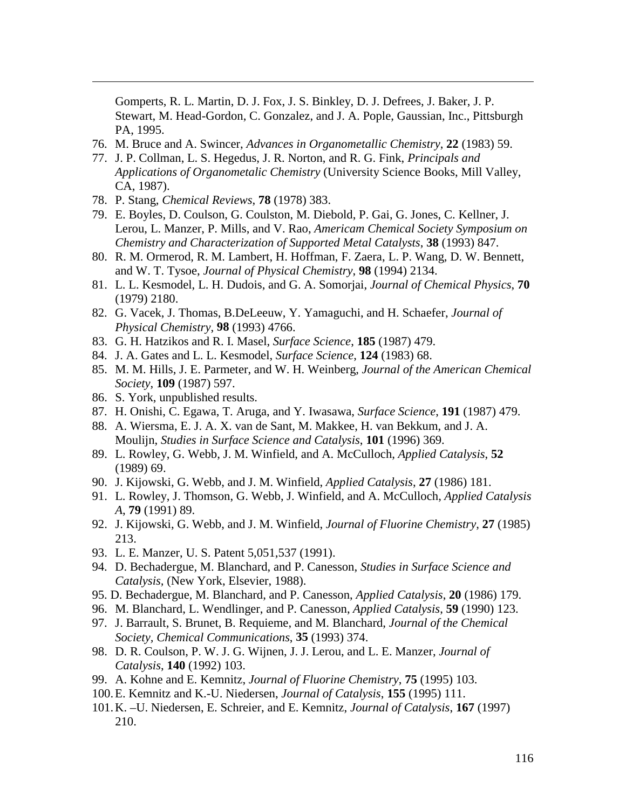Gomperts, R. L. Martin, D. J. Fox, J. S. Binkley, D. J. Defrees, J. Baker, J. P. Stewart, M. Head-Gordon, C. Gonzalez, and J. A. Pople, Gaussian, Inc., Pittsburgh PA, 1995.

- 76. M. Bruce and A. Swincer, *Advances in Organometallic Chemistry*, **22** (1983) 59.
- 77. J. P. Collman, L. S. Hegedus, J. R. Norton, and R. G. Fink, *Principals and Applications of Organometalic Chemistry* (University Science Books, Mill Valley, CA, 1987).
- 78. P. Stang, *Chemical Reviews*, **78** (1978) 383.

- 79. E. Boyles, D. Coulson, G. Coulston, M. Diebold, P. Gai, G. Jones, C. Kellner, J. Lerou, L. Manzer, P. Mills, and V. Rao, *Americam Chemical Society Symposium on Chemistry and Characterization of Supported Metal Catalysts*, **38** (1993) 847.
- 80. R. M. Ormerod, R. M. Lambert, H. Hoffman, F. Zaera, L. P. Wang, D. W. Bennett, and W. T. Tysoe, *Journal of Physical Chemistry*, **98** (1994) 2134.
- 81. L. L. Kesmodel, L. H. Dudois, and G. A. Somorjai, *Journal of Chemical Physics*, **70** (1979) 2180.
- 82. G. Vacek, J. Thomas, B.DeLeeuw, Y. Yamaguchi, and H. Schaefer, *Journal of Physical Chemistry*, **98** (1993) 4766.
- 83. G. H. Hatzikos and R. I. Masel, *Surface Science*, **185** (1987) 479.
- 84. J. A. Gates and L. L. Kesmodel, *Surface Science*, **124** (1983) 68.
- 85. M. M. Hills, J. E. Parmeter, and W. H. Weinberg, *Journal of the American Chemical Society*, **109** (1987) 597.
- 86. S. York, unpublished results.
- 87. H. Onishi, C. Egawa, T. Aruga, and Y. Iwasawa, *Surface Science*, **191** (1987) 479.
- 88. A. Wiersma, E. J. A. X. van de Sant, M. Makkee, H. van Bekkum, and J. A. Moulijn, *Studies in Surface Science and Catalysis*, **101** (1996) 369.
- 89. L. Rowley, G. Webb, J. M. Winfield, and A. McCulloch, *Applied Catalysis*, **52** (1989) 69.
- 90. J. Kijowski, G. Webb, and J. M. Winfield, *Applied Catalysis*, **27** (1986) 181.
- 91. L. Rowley, J. Thomson, G. Webb, J. Winfield, and A. McCulloch, *Applied Catalysis A*, **79** (1991) 89.
- 92. J. Kijowski, G. Webb, and J. M. Winfield, *Journal of Fluorine Chemistry*, **27** (1985) 213.
- 93. L. E. Manzer, U. S. Patent 5,051,537 (1991).
- 94. D. Bechadergue, M. Blanchard, and P. Canesson, *Studies in Surface Science and Catalysis,* (New York, Elsevier, 1988).
- 95. D. Bechadergue, M. Blanchard, and P. Canesson, *Applied Catalysis*, **20** (1986) 179.
- 96. M. Blanchard, L. Wendlinger, and P. Canesson, *Applied Catalysis*, **59** (1990) 123.
- 97. J. Barrault, S. Brunet, B. Requieme, and M. Blanchard, *Journal of the Chemical Society, Chemical Communications*, **35** (1993) 374.
- 98. D. R. Coulson, P. W. J. G. Wijnen, J. J. Lerou, and L. E. Manzer, *Journal of Catalysis*, **140** (1992) 103.
- 99. A. Kohne and E. Kemnitz, *Journal of Fluorine Chemistry*, **75** (1995) 103.
- 100. E. Kemnitz and K.-U. Niedersen, *Journal of Catalysis*, **155** (1995) 111.
- 101. K. –U. Niedersen, E. Schreier, and E. Kemnitz, *Journal of Catalysis*, **167** (1997) 210.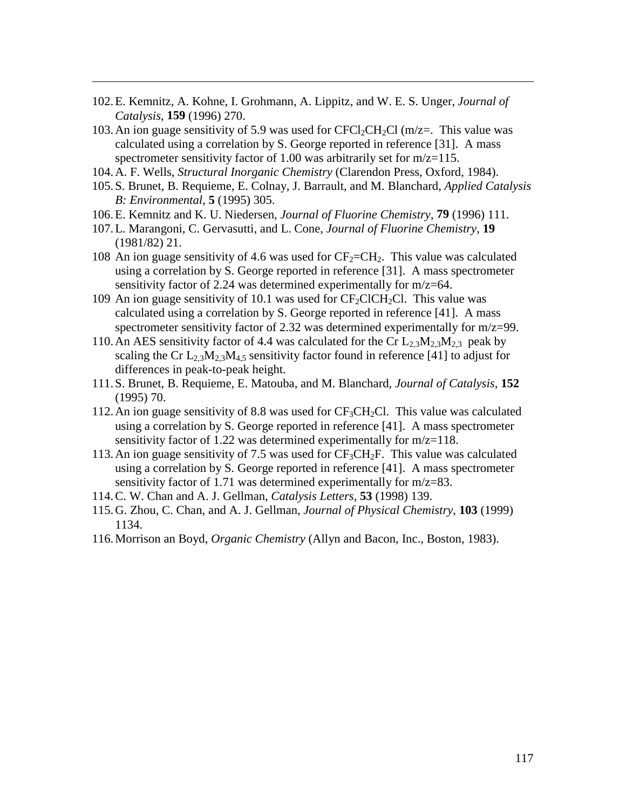102. E. Kemnitz, A. Kohne, I. Grohmann, A. Lippitz, and W. E. S. Unger, *Journal of Catalysis*, **159** (1996) 270.

- 103. An ion guage sensitivity of 5.9 was used for  $CFCl<sub>2</sub>CH<sub>2</sub>Cl$  (m/z=. This value was calculated using a correlation by S. George reported in reference [31]. A mass spectrometer sensitivity factor of 1.00 was arbitrarily set for m/z=115.
- 104. A. F. Wells, *Structural Inorganic Chemistry* (Clarendon Press, Oxford, 1984).
- 105. S. Brunet, B. Requieme, E. Colnay, J. Barrault, and M. Blanchard, *Applied Catalysis B: Environmental*, **5** (1995) 305.
- 106. E. Kemnitz and K. U. Niedersen, *Journal of Fluorine Chemistry*, **79** (1996) 111.
- 107. L. Marangoni, C. Gervasutti, and L. Cone, *Journal of Fluorine Chemistry*, **19** (1981/82) 21.
- 108 An ion guage sensitivity of 4.6 was used for  $CF_2=CH_2$ . This value was calculated using a correlation by S. George reported in reference [31]. A mass spectrometer sensitivity factor of 2.24 was determined experimentally for m/z=64.
- 109 An ion guage sensitivity of 10.1 was used for  $CF_2ClCH_2Cl$ . This value was calculated using a correlation by S. George reported in reference [41]. A mass spectrometer sensitivity factor of 2.32 was determined experimentally for m/z=99.
- 110. An AES sensitivity factor of 4.4 was calculated for the Cr  $L_2$ ,  $M_2$ ,  $M_2$ , peak by scaling the Cr  $L_2$ ,  $M_2$ ,  $M_4$ , sensitivity factor found in reference [41] to adjust for differences in peak-to-peak height.
- 111. S. Brunet, B. Requieme, E. Matouba, and M. Blanchard, *Journal of Catalysis*, **152** (1995) 70.
- 112. An ion guage sensitivity of 8.8 was used for  $CF_3CH_2Cl$ . This value was calculated using a correlation by S. George reported in reference [41]. A mass spectrometer sensitivity factor of 1.22 was determined experimentally for m/z=118.
- 113. An ion guage sensitivity of 7.5 was used for  $CF_3CH_2F$ . This value was calculated using a correlation by S. George reported in reference [41]. A mass spectrometer sensitivity factor of 1.71 was determined experimentally for m/z=83.
- 114. C. W. Chan and A. J. Gellman, *Catalysis Letters*, **53** (1998) 139.
- 115. G. Zhou, C. Chan, and A. J. Gellman, *Journal of Physical Chemistry*, **103** (1999) 1134.
- 116. Morrison an Boyd, *Organic Chemistry* (Allyn and Bacon, Inc., Boston, 1983).